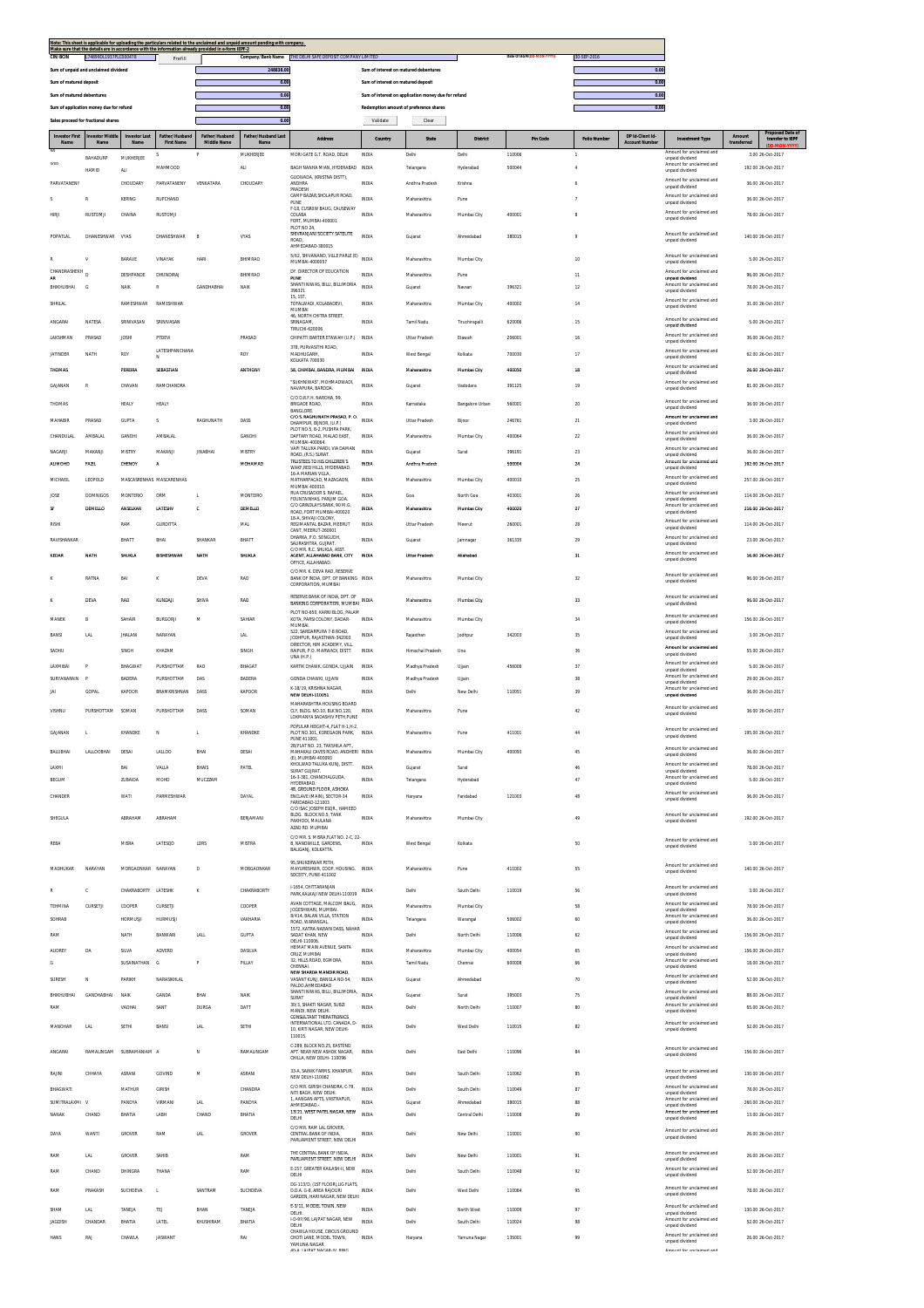|                               |                                         |                              |                                     | Make sure that the details are in accordance with the information already provided in e-form IEPF-2 | Note: This sheet is applicable for uploading the particulars related to the unclaimed and unpaid amount pending with company. |                                        |                                        |                                                     |                 |                          |                     |                                           |                                             |                       |                                                        |
|-------------------------------|-----------------------------------------|------------------------------|-------------------------------------|-----------------------------------------------------------------------------------------------------|-------------------------------------------------------------------------------------------------------------------------------|----------------------------------------|----------------------------------------|-----------------------------------------------------|-----------------|--------------------------|---------------------|-------------------------------------------|---------------------------------------------|-----------------------|--------------------------------------------------------|
| <b>CIN/BCIN</b>               | L74899DL1937PLC000478                   |                              | Prefill                             |                                                                                                     | Company/Bank Name                                                                                                             | THE DELHI SAFE DEPOSIT COMPANY LIMITED |                                        |                                                     |                 | Date Of AGM(DD-MON-YYYY) | 30-SEP-2016         |                                           |                                             |                       |                                                        |
|                               | Sum of unpaid and unclaimed dividend    |                              |                                     |                                                                                                     | 248838.00                                                                                                                     |                                        | Sum of interest on matured debentures  |                                                     |                 |                          |                     | 0.00                                      |                                             |                       |                                                        |
| Sum of matured deposit        |                                         |                              |                                     |                                                                                                     | 0.00                                                                                                                          |                                        | Sum of interest on matured deposit     |                                                     |                 |                          |                     | 0.00                                      |                                             |                       |                                                        |
| Sum of matured debentures     |                                         |                              |                                     |                                                                                                     | 0.00                                                                                                                          |                                        |                                        | Sum of interest on application money due for refund |                 |                          |                     |                                           |                                             |                       |                                                        |
|                               | Sum of application money due for refund |                              |                                     |                                                                                                     | 0.00                                                                                                                          |                                        | Redemption amount of preference shares |                                                     |                 |                          |                     | 0.00                                      |                                             |                       |                                                        |
|                               | Sales proceed for fractional shares     |                              |                                     |                                                                                                     | 0.00                                                                                                                          |                                        | Validate                               | Clear                                               |                 |                          |                     |                                           |                                             |                       |                                                        |
| <b>Investor First</b><br>Name | <b>Investor Middle</b><br>Name          | <b>Investor Last</b><br>Name | Father/Husband<br><b>First Name</b> | Father/Husband<br>Middle Name                                                                       | Father/Husband Last<br><b>Name</b>                                                                                            | Address                                | Country                                | <b>State</b>                                        | <b>District</b> | Pin Code                 | <b>Folio Number</b> | DP Id-Client Id-<br><b>Account Number</b> | <b>Investment Type</b>                      | Amount<br>transferred | Proposed Date of<br>transfer to IEPF<br>(DD-MON-YYYYY) |
| RAI                           | BAHADURP                                | MUKHERJEE                    |                                     |                                                                                                     | MUKHERJEE                                                                                                                     | MORI GATE G.T. ROAD. DELHI             | <b>INDIA</b>                           | Delhi                                               | Delhi           | 110006                   |                     |                                           | Amount for unclaimed and<br>unpaid dividend |                       | 3.00 26-Oct-2017                                       |
| SYED                          | HAMID                                   | ALI                          | MAHMOOD                             |                                                                                                     | <b>ALI</b>                                                                                                                    | BAGH NANHA MIAN. HYDERABAD INDIA       |                                        | Telangana                                           | Hyderabad       | 500044                   |                     |                                           | Amount for unclaimed and<br>unpaid dividend |                       | 192.00 26-Oct-2017                                     |

| SYEE            | <b>HAMID</b>      | ALI.                     | MAHMOOD                  |                        | <b>ALI</b>      | BAGH NANHA MIAN, HYDERABAD INDIA                                    |              | Telangana             | Hyderabad       | 500044 |                 | Amount for unclaimed and<br>unpaid dividend          | 192.00 26-Oct-2017 |
|-----------------|-------------------|--------------------------|--------------------------|------------------------|-----------------|---------------------------------------------------------------------|--------------|-----------------------|-----------------|--------|-----------------|------------------------------------------------------|--------------------|
| PARVATANENY     |                   | CHOUDARY                 | PARVATANENY              | VENKATARA              | CHOUDAR!        | GUDIVADA, (KRISTNA DISTT).<br>ANDHRA                                | INDIA        | Andhra Pradesh        | Krishna         |        |                 | Amount for unclaimed and<br>unpaid dividend          | 36.00 26-Oct-2017  |
| $\mathbf{S}$    | R                 | KERING                   | RUPCHAND                 |                        |                 | PRADESH<br>CAMP BAZAR SHOLAPUR ROAD.                                | INDIA        | Maharashtra           | Pune            |        |                 | Amount for unclaimed and                             | 36.00 26-Oct-2017  |
|                 |                   |                          |                          |                        |                 | PUNE<br>F-18, CUSROW BAUG, CAUSEWAY                                 |              |                       |                 |        |                 | unpaid dividend<br>Amount for unclaimed and          |                    |
| <b>HIRJI</b>    | <b>RUSTOMJI</b>   | CHAINA                   | <b>RUSTOMJI</b>          |                        |                 | COLABA<br>FORT, MUMBAI-400001                                       | INDIA        | Maharashtra           | Mumbai City     | 400001 | 8               | unpaid dividend                                      | 78.00 26-Oct-2017  |
|                 |                   |                          |                          |                        |                 | PLOT NO 24<br>SHIVRANJANI SOCIETY SATELITE                          |              |                       |                 |        |                 | Amount for unclaimed and                             |                    |
| POPATLAL        | DHANESHWAR        | VYAS                     | DHANESHWAR               | B                      | VYAS            | ROAD.<br>AHMEDABAD-380015                                           | INDIA        | Gujarat               | Ahmedabad       | 380015 | 9               | unnaid dividend                                      | 140.00 26-Oct-2017 |
| R               | v                 | <b>BARAVE</b>            | VINAYAK                  | <b>HARI</b>            | BHIMRAO         | 5/62, SHIVANAND, VILLE PARLE (E) INDIA                              |              | Maharashtra           | Mumbai City     |        | 10              | Amount for unclaimed and                             | 5.00 26-Oct-2017   |
| CHANDRASHEKH    |                   |                          |                          |                        |                 | MUMBAI-4000057<br>DY. DIRECTOR OF EDUCATION                         |              |                       |                 |        |                 | unpaid dividend<br>Amount for unclaimed and          |                    |
| AR              |                   | DESHPANDE                | DHUNDIRAJ                |                        | BHIMRAO         | PUNE                                                                | INDIA        | Maharashtra           | Pune            |        | 11              | unpaid dividend                                      | 96.00 26-Oct-2017  |
| BHIKHUBHAI      | G                 | NAIK                     | $\mathbb{R}$             | <b>GANDHARHAI</b>      | NAIK            | SHANTI NIWAS, BILLI, BILLIMORIA<br>396321                           | INDIA        | Gujarat               | Navsari         | 396321 | 12              | Amount for unclaimed and<br>unpaid dividend          | 78.00 26-Oct-2017  |
| SHRILAL         |                   | <b>RAMESHWAR</b>         | RAMESHWAR                |                        |                 | 15, 1ST<br>TOFALWADI. KOLABADEVI.                                   | INDIA        | Maharashtra           | Mumbai City     | 400002 | 14              | Amount for unclaimed and<br>unpaid dividend          | 31.00 26-Oct-2017  |
|                 |                   |                          |                          |                        |                 | MUMBAI<br>46, NORTH CHITRA STREET,                                  |              |                       |                 |        |                 | Amount for unclaimed and                             |                    |
| ANGARAI         | NATESA            | SRINIVASAN               | SRINIVASAN               |                        |                 | SRINAGAM<br>TIRUCHL620006                                           | INDIA        | Tamil Nadu            | Tiruchirapalli  | 620006 | 15              | unpaid dividend                                      | 5.00 26-Oct-2017   |
| LAKSHMAN        | PRASAD            | <b>JOSHI</b>             | PTDEVI                   |                        | PRASAD          | CHIPATTI BARTER ETAWAH (U.P.)                                       | INDIA        | <b>Uttar Pradesh</b>  | Etawah          | 206001 | 16              | Amount for unclaimed and<br>unpaid dividend          | 36.00.26-0ct-2017  |
| <b>JATINDER</b> | NATH              | ROY                      | LATESHPANCHANA           |                        | ROY             | 378. PURVASITHI ROAD.<br>MADHUGARH,                                 | INDIA        | West Bengal           | Kolkata         | 700030 | 17              | Amount for unclaimed and                             | 62.00 26-Oct-2017  |
|                 |                   |                          | N                        |                        |                 | KOLKATA 700030                                                      |              |                       |                 |        |                 | unpaid dividend                                      |                    |
| THOMAS          |                   | PEREIRA                  | SEBASTIAN                |                        | <b>ANTHONY</b>  | 58. CHIMBAI, BANDRA, MUMBAI                                         | INDIA        | Maharashtra           | Mumbai City     | 400050 | 18              | Amount for unclaimed and<br>unpaid dividend          | 26.00 26-Oct-2017  |
| GAJANAN         | $\mathbb{R}$      | CHAVAN                   | RAMCHANDRA               |                        |                 | "SUKHNIWAS". MOHMADWADI.<br>NAVAPURA, BARODA                        | INDIA        | Gujarat               | Vadodara        | 391125 | 19              | Amount for unclaimed and<br>unpaid dividend          | 81.00 26-Oct-2017  |
|                 |                   |                          |                          |                        |                 | C/O D.R.F.H. NAROHA, 99,                                            |              |                       |                 |        |                 | Amount for unclaimed and                             |                    |
| THOMAS          |                   | <b>HEALY</b>             | HEALY                    |                        |                 | <b>BRIGADE ROAD,</b><br><b>BANGLORE</b>                             | INDIA        | Karnataka             | Bangalore Urban | 560001 | 20              | unpaid dividend                                      | 36.00 26-Oct-2017  |
| MAHABIR         | PRASAD            | <b>GUPTA</b>             | s                        | RAGHUNATH              | DASS            | C/O S. RAGHUNATH PRASAD, P. O.<br>DHAMPUR, BUNOR, (U.P.)            | INDIA        | <b>Uttar Pradesh</b>  | Bijnor          | 246761 | 21              | Amount for unclaimed and<br>unpaid dividend          | 3.00 26-Oct-2017   |
| CHANDULAL       | AMBALAL           | GANDHI                   | AMBALAL                  |                        | GANDHI          | PLOT NO.5. B-2. PUSHPA PARK<br>DAFTARY ROAD. MALAD EAST.            | INDIA        | Maharashtra           | Mumbai City     | 400064 | 22              | Amount for unclaimed and                             | 36.00 26-Oct-2017  |
|                 |                   |                          |                          |                        |                 | MUMBAI-400064                                                       |              |                       |                 |        |                 | unpaid dividend                                      |                    |
| NAGARJI         | MAKANJI           | MISTRY                   | MAKANJI                  | <b>JINABHA</b>         | MISTRY          | VAPI TALUKA PARDI, VIA DAMAN<br>ROAD, (R.S.) SURAT.                 | INDIA        | Gujarat               | Surat           | 396191 | 23              | Amount for unclaimed and<br>unpaid dividend          | 36.00 26-Oct-2017  |
| ALIMOHD         | FAZIL             | CHENOY                   | A                        |                        | MOHAMAD         | TRUSTEES TO HIS CHILDREN'S<br>WAKF,RED HILLS, HYDERABAD             | INDIA        | Andhra Pradesh        |                 | 500004 | $24\,$          | Amount for unclaimed and<br>unpaid dividend          | 192.00 26-Oct-2017 |
| MICHAEIL        | LEOPOLD           |                          | MASCASRENHAS MASCARENHAS |                        |                 | 16-A MARIAN VILLA.<br>MATHARPACAD, MAZAGAON,                        | INDIA        | Maharashtra           | Mumbai City     | 400010 | 25              | Amount for unclaimed and<br>unpaid dividend          | 257.00 26-Oct-2017 |
|                 |                   |                          |                          |                        |                 | MUMBAI 400010.<br>RUA CRUSADOR S. RAFAEL,                           |              |                       |                 |        |                 | Amount for unclaimed and                             |                    |
| JOSE            | <b>DOMNIGOS</b>   | <b>MONTERIO</b>          | DRM                      | L                      | MONTEIRO        | FOUNTAINHAS, PANJIM GOA.<br>C/O GRINDLAYS BANK, 90 M.G.             | INDIA        | Goa                   | North Goa       | 403001 | 26              | unnaid dividend<br>Amount for unclaimed and          | 114.00 26-Oct-2017 |
| SF              | DEMELLO           | ANSELKAR                 | LATESHV                  | c                      | DEMELLO         | ROAD, FORT MUMBAI-400020<br>18-A, SHIVAJI COLONY,                   | INDIA        | Maharashtra           | Mumbai City     | 400020 | 27              | unpaid dividend                                      | 216.00 26-Oct-2017 |
| <b>RISHI</b>    |                   | RAM                      | <b>GURDITTA</b>          |                        | MAL             | REGIMANTAL BAZAR, MEERUT                                            | INDIA        | <b>Litter Pradesh</b> | Meerut          | 260001 | 28              | Amount for unclaimed and<br>unpaid dividend          | 114.00 26-Oct-2017 |
| RAVISHANKAR     |                   | BHATT                    | BHAI                     | SHANKAR                | BHATT           | CANT, MEERUT-260001<br>DHARKA, P.O. SONGUDH                         | INDIA        | Gujarat               | Jamnagar        | 361335 | 29              | Amount for unclaimed and                             | 23.00 26-Oct-2017  |
|                 |                   |                          |                          |                        |                 | SAURASHTRA, GUJRAT,<br>C/O MR. R.C. SHUKLA, ASST                    |              |                       |                 |        |                 | unnaid dividend<br>Amount for unclaimed and          |                    |
| KEDAR           | NATH              | SHUKL/                   | BISHESHWAR               | MATH                   | SHUKLA          | AGENT, ALLAHABAD BANK, CITY<br>OFFICE, ALLAHABAD.                   | INDIA        | Uttar Pradesh         | Allahabad       |        | 31              | unpaid dividend                                      | 16.00 26-Oct-2017  |
|                 |                   |                          |                          |                        |                 | C/O MR. K. DEVA RAO, RESERVE                                        |              |                       |                 |        |                 | Amount for unclaimed and                             |                    |
| ĸ               | RATNA             | BAI                      | к                        | DEVA                   | RAO             | BANK OF INDIA, DPT. OF BANKING INDIA<br>CORPORATION, MUMBAI         |              | Maharashtra           | Mumbai City     |        | 32              | unpaid dividend                                      | 96.00 26-Oct-2017  |
| K               | DEVA              | RAO                      | KUNDAJI                  | SHIVA                  | RAO             | RESERVE BANK OF INDIA, DPT. OF                                      | <b>INDIA</b> | Maharashtra           | Mumbai City     |        | 33              | Amount for unclaimed and                             | 96.00 26-Oct-2017  |
|                 |                   |                          |                          |                        |                 | RANKING CORPORATION MUMBA<br>PLOT NO-650, KARNI BLOG, PALAM         |              |                       |                 |        |                 | unpaid dividend                                      |                    |
| MANER           | B                 | SAHAIR                   | <b>BURGORJI</b>          | M                      | SAHIAF          | KOTA, PARSI COLONY, DADAR-<br>MUMBAL                                | INDIA        | Maharashtra           | Mumbai City     |        | $\overline{34}$ | Amount for unclaimed and<br>unpaid dividend          | 156.00 26-Oct-2017 |
| BANSI           | <b>LAL</b>        | <b>JHALANI</b>           | NARAYAN                  |                        | LAL             | 522. SARDARPURA 7-B ROAD.                                           | INDIA        | Rajasthan             | Jodhpur         | 342003 | 35              | Amount for unclaimed and                             | 3.00 26-Oct-2017   |
|                 |                   |                          |                          |                        |                 | JODHPUR, RAJASTHAN-342003<br>DIRECTOR, HIM ACADEMY, VILL            |              |                       |                 |        |                 | unpaid dividend<br>Amount for unclaimed and          |                    |
| SADHU           |                   | SINGH                    | KHAZAM                   |                        | SINGH           | RAIPUR, P.O. MARWADI, DISTT.<br><b>UNA (H.P.)</b>                   | INDIA        | Himachal Pradesh      | Una             |        | 36              | unpaid dividend                                      | 55.00 26-Oct-2017  |
| LAXMIBAI        | P                 | BHAGWAT                  | PURSHOTTAM               | <b>RAO</b>             | BHAGAT          | KARTIK CHAWK, GONDA, UJJAIN                                         | INDIA        | Madhya Pradesh        | Ujjain          | 456006 | 37              | Amount for unclaimed and<br>unpaid dividend          | 5.00 26-Oct-2017   |
| SURYANARAIN     | ø                 | <b>RADERA</b>            | PURSHOTTAM               | DAS                    | <b>BADERA</b>   | GONDA CHAWKI, UJJAIN                                                | INDIA        | Madhya Pradesh        | Ujjain          |        | 38              | Amount for unclaimed and<br>unpaid dividend          | 29.00 26-Oct-2017  |
| JAI             | GOPAL             | KAPOOR                   | BRAMKRISHNAN             | DASS                   | KAPOOR          | K-18/19, KRISHNA NAGAR,<br>NEW DELHI-110051                         | INDIA        | Delhi                 | New Delhi       | 110051 | 39              | Amount for unclaimed and<br>unpaid dividend          | 36.00 26-Oct-2017  |
|                 |                   |                          |                          |                        |                 | MAHARASHTRA HOUSING BOARD                                           |              |                       |                 |        |                 |                                                      |                    |
| VISHNU          | PURSHOTTAM        | SOMAN                    | PURSHOTTAM               | DASS                   | SOMAN           | CLY. BLDG. NO.10. BLK NO.120.<br>LOKMANYA SADASHIV PETH, PUNE       | INDIA        | Maharashtra           | Pune            |        | 42              | Amount for unclaimed and<br>unpaid dividend          | 36.00 26-Oct-2017  |
|                 |                   |                          |                          |                        |                 | POPULAR HEIGHT-4, FLAT H-1, H-2,                                    |              |                       |                 |        |                 | Amount for unclaimed and                             |                    |
| GAJANAN         |                   | KHANDKE                  | N                        | L                      | KHANDKE         | PLOT NO.301, KOREGAON PARK,<br>PUNE 411001.                         | INDIA        | Maharashtra           | Pune            | 411001 | 44              | unpaid dividend                                      | 195.00 26-Oct-2017 |
| BALUBHAI        | LALLOOBHAI        | DESAI                    | LALLOC                   | BHAI                   | DESAI           | 2B/FLAT NO. 23, TAKSHILA APT.<br>MAHAKALI CAVES ROAD, ANDHERI INDIA |              | Maharashtra           | Mumbai City     | 400093 | 45              | Amount for unclaimed and                             | 36.00 26-Oct-2017  |
|                 |                   |                          |                          |                        |                 | (E), MUMBAI-400093<br>KHOLWAD TALLIKA KUN LDISTT.                   |              |                       |                 |        |                 | unpaid dividend<br>Amount for unclaimed and          |                    |
| LAXMI           |                   | BAI                      | VALLA                    | <b>BHA<sup>K</sup></b> | PATEL           | SURAT GUJRAT                                                        | INDIA        | Gujarat               | Surat           |        | 46              | unpaid dividend<br>Amount for unclaimed and          | 78.00 26-Oct-2017  |
| <b>BEGUM</b>    |                   | <b>ZUBAIDA</b>           | MOHD                     | MUCZZAM                |                 | 16-3-381, CHANCHALGUDA,<br>HYDERABAD.<br>48, GROUND FLOOR, ASHOKA   | INDIA        | Telangana             | Hyderabad       |        | 47              | unpaid dividend                                      | 5.00 26-Oct-2017   |
| CHANDER         |                   | <b>WATI</b>              | PARMESHWAR               |                        | DAYA            | ENCLAVE (MAIN), SECTOR-34                                           | INDIA        | Haryana               | Faridabad       | 121003 | 48              | Amount for unclaimed and<br>unpaid dividend          | 36.00 26-Oct-2017  |
|                 |                   |                          |                          |                        |                 | FARIDABAD-121003<br>C/O ISAC JOSEPH ESOR HAMEED                     |              |                       |                 |        |                 |                                                      |                    |
| SHEGULA         |                   | ABRAHAM                  | ABRAHAM                  |                        | BERJAMANI       | BLDG. BLOCK NO.5, TANK<br>PAKHODI, MAULANA                          | INDIA        | Maharashtra           | Mumbai City     |        | 49              | Amount for unclaimed and<br>unpaid dividend          | 192.00 26-Oct-2017 |
|                 |                   |                          |                          |                        |                 | AZAD RD. MUMBAI                                                     |              |                       |                 |        |                 |                                                      |                    |
| REBA            |                   | <b>MISRA</b>             | LATESOD                  | LDRS                   | MISTRA          | C/O MR. S. MISRA, FLAT NO. 2-C, 22-<br>B, NANDWILLE, GARDENS,       | INDIA        |                       |                 |        |                 |                                                      |                    |
|                 |                   |                          |                          |                        |                 |                                                                     |              | West Bengal           | Kolkata         |        | 50              | Amount for unclaimed and                             | 3.00 26-Oct-2017   |
| MADHUKAR        | NARAYAN           |                          |                          |                        |                 | BALIGANJ, KOLKATTA.                                                 |              |                       |                 |        |                 | unpaid dividend                                      |                    |
|                 |                   |                          |                          |                        |                 | 95.SHUKERWAR PETH.                                                  |              |                       |                 |        |                 | Amount for unclaimed and                             |                    |
| R               |                   |                          | MORGAONKAR NARAYAN       | D                      | MORGAONKAR      | MAYURESHWR, COOP. HOUSING. INDIA<br>SOCEITY, PUNE-411002            |              | Maharashtra           | Pune            | 411002 | 55              | unpaid dividend                                      | 140.00 26-Oct-2017 |
| TEHMINA         | c                 | CHAKRABORTY LATESHK      |                          | K                      | CHAKRABORTY     | I-1654, CHITTARANJAN                                                | INDIA        | Delhi                 | South Delhi     | 110019 | 56              | Amount for unclaimed and                             | 3.00 26-Oct-2017   |
|                 |                   |                          |                          |                        |                 | PARK, KALKAJI NEW DELHI-110019<br>AVAN COTTAGE, MALCOM BAUG,        |              |                       |                 |        |                 | unpaid dividend<br>Amount for unclaimed and          |                    |
|                 | CURSETJI          | COOPER                   | CURSETJI                 |                        | COOPER          | JOGESHWARI, MUMBAL<br>8/414, BALAN VILLA, STATION                   | INDIA        | Maharashtra           | Mumbai City     |        | 58              | unpaid dividend<br>Amount for unclaimed and          | 78.00.26-0ct-2017  |
| SOHRAR          |                   | <b>HORMUSJI</b>          | HURMUSJI                 |                        | VAKHARIA        | ROAD, WARANGAL.<br>1572, KATRA NARAIN DASS, NAHAR                   | INDIA        | Telangana             | Warangal        | 506002 | 60              | unpaid dividend                                      | 36.00 26-Oct-2017  |
| RAM             |                   | NATH                     | BANWARI                  | LALL                   | <b>GUPTA</b>    | SADAT KHAN, NEW<br>DELHI-110006.                                    | INDIA        | Delhi                 | North Delh      | 110006 | 62              | Amount for unclaimed and<br>unpaid dividend          | 156.00 26-Oct-2017 |
| <b>AUDREY</b>   | DA                | SILVA                    | <b>ADVERD</b>            |                        | DASILVA         | HEIMAT MAIN AVENUE, SANTA<br>CRUZ. MUMBAI                           | INDIA        | Maharashtra           | Mumbai City     | 400054 | 65              | Amount for unclaimed and                             | 156.00 26-Oct-2017 |
| G               |                   | SUSAINATHAN              | G                        | P                      | PILLAY          | 32. HILLS ROAD, EGMORA.                                             | INDIA        | Tamil Nadu            | Chennai         | 600008 | 66              | unpaid dividend<br>Amount for unclaimed and          | 18.00 26-Oct-2017  |
|                 |                   |                          |                          |                        |                 | CHENNAL<br>NEW SHARDA MANDIR ROAD,                                  |              |                       |                 |        |                 | unpaid dividend<br>Amount for unclaimed and          |                    |
| <b>SLIRESH</b>  | N                 | PARIKH                   | NARASIKHLAL              |                        |                 | VASANT KUNJ. BANGLA NO-54.<br>PALDO, AHMEDABAD                      | <b>INDIA</b> | Gujarat               | Ahmedabad       |        | 70              | unpaid dividend                                      | 52.00.26.0ct-2017  |
| BHIKHUBHAI      | <b>GANDHABHAI</b> | NAIK                     | GANDA                    | BHAI                   | <b>NAIK</b>     | SHANTI NIWAS, BILLI, BILLIMORIA,<br>SURAT                           | INDIA        | Gujarat               | Surat           | 395003 | 75              | Amount for unclaimed and<br>unpaid dividend          | 88.00.26-0ct-2017  |
| RAM             |                   | VADHAI                   | SANT                     | <b>DURGA</b>           | DATT            | 30/3. SHAKTI NAGAR, SUBZI<br>MANDI, NEW DELHI.                      | INDIA        | Delhi                 | North Delhi     | 110007 | 80              | Amount for unclaimed and<br>unpaid dividend          | 65.00 26-Oct-2017  |
|                 |                   |                          |                          |                        |                 | CONSULTANT THERATRONICS<br>INTERNATIONAL LTD. CANADA, D-            |              |                       |                 |        |                 | Amount for unclaimed and                             |                    |
| MANOHAR         | <b>LAL</b>        | SETHI                    | BANSI                    | <b>LAL</b>             | SETHI           | 10, KIRTI NAGAR, NEW DELHI-<br>110015.                              | INDIA        | Delhi                 | West Delhi      | 110015 | 82              | unpaid dividend                                      | 52.00 26-Oct-2017  |
|                 |                   |                          |                          |                        |                 | C-289, BLOCK NO.25, EASTEND                                         |              |                       |                 |        |                 |                                                      |                    |
| ANGARAI         |                   | RAMALINGAM SURRAMANIAM A |                          | N                      | RAMALINGAM      | APT. NEAR NEW ASHOK NAGAR,<br>CHILLA, NEW DELHI-110096              | INDIA        | Delhi                 | East Delhi      | 110096 | 84              | Amount for unclaimed and<br>unpaid dividend          | 156.00 26-Oct-2017 |
|                 |                   |                          |                          |                        |                 |                                                                     |              |                       |                 |        |                 | Amount for unclaimed and                             |                    |
| RAJINI          | CHHAYA            | ASRANI                   | GOVIND                   | M                      | ASRANI          | 33-A, SAINIK FARMS, KHANPUR,<br>NEW DELHI-110062                    | INDIA        | Delhi                 | South Delhi     | 110062 | 85              | unpaid dividend                                      | 130.00 26-Oct-2017 |
| BHAGWATI        |                   | MATHUR                   | GIRISH                   |                        | CHANDRA         | C/O MR. GIRISH CHANDRA, C-79,<br>NITI BAGH. NEW DELHI.              | INDIA        | Delhi                 | South Delh      | 110049 | 87              | Amount for unclaimed and<br>unpaid dividend          | 78.00 26-Oct-2017  |
| SUMITRALAXMI V  |                   | PANDYA                   | VIRMANI                  | <b>LAL</b>             | PANDYA          | 1, AANGAN APTS, VASTRAPUR,<br>AHMEDABAD.                            | INDIA        | Gujarat               | Ahmedabad       | 380015 | 88              | Amount for unclaimed and<br>unpaid dividend          | 260.00 26-Oct-2017 |
| NANAK           | CHAND             | BHATIA                   | LABH                     | CHAND                  | BHATIA          | 13/21, WEST PATEL NAGAR, NEW<br>DELHI                               | INDIA        | Delhi                 | Central Delhi   | 110008 | 89              | Amount for unclaimed and<br>unpaid dividend          | 13.00 26-Oct-2017  |
|                 |                   |                          |                          |                        |                 | C/O MR. RAM LAL GROVER,                                             |              |                       |                 |        |                 | Amount for unclaimed and                             |                    |
| DAYA            | WANTI             | GROVER                   | RAM                      | <b>LAL</b>             | GROVER          | CENTRAL BANK OF INDIA,<br>PARLIAMENT STREET, NEW DELHI              | INDIA        | Delhi                 | New Delhi       | 110001 | 90              | unpaid dividend                                      | 26.00 26-Oct-2017  |
|                 |                   |                          |                          |                        |                 | THE CENTRAL BANK OF INDIA,                                          |              |                       |                 |        |                 | Amount for unclaimed and                             |                    |
| RAM             | <b>LAL</b>        | <b>GROVER</b>            | SAHIB                    |                        | RAM             | PARLIAMENT STREET, NEW DELHI                                        | INDIA        | Delhi                 | New Delhi       | 110001 | 91              | unpaid dividend                                      | 26.00 26-Oct-2017  |
| RAM             | CHAND             | DHINGRA                  | THANA                    |                        | RAM             | E-157, GREATER KAILASH-II, NEW<br>DELHI                             | INDIA        | Delhi                 | South Delh      | 110048 | 92              | Amount for unclaimed and<br>unpaid dividend          | 52.00 26-Oct-2017  |
| RAM             | PRAKASH           | SUCHDEVA                 | L.                       | SANTRAM                | <b>SUCHDEVA</b> | DG-113/D, (1ST FLOOR),LIG FLATS,<br>D.D.A. G-8. AREA RAJOURI        | INDIA        | Delhi                 | West Delhi      | 110064 | 95              | Amount for unclaimed and                             | 78.00 26-Oct-2017  |
|                 |                   |                          |                          |                        |                 | GARDEN, HARI NAGAR, NEW DELHI                                       |              |                       |                 |        |                 | unpaid dividend                                      |                    |
| SHAM            | LAL               | TANEJA                   | TEJ                      | BHAN                   | TANEJA          | E-3/11, MODEL TOWN, NEW<br>DELHI                                    | INDIA        | Delhi                 | North West      | 110009 | 97              | Amount for unclaimed and<br>unpaid dividend          | 130.00 26-Oct-2017 |
| <b>JAGDISH</b>  | CHANDAR           | BHATIA                   | LATEL                    | KHUSHIRAM              | BHATU           | I-D-97/98, LAJPAT NAGAR, NEW<br>DELHI                               | INDIA        | Delhi                 | South Delh      | 110024 | 98              | Amount for unclaimed and<br>unpaid dividend          | 52.00 26-Oct-2017  |
| HANS            | RAJ               | CHAWLA                   | JASWANT                  |                        | RAI             | CHAWLA HOUSE, CIRCUS GROUND<br>CHOTI LANE, MODEL TOWN,              | INDIA        | Haryana               | Yamuna Nagar    | 135001 | 99              | Amount for unclaimed and                             | 26.00 26-Oct-2017  |
|                 |                   |                          |                          |                        |                 | YAMUNA NAGAR<br>IO A LAIDAT MACAD BE DIM                            |              |                       |                 |        |                 | unpaid dividend<br><b>Amount for contributed one</b> |                    |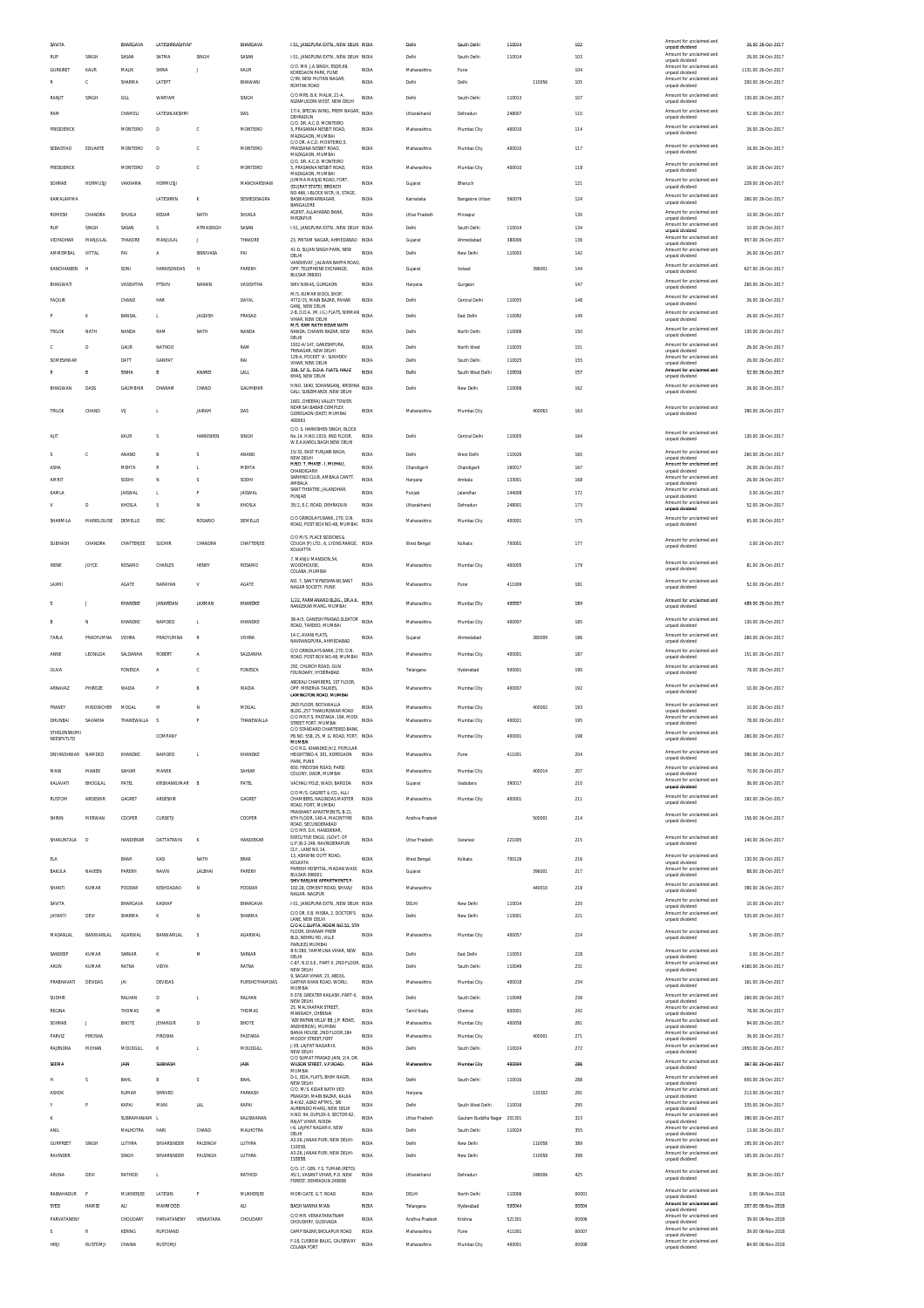| SAVITA            |                   | BHARGAVA       | LATESHRKASHYAP          |                | BHARGAVA           | 1-51, JANGPURA EXTN., NEW DELHI INDIA                                         |              | Delhi                | South Delhi                     | 110014           |        | 102        | Amount for unclaimed and                                                | 26.00 26-Oct-2017   |
|-------------------|-------------------|----------------|-------------------------|----------------|--------------------|-------------------------------------------------------------------------------|--------------|----------------------|---------------------------------|------------------|--------|------------|-------------------------------------------------------------------------|---------------------|
| RUF               | SINGH             | SASAN          | SATMA                   | SINGH          | SASAN              | 1-51, JANGPURA EXTN., NEW DELHI INDIA                                         |              | Delhi                | South Delhi                     | 110014           |        | 103        | unpaid dividend<br>Amount for unclaimed and                             | 26.00 26-Oct-2017   |
| <b>GURKIRET</b>   | KAUR              | <b>MALIK</b>   | SHRIA                   | J              | KAUR               | C/O. MR. J.A SINGH, ESQR,69,<br>KOREGAON PARK, PUNE                           | <b>INDIA</b> | Maharashtra          | Pune                            |                  |        | 104        | unpaid dividend<br>Amount for unclaimed and<br>unpaid dividend          | 1131.00 26-Oct-2017 |
|                   | c                 | SHARMA         | LATEPT                  |                | BHAWANI            | C/99 NEW MUTAN NAGAR<br>ROHTAK ROAD                                           | <b>INDIA</b> | Delhi                | Delhi                           |                  | 110056 | 105        | Amount for unclaimed and<br>unpaid dividend                             | 200.00 26-Oct-2017  |
| RANJIT            | SINGH             | GILL           | WARYAN                  |                | SINGH              | C/O MRS. B.K. MALIK, 21-A                                                     | <b>INDIA</b> | Delhi                | South Delhi                     | 110013           |        | 107        | Amount for unclaimed and                                                | 130.00 26-Oct-2017  |
|                   |                   |                |                         |                |                    | NIZAMUDDIN WEST, NEW DELHI<br>17/4, SPECIAI WING, PREM NAGAR, INDIA           |              |                      |                                 |                  |        |            | unpaid dividend<br>Amount for unclaimed and                             |                     |
| RAM               |                   | CHAMELI        | LATESHLAKSHMI           |                | DAS                | DEHRADUN<br>C/O. DR. A.C.D. MONTEIRO                                          |              | Uttarakhand          | Dehradun                        | 248007           |        | 110        | unpaid dividend<br>Amount for unclaimed and                             | 52.00 26-Oct-2017   |
| FREDDERICK        |                   | MONTEIRO       | D                       | ¢              | MONTEIRO           | 5, PRASANNA NESBIT ROAD,<br>MAZAGAON, MUMBAI                                  | <b>INDIA</b> | Maharashtra          | Mumbai City                     | 400010           |        | 114        | unnaid dividend                                                         | 26.00 26-Oct-2017   |
| SEBASTIAO         | EDUARTE           | MONTEIRO       | D                       | c              | <b>MONTEIRO</b>    | C/O DR. A.C.D. MONTEIRO, 5<br>PRASSANA NESBIT ROAD.                           | <b>INDIA</b> | Maharashtra          | Mumbai City                     | 400010           |        | 117        | Amount for unclaimed and<br>unpaid dividend                             | 16.00 26-Oct-2017   |
|                   |                   |                |                         |                |                    | MAZAGAON, MUMBA<br>C/O. DR. A.C.D. MONTEIRO                                   |              |                      |                                 |                  |        |            | Amount for unclaimed and                                                |                     |
| FREDDERICK        |                   | MONTEIRO       | D                       | c              | <b>MONTEIRO</b>    | 5. PRASANNA NESBIT ROAD.<br>MAZAGAON, MUMBAI                                  | <b>INDIA</b> | Maharashtra          | Mumbai City                     | 400010           |        | 118        | unpaid dividend                                                         | 16.00 26-Oct-2017   |
| SOHRAB            | HORMUSJI          | VAKHARIA       | HORMUSJI                |                | MANCHARSHAW        | JUMMA MASJID ROAD, FORT,<br>(GUJRAT STATE). BROACH                            | <b>INDIA</b> | Gujarat              | Bharuch                         |                  |        | 121        | Amount for unclaimed and<br>unpaid dividend                             | 229.00 26-Oct-2017  |
| KAMALAMMA         |                   |                | LATESHRIN               | K              | SESHEDISAGRA       | NO.466, I-BLOCK WCR, III, STAGE,<br>BASWASHWARNAGAR,                          | <b>INDIA</b> | Karnataka            | Bangalore Urban                 | 560079           |        | 124        | Amount for unclaimed and<br>unpaid dividend                             | 260.00 26-Oct-2017  |
| <b>ROMESH</b>     | CHANDRA           | SHUKLA         | KEDAR                   | NATH           | SHUKLA             | BANGALORE<br>AGENT, ALLAHARAD RANK                                            | <b>INDIA</b> | Uttar Pradesh        | Mirzapur                        |                  |        | 130        | Amount for unclaimed and                                                | 10.00 26-Oct-2017   |
| RUP               | SINGH             | SASAN          | s                       | ATMASINGH      | SASAN              | MIRZAPUR<br>1-51. JANGPURA EXTN NEW DELHI INDIA                               |              | Delhi                | South Delhi                     | 110014           |        | 134        | unpaid dividend<br>Amount for unclaimed and<br>unpaid dividend          | 10.00 26-Oct-2017   |
| VIDYADHAR         | MANJULAL          | THAKORE        | MANJULAL                | J.             | THAKORE            | 23. PRITAM NAGAR. AHMEDABAD INDIA                                             |              | Gujarat              | Ahmedabad                       | 380006           |        | 136        | Amount for unclaimed and<br>unpaid dividend                             | 957.00 26-Oct-2017  |
| AMMEMBAL          | VITTAL            | PA             | A                       | SRINIVASA      | PAI                | 41-D, SUJAN SINGH PARK, NEW<br>DELHI                                          | <b>INDIA</b> | Delhi                | New Delhi                       | 110003           |        | 142        | Amount for unclaimed and<br>unnaid dividend                             | 26.00 26-Oct-2017   |
| KANCHANBEN        | H                 | SONI           | <b>HARKISONDAS</b>      | H              | PAREKH             | VANSHIVAT, JALWAN BAPPA ROAD<br>OPP. TELEPHONE EXCHANGE,                      | <b>INDIA</b> | Gujarat              | Valsad                          |                  | 396001 | 144        | Amount for unclaimed and                                                | 627.00 26-Oct-2017  |
|                   |                   |                |                         |                |                    | <b>BULSAR 396001</b>                                                          |              |                      |                                 |                  |        |            | unpaid dividend<br>Amount for unclaimed and                             |                     |
| BHAGWATI          |                   | VASISHTHA      | PTSHIV                  | NARAIN         | VASSHTHA           | SHIV NIWAS, GURGAON<br>M/S KLIMAR WOOL SHOP                                   | <b>INDIA</b> | Haryana              | Gurgaon                         |                  |        | 147        | unpaid dividend                                                         | 260.00 26-Oct-2017  |
| <b>FAQUIR</b>     |                   | CHAND          | HAR                     |                | DAYAL              | 4772/15, MAIN BAZAR, PAHAR<br>GANJ, NEW DELHI                                 | <b>INDIA</b> | Delhi                | Central Delhi                   | 110055           |        | 148        | Amount for unclaimed and<br>unpaid dividend                             | 26.00 26-Oct-2017   |
| P                 | к                 | BANSAL         | п.                      | <b>JAGDISH</b> | PRASAD             | 2-B, D.D.A. (M.I.G.) FLATS, NIRMAN INDIA<br>VIHAR. NEW DELHI                  |              | Delhi                | East Delhi                      | 110092           |        | 149        | Amount for unclaimed and<br>unpaid dividend                             | 26.00 26-Oct-2017   |
| TRILOK            | NATH              | NAND/          | RAM                     | NATH           | NANDA              | M/S. RAM NATH KIDAR NATH<br>NANDA, CHAWRI BAZAR, NEW                          | <b>INDIA</b> | Delhi                | North Delhi                     | 110006           |        | 150        | Amount for unclaimed and<br>unpaid dividend                             | 130.00 26-Oct-2017  |
|                   | D                 | GAUR           | <b>NATHOO</b>           |                | RAM                | DELHI<br>1932-A/147. GANESHPURA.                                              | <b>INDIA</b> | Delhi                | North West                      | 110035           |        |            | Amount for unclaimed and                                                | 26.00 26-Oct-2017   |
|                   |                   |                |                         |                | RAI                | TRINAGAR, NEW DELHI<br>129-A, POCKET 'A', SUKHDEV                             | <b>INDIA</b> |                      |                                 |                  |        | 151        | unpaid dividend<br>Amount for unclaimed and                             | 26.00 26-Oct-2017   |
| SOMESHWAP<br>R    | B                 | DATT<br>SINHA  | <b>GANPAT</b><br>B      | ANAND          | LALL               | VIHAR NEW DELHI<br>316, S.F.S., D.D.A. FLATS, HAUZ                            | <b>INDIA</b> | Delhi<br>Delhi       | South Delhi<br>South West Delhi | 110025<br>110016 |        | 155<br>157 | unnaid dividend<br>Amount for unclaimed and                             | 52.00.26-0ct-2017   |
|                   |                   |                |                         |                |                    | KHAS, NEW DELHI                                                               |              |                      |                                 |                  |        |            | unpaid dividend<br>Amount for unclaimed and                             |                     |
| BHAGWAN           | DASS              | GAUMBHIR       | DHARAM                  | CHAND          | GAUMBHIR           | H.NO. 1640, SOHANGANJ, KRISHNA<br>GALI, SUBZIMANDI, NEW DELHI                 |              | Delhi                | New Delhi                       | 110006           |        | 162        | unpaid dividend                                                         | 26.00.26-0ct-2017   |
| TRILOK            | CHAND             | VU             |                         | <b>JAIRAM</b>  | DAS                | 1601. DHEERAJ VALLEY TOWER<br>NEAR SALBARAR COMPLEX                           | <b>INDIA</b> | Maharashtra          | Mumbai City                     |                  | 400063 | 163        | Amount for unclaimed and                                                | 390.00 26-Oct-2017  |
|                   |                   |                |                         |                |                    | GOREGAON (EAST) MUMBAI<br>400063                                              |              |                      |                                 |                  |        |            | unpaid dividend                                                         |                     |
| AIT               |                   | KAUR           | $\overline{\mathbf{S}}$ | HARKISHEN      | SINGH              | C/O. S. HARKISHEN SINGH, BLOCK<br>No. 14 H NO. 1019 IIND FLOOR                | <b>INDIA</b> | Delhi                | Central Delhi                   | 110005           |        | 164        | Amount for unclaimed and                                                | 130.00 26-Oct-2017  |
|                   |                   |                |                         |                |                    | W.E.A.KAROL BAGH.NEW DELHI                                                    |              |                      |                                 |                  |        |            | unpaid dividend                                                         |                     |
| ×.                | Ċ                 | ANAND          | R                       | s              | ANAND              | 15/32. EAST PUNJABI BAGH.<br>NEW DELHI                                        | <b>INDIA</b> | Delhi                | West Delhi                      | 110026           |        | 165        | Amount for unclaimed and<br>unpaid dividend                             | 260.00 26-Oct-2017  |
| ASHA              |                   | MEHTA          | $\mathbb{R}$            | L              | MEHTA              | H.NO. 7, PHASE - I, MUHALI,<br>CHANDIGARH                                     | <b>INDIA</b> | Chandigarh           | Chandigarh                      | 160017           |        | 167        | Amount for unclaimed and<br>unpaid dividend                             | 26.00 26-Oct-2017   |
| AMRIT             |                   | SODHI          | N                       | s              | SODHI              | SARHIND CLUB. AMBALA CANTT<br>AMBALA                                          | <b>INDIA</b> | Haryana              | Ambala                          | 133001           |        | 168        | Amount for unclaimed and<br>unpaid dividend                             | 26.00 26-Oct-2017   |
| KAMLA             |                   | <b>JAISWAL</b> | <b>L</b>                | P              | <b>JAISWAL</b>     | SANT THEATRE, JALANDHAR,<br>PUNJAB                                            | <b>INDIA</b> | Punjab               | Jalandha                        | 144008           |        | 172        | Amount for unclaimed and<br>unpaid dividend                             | 3.00 26-Oct-2017    |
|                   | D                 | KHOSLA         | $\overline{\mathbf{S}}$ | N              | KHOSLA             | 35/2, E.C. ROAD, DEHRADUN                                                     | <b>INDIA</b> | Uttarakhand          | Dehradun                        | 248001           |        | 173        | Amount for unclaimed and<br>unpaid dividend                             | 52.00 26-Oct-2017   |
| SHARMILA          | MARIELOUISE       | DEMELLO        | ERIC                    | ROSARIO        | DEMELLO            | C/O GRINDLAYS BANK, 270, D.N.                                                 | <b>INDIA</b> | Maharashtra          | Mumbai City                     | 400001           |        | 175        | Amount for unclaimed and                                                | 65.00 26-Oct-2017   |
|                   |                   |                |                         |                |                    | ROAD, POST BOX NO.48, MUMBAI<br>C/O M/S. PLACE SIDDONS &                      |              |                      |                                 |                  |        |            | unpaid dividend                                                         |                     |
| SUBHASH           | CHANDRA           | CHATTERJEE     | SUDHIR                  | CHANDRA        | CHATTERJEE         | COUGH (P) LTD., 6, LYONS RANGE, INDIA<br>KOLKATTA                             |              | West Bengal          | Kolkata                         | 700001           |        | 177        | Amount for unclaimed and<br>unpaid dividend                             | 3.00 26-Oct-2017    |
|                   |                   |                |                         |                |                    | 7. MANJU MANSION.54.                                                          |              |                      |                                 |                  |        |            | Amount for unclaimed and                                                |                     |
| <b>IRENE</b>      | JOYCE             | ROSARIO        | CHARLES                 | <b>HENRY</b>   | ROSARIO            | WOODHOUSE,<br>COLABA, MUMBAI                                                  | <b>INDIA</b> | Maharashtra          | Mumbai City                     | 400005           |        | 179        | unpaid dividend                                                         | 81.00 26-Oct-2017   |
| LAXMI             |                   | <b>AGATE</b>   | NARAYAN                 | V              | <b>AGATE</b>       | NO. 7, SANT NYNESHWAR, SANT<br>NAGAR SOCIETY, PUNE                            | <b>INDIA</b> | Maharashtra          | Pune                            | 411009           |        | 181        | Amount for unclaimed and<br>unpaid dividend                             | 52.00 26-Oct-2017   |
|                   |                   |                |                         |                |                    | 1/22, PARMANAND BLDG., DR.A.K.                                                |              |                      |                                 |                  |        |            |                                                                         |                     |
|                   | J.                | KHANDKE        | <b>JANARDAN</b>         | LAXMAN         | KHANDKE            | RANGEKAR MARG, MUMBA                                                          | <b>INDIA</b> | Maharashtra          | Mumbal City                     | 400007           |        | 184        | Amount for unclaimed and<br>unpaid dividend                             | 489.00 26-Oct-2017  |
|                   | N                 | KHANDKE        | NAMDEC                  | L              | KHANDKE            | 38-A/5, GANESH PRASAD, SLEATOR<br>ROAD, TARDEO, MUMBAI                        | <b>INDIA</b> | Maharashtra          | Mumbai City                     | 400007           |        | 185        | Amount for unclaimed and<br>unpaid dividend                             | 130.00 26-Oct-2017  |
| TARLA             | PRADYLIMNA        | VOHRA          | PRADYUMNA               | R              | VOHRA              | 14-C, AVANI FLATS,                                                            | <b>INDIA</b> | Gujarat              | Ahmedabad                       |                  | 380009 | 186        | Amount for unclaimed and                                                | 260.00 26-Oct-2017  |
|                   |                   |                |                         |                |                    | NAVRANGPURA, AHMEDABAD<br>C/O GRINDLAYS BANK, 270, D.N.                       |              |                      |                                 |                  |        |            | unpaid dividend<br>Amount for unclaimed and                             |                     |
| ANNE              | LEONILDA          | SALDANHA       | ROBERT                  | A              | SALDANHA           | ROAD, POST BOX NO.48, MUMBAI                                                  | <b>INDIA</b> | Maharashtra          | Mumbai City                     | 400001           |        | 187        | unpaid dividend                                                         | 151.00 26-Oct-2017  |
| OLIVA             |                   | FONESCA        | A                       | c              | FONESCA            | 292. CHURCH ROAD, GUN<br>FOUNDARY. HYDERABAD                                  | <b>INDIA</b> | Telangana            | Hyderabad                       | 500001           |        | 190        | Amount for unclaimed and<br>unpaid dividend                             | 78.00 26-Oct-2017   |
| ARNAVAZ           | PHIROZE           | WADIA          |                         | B              | <b>WADIA</b>       | ABDEALI CHAMBERS, 1ST FLOOR,<br>OPP. MINERVA TALKIES.                         | <b>INDIA</b> | Maharashtra          | Mumbai City                     | 400007           |        | 192        | Amount for unclaimed and                                                | 10.00 26-Oct-2017   |
|                   |                   |                |                         |                |                    | LAMINGTON ROAD, MUMBAI                                                        |              |                      |                                 |                  |        |            | unpaid dividend                                                         |                     |
|                   |                   |                |                         |                |                    |                                                                               |              |                      |                                 |                  |        |            |                                                                         |                     |
| FRANEY            | MINOWCHER         | <b>MOGAL</b>   | M                       | N              | MOGAL              | 2ND FLOOR, BOTAWALLA<br>BLDG., 257 THAKURDWAR ROAD                            | <b>INDIA</b> | Maharashtra          | Mumbai City                     |                  | 400002 | 193        | Amount for unclaimed and<br>unpaid dividend                             | 10.00 26-Oct-2017   |
| DHUNBAI           | SAVAKHA           | THANEWALLA     | $\leq$                  |                | THANEWALLA         | C/O MR.P.S. PASTAKIA, 184, MODI<br>STREET FORT, MUMBAI                        | <b>INDIA</b> | Maharashtra          | Mumbai City                     | 400021           |        | 195        | Amount for unclaimed and<br>unpaid dividend                             | 78.00 26-Oct-2017   |
| STHELENSNOMI      |                   |                | COMPANY                 |                |                    | <b>JO STANDARD CHARTER</b><br>PB.NO. 558, 25, M.G. ROAD, FORT, INDIA          |              | Maharashtra          | Mumbai City                     | 400001           |        | 198        | Amount for unclaimed and                                                | 260.00 26-Oct-2017  |
| NEESPVTLTD        |                   |                |                         |                |                    | MUMBAI<br>C/O R.G. KHANDKE, H/2, POPULAR                                      |              |                      |                                 |                  |        |            | unpaid dividend                                                         |                     |
| DNYANSHWAR NAMDEO |                   | KHANDKE        | NAMDEO                  | L.             | KHANDKE            | HEIGHTSNO.4, 301, KOREGAON<br>PARK, PUNE                                      | <b>INDIA</b> | Maharashtra          | Pune                            | 411001           |        | 204        | Amount for unclaimed and<br>unpaid dividend                             | 390.00 26-Oct-2017  |
| MANI              | MANEK             | SAHIAR         | MANEK                   |                | SAHIAR             | 650, FIRDOSHI ROAD, PARSI<br>COLONY, DADR, MUMBAI                             | <b>INDIA</b> | Maharashtra          | Mumbai City                     |                  | 400014 | 207        | Amount for unclaimed and<br>unpaid dividend                             | 70.00 26-Oct-2017   |
| KALAVATI          | BHOGILAL          | PATEL          | KRISHANKUMAR B          |                | PATEL              | VACHALI POLE, WADI, BARODA                                                    | <b>INDIA</b> | Gujarat              | Vadodara                        | 390017           |        | 210        | Amount for unclaimed and<br>unpaid dividend                             | 36.00 26-Oct-2017   |
| RUSTOM            | ARDESHIR          | GAGRET         | ARDESHIR                |                | GAGRET             | C/O M/S. GAGRET & CO., ALLI                                                   | <b>INDIA</b> | Maharashtra          | Mumbai City                     | 400001           |        | 211        | Amount for unclaimed and                                                | 192.00 26-Oct-2017  |
|                   |                   |                |                         |                |                    | CHAMBERS, NAGINDAS MASTER<br>ROAD, FORT, MUMBAI<br>PRASHANT APARTMENTS, B-21, |              |                      |                                 |                  |        |            | unpaid dividend                                                         |                     |
| SHIRIN            | MERWAN            | COOPER         | CURSETJI                |                | COOPER             | 6TH FLOOR, 140-A, MACINTYRE<br>ROAD, SECUNDERABAD                             | <b>INDIA</b> | Andhra Pradesh       |                                 |                  | 500001 | 214        | Amount for unclaimed and<br>unpaid dividend                             | 156.00 26-Oct-2017  |
|                   |                   |                |                         |                |                    | C/O MR. D.K. HANDIEKAR<br>EXECUTIVE ENGG. (GOVT. OF                           |              |                      |                                 |                  |        |            | Amount for unclaimed and                                                |                     |
| SHAKUNTALA        | D                 | HANDIEKAR      | DATTATRAYA              | $\mathbf{K}$   | HANDIEKAR          | <b>ILP 18-2-249 RAVINDERAPLIRE</b><br>CLY., LANE NO.14,                       | <b>INDIA</b> | Uttar Pradesh        | Varanasi                        | 221005           |        | 215        | unnaid dividend                                                         | 140.00 26-Oct-2017  |
| <b>ELA</b>        |                   | BHAR           | KASI                    | NATH           | <b>BRAR</b>        | 13, ASHWINI DUTT ROAD,<br>KOLKATA                                             | <b>INDIA</b> | West Bengal          | Kolkata                         | 700126           |        | 216        | Amount for unclaimed and<br>unpaid dividend                             | 130.00.26-0ct-2017  |
| BAKULA            | NAVEEN            | PAREKH         | NAVIN                   | LALBHA         | PAREKH             | PAREKH HOSPITAL, MADAN WADI,<br>BULSAR-396001.                                | <b>INDIA</b> | Gujarat              |                                 |                  | 396001 | 217        | Amount for unclaimed and<br>unpaid dividend                             | 88.00 26-Oct-2017   |
| SHANTI            | KUMAR             | PODDAR         | KESHOADAO               | N              | PODDAR             | SHIV RANJANI APPARTMENTS F<br>102,28, CEMENT ROAD, SHIVAJI                    | <b>INDIA</b> | Maharashtra          |                                 |                  | 440010 | 218        | Amount for unclaimed and                                                | 390.00 26-Oct-2017  |
| SAVITA            |                   | BHARGAVA       | KASHAF                  |                |                    | NAGAR- NAGPUR<br>1-51. JANGPURA EXTN NEW DELHI INDIA                          |              | DELHI                | New Delhi                       | 110014           |        | 220        | unpaid dividend<br>Amount for unclaimed and                             | 10.00 26-Oct-2017   |
| <b>ITANYAL</b>    | DEVI              | SHARMA         | ĸ                       | N              | BHARGAVA<br>SHARMA | C/O DR. E.B. MISRA, 2, DOCTOR'S                                               | <b>INDIA</b> | Delhi                | New Delhi                       | 110001           |        | 221        | unpaid dividend<br>Amount for unclaimed and                             | 520.00 26-Oct-2017  |
|                   |                   |                |                         |                |                    | LANE, NEW DELHI<br>C/O K.C.GUPTA, ROOM NO.51, 5TH                             |              |                      |                                 |                  |        |            | unpaid dividend                                                         |                     |
| MADANLAL          | <b>BANWARILAL</b> | AGARWAL        | BANWARILA               | s              | <b>AGARWAL</b>     | FLOOR. DHARAM PREM<br>BLD., NEHRU RD., VILLE                                  | <b>INDIA</b> | Maharashtra          | Mumbai City                     | 400057           |        | 224        | Amount for unclaimed and<br>unpaid dividend                             | 5.00 26-Oct-2017    |
| SANDEEF           | KUMAR             | SARKAR         |                         | M              |                    | PARLE(E), MUMBAI<br>B-5/280, YAMMUNA VIHAR, NEW                               | <b>INDIA</b> | Delhi                | East Delhi                      | 110053           |        | 228        | Amount for unclaimed and                                                | 3.00 26-Oct-2017    |
| <b>ARUN</b>       | KUMAR             | RATNA          | VIDYA                   |                | SARKAR<br>RATNA    | DELHI<br>C-87, N.D.S.E., PART-II, 2ND FLOOR,                                  | <b>INDIA</b> | Delhi                | South Delhi                     | 110049           |        | 231        | unpaid dividend<br>Amount for unclaimed and                             | 4160.00 26-Oct-2017 |
|                   |                   |                |                         |                |                    | NEW DELHI<br>9. SAGAR VIHAR, 23, ABDUL                                        |              |                      |                                 |                  |        |            | unpaid dividend<br>Amount for unclaimed and                             |                     |
| PRABHAVATI        | DEVIDAS           | JAI            | DEVIDAS                 |                | PURSHOTHAMDAS      | GAFFAR KHAN ROAD, WORLI,<br>MUMBAI                                            | <b>INDIA</b> | Maharashtra          | Mumbai City                     | 400018           |        | 234        | unpaid dividend                                                         | 161.00 26-Oct-2017  |
| SUDHIR            |                   | RALHAN         | D                       | L              | RALHAN             | E-378, GREATER KAILASH, PART-II,<br>NEW DELHI                                 | <b>INDIA</b> | Delhi                | South Delhi                     | 110048           |        | 236        | Amount for unclaimed and<br>unpaid dividend                             | 260.00 26-Oct-2017  |
| <b>REGINA</b>     |                   | THOMAS         | M                       |                | THOMAS             | 25, MALYAAPAN STREET,<br>MANNADY, CHENNAI<br>'ADI RATAN VILLA' 88, J.P. ROAD. | <b>INDIA</b> | Tamil Nadu           | Chennai                         | 600001           |        | 242        | Amount for unclaimed and<br>unpaid dividend<br>Amount for unclaimed and | 78.00 26-Oct-2017   |
| SOHRAB            | J.                | BHOTE          | JEHANGIR                | D              | BHOTE              | ANDHERI(W), MUMBAI                                                            | <b>INDIA</b> | Maharashtra          | Mumbai City                     | 400058           |        | 261        | unpaid dividend                                                         | 94.00 26-Oct-2017   |
| PARVIZ            | PIROSHA           |                | <b>PIROSHA</b>          |                | PASTAKIA           | BANIA HOUSE, 2ND FLOOR, 184<br>MOODY STREET.FORT                              | <b>INDIA</b> | Maharashtra          | Mumbai City                     |                  | 400001 | 271        | Amount for unclaimed and<br>unpaid dividend                             | 36.00 26-Oct-2017   |
| RAJENDRA          | MOHAN             | MOUDGILL       | ĸ                       | L.             | MOUDGILL           | J-39, LAJPAT NAGAR-III,<br>NEW DELHI                                          | <b>INDIA</b> | Delhi                | South Delhi                     | 110024           |        | 272        | Amount for unclaimed and<br>unpaid dividend                             | 1950.00 26-Oct-2017 |
| SEEMA             |                   | JAIN           | <b>SUBHASE</b>          |                | JAIN               | C/O SUMAT PRASAD JAIN, 2/4, DR<br>WILSON STREET, V.P.ROAD<br>MUMBAI           | <b>INDIA</b> | Maharashtra          | Mumbai City                     | 400004           |        | 286        | Amount for unclaimed and<br>unpaid dividend                             | 367.00 26-Oct-2017  |
| н                 | s                 | <b>BAHL</b>    | B                       | s              | <b>BAHL</b>        | D-1, DDA, FLATS, BHIM NAGRI,                                                  | <b>INDIA</b> | Delhi                | South Delhi                     | 110016           |        | 288        | Amount for unclaimed and                                                | 650.00 26-Oct-2017  |
| <b>ASHOK</b>      |                   | KUMAR          | SHRIVED                 |                | PARKASH            | NEW DELHI<br>C/O. M/S. KIDAR NATH VED<br>PRAKASH, MAIN BAZAR, KALKA           | INDIA        | Haryana              |                                 |                  | 133302 | 291        | unpaid dividend<br>Amount for unclaimed and<br>unpaid dividend          | 213.00 26-Oct-2017  |
|                   |                   | KAPAI          | MAN                     | <b>LAL</b>     | KAPAI              | B-4/62, AZAD APTMS., SRI<br>AURBINDO MARG. NEW DELHI                          | <b>INDIA</b> | Delhi                | South West Delhi                | 110016           |        | 295        | Amount for unclaimed and<br>unpaid dividend                             | 335.00 26-Oct-2017  |
| к                 |                   | SUBRAMANIAM L  |                         |                | KALISWARAN         | H.NO. 94, DUPLEX-II, SECTOR-62,<br>RAJAT VIHAR, NOIDA                         | <b>INDIA</b> | <b>Uttar Pradesh</b> | Gautam Buddha Nagar             | 201301           |        | 323        | Amount for unclaimed and                                                | 390.00 26-Oct-2017  |
| ANIL              |                   | MALHOTRA       | HARI                    | CHAND          | MALHOTRA           | 1-6. LAJPAT NAGAR-II. NEW<br>DELHI                                            | <b>INDIA</b> | Delhi                | South Delhi                     | 110024           |        | 355        | unpaid dividend<br>Amount for unclaimed and<br>unpaid dividend          | 13.00 26-Oct-2017   |
| <b>GURPREET</b>   | SINGH             | LUTHRA         | SHVARSINDER             | PALSINGH       | LUTHRA             | A3-26, JANAK PURI, NEW DELHI-<br>110058                                       | <b>INDIA</b> | Delhi                | New Delhi                       |                  | 110058 | 389        | Amount for unclaimed and                                                | 195.00 26-Oct-2017  |
| RAVINDER          |                   | SINGH          | SHVARSINDER             | PALSINGH       | LUTHRA             | A3-26, JANAK PURI, NEW DELHI-<br>110058                                       | INDIA        | Delhi                | New Delhi                       |                  | 110058 | 398        | unpaid dividend<br>Amount for unclaimed and<br>unpaid dividend          | 195.00 26-Oct-2017  |
|                   |                   |                |                         |                |                    | C/O. LT. GEN. Y.S. TUMAR (RETD)                                               |              |                      |                                 |                  |        |            | Amount for unclaimed and                                                |                     |
| ARUNA             | DEVI              | RATHOD         | L.                      |                | RATHOD             | 45/1, VASANT VIHAR, P.O. NEW<br>FOREST, DEHRADUN 248006                       | <b>INDIA</b> | Uttarakhand          | Dehradun                        |                  | 248006 | 425        | unpaid dividend                                                         | 36.00 26-Oct-2017   |
| RAIBAHADUR        | F                 | MUKHERJEE      | LATESHS                 | P              | MUKHERJEE          | MORI GATE, G.T. ROAD                                                          | <b>INDIA</b> | DELHI                | North Delhi                     | 110006           |        | 00001      | Amount for unclaimed and<br>unpaid dividend                             | 3.00 06-Nov-2018    |
| SYED              | <b>HAMID</b>      | <b>ALI</b>     | MAHMOOD                 |                | <b>ALI</b>         | BAGH NANHA MIAN                                                               | <b>INDIA</b> | Telangana            | Hyderabad                       | 500044           |        | 00004      | Amount for unclaimed and<br>unpaid dividend                             | 207.00 06-Nov-2018  |
| <b>PARVATANEN</b> |                   | CHOUDARY       | PARVATANENY             | VENKATARA      | CHOUDARY           | C/O MR. VENKATARATNAM<br>CHOUDHRY, GUDIVADA                                   | <b>INDIA</b> | Andhra Pradesh       | Krishna                         | 521301           |        | 00006      | Amount for unclaimed and<br>unpaid dividend                             | 39.00 06-Nov-2018   |
| s                 | R                 | KERING         | RUPCHAND                |                |                    | CAMP BAZAR, SHOLAPUR ROAD<br>F-18, CUSROW BAUG, CAUSEWAY                      | <b>INDIA</b> | Maharashtra          | Pune<br>Mumbai City             | 411001           |        | 00007      | Amount for unclaimed and<br>unpaid dividend<br>Amount for unclaimed and | 39.00 06-Nov-2018   |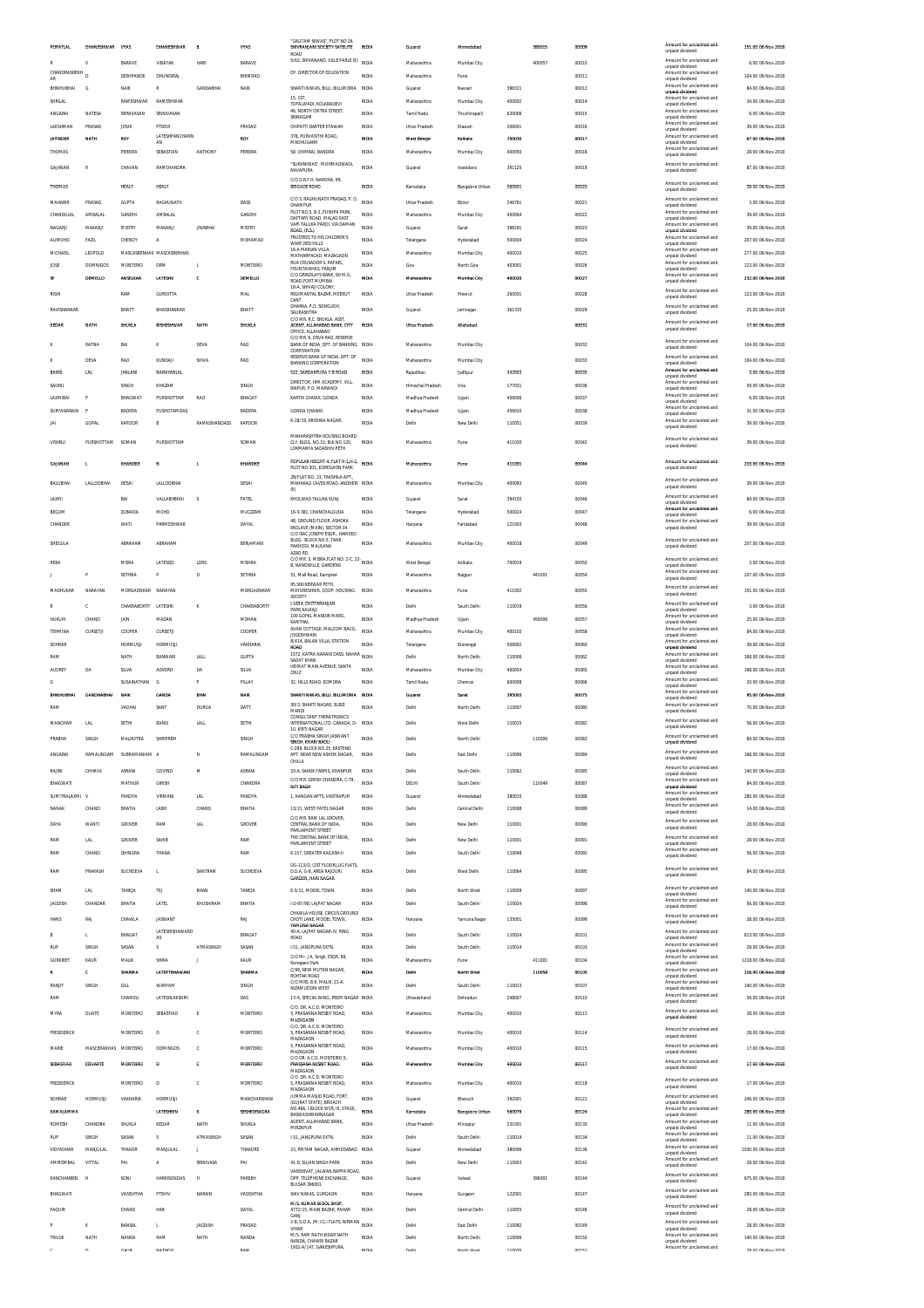| POPATLAL           | DHANESHWAR VYAS      |                     | DHANESHWAR                | B              | <b>VYAS</b>      | "GAUTAM NIWAS". PLOT NO 24.<br>SHIVRANJANI SOCIETY SATELITE<br>ROAD               | INDIA          | Gujarat                 | Ahmedabad          |                  | 380015 | 00009          | Amount for unclaimed and<br>unpaid dividend                             | 151.00 06-Nov-2018                     |
|--------------------|----------------------|---------------------|---------------------------|----------------|------------------|-----------------------------------------------------------------------------------|----------------|-------------------------|--------------------|------------------|--------|----------------|-------------------------------------------------------------------------|----------------------------------------|
|                    | $\mathbf{v}$         | <b>RARAVE</b>       | VINAYAK                   | HARL           | RARAVE           | 5/62, SHIVANAND, VILLE PARLE (E) INDIA                                            |                | Maharashtra             | Mumbai City        |                  | 400057 | 00010          | Amount for unclaimed and<br>unpaid dividend                             | 6.00 06-Nov-2018                       |
| CHANDRASHEKH<br>AR |                      | DESHPANDE           | DHUNDIRAJ                 |                | BHIMRAO          | DY. DIRECTOR OF EDUCATION                                                         | INDIA          | Maharashtra             | Pune               |                  |        | 00011          | Amount for unclaimed and<br>unpaid dividend                             | 104.00 06-Nov-2018                     |
| RHIKHLIRHAL        | G                    | NAIK                | R                         | GANDABHAI      | <b>NAIK</b>      | SHANTI NIWAS, BILLI, BILLIMORIA                                                   | INDIA          | Guiarat                 | Navsari            | 396321           |        | 00012          | Amount for unclaimed and<br>unpaid dividend                             | 84.00 06-Nov-2018                      |
| SHRILAL            |                      | RAMESHWAR           | RAMESHWAP                 |                |                  | <b>15 1ST</b><br>TOFALWADI. KOLABADEVI                                            | INDIA          | Maharashtra             | Mumbai City        | 400002           |        | 00014          | Amount for unclaimed and<br>unpaid dividend                             | 34.00 06-Nov-2018                      |
| ANGARAI            | NATESA               | SRINIVASAN          | SRINIVASAN                |                |                  | 46. NORTH CHITRA STREET.<br>SRINAGAM                                              | INDIA          | Tamil Nadu              | Tiruchirapalli     | 620006           |        | 00015          | Amount for unclaimed and<br>unpaid dividend                             | 6.00.06-Nov-2018                       |
| LAKSHMAN           | PRASAD               | JOSHI               | PTDEVI<br>LATESHPANCHANN  |                | PRASAD           | CHIPATTI BARTER ETAWAH<br>378, PURVASITHI ROAD,                                   | INDIA          | Uttar Pradesh           | Etawah             | 206001           |        | 00016          | Amount for unclaimed and<br>unpaid dividend<br>Amount for unclaimed and | 39.00 06-Nov-2018                      |
| <b>JATINDER</b>    | NATH                 | ROY                 | AN                        |                | ROY              | MADHUGARH                                                                         | INDIA          | West Bengal             | Kolkata            | 700030           |        | 00017          | unpaid dividend<br>Amount for unclaimed and                             | 67.00 06-Nov-2018                      |
| THOMAS             |                      | PEREIRA             | SEBASTIAN                 | <b>ANTHONY</b> | PEREIRA          | 58, CHIMBAI, BANDRA                                                               | INDIA          | Maharashtra             | Mumbai City        | 400050           |        | 00018          | unpaid dividend                                                         | 28.00 06-Nov-2018                      |
| GAJANAN            | $\mathbb{R}$         | CHAVAN              | RAMCHANDRA                |                |                  | "SUKHNIWAS", MOHMADWADI,<br>NAVAPURA                                              | <b>INDIA</b>   | Guiarat                 | Vadodara           | 391125           |        | 00019          | Amount for unclaimed and<br>unpaid dividend                             | 87.00 06-Nov-2018                      |
| THOMAS             |                      | HEALY               | HEALY                     |                |                  | C/O D.R.F.H. NAROHA, 99,<br><b>BRIGADE ROAD</b>                                   | INDIA          | Karnataka               | Bangalore Urban    | 560001           |        | 00020          | Amount for unclaimed and<br>unpaid dividend                             | 39.00 06-Nov-2018                      |
| MAHABIR            | PRASAD               | <b>GUPTA</b>        | RAGHUNATH                 |                | DASS             | C/O S. RAGHUNATH PRASAD, P. O.                                                    | INDIA          | Uttar Pradesh           | Biinor             | 246761           |        | 00021          | Amount for unclaimed and<br>unpaid dividend                             | 3.00.06-Nov-2018                       |
| CHANDULAL          | AMRALAI              | <b>GANDH</b>        | AMRALAI                   |                | <b>GANDHI</b>    | <b>DHAMPUR</b><br>PLOT NO 5 B-2 PLISHPA PARK<br>DAFTARY ROAD, MALAD EAST          | INDIA          | Maharashtra             | Mumbai City        | 400064           |        | 00022          | Amount for unclaimed and<br>unpaid dividend                             | 39.00 06-Nov-2018                      |
| NAGARJI            | MAKANJI              | MISTRY              | MAKANJI                   | <b>JINABHA</b> | MISTRY           | VAPI TALUKA PARDI, VIA DAMAN<br>ROAD, (R.S.)                                      | INDIA          | Gujarat                 | Surat              | 396191           |        | 00023          | Amount for unclaimed and<br>unpaid dividend                             | 39.00 06-Nov-2018                      |
| <b>ALIMOHD</b>     | FAZIL                | CHENOY              | A                         |                | MOHAMAD          | TRUSTEES TO HIS CHILDREN'S<br>WAKF,RED HILLS                                      | INDIA          | Telangana               | Hyderabad          | 500004           |        | 00024          | Amount for unclaimed and<br>unpaid dividend                             | 207.00 06-Nov-2018                     |
| MICHAEIL           | LEOPOLD              |                     | MASCASRENHAS MASCASRENHAS |                |                  | 16-A MARIAN VILLA<br>MATHARPACAD, MAZAGAON                                        | INDIA          | Maharashtra             | Mumbai City        | 400010           |        | 00025          | Amount for unclaimed and<br>unnaid dividend                             | 277.00 06-Nov-2018                     |
| JOSE               | <b>DOMNIGOS</b>      | <b>MONTERIO</b>     | <b>DRM</b>                | L.             | MONTEIRO         | RUA CRUSADOR S. RAFAEL,<br>FOUNTAINHAS, PANJIM                                    | <b>INDIA</b>   | Goa                     | North Goa          | 403001           |        | 00026          | Amount for unclaimed and<br>unpaid dividend                             | 123.00 06-Nov-2018                     |
| SF                 | DEMELLO              | ANSELKAR            | LATESHV                   | c              | DEMELLO          | C/O GRINDLAYS BANK, 90 M.G.<br>ROAD, FORT MUMBAI<br>18-A, SHIVAII COLONY          | INDIA          | Maharashtra             | Mumbai City        | 400020           |        | 00027          | Amount for unclaimed and<br>unpaid dividend                             | 232.00 06-Nov-2018                     |
| RISHI              |                      | RAM                 | <b>GURDITTA</b>           |                | <b>MAL</b>       | REGIMANTAL BAZAR, MEERUT<br>CANT                                                  | INDIA          | <b>Uttar Pradesh</b>    | Meerut             | 260001           |        | 00028          | Amount for unclaimed and<br>unpaid dividend                             | 123.00 06-Nov-2018                     |
| RAVISHANKAR        |                      | BHATT               | BHAISHANKAR               |                | BHATT            | DHARKA, P.O. SONGUDH,<br>SAURASHTRA                                               | INDIA          | Guiarat                 | Jamnagar           | 361335           |        | 00029          | Amount for unclaimed and<br>unpaid dividend                             | 25.00 06-Nov-2018                      |
| KEDAR              | NATH                 | SHUKLA              | BISHESHWAR                | <b>NATH</b>    | SHUKLA           | C/O MR. R.C. SHUKLA, ASST<br>AGENT, ALLAHABAD BANK, CITY                          | <b>INDIA</b>   | Uttar Pradesh           | Allahabad          |                  |        | 00031          | Amount for unclaimed and<br>unpaid dividend                             | 17.00 06-Nov-2018                      |
|                    |                      |                     |                           |                |                  | OFFICE, ALLAHABAD<br>C/O MR. K. DEVA RAO, RESERVE                                 |                |                         |                    |                  |        |                | Amount for unclaimed and                                                |                                        |
|                    | RATNA                | BAI                 | к                         | DEVA           | <b>RAO</b>       | BANK OF INDIA, DPT. OF BANKING INDIA<br>CORPORATION                               |                | Maharashtra             | Mumbai City        |                  |        | 00032          | unpaid dividend<br>Amount for unclaimed and                             | 104.00.06-Nov-2018                     |
|                    | <b>DEVA</b>          | RAO                 | KUNDAJ                    | SHIVA          | RAO              | RESERVE BANK OF INDIA, DPT. OF<br><b>BANKING CORPORATION</b>                      | INDIA          | Maharashtra             | Mumbai City        |                  |        | 00033          | unpaid dividend<br>Amount for unclaimed and                             | 104.00 06-Nov-2018                     |
| BANSI              | LAL                  | <b>JHALANI</b>      | NARAYANLAL                |                |                  | 522. SARDARPURA 7-B ROAD<br>DIRECTOR. HIM ACADEMY, VILL                           | <b>INDIA</b>   | Raiasthan               | Jodhpur            | 342003           |        | 00035          | unpaid dividend<br>Amount for unclaimed and                             | 3.00.06-Nov-2018                       |
| SADHU              |                      | SINGH               | KHAZAM                    |                | SINGH            | RAIPUR. P.O. MARWADI                                                              | <b>INDIA</b>   | Himachal Pradesh        | Una                | 177031           |        | 00036          | unpaid dividend<br>Amount for unclaimed and                             | 59.00 06-Nov-2018                      |
| LAXMIBAI           | P<br>F               | BHAGWAT             | PURSHOTTAM<br>PUSHOTAMDAS | RAO            | BHAGAT           | KARTIK CHAWK, GONDA                                                               | INDIA          | Madhya Pradesh          | Ujjain             | 456006           |        | 00037          | unpaid dividend<br>Amount for unclaimed and                             | 6.00 06-Nov-2018                       |
| SURYANARAIN<br>JAI | GOPAL                | BADERA<br>KAPOOR    | B                         | RAMKISHANDASS  | BADERA<br>KAPOOR | <b>GONDA CHAWKI</b><br>K-18/19, KRISHNA NAGAR                                     | INDIA<br>INDIA | Madhya Pradesh<br>Delhi | Ujjain<br>New Delh | 456010<br>110051 |        | 00038<br>00039 | unpaid dividend<br>Amount for unclaimed and                             | 31.00 06-Nov-2018<br>39.00 06-Nov-2018 |
|                    |                      |                     |                           |                |                  | MAHARASHTRA HOUSING BOARD                                                         |                |                         |                    |                  |        |                | unpaid dividend                                                         |                                        |
| VISHNU             | PURSHOTTAM           | SOMAN               | PURSHOTTAM                |                | SOMAN            | CLY RUGS NO 10 BLK NO 120<br>LOKMANYA SADASHIV PETH                               | INDIA          | Maharashtra             | Pune               | 411030           |        | 00042          | Amount for unclaimed and<br>unpaid dividend                             | 39.00 06-Nov-2018                      |
|                    |                      |                     |                           |                |                  | POPULAR HEIGHT-4, FLAT H-1, H-2, INDIA                                            |                |                         |                    |                  |        |                | Amount for unclaimed and                                                | 210.00 06-Nov-2018                     |
| GAJANAN            |                      | KHANDKE             | N                         |                | KHANDKE          | PLOT NO.301. KOREGAON PARK<br>2B/FLAT NO. 23. TAKSHILA APT.                       |                | Maharashtra             | Pune               | 411001           |        | 00044          | unpaid dividend                                                         |                                        |
| BALUBHAI           | LALLOOBHAI           | DESAI               | LALLOOBHAI                |                | DESAI            | MAHAKALI CAVES ROAD, ANDHERI INDIA<br>(E)                                         |                | Maharashtra             | Mumbai City        | 400093           |        | 00045          | Amount for unclaimed and<br>unpaid dividend                             | 39.00 06-Nov-2018                      |
| LAXMI              |                      | RAI                 | VALLABHBHAI               | s              | PATEL            | KHOLWAD TALUKA KUNJ                                                               | INDIA          | Gujarat                 | Surat              | 394150           |        | 00046          | Amount for unclaimed and<br>unpaid dividend                             | 84.00 06-Nov-2018                      |
| <b>BEGUM</b>       |                      | ZUBAIDA             | MOHD                      |                | MUCZZAM          | 16-3-381, CHANCHALGUDA                                                            | <b>INDIA</b>   | Telangana               | Hyderabad          | 500024           |        | 00047          | Amount for uncial<br>unpaid dividend                                    | 6.00 06-Nov-2018                       |
| CHANDER            |                      | WATI                | <b>PARMESHWAR</b>         |                | DAYAL            | 48, GROUND FLOOR, ASHOKA<br>ENCLAVE (MAIN), SECTOR-34                             | INDIA          | Haryana                 | Faridabad          | 121003           |        | 00048          | Amount for unclaimed and<br>unpaid dividend                             | 39.00 06-Nov-2018                      |
| SHEGULA            |                      | ARRAHAM             | ARRAHAM                   |                | RERIAMANI        | C/O ISAC JOSEPH ESOR HAMEED<br>BLDG. BLOCK NO.5. TANK                             | INDIA          | Maharashtra             | Mumbai City        | 400018           |        | 00049          | Amount for unclaimed and                                                | 207.00 06-Nov-2018                     |
|                    |                      |                     |                           |                |                  | PAKHODI, MAULANA<br>AZAD RD.                                                      |                |                         |                    |                  |        |                | unpaid dividend                                                         |                                        |
| REBA               |                      | MISRA               | LATESQD                   | LDRS           | MISHRA           | C/O MR. S. MISRA FLAT NO. 2-C. 22<br>B, NANDWILLE, GARDENS                        | <b>INDIA</b>   | West Benga              | Kolkata            | 700019           |        | 00050          | Amount for unclaimed and<br>unpaid dividend<br>Amount for unclaimed and | 3.00 06-Nov-2018                       |
|                    |                      | SETHNA              |                           | D              | SETHNA           | 51, Mall Road, Kamptee<br>95.SHUKERWAR PETH.                                      | INDIA          | Maharashtra             | Nagpur             |                  | 441001 | 00054          | unpaid dividend                                                         | 207.00 06-Nov-2018                     |
| MADHUKAR           | NARAYAN              | MORGAONKAR NARAYAN  |                           |                | MORGAONKAR       | MAYURESHWR, COOP. HOUSING.<br>SOCEITY                                             | INDIA          | Maharashtra             | Pune               | 411002           |        | 00055          | Amount for unclaimed and<br>unpaid dividend                             | 151.00 06-Nov-2018                     |
|                    | $\mathbf c$          | CHAKRABORTY LATESHK |                           | K              | CHAKRABORTY      | 1-1654. CHITTARANJAN<br>PARK, KALKAJI                                             | <b>INDIA</b>   | Delhi                   | South Delh         | 110019           |        | 00056          | Amount for unclaimed and<br>unpaid dividend                             | 3.00 06-Nov-2018                       |
| HUKUM              | CHAND                | JAIN                | MADAN                     |                | MOHAN            | 100 GOPAL MANDIR MARG<br><b>KANTHAL</b>                                           | INDIA          | Madhya Pradesh          | Ujjain             |                  | 456006 | 00057          | Amount for unclaimed and<br>unpaid dividend                             | 25.00 06-Nov-2018                      |
| TEHMINA            | CURSETJ              | COOPER              | CURSETJI                  |                | COOPER           | AVAN COTTAGE. MALCOM BAUG.<br><b>JOGESHWARI</b>                                   | INDIA          | Maharashtra             | Mumbai City        | 400102           |        | 00058          | Amount for unclaimed and<br>unpaid dividend                             | 84.00 06-Nov-2018                      |
| SOHRAB             |                      | <b>HORMUSJI</b>     | HORMUSJI                  |                | VAKHARIA         | 8/414, BALAN VILLA, STATION<br><b>ROAD</b>                                        | INDIA          | Telangana               | Warangal           | 506002           |        | 00060          | Amount for unclaimed and<br>unnaid dividend                             | 39.00 06-Nov-2018                      |
| RAM                |                      | NATH                | BANWARI                   | LALL           | <b>GUPTA</b>     | 1572, KATRA NARAIN DASS, NAHAR<br>SADAT KHAN                                      | INDIA          | Delhi                   | North Delhi        | 110006           |        | 00062          | Amount for unclaimed and<br>unpaid dividend                             | 168.00.06-Nov-2018                     |
| AUDREY             | DA                   | SILVA               | ADVERE                    | DA             | SILVA            | HEIMAT MAIN AVENUE, SANTA<br>CRUZ                                                 | <b>INDIA</b>   | Maharashtra             | Mumbai City        | 400054           |        | 00065          | Amount for unclaimed and<br>unpaid dividend<br>Amount for unclaimed and | 168.00 06-Nov-2018                     |
| G                  |                      | SUSAINATHAN         | G                         | P              | PILLAY           | 32. HILLS ROAD, EGMORA                                                            | INDIA          | Tamil Nadu              | Chennai            | 600008           |        | 00066          | unpaid dividend<br>Amount for unclaimed and                             | 20.00 06-Nov-2018                      |
| <b>BHIKHUBHA!</b>  | <b>GANDHABHA!</b>    | NAIK                | <b>GANDA</b>              | BHAI           | <b>NAIS</b>      | SHANTI NIWAS, BILLI, BILLIMORIA<br>30/3. SHAKTI NAGAR. SUBZ                       | <b>INDM</b>    | Gujarat                 | Surat              | 395003           |        | 00075          | unpaid dividend<br>Amount for unclaimed and                             | 95.00 06-Nov-2018                      |
| RAM                |                      | VADHAI              | SANT                      | <b>DURGA</b>   | DATT             | MANDI<br><b>CONSULTANT THERATRONICS</b>                                           | INDIA          | Delhi                   | North Delh         | 110007           |        | 00080          | unpaid dividend<br>Amount for unclaimed and                             | 70.00 06-Nov-2018                      |
| MANOHAR            | LN                   | SETHI               | BANS                      | LALL           | SETHI            | INTERNATIONAL LTD. CANADA, D-<br>0 KIDTI NACAR                                    | <b>INDIA</b>   | Delhi                   | West Delh          | 110015           |        | 00082          | unpaid dividend                                                         | 56.00 06-Nov-2018                      |
| PRABHA             | SINGH                | MALHOTRA            | SHRIPREM                  |                | SINGH            | C/O PRABHA SINGH JASWANT<br>SINGH, KHARI BAOLI                                    | INDIA          | Delhi                   | North Delhi        |                  | 110006 | 00083          | Amount for unclaimed and<br>unpaid dividend                             | 84.00 06-Nov-2018                      |
| ANGARAI            | RAMALINGAM           | SUBRAMANIAM A       |                           | N              | RAMALINGAM       | C-289, BLOCK NO.25, EASTEND<br>APT. NEAR NEW ASHOK NAGAR,                         | <b>INDIA</b>   | Delhi                   | East Delhi         | 110096           |        | 00084          | Amount for unclaimed and<br>unpaid dividend                             | 168.00 06-Nov-2018                     |
| RAJINI             | CHHAYA               | ASRANI              | GOVIND                    | M              | ASRANI           | CHILLA<br>33-A SAINIK FARMS KHANPLIR                                              | INDIA          | Delhi                   | South Delhi        | 110062           |        | 00085          | Amount for unclaimed and<br>unpaid dividend                             | 140.00 06-Nov-2018                     |
| BHAGWATI           |                      | MATHUR              | GIRISH                    |                | CHANDRA          | C/O MR. GIRISH CHANDRA, C-79,<br>NITI BAGH                                        | INDIA          | DELHI                   | South Delhi        |                  | 110049 | 00087          | Amount for unclaimed and<br>unpaid dividend                             | 84.00 06-Nov-2018                      |
| SUMITRALAXMI       |                      | PANDYA              | VIRMANI                   | <b>LAL</b>     | PANDYA           | 1, AANGAN APTS, VASTRAPUR                                                         | <b>INDIA</b>   | Gujarat                 | Ahmedabad          | 380015           |        | 00088          | Amount for unclaimed and<br>unpaid dividend                             | 280.00 06-Nov-2018                     |
| NANAK              | CHAND                | BHATIA              | LABH                      | CHAND          | BHATIA           | 13/21, WEST PATEL NAGAR                                                           | INDIA          | Delhi                   | Central Delhi      | 110008           |        | 00089          | Amount for unclaimed and<br>unpaid dividend                             | 14.00 06-Nov-2018                      |
| DAYA               | WANTI                | GROVER              | RAM                       | <b>LAL</b>     | GROVER           | C/O MR. RAM LAI GROVER<br>CENTRAL BANK OF INDIA.                                  | <b>INDIA</b>   | Delhi                   | New Delhi          | 110001           |        | 00090          | Amount for unclaimed and<br>unpaid dividend                             | 28.00 06-Nov-2018                      |
| RAM                | LAL                  | GROVER              | SAHIB                     |                | RAM              | PARLIAMENT STREET<br>THE CENTRAL BANK OF INDIA,                                   | INDIA          | Delhi                   | New Delhi          | 110001           |        | 00091          | Amount for unclaimed and<br>unpaid dividend                             | 28.00 06-Nov-2018                      |
| RAM                | CHAND                | DHINGRA             | THANA                     |                | RAM              | PARLIAMENT STREET<br>E-157, GREATER KAILASH-II                                    | INDIA          | Delhi                   | South Delh         | 110048           |        | 00092          | Amount for unclaimed and<br>unpaid dividend                             | 56.00 06-Nov-2018                      |
| RAM                | PRAKASH              | SUCHDEVA            |                           | SANTRAM        | <b>SLICHDEVA</b> | DG-113/D, (1ST FLOOR),LIG FLATS<br>D.D.A. G-8. AREA RAJOURI                       | INDIA          | Delhi                   | West Delhi         | 110064           |        | 00095          | Amount for unclaimed and                                                | 84.00 06-Nov-2018                      |
|                    |                      |                     | L.                        |                |                  | GARDEN, HARI NAGAR                                                                |                |                         |                    |                  |        |                | unpaid dividend                                                         |                                        |
| SHAM               | LAL                  | TANEJA              | TEJ                       | BHAN           | TANEIA           | E-3/11, MODEL TOWN                                                                | INDIA          | Delhi                   | North West         | 110009           |        | 00097          | Amount for unclaimed and<br>unpaid dividend                             | 140.00 06-Nov-2018                     |
| JAGDISH            | CHANDAR              | BHATIA              | LATEL                     | KHUSHIRAM      | BHATIA           | I-D-97/98, LAJPAT NAGAR                                                           | <b>INDIA</b>   | Delhi                   | South Delhi        | 110024           |        | 00098          | Amount for unclaimed and<br>unpaid dividend                             | 56.00 06-Nov-2018                      |
| HANS               | RAJ                  | CHAWLA              | <b>JASWANT</b>            |                | RAJ              | CHAWLA HOUSE, CIRCUS GROUND<br>CHOTI LANE, MODEL TOWN,<br>VAMI INA NAGAR          | <b>INDIA</b>   | Haryana                 | Yamuna Nagar       | 135001           |        | 00099          | Amount for unclaimed and<br>unpaid dividend                             | 28.00 06-Nov-2018                      |
|                    |                      | <b>BHAGAT</b>       | LATESHISHAWARD<br>AS      |                | BHAGAT           | 40-A. LAJPAT NAGAR-IV. RING<br>ROAD                                               | INDIA          | Delhi                   | South Delh         | 110024           |        | 00101          | Amount for unclaimed and<br>unpaid dividend                             | 613.00 06-Nov-2018                     |
| <b>RUE</b>         | SINGH                | SASAN               | s                         | ATMASINGH      | SASAN            | 1-51, JANGPURA EXTN.                                                              | INDIA          | Delhi                   | South Delhi        | 110014           |        | 00103          | Amount for unclaimed and<br>unpaid dividend                             | 28.00 06-Nov-2018                      |
| <b>GURKIRET</b>    | KAUR                 | MALIK               | SHRIA                     |                | KAUR             | C/O Mr. J.A. Singh, ESQR. 69,<br>Koregaon Park                                    | INDIA          | Maharashtra             | Pune               |                  | 411001 | 00104          | Amount for unclaimed and<br>unpaid dividend                             | 1218.00 06-Nov-2018                    |
|                    | c                    | SHARMA              | LATEPTBHAWANI             |                | SHARMA           | C/99, NEW MUTAN NAGAR<br>ROHTAK ROAD                                              | INDIA          | Delhi                   | North West         |                  | 110058 | 00105          | Amount for unclaimed and<br>unpaid dividend                             | 216.00 06-Nov-2018                     |
| RANJIT             | SINGH                | GILL                | WARYAM                    |                | SINGH            | C/O MRS. B.K. MALIK, 21-A.<br>NIZAMUDDIN WEST                                     | INDIA          | Delhi                   | South Delhi        | 110013           |        | 00107          | Amount for unclaimed and<br>unpaid dividend                             | 140.00 06-Nov-2018                     |
| RAM                |                      | CHAMELI             | LATESHLAKSHMI             |                | DAS              | 17/4, SPECIAI WING, PREM NAGAR INDIA<br>C/O. DR. A.C.D. MONTEIRO                  |                | Uttarakhand             | Dehradun           | 248007           |        | 00110          | Amount for unclaimed and<br>unpaid dividend                             | 56.00 06-Nov-2018                      |
| MYRA               | <b>DUATE</b>         | <b>MONTFIRE</b>     | SERASTIAO                 | E              | MONTFIRO         | 5, PRASANNA NESBIT ROAD,<br>MAZAGAON                                              | INDIA          | Maharashtra             | Mumbai City        | 400010           |        | 00113          | Amount for unclaimed and<br>unpaid dividend                             | 28.00 06-Nov-2018                      |
| FREDDERICK         |                      | MONTEIRO            | D                         | c              | MONTEIRO         | C/O. DR. A.C.D. MONTEIRO<br>5, PRASANNA NESBIT ROAD,                              | INDIA          | Maharashtra             | Mumbai City        | 400010           |        | 00114          | Amount for unclaimed and                                                | 28.00 06-Nov-2018                      |
|                    |                      |                     | <b>DOMINGOS</b>           |                |                  | MAZAGAON<br>5, PRASANNA NESBIT ROAD,                                              |                |                         |                    |                  |        |                | unpaid dividend<br>Amount for unclaimed and                             |                                        |
| MARIE              | MASCERANHAS MONTEIRO |                     |                           | ¢              | MONTEIRO         | MAZAGAON<br>C/O DR. A.C.D. MONTEIRO.5.                                            | INDIA          | Maharashtra             | Mumbai City        | 400010           |        | 00115          | unpaid dividend<br>Amount for unclaimed and                             | 17.00 06-Nov-2018                      |
| SEBASTIAO          | EDUARTE              | <b>MONTEIRO</b>     | $\mathbf{D}$              | c              | <b>MONTEIRO</b>  | PRASSANA NESBIT ROAD.<br>MAZAGAON                                                 | INDIA          | Maharashtra             | Mumbai City        | 400010           |        | 00117          | unpaid dividend                                                         | 17.00 06-Nov-2018                      |
| FREDDERICK         |                      | <b>MONTEIRC</b>     | D                         | c              | MONTEIRO         | C/O. DR. A.C.D. MONTEIRO<br>5, PRASANNA NESBIT ROAD,                              | INDIA          | Maharashtra             | Mumbai City        | 400010           |        | 00118          | Amount for unclaimed and<br>unpaid dividend                             | 17.00 06-Nov-2018                      |
| SOHRAB             | <b>HORMUSJI</b>      | VAKHARIA            | HORMUSJI                  |                | MANCHARSHAW      | MAZAGAON<br>JUMMA MASJID ROAD, FORT,                                              | <b>INDIA</b>   | Guiarat                 | Bharuch            | 392001           |        | 00121          | Amount for unclaimed and<br>unpaid dividend                             | 246.00 06-Nov-2018                     |
| KAMALAMMA          |                      |                     | LATESHRIN                 | ĸ              | SESHEDISAGRA     | (GUJRAT STATE), BROACH<br>NO.466, I-BLOCK WCR, III, STAGE,<br>BASWASHWARNAGAR     | INDIA          | Karnataka               | Bangalore Urban    | 560079           |        | 00124          | Amount for unclaimed and<br>unpaid dividend                             | 280.00 06-Nov-2018                     |
| <b>ROMESH</b>      | CHANDRA              | SHUKLA              | KEDAR                     | NATH           | SHUKLA           | AGENT, ALLAHABAD BANK<br>MIRZAPUR                                                 | INDIA          | Uttar Pradesh           | Mirzapur           | 231001           |        | 00130          | Amount for unclaimed and<br>unpaid dividend                             | 11.00 06-Nov-2018                      |
| <b>RUP</b>         | SINGH                | SASAN               | s                         | ATMASINGH      | SASAN            | 1-51, JANGPURA EXTN.                                                              | INDIA          | Delhi                   | South Delhi        | 110014           |        | 00134          | Amount for unclaimed and<br>unpaid dividend                             | 11.00 06-Nov-2018                      |
| VIDYADHAR          | MANJULAL             | THAKOR              | MANJULAL                  |                | THAKORE          | 23, PRITAM NAGAR, AHMEDABAD INDIA                                                 |                | Gujara                  | Ahmedabad          | 380006           |        | 00136          | Amount for unclaimed and<br>unpaid dividend                             | 1030.00 06-Nov-2018                    |
| AMMEMBAL           | VITTAL               | PAI                 | А                         | SRINIVASA      | PAI              | 41-D. SUJAN SINGH PARK                                                            | INDIA          | Delhi                   | New Delhi          | 110003           |        | 00142          | Amount for unclaimed and<br>unpaid dividend                             | 28.00 06-Nov-2018                      |
| KANCHANBEN         | н                    | SONI                | <b>HARKISONDAS</b>        | н              | PAREKH           | VANSHIVAT. JALWAN BAPPA ROAD.<br>OPP. TELEPHONE EXCHANGE,<br><b>BULSAR 396001</b> | INDIA          | Gujarat                 | Valsad             |                  | 396001 | 00144          | Amount for unclaimed and<br>unpaid dividend                             | 675.00 06-Nov-2018                     |
| BHAGWATI           |                      | <b>VASISHTHA</b>    | PTSHIV                    | NARAIN         | VASISHTHA        | SHIV NIWAS, GURGAON                                                               | INDIA          | Haryana                 | Gurgaon            | 122001           |        | 00147          | Amount for unclaimed and<br>unpaid dividend                             | 280.00 06-Nov-2018                     |
| FAQUIR             |                      | CHAND               | HAR                       |                | DAYAL            | M/S. KUMAR WOOL SHOP,<br>4772/15, MAIN BAZAR, PAHAR                               | INDIA          | Delhi                   | Central Delhi      | 110055           |        | 00148          | Amount for unclaimed and                                                | 28.00 06-Nov-2018                      |
|                    |                      |                     |                           |                |                  | GANJ<br>2-B, D.D.A. (M.I.G.) FLATS, NIRMAN                                        | INDIA          | Delhi                   | East Delhi         | 110092           |        | 00149          | unpaid dividend<br>Amount for unclaimed and                             | 28.00 06-Nov-2018                      |
|                    |                      |                     | $\mathbf{I}$              | <b>IAGDISH</b> |                  |                                                                                   |                |                         |                    |                  |        |                | unpaid dividend                                                         |                                        |
| TRILOK             | NATH                 | BANSAL<br>NANDA     | RAM                       | NATH           | PRASAD<br>NANDA  | VIHAR<br>M/S. RAM NATH KIDAR NATH<br>NANDA. CHAWRI BAZAR                          | INDIA          | Delhi                   | North Delh         | 110006           |        | 00150          | Amount for unclaimed and<br>unpaid dividend                             | 140.00 06-Nov-2018                     |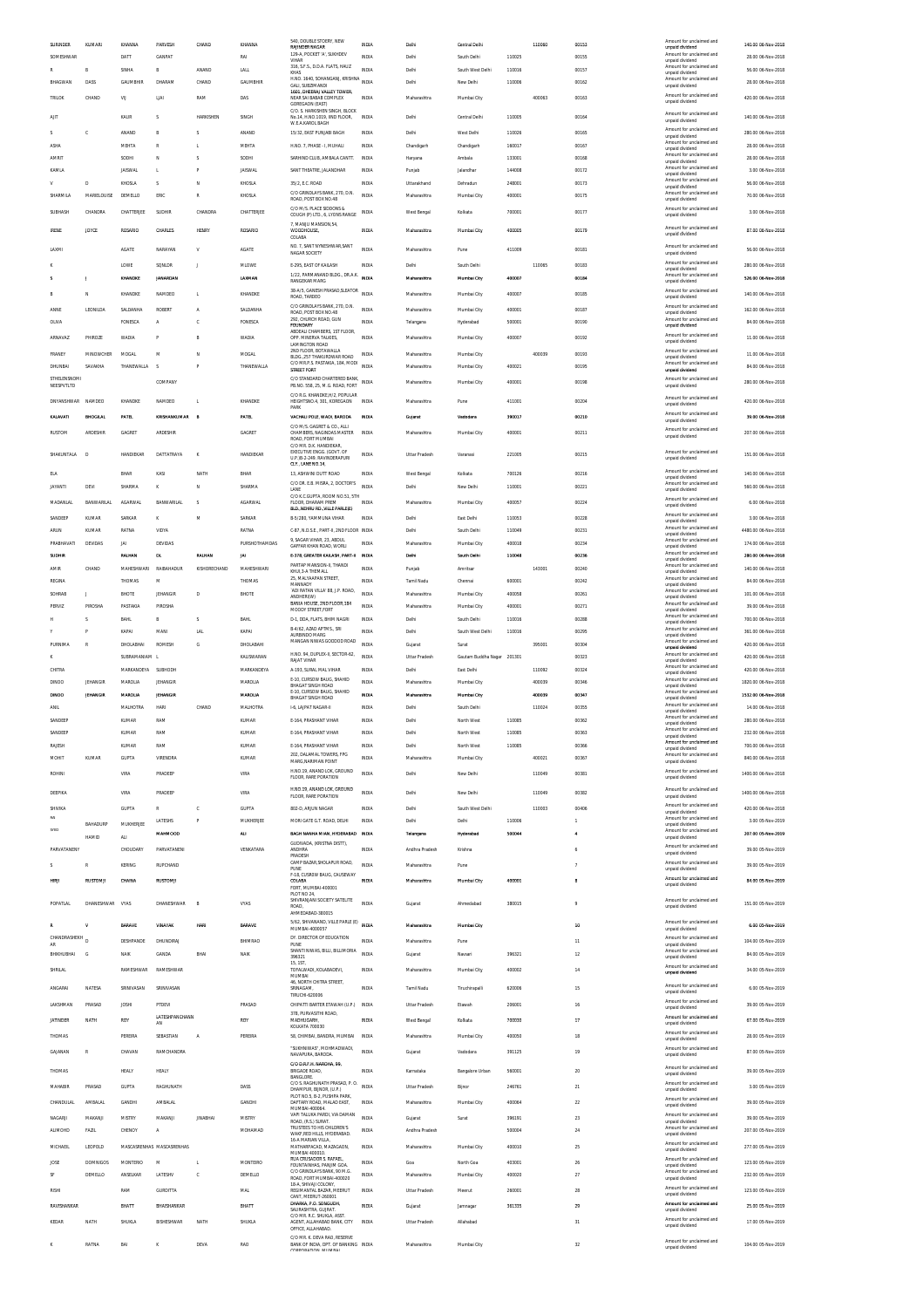|                                 | KUMARI            | KHANNA             | PARVESH                   | CHAND           | KHANNA         | 540, DOUBLE STOERY, NEW<br><b>RAJINDER NAGAR</b>                                        | <b>INDIA</b> | Delhi                | Central Delhi              |        | 110060 | 00153          | Amount for unclai<br>unnald dividend<br>Amount for unclaimed and        | 140.00 06-Nov-2018                     |
|---------------------------------|-------------------|--------------------|---------------------------|-----------------|----------------|-----------------------------------------------------------------------------------------|--------------|----------------------|----------------------------|--------|--------|----------------|-------------------------------------------------------------------------|----------------------------------------|
| SOMESHWAR                       |                   | DATT               | <b>GANPAT</b>             |                 | RAI            | 129-A, POCKET 'A', SUKHDEV<br>VIHAR<br>316, S.F.S., D.D.A. FLATS, HAUZ                  | INDIA        | Delhi                | South Delhi                | 110025 |        | 00155          | unpaid dividend<br>Amount for unclaimed and                             | 28.00 06-Nov-2018                      |
|                                 | B                 | SINHA              | B                         | ANAND           | LALL           | KHAS<br>H.NO. 1640, SOHANGANJ, KRISHNA                                                  | <b>INDIA</b> | Delhi                | South West Delhi           | 110016 |        | 00157          | unpaid dividend<br>Amount for unclaimed and                             | 56.00 06-Nov-2018                      |
| BHAGWAN                         | DASS              | <b>GAUMBHIR</b>    | DHARAM                    | CHAND           | GAUMBHIR       | GALI, SUBZIMANDI<br>1601. DHEERAJ VALLEY TOWER                                          | <b>INDIA</b> | Delhi                | New Delhi                  | 110006 |        | 00162          | unpaid dividend                                                         | 28.00 06-Nov-2018                      |
| TRILOK                          | CHAND             | VIJ                | LIAI                      | RAM             | DAS            | NEAR SAI BABAB COMPLEX<br>GOREGAON (EAST)                                               | <b>INDIA</b> | Maharashtra          | Mumbai City                |        | 400063 | 00163          | Amount for unclaimed and<br>unpaid dividend                             | 420.00 06-Nov-2018                     |
| AIT                             |                   | KAUR               | s                         | HARKISHEN       | SINGH          | C/O. S. HARKISHEN SINGH. BLOCK<br>No.14, H.NO.1019, IIND FLOOR,                         | <b>INDIA</b> | Delhi                | Central Delhi              | 110005 |        | 00164          | Amount for unclaimed and                                                | 140.00 06-Nov-2018                     |
|                                 | c                 | ANAND              | B                         | S               | ANAND          | W.E.A.KAROL BAGH<br>15/32. EAST PUNJABI BAGH                                            | INDIA        | Delhi                | West Delhi                 | 110026 |        | 00165          | unpaid dividend<br>Amount for unclaimed and                             | 280.00 06-Nov-2018                     |
| ASHA                            |                   | <b>MEHTA</b>       | R                         | L               | MEHTA          | H NO. 7 PHASE - I MUHAU                                                                 | <b>INDIA</b> | Chandigarh           | Chandigarh                 | 160017 |        | 00167          | unpaid dividend<br>Amount for unclaimed and                             | 28.00 06-Nov-2018                      |
| AMRIT                           |                   | SODHI              | N                         | S               | SODHI          | SARHIND CLUB, AMBALA CANTT.                                                             | INDIA        | Haryana              | Ambala                     | 133001 |        | 00168          | unpaid dividend<br>Amount for unclaimed and                             | 28.00 06-Nov-2018                      |
| KAMLA                           |                   | <b>JAISWAL</b>     | L                         | P               | <b>JAISWAL</b> | SANT THEATRE, JALANDHAR                                                                 | INDIA        | Punjab               | Jalandhar                  | 144008 |        | 00172          | unpaid dividend<br>Amount for unclaimed and                             | 3.00 06-Nov-2018                       |
| $\mathbf v$                     | n.                | KHOSLA             | s                         | N               | KHOSLA         | 35/2, E.C. ROAD                                                                         | <b>INDIA</b> | Uttarakhand          | Dehradun                   | 248001 |        | 00173          | unpaid dividend<br>Amount for unclaimed and                             | 56.00 06-Nov-2018                      |
| SHARMILA                        | MARIELOUISE       | DEMELLO            | ERIC                      | R               | KHOSLA         | C/O GRINDLAYS BANK, 270, D.N.                                                           | INDIA        | Maharashtra          | Mumbai City                | 400001 |        | 00175          | unpaid dividend<br>Amount for unclaimed and                             | 70.00 06-Nov-2018                      |
|                                 |                   |                    |                           |                 |                | ROAD, POST BOX NO.48<br>C/O M/S. PLACE SIDDONS &                                        |              |                      |                            |        |        |                | unpaid dividend<br>Amount for unclaimed and                             |                                        |
| SUBHASH                         | CHANDRA           | CHATTERJEE         | SUDHIR                    | CHANDRA         | CHATTERJEE     | COUGH (P) LTD., 6, LYONS RANGE                                                          | <b>INDIA</b> | West Bengal          | Kolkata                    | 700001 |        | 00177          | unpaid dividend                                                         | 3.00 06-Nov-2018                       |
| <b>IRENE</b>                    | <b>JOYCE</b>      | ROSARIO            | CHARLES                   | <b>HENR</b>     | ROSARIO        | 7. MANJU MANSION.54.<br>WOODHOUSE,<br>COLABA                                            | <b>INDIA</b> | Maharashtra          | Mumbai City                | 400005 |        | 00179          | Amount for unclaimed and<br>unpaid dividend                             | 87.00 06-Nov-2018                      |
| LAXMI                           |                   | AGATE              | NARAYAN                   | v               | AGATE          | NO. 7. SANT NYNESHWAR.SANT                                                              | INDIA        | Maharashtra          |                            | 411009 |        | 00181          | Amount for unclaimed and                                                | 56.00 06-Nov-2018                      |
|                                 |                   |                    |                           |                 |                | NAGAR SOCIETY                                                                           |              |                      | Pune                       |        |        |                | unpaid dividend<br>Amount for unclaimed and                             |                                        |
|                                 |                   | LOWE               | SONLDR                    | J               | MLOWE          | E-295, EAST OF KAILASH<br>1/22, PARMANAND BLDG., DR.A.K.                                | <b>INDIA</b> | Delhi                | South Delh                 |        | 110065 | 00183          | unpaid dividend<br>Amount for unclaimed and                             | 280.00 06-Nov-2018                     |
|                                 |                   | KHANDKE            | <b>JANARDAN</b>           |                 | LAXMAN         | <b>RANGEKAR MARG</b>                                                                    | INDIA        | Maharashtra          | Mumbai City                | 400007 |        | 00184          | unpaid dividend                                                         | 526.00 06-Nov-2018                     |
|                                 | N                 | KHANDKE            | NAMDEO                    | L               | KHANDKE        | 38-A/5, GANESH PRASAD, SLEATOR<br>ROAD, TARDEO                                          | INDIA        | Maharashtra          | Mumbai City                | 400007 |        | 00185          | Amount for unclaimed and<br>unpaid dividend                             | 140.00 06-Nov-2018                     |
| ANNE                            | LEONILDA          | SALDANHA           | ROBERT                    | A               | SALDANHA       | C/O GRINDLAYS BANK, 270, D.N.<br>ROAD, POST BOX NO.48                                   | <b>INDIA</b> | Maharashtra          | Mumbai City                | 400001 |        | 00187          | Amount for unclaimed and<br>unpaid dividend                             | 162.00 06-Nov-2018                     |
| <b>OLIVA</b>                    |                   | <b>FONESCA</b>     | A                         | c               | FONESCA        | 292, CHURCH ROAD, GUN<br><b>FOUNDARY</b>                                                | INDIA        | Telangana            | Hyderabad                  | 500001 |        | 00190          | Amount for unclaimed and<br>unpaid dividend                             | 84.00 06-Nov-2018                      |
| ARNAVAZ                         | PHIROZE           | <b>WADIA</b>       | p                         | B               | WADIA          | ABDEALI CHAMBERS. 1ST FLOOR<br>OPP. MINERVA TALKIES,                                    | INDIA        | Maharashtra          | Mumbai City                | 400007 |        | 00192          | Amount for unclaimed and                                                | 11.00 06-Nov-2018                      |
| FRANEY                          | MINOWCHER         | <b>MOGAL</b>       | М                         | N               | <b>MOGAL</b>   | <b>LAMINGTON ROAD</b><br>2ND FLOOR. BOTAWALLA                                           | INDIA        | Maharashtra          | Mumbai City                |        | 400039 | 00193          | unpaid dividend<br>Amount for unclaimed and                             | 11.00 06-Nov-2018                      |
| DHUNBAI                         | SAVAKHA           | THANEWALLA         | -S                        | p               | THANEWALLA     | BLDG., 257 THAKURDWAR ROAD<br>C/O MR.P.S. PASTAKIA, 184, MODI                           | INDIA        | Maharashtra          | Mumbai City                | 400021 |        | 00195          | unpaid dividend<br>Amount for unclaimed and                             | 84.00 06-Nov-2018                      |
| STHELENSNOMI                    |                   |                    |                           |                 |                | <b>STREET FORT</b><br>C/O STANDARD CHARTERED BANK,                                      |              |                      |                            |        |        |                | unpaid dividend<br>Amount for unclaimed and                             |                                        |
| NEESPVTLTD                      |                   |                    | COMPANY                   |                 |                | PB.NO. 558, 25, M.G. ROAD, FORT                                                         | INDIA        | Maharashtra          | Mumbai City                | 400001 |        | 00198          | unnaid dividend                                                         | 280.00 06-Nov-2018                     |
| DNYANSHWAR                      | NAMDEO            | KHANDKE            | NAMDEO                    | L.              | KHANDKE        | C/O R.G. KHANDKE.H/2. POPULAR<br>HEIGHTSNO.4, 301, KOREGAON                             | INDIA        | Maharashtra          | Pune                       | 411001 |        | 00204          | Amount for unclaimed and<br>unpaid dividend                             | 420.00 06-Nov-2018                     |
| KALAVATI                        | BHOGILA           | PATEL              | KRISHANKUMAR              | E               | PATEL          | PARK<br>VACHALI POLE, WADI, BARODA                                                      | INDIA        | Gujarat              | Vadodara                   | 390017 |        | 00210          | Amount for unclaimed and                                                | 39.00 06-Nov-2018                      |
|                                 |                   |                    |                           |                 |                | C/O M/S. GAGRET & CO., ALLI                                                             |              |                      |                            |        |        |                | unpaid dividend<br>Amount for unclaimed and                             |                                        |
| RUSTOM                          | ARDESHIR          | GAGRET             | ARDESHIR                  |                 | GAGRET         | CHAMBERS, NAGINDAS MASTER<br>ROAD, FORT MUMBAI                                          | <b>INDIA</b> | Maharashtra          | Mumbai City                | 400001 |        | 00211          | unpaid dividend                                                         | 207.00 06-Nov-2018                     |
| SHAKUNTALA                      | D                 | HANDIEKAR          | DATTATRAYA                | K               | HANDIEKAR      | C/O MR. D.K. HANDIEKAR,<br>EXECUTIVE ENGG. (GOVT. OF                                    | <b>INDIA</b> | Uttar Pradesh        | Varanasi                   | 221005 |        | 00215          | Amount for unclaimed and                                                | 151.00 06-Nov-2018                     |
|                                 |                   |                    |                           |                 |                | U.P.18-2-249. RAVINDERAPURI<br>CLY., LANE NO.14.                                        |              |                      |                            |        |        |                | unpaid dividend                                                         |                                        |
| ELA                             |                   | BHAR               | KASI                      | NATH            | BHAR           | 13. ASHWINI DUTT ROAD<br>C/O DR. E.B. MISRA, 2. DOCTOR'S                                | <b>INDIA</b> | West Bengal          | Kolkata                    | 700126 |        | 00216          | Amount for unclaimed and<br>unpaid dividend<br>Amount for unclaimed and | 140.00.06-Nov-2018                     |
| JAYANTI                         | DEVI              | SHARMA             | κ                         | N               | SHARMA         | LANE<br>C/O K.C.GUPTA, ROOM NO.51, 5TH                                                  | <b>INDIA</b> | Delhi                | New Delh                   | 110001 |        | 00221          | unpaid dividend                                                         | 560.00 06-Nov-2018                     |
| <b>MADANLAI</b>                 | <b>BANWARILAL</b> | <b>AGARWAL</b>     | BANWARILA                 | s               | <b>AGARWAL</b> | FLOOR. DHARAM PREM<br>BLD. NEHRU RD. VILLE PARLE(E)                                     | <b>INDIA</b> | Maharashtra          | Mumbai City                | 400057 |        | 00224          | Amount for unclaimed and<br>unpaid dividend                             | 6.00 06-Nov-2018                       |
| SANDEEP                         | KUMAR             | SARKAR             | к                         | M               | SARKAR         | B-5/280. YAMMUNA VIHAR                                                                  | <b>INDIA</b> | Delhi                | East Delhi                 | 110053 |        | 00228          | Amount for unclaimed and<br>unpaid dividend                             | 3.00 06-Nov-2018                       |
| ARUN                            | KUMAR             | RATNA              | VIDYA                     |                 | RATNA          | C-87, N.D.S.E., PART-II, 2ND FLOOR INDIA                                                |              | Delhi                | South Delh                 | 110049 |        | 00231          | Amount for unclaimed and<br>unpaid dividend                             | 4480.00 06-Nov-2018                    |
| PRABHAVATI                      | DEVIDAS           | JAI                | DEVIDAS                   |                 | PURSHOTHAMDAS  | 9, SAGAR VIHAR, 23, ABDUL<br>GAFFAR KHAN ROAD, WORLI                                    | <b>INDIA</b> | Maharashtra          | Mumbai City                | 400018 |        | 00234          | Amount for unclaimed and<br>unpaid dividend                             | 174.00 06-Nov-2018                     |
| SUDHIR                          |                   | RALHAN             | DL                        | RALHAN          | <b>JAI</b>     | E-378, GREATER KAILASH, PART-II                                                         | INDIA        | Dethi                | South Delh                 | 110048 |        | 00236          | Amount for unclaimed and<br>unpaid dividend                             | 280.00 06-Nov-2018                     |
| AMIR                            | CHAND             | MAHESHWARI         | RAIBAHADUR                | KISHORECHAND    | MAHESHWARI     | PARTAP MANSION-II, THANDI<br>KHUI.3-A THEMALL                                           | INDIA        | Punjab               | Amritsar                   |        | 143001 | 00240          | Amount for unclaimed and<br>unpaid dividend                             | 140.00 06-Nov-2018                     |
| REGINA                          |                   | THOMAS             | M                         |                 | THOMAS         | 25, MALYAAPAN STREET,<br>MANNADY                                                        | <b>INDIA</b> | Tamil Nadu           | Chennai                    | 600001 |        | 00242          | Amount for unclaimed and<br>unpaid dividend                             | 84.00 06-Nov-2018                      |
| SOHRAB                          |                   | BHOTE              | JEHANGIR                  | D               | BHOTE          | ADI RATAN VILLA' 88, J.P. ROAD,<br>ANDHERI(W)                                           | INDIA        | Maharashtra          | Mumbai City                | 400058 |        | 00261          | Amount for unclaimed and<br>unpaid dividend                             | 101.00 06-Nov-2018                     |
| PERVIZ                          | PIROSHA           | PASTAKIA           | PIROSHA                   |                 |                | BANIA HOUSE, 2ND FLOOR, 184<br>MOODY STREET, FORT                                       | INDIA        | Maharashtra          | Mumbai City                | 400001 |        | 00271          | Amount for unclaimed and<br>unpaid dividend                             | 39.00 06-Nov-2018                      |
| н                               | ×.                | <b>BAHL</b>        | R                         | s               | RAH            | D-1, DDA, FLATS, BHIM NAGRI                                                             | INDIA        | Delhi                | South Delhi                | 110016 |        | 00288          | Amount for unclaimed and<br>unpaid dividend                             | 700.00 06-Nov-2018                     |
|                                 |                   | KAPAI              | MANI                      |                 |                | B-4/62, AZAD APTMS., SRI                                                                |              |                      |                            |        |        |                |                                                                         |                                        |
|                                 |                   |                    |                           | <b>LAL</b>      | KAPAI          | ALIRRINDO MARG                                                                          | INDIA        | Delhi                | South West Delhi           | 110016 |        | 00295          | Amount for unclaimed and<br>unpaid dividend                             | 361.00 06-Nov-2018                     |
| PURNIMA                         | R                 | DHOLABHAI          | ROMESH                    | G               | DHOLABAHI      | MANGAN NIWAS GODDOD ROAD                                                                | INDIA        | Gujarat              | Surat                      |        | 395001 | 00304          | Amount for unclaimed and<br>unpaid dividend                             | 420.00 06-Nov-2018                     |
|                                 |                   | SUBRAMANIAM L      |                           |                 | KALISWARAN     | H.NO. 94, DUPLEX-II, SECTOR-62,<br>RAJAT VIHAR                                          | <b>INDIA</b> | <b>Uttar Pradesh</b> | Gautam Buddha Nagar 201301 |        |        | 00323          | Amount for unclaimed and<br>unpaid dividend                             | 420.00 06-Nov-2018                     |
| CHITRA                          |                   | MARKANDEYA SUBHODH |                           |                 | MARKANDEYA     | A-193. SURAL MAL VIHAR                                                                  | <b>INDIA</b> | Delhi                | East Delhi                 |        | 110092 | 00324          | Amount for unclaimed and<br>unpaid dividend                             | 420.00.06-Nov-2018                     |
| DINOO                           | JEHANGIE          | MAROLIA            | JEHANGIR                  |                 | MAROLIA        | E-10, CURSOW BAUG, SHAHID<br>BHAGAT SINGH ROAD                                          | INDIA        | Maharashtra          | Mumbai City                |        | 400039 | 00346          | Amount for unclaimed and<br>unpaid dividend                             | 1820.00 06-Nov-2018                    |
| <b>DINOO</b>                    | <b>JEHANGIR</b>   | <b>MAROLIA</b>     | <b>JEHANGIR</b>           |                 | <b>MAROLIA</b> | E-10, CURSOW BAUG, SHAHID<br>BHAGAT SINGH ROAD                                          | <b>INDIA</b> | Maharashtra          | Mumbai City                |        | 400039 | 00347          | Amount for unclaimed and<br>unpaid dividend                             | 1532.00 06-Nov-2018                    |
| ANIL                            |                   | MALHOTRA           | HARI                      | CHAND           | MALHOTRA       | 1-6. LAJPAT NAGAR-II                                                                    | <b>INDIA</b> | Delhi                | South Delhi                |        | 110024 | 00355          | Amount for unclaimed and<br>unpaid dividend                             | 14.00 06-Nov-2018                      |
| SANDEEP                         |                   | KUMAR              | RAM                       |                 | KUMAR          | E-164, PRASHANT VIHAR                                                                   | <b>INDIA</b> | Delhi                | North West                 | 110085 |        | 00362          | Amount for unclaimed and<br>unpaid dividend                             | 280.00 06-Nov-2018                     |
| SANDEEP                         |                   | KUMAR              | RAM                       |                 | KUMAR          | F-164 PRASHANT VIHAR                                                                    | INDIA        | Delhi                | North West                 | 110085 |        | 00363          | Amount for unclaimed and<br>unpaid dividend                             | 232.00.06-Nov-2018                     |
| RAJESH                          |                   | KUMAR              | RAM                       |                 | KUMAR          | E-164, PRASHANT VIHAR                                                                   | INDIA        | Delhi                | North West                 | 110085 |        | 00366          | Amount for unclaimed and<br>unpaid dividend                             | 700.00 06-Nov-2018                     |
| MOHIT                           | KUMAR             | <b>GUPTA</b>       | VIRENDRA                  |                 | <b>KUMAR</b>   | 202, DALAMAL TOWERS, FPG<br>MARG, NARIMAN POINT                                         | <b>INDIA</b> | Maharashtra          | Mumbai City                |        | 400021 | 00367          | Amount for unclaimed and<br>unpaid dividend                             | 840.00 06-Nov-2018                     |
| ROHINI                          |                   | VIRA               | PRADEEF                   |                 | VIRA           | H.NO.19. ANAND LOK. GROUND<br>FLOOR, RARE PORATION                                      | <b>INDIA</b> | Delhi                | New Delhi                  |        | 110049 | 00381          | Amount for unclaimed and<br>unpaid dividend                             | 1400.00 06-Nov-2018                    |
| DEEPIKA                         |                   | VIRA               | PRADEEF                   |                 | VIRA           | H.NO.19. ANAND LOK. GROUND                                                              | <b>INDIA</b> | Delhi                | New Delhi                  |        | 110049 | 00382          | Amount for unclaimed and                                                | 1400.00 06-Nov-2018                    |
|                                 |                   |                    |                           |                 |                | FLOOR, RARE PORATION                                                                    |              |                      |                            |        |        |                | unpaid dividend<br>Amount for unclaimed and                             |                                        |
| SHIVIKA                         |                   | <b>GUPTA</b>       | R                         | c               | GUPTA          | 802-D, ARJUN NAGAR                                                                      | <b>INDIA</b> | Delhi                | South West Delhi           |        | 110003 | 00406          | unpaid dividend<br>Amount for unclaimed and                             | 420.00 06-Nov-2018                     |
| SYED                            | <b>BAHADURS</b>   | MUKHERJEE          | LATESHS                   | P               | MUKHERJEE      | MORI GATE G.T. ROAD. DELHI<br>BAGH NANHA MIAN, HYDERABAD INDIA                          | INDIA        | Delhi                | Delhi                      | 110006 |        | $\overline{1}$ | unpaid dividend<br>Amount for unclaimed and                             | 3.00.05-Nov-2019<br>207.00 05-Nov-2019 |
|                                 | <b>HAMID</b>      | ALI.               | MAHMOOD                   |                 | ALI            | GUDIVADA, (KRISTNA DISTT),                                                              |              | Telangana            | Hyderabad                  | 500044 |        |                | unpaid dividend                                                         |                                        |
| <b>PARVATANEM</b>               |                   | CHOUDARY           | PARVATANENI               |                 | VENKATARA      | ANDHRA<br>PRADESH                                                                       | INDIA        | Andhra Pradesh       | Krishna                    |        |        |                | Amount for unclaimed and<br>unpaid dividend                             | 39.00 05-Nov-2019                      |
| $\sim$                          | R                 | <b>KERING</b>      | <b>RUPCHAND</b>           |                 |                | CAMP BAZAR, SHOLAPUR ROAD,<br>PUNE                                                      | <b>INDIA</b> | Maharashtra          | Pune                       |        |        | $\overline{7}$ | Amount for unclaimed and<br>unpaid dividend                             | 39.00 05-Nov-2019                      |
| HIRJI                           | RUSTOMJI          | CHAINA             | <b>RUSTOMJI</b>           |                 |                | F-18, CUSROW BAUG, CAUSEWAY<br>COLABA                                                   | <b>INDIA</b> | Maharashtra          | Mumbai City                | 400001 |        | 8              | Amount for unclaimed and<br>unpaid dividend                             | 84.00 05-Nov-2019                      |
|                                 |                   |                    |                           |                 |                | FORT, MUMBAI-400001<br>PLOT NO 24                                                       |              |                      |                            |        |        |                | Amount for unclaimed and                                                |                                        |
| POPATLAL                        | DHANESHWAR VYAS   |                    | DHANESHWAR                | B               | VYAS           | SHIVRANJANI SOCIETY SATELITE<br>ROAD,                                                   | <b>INDIA</b> | Gujarat              | Ahmedabad                  | 380015 |        | $\mathbf{Q}$   | unpaid dividend                                                         | 151.00 05-Nov-2019                     |
|                                 |                   | <b>BARAVE</b>      | <b>VINAYAK</b>            | HARI            | BARAVE         | AHMEDABAD-380015<br>5/62, SHIVANAND, VILLE PARLE (E) INDIA                              |              | Maharashtra          | Mumbai City                |        |        | 10             | Amount for unclaimed and                                                | 6.00 05-Nov-2019                       |
|                                 |                   |                    |                           |                 |                | MUMBAI-4000057                                                                          |              |                      |                            |        |        |                | unpaid dividend<br>Amount for unclaimed and                             |                                        |
| CHANDRASHEKH <sub>D</sub><br>AR |                   | DESHPANDE          | DHUNDIRAJ                 |                 | BHIMRAC        | DY. DIRECTOR OF EDUCATION<br>PUNE<br>SHANTI NIWAS, BILLI, BILLIMORIA                    | INDIA        | Maharashtra          | Pune                       |        |        | 11             | unpaid dividend<br>Amount for unclaimed and                             | 104.00 05-Nov-2019                     |
| BHIKHUBHAI                      | G                 | NAIK               | GANDA                     | BHAI            | <b>NAIK</b>    | 396321<br>15.1ST                                                                        | <b>INDIA</b> | Gujarat              | Navsari                    | 396321 |        | 12             | unpaid dividend                                                         | 84.00 05-Nov-2019                      |
| SHRILAL                         |                   | RAMESHWAR          | RAMESHWAR                 |                 |                | TOFALWADI, KOLABADEVI,<br>MUMBAI                                                        | <b>INDIA</b> | Maharashtra          | Mumbai City                | 400002 |        | $14\,$         | Amount for unclaimed and<br>unpaid dividend                             | 34.00 05-Nov-2019                      |
| ANGARAI                         | NATESA            | SRINIVASAN         | SRINIVASAN                |                 |                | 46, NORTH CHITRA STREET<br>SRINAGAM.                                                    | <b>INDIA</b> | Tamil Nadu           | Tiruchirapalli             | 620006 |        | 15             | Amount for unclaimed and                                                | 6.00 05-Nov-2019                       |
|                                 |                   |                    |                           |                 |                | TIRUCHI-620006                                                                          |              |                      |                            |        |        |                | unpaid dividend                                                         |                                        |
| LAKSHMAN                        | PRASAD            | <b>JOSHI</b>       | PTDEVI                    |                 | PRASAD         | CHIPATTI BARTER ETAWAH (U.P.)<br>378, PURVASITHI ROAD,                                  | INDIA        | Uttar Pradesh        | Etawah                     | 206001 |        | 16             | Amount for unclaimed and<br>unpaid dividend                             | 39.00 05-Nov-2019                      |
| <b>JATINDER</b>                 | NATH              | ROY                | LATESHPANCHANN<br>AN      |                 | ROY            | MADHUGARH<br>KOLKATA 700030                                                             | INDIA        | West Bengal          | Kolkata                    | 700030 |        | 17             | Amount for unclaimed and<br>unpaid dividend                             | 67.00 05-Nov-2019                      |
| THOMAS                          |                   | PEREIRA            | SEBASTIAN                 | Α               | PEREIRA        | 58, CHIMBAI, BANDRA, MUMBAI                                                             | INDIA        | Maharashtra          | Mumbai City                | 400050 |        | 18             | Amount for unclaimed and<br>unpaid dividend                             | 28.00 05-Nov-2019                      |
| GAJANAN                         | $\mathbb{R}$      | CHAVAN             | RAMCHANDRA                |                 |                | "SUKHNIWAS", MOHMADWADI,<br>NAVAPURA, BARODA                                            | <b>INDIA</b> | Gujarat              | Vadodara                   | 391125 |        | 19             | Amount for unclaimed and<br>unpaid dividend                             | 87.00 05-Nov-2019                      |
|                                 |                   |                    |                           |                 |                | C/O D.R.F.H. NAROHA, 99,                                                                |              |                      |                            |        |        |                | Amount for unclaimed and                                                |                                        |
| THOMAS                          |                   | HEALY              | HEALY                     |                 |                | <b>BRIGADE ROAD,</b><br><b>BANGLORE</b>                                                 | <b>INDIA</b> | Karnataka            | Bangalore Urban            | 560001 |        | $20\,$         | unpaid dividend                                                         | 39.00 05-Nov-2019                      |
| MAHABIR                         | PRASAD            | <b>GUPTA</b>       | RAGHUNATH                 |                 | DASS           | C/O S. RAGHUNATH PRASAD, P. O.<br>DHAMPUR, BUNOR, (U.P.)                                | <b>INDIA</b> | <b>Uttar Pradesh</b> | Bijnor                     | 246761 |        | 21             | Amount for unclaimed and<br>unpaid dividend                             | 3.00 05-Nov-2019                       |
| CHANDULAI                       | AMBALAL           | GANDHI             | AMBALAL                   |                 | GANDHI         | PLOT NO.5. B-2. PUSHPA PARK<br>DAFTARY ROAD, MALAD EAST,                                | <b>INDIA</b> | Maharashtra          | Mumbai City                | 400064 |        | $22\,$         | Amount for unclaimed and<br>unpaid dividend                             | 39.00 05-Nov-2019                      |
| NAGARJI                         | MAKANJI           | MISTRY             | MAKANJ                    | <b>JINABHAI</b> | MISTRY         | MUMBAI-400064<br>VAPI TALUKA PARDI, VIA DAMAN                                           | INDIA        | Gujarat              | Sura                       | 396191 |        | 23             | Amount for unclaimed and                                                | 39.00 05-Nov-2019                      |
| <b>ALIMOHD</b>                  | <b>FAZIL</b>      | CHENOY             | A                         |                 | MOHAMAD        | ROAD, (R.S.) SURAT.<br>TRUSTEES TO HIS CHILDREN'S                                       | <b>INDIA</b> | Andhra Pradesh       |                            | 500004 |        | 24             | unpaid dividend<br>Amount for unclaimed and                             | 207.00 05-Nov-2019                     |
|                                 |                   |                    |                           |                 |                | WAKF,RED HILLS, HYDERABAD.<br>16-A MARIAN VILLA.                                        | <b>INDIA</b> |                      |                            |        |        |                | unpaid dividend<br>Amount for unclaimed and                             |                                        |
| MICHAEIL                        | LEOPOLD           |                    | MASCASRENHAS MASCASRENHAS |                 |                | MATHARPACAD, MAZAGAON,<br>MUMBAI 400010<br>RUA CRUSADOR S. RAFAEL,                      |              | Maharashtra          | Mumbai City                | 400010 |        | 25             | unpaid dividend<br>Amount for unclaimed and                             | 277.00 05-Nov-2019                     |
| JOSE                            | <b>DOMNIGOS</b>   | <b>MONTERIO</b>    | M                         | L               | MONTEIRO       | FOUNTAINHAS, PANJIM GOA<br>C/O GRINDLAYS BANK, 90 M.G.                                  | INDIA        | Goa                  | North Goa                  | 403001 |        | 26             | unpaid dividend<br>Amount for unclaimed and                             | 123.00 05-Nov-2019                     |
| S                               | DEMELLO           | ANSELKAR           | LATESHV                   | c               | DEMELLO        | ROAD, FORT MUMBAI-400020<br>18-A. SHIVAII COLONY                                        | <b>INDIA</b> | Maharashtra          | Mumbai City                | 400020 |        | 27             | unpaid dividend                                                         | 232.00 05-Nov-2019                     |
| RISHI                           |                   | RAM                | GURDITTA                  |                 | MAL            | REGIMANTAL BAZAR, MEERUT<br>CANT, MEERUT-260001                                         | <b>INDIA</b> | Uttar Pradesh        | Meerut                     | 260001 |        | ${\bf 28}$     | Amount for unclaimed and<br>unpaid dividend                             | 123.00 05-Nov-2019                     |
| RAVISHANKAR                     |                   | BHATT              | BHAISHANKAR               |                 | BHATT          | DHARKA, P.O. SONGUDH<br>SAURASHTRA, GUJRAT.                                             | <b>INDIA</b> | Gujarat              | Jamnaga                    | 361335 |        | 29             | Amount for unclaimed and<br>unpaid dividend                             | 25.00 05-Nov-2019                      |
| KEDAR                           | NATH              | SHUKLA             | RISHESHWAR                | NATH            | SHUKLA         | C/O MR. R.C. SHUKLA, ASST<br>AGENT, ALLAHABAD BANK, CITY                                | INDIA        | Uttar Pradesh        | Allahabad                  |        |        | 31             | Amount for unclaimed and                                                | 17.00 05-Nov-2019                      |
|                                 | RATNA             | BAI                |                           | DEVA            | RAO            | OFFICE, ALLAHABAD.<br>C/O MR K DEVA RAO RESERVE<br>BANK OF INDIA, DPT, OF BANKING INDIA |              |                      |                            |        |        | $_{32}$        | unpaid dividend<br>Amount for unclaimed and                             | 104.00 05-Nov-2019                     |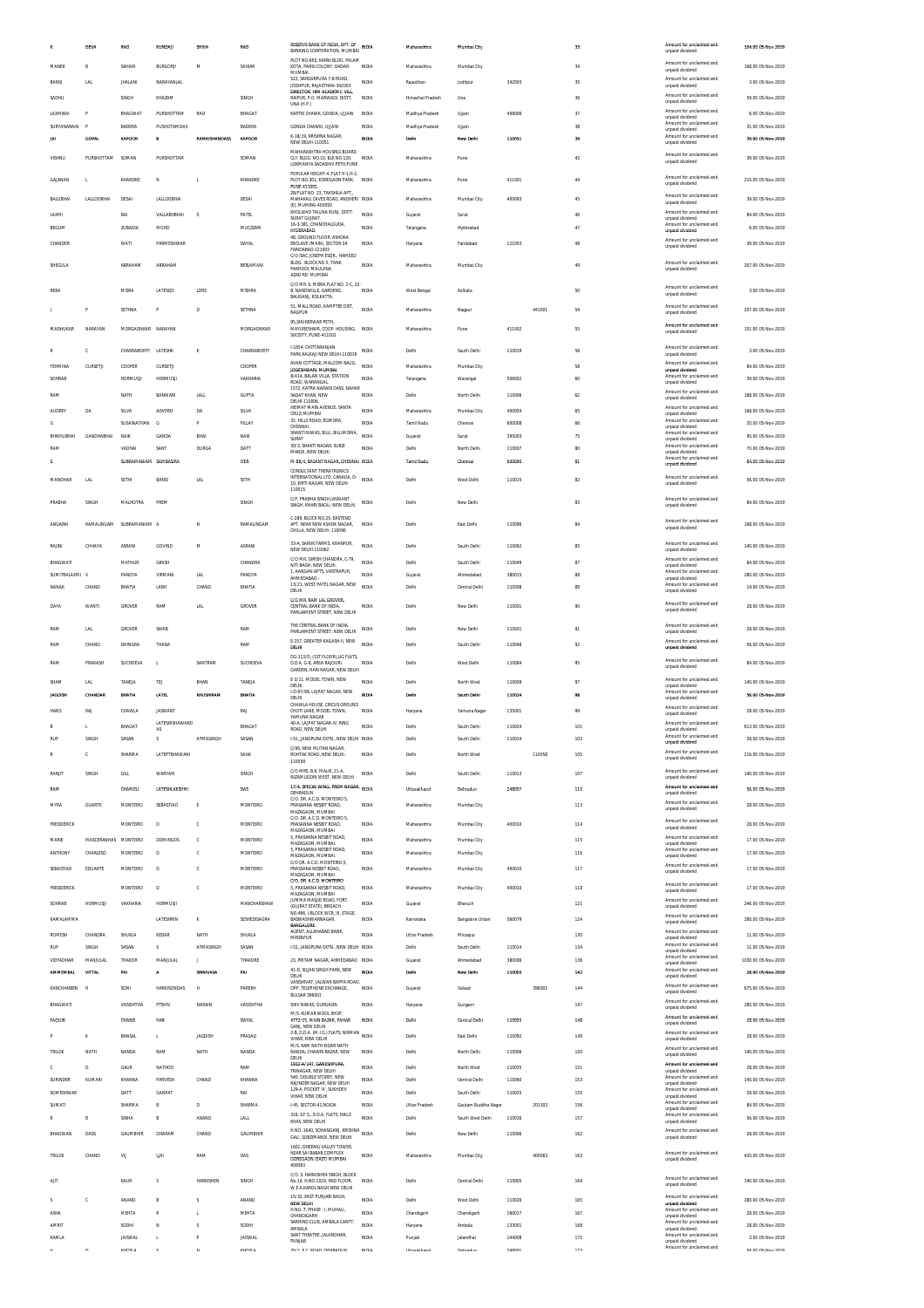|                        | DEVA                             | RAO                      | KUNDAJI            | SHIVA                    | RAO                    | RESERVE BANK OF INDIA, DPT. OF<br>BANKING CORPORATION, MUMBAI INDIA                           |                              | Maharashtra                | Mumbal City                  |                  |        | 33         | Amount for unclaimed and<br>unpaid dividend                                                | 104.00 05-Nov-2019                      |
|------------------------|----------------------------------|--------------------------|--------------------|--------------------------|------------------------|-----------------------------------------------------------------------------------------------|------------------------------|----------------------------|------------------------------|------------------|--------|------------|--------------------------------------------------------------------------------------------|-----------------------------------------|
| MANEK                  | в                                | SAHAIR                   | <b>BURGORJI</b>    | M                        | SAHIAR                 | PLOT NO-650, KARNI BLOG, PALAM<br>KOTA, PARSI COLONY, DADAR-                                  | <b>INDIA</b>                 | Maharashtra                | Mumbai City                  |                  |        | 34         | Amount for unclaimed and<br>unpaid dividend                                                | 168.00 05-Nov-2019                      |
| BANSI                  | LAL                              | <b>JHALANI</b>           | NARAYANLAL         |                          |                        | MUMBAL<br>522. SARDARPURA 7-B ROAD.<br>JODHPUR, RAJASTHAN-342003                              | INDIA                        | Rajasthan                  | Jodhpur                      | 342003           |        | 35         | Amount for unclaimed and<br>unpaid dividend                                                | 3.00 05-Nov-2019                        |
| SADHU                  |                                  | SINGH                    | KHAZAM             |                          | SINGH                  | DIRECTOR, HIM ACADEMY, VILL<br>RAIPUR, P.O. MARWADI, DISTT.<br>UNA (H.P.)                     | <b>INDIA</b>                 | Himachal Pradesh           | Una                          |                  |        | 36         | Amount for unclaimed and<br>unpaid dividend                                                | 59.00 05-Nov-2019                       |
| LAXMIBAI               | P                                | BHAGWAT                  | PURSHOTTAM         | <b>RAO</b>               | BHAGAT                 | KARTIK CHAWK, GONDA, UJJAIN                                                                   | <b>INDIA</b>                 | Madhya Pradesh             | Ujjain                       | 456006           |        | 37         | Amount for unclaimed and<br>unpaid dividend                                                | 6.00.05-Nov-2019                        |
| SURYANARAIN            |                                  | BADERA                   | PUSHOTAMDAS        |                          | <b>BADERA</b>          | GONDA CHAWKI, UJJAIN<br>K-18/19, KRISHNA NAGAR,                                               | INDIA                        | Madhya Pradesh             | Ujjain                       |                  |        | 38         | Amount for unclaimed and<br>unpaid dividend<br>Amount for unclaimed and                    | 31.00 05-Nov-2019                       |
| м                      | <b>GOPAL</b>                     | KAPOOR                   | B                  | <b>RAMKISHANDASS</b>     | KAPOOR                 | NEW DELHI-110051<br>MAHARASHTRA HOUSING BOARD                                                 | IND!/                        | Delhi                      | New Delh                     | 110051           |        | 39         | unpaid dividend                                                                            | 39.00 05-Nov-2019                       |
| VISHNU                 | PURSHOTTAM                       | SOMAN                    | PURSHOTTAM         |                          | SOMAN                  | CLY. BLDG. NO.10. BLK NO.120.<br>LOKMANYA SADASHIV PETH, PUNE                                 | <b>INDIA</b>                 | Maharashtra                | Pune                         |                  |        | 42         | Amount for unclaimed and<br>unpaid dividend                                                | 39.00 05-Nov-2019                       |
| GAJANAN                | t,                               | KHANDKE                  | N                  | L                        | KHANDKE                | POPULAR HEIGHT-4, FLAT H-1, H-2,<br>PLOT NO.301, KOREGAON PARK, INDIA                         |                              | Maharashtra                | Pune                         | 411001           |        | 44         | Amount for unclaimed and<br>unpaid dividend                                                | 210.00 05-Nov-2019                      |
| BALUBHAI               | LALLOOBHAI                       | DESAI                    | LALLOOBHA          |                          | DESAI                  | PLINE 411001<br>2B/FLAT NO. 23, TAKSHILA APT.,<br>MAHAKALI CAVES ROAD, ANDHERI INDIA          |                              | Maharashtra                | Mumbai City                  | 400093           |        | 45         | Amount for unclaimed and                                                                   | 39.00 05-Nov-2019                       |
| LAXMI                  |                                  | BAI                      | VALLABHBHAI        | s                        | PATEL                  | (E), MUMBAI-400093<br>KHOLWAD TALUKA KUNJ, DISTT.                                             | <b>INDIA</b>                 | Gujarat                    | Surat                        |                  |        | 46         | unpaid dividend<br>Amount for unclaimed and                                                | 84.00 05-Nov-2019                       |
| BEGUM                  |                                  | ZUBAIDA                  | MOHD               |                          | MUCZZAM                | SURAT GUJRAT.<br>16-3-381, CHANCHALGUDA,<br>HYDERABAD.                                        | <b>INDIA</b>                 | Telangana                  | Hyderabad                    |                  |        | 47         | unpaid dividend<br>Amount for unclaimed and<br>unpaid dividend                             | 6.00 05-Nov-2019                        |
| CHANDER                |                                  | WATI                     | PARMESHWAR         |                          | <b>DAYAL</b>           | 48, GROUND FLOOR, ASHOKA<br>ENCLAVE (MAIN), SECTOR-34<br>FARIDABAD-121003                     | INDIA                        | Haryana                    | Faridabac                    | 121003           |        | 48         | Amount for unclaimed and<br>unpaid dividend                                                | 39.00 05-Nov-2019                       |
| SHEGULA                |                                  | ABRAHAM                  | ABRAHAM            |                          | BERJAMANI              | C/O ISAC JOSEPH ESOR HAMEED<br>BLDG. BLOCK NO.5, TANK                                         | <b>INDIA</b>                 | Maharashtra                | Mumbai City                  |                  |        | 49         | Amount for unclaimed and                                                                   | 207.00 05-Nov-2019                      |
|                        |                                  |                          |                    |                          |                        | PAKHODI, MAULANA<br>AZAD RD. MUMBAI                                                           |                              |                            |                              |                  |        |            | unpaid dividend                                                                            |                                         |
| REBA                   |                                  | MISRA                    | LATESQD            | LDRS                     | MISHRA                 | C/O MR. S. MISRA, FLAT NO. 2-C, 22-<br>B, NANDWILLE, GARDENS,<br>BALIGANJ, KOLKATTA.          | <b>INDIA</b>                 | West Bengal                | Kolkata                      |                  |        | 50         | Amount for unclaimed and<br>unpaid dividend                                                | 3.00 05-Nov-2019                        |
|                        | p                                | SETHNA                   | P                  | D                        | SETHNA                 | 51, MALL ROAD, KAMPTEE DIST,<br><b>NAGPUR</b>                                                 | INDIA                        | Maharashtra                | Nagpur                       |                  | 441001 | 54         | Amount for unclaimed and<br>unpaid dividend                                                | 207.00 05-Nov-2019                      |
| MADHUKAR               | NARAYAN                          | MORGAONKAR NARAYAN       |                    |                          | MORGAONKAR             | 95, SHUKERWAR PETH,<br>MAYURESHWR, COOP. HOUSING. INDIA                                       |                              | Maharashtra                | Pune                         | 411002           |        | 55         | Amount for unclaimed and                                                                   | 151.00 05-Nov-2019                      |
|                        |                                  |                          |                    |                          |                        | SOCEITY, PUNE-411002                                                                          |                              |                            |                              |                  |        |            | unpaid dividend                                                                            |                                         |
|                        | c                                | CHAKRABORTY LATESHK      |                    | к                        | CHAKRABORTY            | <b>L1654 CHITTARANIAN</b><br>PARK, KALKAJI NEW DELHI-110019                                   | <b>INDIA</b>                 | Delhi                      | South Delhi                  | 110019           |        | 56         | Amount for unclaimed and<br>unpaid dividend                                                | 3.00 05-Nov-2019                        |
| ΤΕΗΜΙΝΑ                | CURSETJI                         | COOPER                   | CURSETJI           |                          | COOPER                 | AVAN COTTAGE, MALCOM BAUG,<br>JOGESHWARI, MUMBAI<br>8/414, BALAN VILLA, STATION               | INDIA                        | Maharashtra                | Mumbai City                  |                  |        | 58         | Amount for unclaimed and<br>unpaid dividend<br>Amount for unclaimed and                    | 84.00 05-Nov-2019                       |
| SOHRAB                 |                                  | <b>HORMUSJI</b>          | HORMUSJI           |                          | VAKHARIA               | ROAD, WARANGAL<br>1572 KATRA NARAIN DASS NAHAR                                                | <b>INDIA</b>                 | Telangana                  | Warangal                     | 506002           |        | 60         | unpaid dividend<br>Amount for unclaimed and                                                | 39.00 05-Nov-2019                       |
| RAM                    |                                  | NATH                     | BANWARI            | LALL                     | <b>GUPTA</b>           | SADAT KHAN, NEW<br>DELHI-110006.<br>HEIMAT MAIN AVENUE SANTA                                  | INDIA                        | Delhi                      | North Delhi                  | 110006           |        | 62         | unpaid dividend<br>Amount for unclaimed and                                                | 168.00 05-Nov-2019                      |
| <b>AUDREY</b><br>G     | DA                               | SILVA<br>SUSAINATHAN     | ADVERD<br>G        | DA<br>P                  | SILVA<br>PILLAY        | CRUZ, MUMBAI<br>32, HILLS ROAD, EGMORA,                                                       | INDI/<br>INDIA               | Maharashtra<br>Tamil Nadu  | Mumbai City<br>Chennai       | 400054<br>600008 |        | 65<br>66   | unpaid dividend<br>Amount for unclaimed and                                                | 168.00 05-Nov-2019<br>20.00 05-Nov-2019 |
| BHIKHUBHAI             | <b>GANDHARHAI</b>                | NAIK                     | GANDA              | BHAI                     | <b>NAIK</b>            | CHENNAL<br>SHANTI NIWAS, BILLI, BILLIMORIA,<br>SURAT                                          | <b>INDIA</b>                 | Gujarat                    | Surat                        | 395003           |        | 75         | unpaid dividend<br>Amount for unclaimed and<br>unpaid dividend                             | 95.00 05-Nov-2019                       |
| RAM                    |                                  | VADHAI                   | SANT               | <b>DURGA</b>             | DATT                   | 30/3, SHAKTI NAGAR, SUBZI<br>MANDI. NEW DELHI.                                                | <b>INDIA</b>                 | Delhi                      | North Delhi                  | 110007           |        | 80         | Amount for unclaimed and<br>unpaid dividend                                                | 70.00 05-Nov-2019                       |
| ×.                     |                                  | SUBRAMANIAM SAMBASIRA    |                    |                          | <b>IYER</b>            | M-88/4, BASANT NAGAR, CHENNAL INDIA<br>CONSULTANT THERATRONICS                                |                              | Tamil Nadu                 | Chennai                      | 600090           |        | 81         | Amount for unclaimed and<br>unpaid dividend                                                | 84.00.05-Nov-2019                       |
| MANOHAR                | <b>LAL</b>                       | SETHI                    | <b>BANSI</b>       | LAL                      | SETH                   | INTERNATIONAL LTD. CANADA, D-<br>10, KIRTI NAGAR, NEW DELHI-                                  | INDIA                        | Delhi                      | West Delhi                   | 110015           |        | 82         | Amount for unclaimed and<br>unpaid dividend                                                | 56.00 05-Nov-2019                       |
| PRABHA                 | SINGH                            | MALHOTRA                 | PREM               |                          | SINGH                  | 110015<br>C/P. PRABHA SINGH JASWANT                                                           | <b>INDIA</b>                 | Delhi                      | New Delhi                    |                  |        | 83         | Amount for unclaimed and                                                                   | 84.00 05-Nov-2019                       |
|                        |                                  |                          |                    |                          |                        | SINGH. KHARI BAOLI. NEW DELHI.<br>C-289, BLOCK NO.25, EASTEND                                 |                              |                            |                              |                  |        |            | unpaid dividend                                                                            |                                         |
| ANGARAI                |                                  | RAMALINGAM SUBRAMANIAM A |                    | N                        | RAMALINGAM             | APT. NEAR NEW ASHOK NAGAR,<br>CHILLA, NEW DELHI-110096                                        | <b>INDIA</b>                 | Delhi                      | East Delhi                   | 110096           |        | 84         | Amount for unclaimed and<br>unpaid dividend                                                | 168.00 05-Nov-2019                      |
| RAJINI                 | CHHAYA                           | ASRANI                   | GOVIND             | M                        | ASRANI                 | 33-A, SAINIK FARMS, KHANPUR<br>NEW DELHI-110062                                               | <b>INDIA</b>                 | Delhi                      | South Delhi                  | 110062           |        | 85         | Amount for unclaimed and<br>unpaid dividend                                                | 140.00 05-Nov-2019                      |
| BHAGWATI               |                                  | MATHUR                   | GIRISH             |                          | CHANDRA                | C/O MR. GIRISH CHANDRA, C-79,<br>NITI BAGH, NEW DELHI.                                        | INDIA                        | Delhi                      | South Delhi                  | 110049           |        | 87         | Amount for unclaimed and<br>unpaid dividend                                                | 84.00 05-Nov-2019                       |
| SUMITRALAXMI           |                                  | PANDYA                   | VIRMANI            | <b>LAL</b>               | PANDYA                 | 1, AANGAN APTS, VASTRAPUR,<br>AHMEDABAD.                                                      | INDIA                        | Gujarat                    | Ahmedabad                    | 380015           |        | 88         | Amount for unclaimed and<br>unpaid dividend                                                | 280.00 05-Nov-2019                      |
| NANAK                  | CHAND                            | BHATIA                   | LABH               | CHAND                    | BHATIA                 | 13/21. WEST PATEL NAGAR. NEW<br>DELHI                                                         | INDIA                        | Delhi                      | Central Delhi                | 110008           |        | 89         | Amount for unclaimed and<br>unpaid dividend                                                | 14.00 05-Nov-2019                       |
| DAYA                   | WANTI                            | GROVER                   | RAM                | LAL                      | GROVER                 | C/O MR. RAM LAL GROVER,<br>CENTRAL BANK OF INDIA<br>PARLIAMENT STREET, NEW DELHI              | INDIA                        | Delhi                      | New Delhi                    | 110001           |        | 90         | Amount for unclaimed and<br>unpaid dividend                                                | 28.00 05-Nov-2019                       |
| RAM                    | LAL                              | GROVER                   | SAHIB              |                          | RAM                    | THE CENTRAL BANK OF INDIA,<br>PARLIAMENT STREET, NEW DELHI                                    | INDIA                        | Delhi                      | New Delhi                    | 110001           |        | 91         | Amount for unclaimed and<br>unpaid dividend                                                | 28.00 05-Nov-2019                       |
| RAM                    | CHAND                            | DHINGRA                  | THANA              |                          | RAM                    | E-157, GREATER KAILASH-II, NEW<br>DELHI                                                       | <b>INDIA</b>                 | Delhi                      | South Delhi                  | 110048           |        | 92         | Amount for unclaimed and<br>unpaid dividend                                                | 56.00 05-Nov-2019                       |
| RAM                    | PRAKASH                          | SUCHDEVA                 | L.                 | SANTRAM                  | SUCHDEVA               | DG-113/D. (1ST FLOOR) LIG FLATS<br>D.D.A. G-8, AREA RAJOURI                                   | <b>INDIA</b>                 | Delhi                      | West Delhi                   | 110064           |        | 95         | Amount for unclaimed and                                                                   | 84.00 05-Nov-2019                       |
|                        |                                  |                          |                    |                          |                        | GARDEN. HARI NAGAR. NEW DELHI<br>E-3/11, MODEL TOWN, NEW                                      |                              |                            |                              |                  |        |            | unpaid dividend<br>Amount for unclaimed and                                                |                                         |
| SHAM<br><b>IAGDISH</b> | LAL<br>CHANDAR                   | TANEJA<br>BHATIA         | TEJ<br>LATEL       | BHAN<br>KHUSHIRAM        | TANEJA<br>BHATIA       | DELHI.<br>I-D-97/98, LAJPAT NAGAR. NEW                                                        | <b>INDIA</b><br><b>INDV</b>  | Delhi<br>Delhi             | North West<br>South Delhi    | 110009<br>110024 |        | 97         | unpaid dividend<br>Amount for unclaimed and                                                | 140.00 05-Nov-2019<br>56.00 05-Nov-2019 |
| <b>HANS</b>            | RAJ                              | CHAWLA                   | JASWANT            |                          | RAJ                    | DELHI<br>CHAWLA HOUSE. CIRCUS GROUND<br>CHOTI LANE, MODEL TOWN,                               | <b>INDIA</b>                 |                            | Yamuna Nagar                 | 135001           |        | 99         | unpaid dividend<br>Amount for unclaimed and                                                | 28.00 05-Nov-2019                       |
| B                      | L                                | BHAGAT                   | LATESHISHAWARD     |                          | BHAGAT                 | YAMUNA NAGAR<br>40-A, LAJPAT NAGAR-IV, RING                                                   | <b>INDIA</b>                 | Haryana<br>Delhi           | South Delhi                  | 110024           |        | 101        | unpaid dividend<br>Amount for unclaimed and                                                | 613.00.05-Nov-2019                      |
| RUP                    | SINGH                            | SASAN                    | s                  | ATMASINGH                | SASAN                  | ROAD, NEW DELHI<br>1-51, JANGPURA EXTN., NEW DELHI INDIA                                      |                              | Delhi                      | South Delhi                  | 110014           |        | 103        | unpaid dividend<br>Amount for unclaimed and<br>unpaid dividend                             | 28.00 05-Nov-2019                       |
|                        | C.                               | SHARMA                   | LATEPTBHAWANI      |                          | SAHA                   | C/99, NEW MUTAN NAGAR<br>ROHTAK ROAD, NEW DELHI-                                              | <b>INDIA</b>                 | Delhi                      | North West                   |                  | 110058 | 105        | Amount for unclaimed and<br>unpaid dividend                                                | 216.00 05-Nov-2019                      |
| RANJIT                 | SINGH                            | GILL                     | <b>WARYAM</b>      |                          | SINGH                  | 110058<br>C/O MRS R K MALIK 21-A                                                              | <b>INDIA</b>                 | Delhi                      | South Delhi                  | 110013           |        | 107        | Amount for unclaimed and                                                                   | 140.00 05-Nov-2019                      |
| RAM                    |                                  | CHAMELI                  | LATESHLAKSHMI      |                          | DAS                    | NIZAMUDDIN WEST, NEW DELHI<br>17/4, SPECIAI WING, PREM NAGAR,                                 | <b>INDIA</b>                 | Uttarakhand                | Dehradun                     | 248007           |        | 110        | unpaid dividend<br>Amount for unciaimed and                                                | 56.00 05-Nov-2019                       |
| MYRA                   | DUARTE                           | MONTEIRO                 | SEBASTIAO          | E                        | MONTEIRO               | DEHRADUN<br>C/O. DR. A.C.D. MONTEIRO 5,<br>PRASANNA NESBIT ROAD,                              | <b>INDIA</b>                 | Maharashtra                | Mumbai City                  |                  |        | 113        | unpaid dividend<br>Amount for unclaimed and                                                | 28.00 05-Nov-2019                       |
|                        |                                  |                          |                    |                          |                        | MAZAGAON, MUMBAI<br>C/O. DR. A.C.D. MONTEIRO 5,                                               |                              |                            |                              |                  |        |            | unpaid dividend<br>Amount for unclaimed and                                                |                                         |
| FREDDERICK             |                                  | MONTEIRO                 | D                  | c                        | <b>MONTEIRO</b>        | PRASANNA NESBIT ROAD,<br>MAZAGAON, MUMBAI<br>5, PRASANNA NESBIT ROAD,                         | <b>INDIA</b>                 | Maharashtra                | Mumbai City                  | 400010           |        | 114        | unpaid dividend<br>Amount for unclaimed and                                                | 28.00 05-Nov-2019                       |
| MARIE<br>ANTHONY       | MASCERANHAS MONTEIRO<br>CHARLESD | MONTEIRO                 | DOMINGOS<br>D      | с<br>c                   | MONTEIRO<br>MONTEIRO   | MAZAGAON, MUMBAI,<br>5, PRASANNA NESBIT ROAD,                                                 | INDIA<br><b>INDIA</b>        | Maharashtra<br>Maharashtra | Mumbai City<br>Mumbai City   |                  |        | 115<br>116 | unpaid dividend<br>Amount for unclaimed and                                                | 17.00 05-Nov-2019<br>17.00 05-Nov-2019  |
| SEBASTIAO              | EDUARTE                          | MONTEIRO                 | D                  | c                        | <b>MONTEIRO</b>        | MAZAGAON, MUMBAL<br>C/O DR. A.C.D. MONTEIRO, 5,<br>PRASSANA NESBIT ROAD.                      | <b>INDIA</b>                 | Maharashtra                | Mumbai City                  | 400010           |        | 117        | unpaid dividend<br>Amount for unclaimed and                                                | 17.00 05-Nov-2019                       |
| FREDDERICK             |                                  | MONTEIRO                 | D                  | c                        | <b>MONTEIRO</b>        | MAZAGAON, MUMBAI<br>C/O. DR. A.C.D. MONTEIRO<br>5. PRASANNA NESBIT ROAD.                      | <b>INDIA</b>                 | Maharashtra                | Mumbai City                  | 400010           |        | 118        | unpaid dividend<br>Amount for unclaimed and                                                | 17.00 05-Nov-2019                       |
| SOHRAB                 | <b>HORMUSJI</b>                  | VAKHARIA                 | <b>HORMUSJI</b>    |                          | MANCHARSHAW            | MAZAGAON, MUMBAI<br>JUMMA MASJID ROAD, FORT,                                                  | <b>INDIA</b>                 |                            |                              |                  |        | 121        | unpaid dividend<br>Amount for unclaimed and                                                | 246.00 05-Nov-2019                      |
| KAMALAMMA              |                                  |                          | LATESHRIN          | κ                        | SESHEDISAGRA           | (GUJRAT STATE), BROACH<br>NO.466, I-BLOCK WCR, III, STAGE,<br>BASWASHWARNAGAR,                | <b>INDIA</b>                 | Gujarat<br>Karnataka       | Bharuch<br>Bangalore Urban   | 560079           |        | 124        | unpaid dividend<br>Amount for unclaimed and                                                | 280.00 05-Nov-2019                      |
| <b>ROMESH</b>          | CHANDRA                          | SHUKL/                   | KEDAR              | NATH                     | SHUKLA                 | <b>BANGALORE</b><br>AGENT, ALLAHABAD BANK,                                                    | INDIA                        | <b>Uttar Pradesh</b>       | Mirzapur                     |                  |        | 130        | unpaid dividend<br>Amount for unclaimed and                                                | 11.00 05-Nov-2019                       |
| RUP                    | SINGH                            | SASAN                    | s                  | ATMASINGH                | SASAN                  | MIRZAPUR<br>1-51, JANGPURA EXTN., NEW DELHI INDIA                                             |                              | Delhi                      | South Delhi                  | 110014           |        | 134        | unpaid dividend<br>Amount for unclaimed and<br>unpaid dividend                             | 11.00 05-Nov-2019                       |
| <b>VIDYADHAR</b>       | MANJULAL                         | THAKOR                   | MANJULAL           | J                        | THAKORE                | 23, PRITAM NAGAR, AHMEDABAD INDIA                                                             |                              | Gujarat                    | Ahmedabad                    | 380006           |        | 136        | Amount for unclaimed and<br>unpaid dividend                                                | 1030.00 05-Nov-2019                     |
| <b>AMMEMBAL</b>        | <b>VITTAL</b>                    | PAI                      | Α                  | SRINIVASA                | PAI                    | 41-D, SUJAN SINGH PARK, NEW<br>DELHI<br>VANSHIVAT, JALWAN BAPPA ROAD,                         | <b>INDV</b>                  | Delhi                      | New Delhi                    | 110003           |        | 142        | Amount for unclaimed and<br>unpaid dividend                                                | 28.00 05-Nov-2019                       |
| KANCHANBEN             | H                                | SONI                     | <b>HARKISONDAS</b> | H                        | PAREKH                 | OPP. TELEPHONE EXCHANGE,<br><b>BULSAR 396001</b>                                              | INDIA                        | Gujarat                    | Valsad                       |                  | 396001 | 144        | Amount for unclaimed and<br>unpaid dividend                                                | 675.00 05-Nov-2019                      |
| BHAGWATI               |                                  |                          | PTSHIV             | NARAIN                   | VASISHTHA              | SHIV NIWAS, GURGAON                                                                           | <b>INDIA</b>                 | Haryana                    | Gurgaon                      |                  |        | 147        | Amount for unclaimed and<br>unpaid dividend                                                | 280.00 05-Nov-2019                      |
| <b>FAQUIR</b>          |                                  | VASISHTHA                |                    |                          |                        |                                                                                               |                              |                            |                              |                  |        |            |                                                                                            |                                         |
|                        |                                  | CHAND                    | HAR                |                          | <b>DAYAL</b>           | M/S. KUMAR WOOL SHOP.<br>4772/15, MAIN BAZAR, PAHAR<br>GANJ, NEW DELHI                        | <b>INDIA</b>                 | Delhi                      | Central Delhi                | 110055           |        | 148        | Amount for unclaimed and<br>unpaid dividend                                                | 28.00 05-Nov-2019                       |
|                        | κ                                | BANSAL                   | L.                 | <b>JAGDISH</b>           | PRASAD                 | 2-B, D.D.A. (M.I.G.) FLATS, NIRMAN INDIA<br>VIHAR. NEW DELHI                                  |                              | Delhi                      | East Delhi                   | 110092           |        | 149        | Amount for unclaimed and<br>unpaid dividend                                                | 28.00 05-Nov-2019                       |
| <b>TRILOF</b>          | NATH                             | NANDA                    | RAM                | NATH                     | NANDA                  | M/S. RAM NATH KIDAR NATH<br>NANDA, CHAWRI BAZAR, NEW<br>DELHI                                 | INDIA                        | Delhi                      | North Delhi                  | 110006           |        | 150        | Amount for unclaimed and<br>unpaid dividend                                                | 140.00 05-Nov-2019                      |
| Ċ                      | D                                | GAUR                     | NATHOO             |                          | RAM                    | 1932-A/147, GANESHPURA<br>TRINAGAR, NEW DELHI<br>540, DOUBLE STOREY, NEW                      | <b>INDIA</b>                 | Delhi                      | North West                   | 110035           |        | 151        | Amount for unciaimed and<br>unpaid dividend<br>Amount for unclaimed and                    | 28.00 05-Nov-2019                       |
| SURINDER<br>SOMESHWAR  | KUMARI                           | KHANNA<br>DATT           | PARVESH<br>GANPAT  | CHAND                    | KHANNA<br>RAI          | RAJINDER NAGAR. NEW DELHI<br>129-A, POCKET 'A', SUKHDEV                                       | <b>INDIA</b><br><b>INDIA</b> | Delhi<br>Delhi             | Central Delhi<br>South Delhi | 110060<br>110025 |        | 153<br>155 | unpaid dividend<br>Amount for unclaimed and                                                | 140.00 05-Nov-2019<br>28.00 05-Nov-2019 |
| SUMATI                 |                                  | SHARMA                   | B                  | D                        | SHARMA                 | VIHAR, NEW DELHI<br>I-45, SECTOR-41, NOIDA                                                    | INDI/                        | Uttar Pradesh              | Gautam Buddha Nagar          |                  | 201303 | 156        | unpaid dividend<br>Amount for unclaimed and                                                | 84.00 05-Nov-2019                       |
| R                      | B                                | SINHA                    | B                  | ANAND                    | LALL                   | 316, S.F.S., D.D.A. FLATS, HAUZ<br>KHAS, NEW DELHI                                            | <b>INDIA</b>                 | Delhi                      | South West Delhi             | 110016           |        | 157        | unpaid dividend<br>Amount for unclaimed and<br>unpaid dividend                             | 56.00 05-Nov-2019                       |
| BHAGWAN                | DASS                             | GAUMBHIR                 | DHARAM             | CHAND                    | GAUMBHIR               | H.NO. 1640, SOHANGANJ, KRISHNA INDIA<br>GALI, SUBZIMANDI, NEW DELHI                           |                              | Delhi                      | New Delhi                    | 110006           |        | 162        | Amount for unclaimed and<br>unpaid dividend                                                | 28.00 05-Nov-2019                       |
| TRILOK                 | CHAND                            |                          | LIAI               | RAM                      | DAS                    | 1601, DHEERAJ VALLEY TOWER<br>NEAR SAI BABAB COMPLEX                                          | INDIA                        | Maharashtra                |                              |                  | 400063 | 163        | Amount for unclaimed and                                                                   |                                         |
|                        |                                  | VIJ                      |                    |                          |                        | GOREGAON (EAST) MUMBAI<br>400063                                                              |                              |                            | Mumbai City                  |                  |        |            | unpaid dividend                                                                            | 420.00 05-Nov-2019                      |
| AIIT                   |                                  | KAUR                     | s                  | HARKISHEN                | SINGH                  | C/O. S. HARKISHEN SINGH, BLOCK<br>No.14. H.NO.1019. IIND FLOOR.<br>W.E.A.KAROL BAGH,NEW DELHI | <b>INDIA</b>                 | Delhi                      | Central Delhi                | 110005           |        | 164        | Amount for unclaimed and<br>unpaid dividend                                                | 140.00 05-Nov-2019                      |
| ς                      | c                                | ANAND                    | B                  | $\overline{\phantom{a}}$ | ANAND                  | 15/32. EAST PUNJABI BAGH.<br>NEW DELHI                                                        | <b>INDIA</b>                 | Delhi                      | West Delhi                   | 110026           |        | 165        | Amount for unclaimed and<br>unpaid dividend                                                | 280.00 05-Nov-2019                      |
| ASHA                   |                                  | MEHTA                    | ${\sf R}$          | L                        | MEHTA                  | H.NO. 7, PHASE - I, MUHALI,<br>CHANDIGARH                                                     | INDIA                        | Chandigarh                 | Chandigarh                   | 160017           |        | 167        | Amount for unclaimed and<br>unpaid dividend                                                | 28.00 05-Nov-2019                       |
| <b>AMRIT</b><br>KAMU   |                                  | SODHI<br><b>JAISWA</b>   | N<br>t,            | s<br>P                   | SODHI<br><b>JAISWA</b> | SARHIND CLUB, AMBALA CANTT<br>AMBALA<br>SANT THEATRE, JALANDHAR<br>PUNJAB                     | <b>INDIA</b><br>INDI/        | Haryana<br>Punjab          | Ambala<br>Jalandha           | 133001<br>144008 |        | 168<br>172 | Amount for unclaimed and<br>unpaid dividend<br>Amount for unclaimed and<br>unpaid dividend | 28.00 05-Nov-2019<br>3.00 05-Nov-2019   |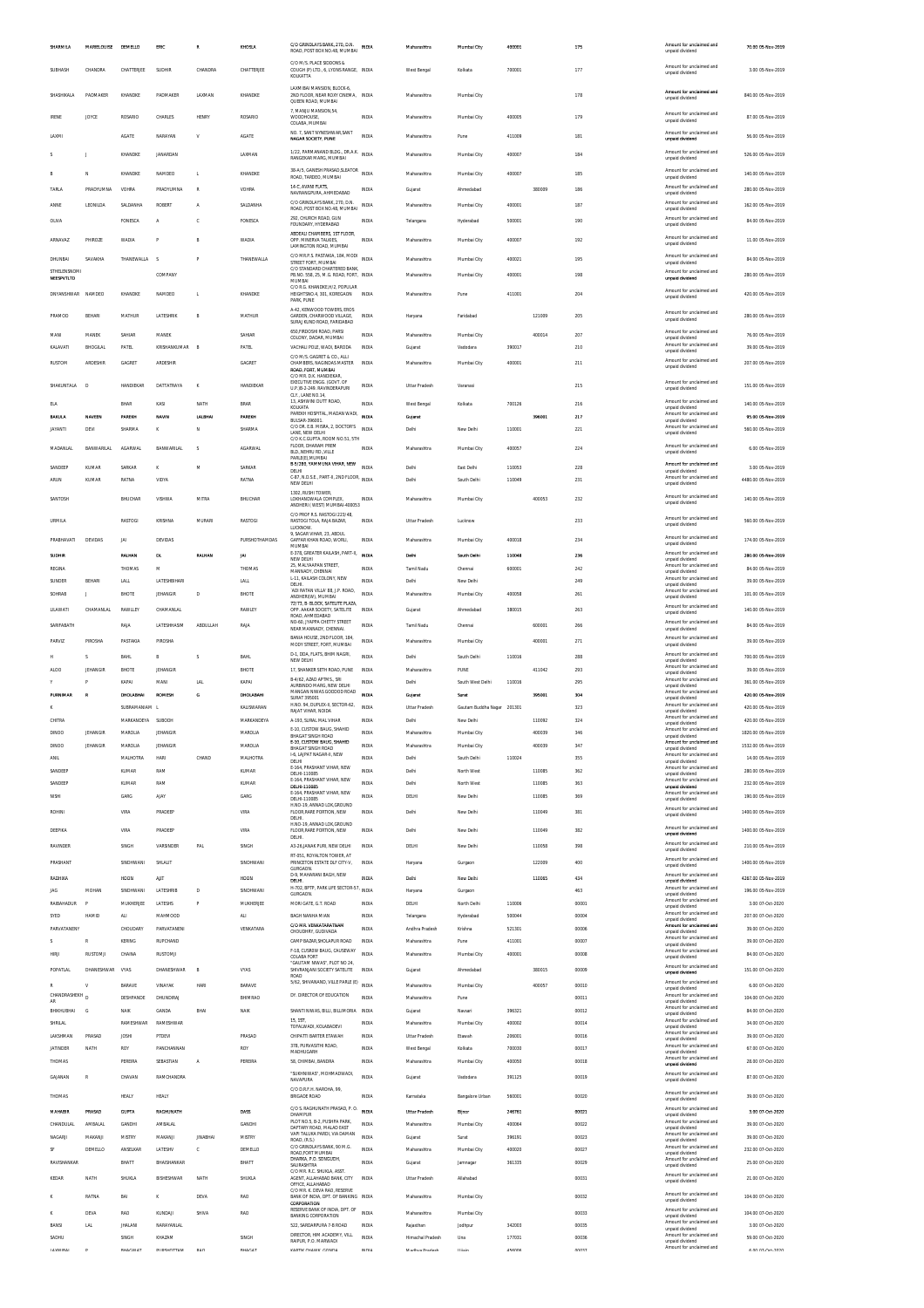|                            | <b>MARIELOUISE</b> | DEMELLO                            | ERIC                          | R               | KHOSLA                        | C/O GRINDLAYS BANK, 270, D.N.<br>ROAD, POST BOX NO.48, MUMBAI INDIA                       |                              | Maharashtra                | Mumbal City                             | 40000            |                  | 175                    | Amount for unclaimed and<br>unpaid dividend                             | 70.00 05-Nov-2019                        |
|----------------------------|--------------------|------------------------------------|-------------------------------|-----------------|-------------------------------|-------------------------------------------------------------------------------------------|------------------------------|----------------------------|-----------------------------------------|------------------|------------------|------------------------|-------------------------------------------------------------------------|------------------------------------------|
| SUBHASH                    | CHANDRA            | CHATTERJEE                         | SUDHIR                        | CHANDRA         | CHATTERJEE                    | C/O M/S. PLACE SIDDONS &<br>COUGH (P) LTD., 6, LYONS RANGE, INDIA<br>KOLKATTA             |                              | West Bengal                | Kolkata                                 | 700001           |                  | 177                    | Amount for unclaimed and<br>unpaid dividend                             | 3.00 05-Nov-2019                         |
| SHASHIKALA                 | PADMAKER           | KHANDKE                            | PADMAKER                      | LAXMAN          | KHANDKE                       | LAXMIBAI MANSION, BLOCK-6.<br>2ND FLOOR, NEAR ROXY CINEMA, INDIA<br>QUEEN ROAD, MUMBA     |                              | Maharashtra                | Mumbai City                             |                  |                  | 178                    | Amount for unclaimed and<br>unpaid dividend                             | 840.00 05-Nov-2019                       |
| <b>IRENE</b>               | <b>JOYCE</b>       | ROSARIO                            | CHARLES                       | <b>HENRY</b>    | ROSARIO                       | 7, MANJU MANSION, 54<br>WOODHOUSE,                                                        | INDIA                        | Maharashtra                | Mumbai City                             | 400005           |                  | 179                    | Amount for unclaimed and                                                | 87.00 05-Nov-2019                        |
| LAXM                       |                    | AGATE                              | NARAYAN                       | v               | AGATE                         | COLABA, MUMBAI<br>NO. 7 SANT NYNESHWAR SANT                                               | INDI/                        | Maharashtra                | Pune                                    | 411009           |                  | 181                    | unpaid dividend<br>Amount for unclaimed and                             | 56.00 05-Nov-2019                        |
|                            |                    | KHANDKE                            | <b>JANARDAN</b>               |                 | LAXMAN                        | NAGAR SOCIETY, PUNE<br>1/22, PARMANAND BLDG., DR.A.K.                                     | <b>INDU</b>                  | Maharashtra                | Mumbai City                             | 400007           |                  | 184                    | unpaid dividend<br>Amount for unclaimed and                             | 526.00 05-Nov-2019                       |
|                            |                    |                                    | NAMDEO                        |                 | KHANDKE                       | RANGEKAR MARG, MUMBAI<br>38-A/5, GANESH PRASAD, SLEATOR                                   | <b>INDIA</b>                 |                            |                                         |                  |                  |                        | unpaid dividend<br>Amount for unclaimed and                             | 140.00 05-Nov-2019                       |
| TARLA                      | N<br>PRADYUMNA     | KHANDKE<br>VOHRA                   | PRADYUMNA                     | L<br>R          | VOHRA                         | ROAD, TARDEO, MUMBAI<br>14-C, AVANI FLATS                                                 | <b>INDIA</b>                 | Maharashtra<br>Gujarat     | Mumbai City<br>Ahmedabad                | 400007           | 380009           | 185<br>18 <sub>4</sub> | unpaid dividend<br>Amount for unclaimed and                             | 280.00 05-Nov-2019                       |
| ANNE                       | LEONILDA           | <b>SALDANHA</b>                    | <b>ROBERT</b>                 | A               | SALDANHA                      | NAVRANGPURA, AHMEDABAD<br>C/O GRINDLAYS BANK, 270, D.N.<br>ROAD, POST BOX NO.48, MUMBAI   | <b>INDIA</b>                 | Maharashtra                | Mumbai City                             | 400001           |                  | 187                    | unpaid dividend<br>Amount for unclaimed and<br>unpaid dividend          | 162.00 05-Nov-2019                       |
| OLIVA                      |                    | <b>FONESCA</b>                     | A                             | c               | FONESCA                       | 292, CHURCH ROAD, GUN<br>FOUNDARY, HYDERABAD                                              | <b>INDIA</b>                 | Telangana                  | Hyderabad                               | 500001           |                  | 190                    | Amount for unclaimed and<br>unpaid dividend                             | 84.00.05-Nov-2019                        |
| ARNAVAZ                    | PHIROZE            | WADIA                              | Þ                             | R               | <b>WADIA</b>                  | ABDEALI CHAMBERS, 1ST FLOOR,<br>OPP. MINERVA TALKIES.                                     | <b>INDIA</b>                 | Maharashtra                | Mumbai City                             | 400007           |                  | 192                    | Amount for unclaimed and<br>unpaid dividend                             | 11.00 05-Nov-2019                        |
| DHUNBAI                    | SAVAKHA            | THANFWALLA                         | $\sim$                        | Þ               | THANEWALLA                    | LAMINGTON ROAD, MUMBAI<br>C/O MR.P.S. PASTAKIA, 184, MODI<br>STREET FORT, MUMBAI          | <b>INDIA</b>                 | Maharashtra                | Mumbai City                             | 400021           |                  | 195                    | Amount for unclaimed and<br>unpaid dividend                             | 84.00 05-Nov-2019                        |
| STHELENSNOMI<br>NEESPVTLTD |                    |                                    | COMPANY                       |                 |                               | C/O STANDARD CHARTERED BANK<br>PB.NO. 558, 25, M.G. ROAD, FORT, INDIA<br>MUMBAI           |                              | Maharashtra                | Mumbai City                             | 400001           |                  | 198                    | Amount for unclaimed and<br>unpaid dividend                             | 280.00 05-Nov-2019                       |
| DNYANSHWAR                 | NAMDEO             | KHANDKE                            | NAMDEO                        | L.              | KHANDKE                       | C/O R.G. KHANDKE, H/2, POPULAR<br>HEIGHTSNO.4, 301, KOREGAON                              | IND <sub>I</sub>             | Maharashtra                | Pun                                     | 411001           |                  | 204                    | Amount for unclaimed and<br>unpaid dividend                             | 420.00 05-Nov-2019                       |
| PRAMOD                     | BEHAR              | MATHUR                             | LATESHRIK                     | B               | MATHUR                        | PARK, PUNE<br>A-42. KENWOOD TOWERS. EROS<br>GARDEN, CHARWOOD VILLAGE,                     | <b>INDIA</b>                 | Haryana                    | Faridabac                               |                  | 121009           | 205                    | Amount for unclaimed and                                                | 280.00 05-Nov-2019                       |
| MANI                       | MANEK              | SAHIAR                             | MANEK                         |                 | SAHIAR                        | SURAJ KUND ROAD, FARIDABAD<br>650, FIRDOSHI ROAD, PARSI                                   | <b>INDIA</b>                 | Maharashtra                | Mumbai City                             |                  | 400014           | 207                    | unpaid dividend<br>Amount for unclaimed and                             | 76.00 05-Nov-2019                        |
| KALAVATI                   | BHOGILAL           | PATEL                              | KRISHANKUMAR                  | B               | PATEL                         | COLONY, DADAR, MUMBAI<br>VACHALI POLE, WADI, BARODA                                       | <b>INDIA</b>                 | Gujarat                    | Vadodara                                | 390017           |                  | 210                    | unpaid dividend<br>Amount for unclaimed and<br>unpaid dividend          | 39.00 05-Nov-2019                        |
| <b>RUSTOM</b>              | ARDESHIR           | GAGRET                             | ARDESHIR                      |                 | GAGRET                        | C/O M/S. GAGRET & CO., ALLI<br>CHAMBERS, NAGINDAS MASTER<br>ROAD, FORT, MUMBAI            | <b>INDIA</b>                 | Maharashtra                | Mumbai City                             | 400001           |                  | 211                    | Amount for unclaimed and<br>unpaid dividend                             | 207.00 05-Nov-2019                       |
| SHAKUNTALA                 | D                  | HANDIEKAR                          | DATTATRAYA                    | K               | HANDIEKAR                     | C/O MR. D.K. HANDIEKAR<br>EXECUTIVE ENGG. (GOVT. OF<br>U.P.18-2-249. RAVINDERAPURI        | <b>INDIA</b>                 | Uttar Pradesh              | Varanas                                 |                  |                  | 215                    | Amount for unclaimed and<br>unnaid dividend                             | 151.00 05-Nov-2019                       |
| ELA                        |                    | BHAR                               | KASI                          | NATH            | <b>BRAR</b>                   | CLY., LANE NO.14<br>13, ASHWINI DUTT ROAD,                                                | <b>INDIA</b>                 | West Bengal                | Kolkata                                 | 700126           |                  | 216                    | Amount for unclaimed and                                                | 140.00 05-Nov-2019                       |
| BAKULA                     | <b>NAVEEN</b>      | PAREKH                             | NAVIN                         | LALBHA          | PAREKH                        | KOLKATA<br>PAREKH HOSPITAL, MADAN WADI,<br>BULSAR-396001                                  | <b>INDM</b>                  | Gujarat                    |                                         |                  | 396001           | 217                    | unpaid dividend<br>Amount for unclaimed and<br>unpaid dividend          | 95.00 05-Nov-2019                        |
| <b>JAYANTI</b>             | DEVI               | SHARMA                             | κ                             | N               | SHARMA                        | C/O DR. E.B. MISRA, 2, DOCTOR'S<br>LANE. NEW DELHI<br>C/O K.C.GUPTA, ROOM NO.51, 5TH      | <b>INDIA</b>                 | Delhi                      | New Delhi                               | 110001           |                  | 221                    | Amount for unclaimed and<br>unpaid dividend                             | 560.00 05-Nov-2019                       |
| MADANLAL                   | <b>BANWARILAL</b>  | AGARWAL                            | BANWARILAL                    | s               | AGARWAL                       | FLOOR, DHARAM PREM<br>BLD NEHRU RD VILLE<br>PARLE(E), MUMBAI                              | <b>INDIA</b>                 | Maharashtra                | Mumbai City                             | 400057           |                  | 224                    | Amount for unclaimed and<br>unpaid dividend                             | 6.00 05-Nov-2019                         |
| SANDEEP                    | KUMAR              | SARKAR                             | κ                             | M               | SARKAR                        | B-5/280, YAMMUNA VIHAR, NEW<br>DELHI<br>C-87, N.D.S.E., PART-II, 2ND FLOOR,               | <b>INDIA</b>                 | Delhi                      | East Delhi                              | 110053           |                  | 228                    | Amount for unclaimed and<br>unpaid dividend<br>Amount for unclaimed and | 3.00 05-Nov-2019                         |
| ARUN                       | KUMAR              | RATNA                              | VIDYA                         |                 | RATNA                         | NEW DELHI<br>1302, RUSHI TOWER,                                                           | INDIA                        | Delhi                      | South Delhi                             | 110049           |                  | 231                    | unpaid dividend<br>Amount for unclaimed and                             | 4480.00 05-Nov-2019                      |
| SANTOSH                    |                    | BHUCHAR                            | <b>VISHWA</b>                 | MITRA           | BHUCHAR                       | LOKHANDWALA COMPLEX,<br>ANDHERI (WEST) MUMBAI-400053                                      | <b>INDIA</b>                 | Maharashtra                | Mumbai City                             |                  | 400053           | 232                    | unpaid dividend                                                         | 140.00 05-Nov-2019                       |
| URMILA                     |                    | RASTOGI                            | <b>KRISHNA</b>                | MURARI          | RASTOGI                       | C/O PROF R.S. RASTOGI 223/48<br>RASTOGI TOLA, RAJA BAZAR,<br>LUCKNOW.                     | <b>INDIA</b>                 | Uttar Pradesh              | Lucknow                                 |                  |                  | 233                    | Amount for unclaimed and<br>unpaid dividend                             | 560.00 05-Nov-2019                       |
| PRABHAVATI                 | DEVIDAS            | JAI                                | DEVIDAS                       |                 | PURSHOTHAMDAS                 | 9. SAGAR VIHAR, 23, ABDUL<br>GAFFAR KHAN ROAD, WORLL<br>MUMBAI                            | <b>INDIA</b>                 | Maharashtra                | Mumbai City                             | 400018           |                  | 234                    | Amount for unclaimed and<br>unpaid dividend                             | 174.00 05-Nov-2019                       |
| SUDHIR                     |                    | RALHAN                             | DL                            | RALHAN          | <b>JAI</b>                    | E-378, GREATER KAILASH, PART-II,<br>NEW DELHI<br>25, MALYAAPAN STREET,                    | INDIA                        | Dethi                      | South Delhi                             | 110048           |                  | 236                    | Amount for unclaimed and<br>unpaid dividend<br>Amount for unclaimed and | 280.00 05-Nov-2019                       |
| REGINA<br>SUNDER           | BEHAR              | THOMAS<br>LALL                     | м<br>LATESHBIHAR              |                 | THOMAS<br>LALL                | MANNADY, CHENNAI<br>L-11, KAILASH COLONY, NEW<br>DELHI.                                   | INDIA<br><b>INDIA</b>        | Tamil Nadu<br>Delhi        | Chennai<br>New Delhi                    | 600001           |                  | 242<br>249             | unpaid dividend<br>Amount for unclaimed and<br>unpaid dividend          | 84.00 05-Nov-2019<br>39.00 05-Nov-2019   |
| SOHRAB                     |                    | BHOTE                              | <b>JEHANGIR</b>               | D               | <b>BHOTE</b>                  | ADI RATAN VILLA' 88, J.P. ROAD,<br>ANDHERI(W), MUMBAI                                     | <b>INDIA</b>                 | Maharashtra                | Mumbai City                             | 400058           |                  | 261                    | Amount for unclaimed and<br>unpaid dividend                             | 101.00 05-Nov-2019                       |
| LILAWATI                   | CHAMANLAL          | RAWLLEY                            | CHAMANLAL                     |                 | RAWLEY                        | 72/73. B- BLOCK, SATELITE PLAZA<br>OPP. AAKAR SOCIETY, SATELITE<br>ROAD, AHMEDABAD        | <b>INDIA</b>                 | Gujarat                    | Ahmedabad                               | 380015           |                  | 263                    | Amount for unclaimed and<br>unpaid dividend                             | 140.00 05-Nov-2019                       |
| SARIFABATH                 |                    | RAJA                               | LATESHHASIM                   | <b>ABDULLAH</b> | RAIA                          | NO-60, JYAPPA CHETTY STREET<br>NEAR MANNADY, CHENNAL                                      | <b>INDIA</b>                 | Tamil Nadu                 | Chenna                                  |                  | 600001           | 264                    | Amount for unclaimed and<br>unpaid dividend                             | 84.00 05-Nov-2019                        |
| <b>PARVIZ</b>              | PIROSHA            | PASTAKIA                           | PIROSHA                       |                 |                               | RANIA HOUSE 2ND FLOOR 184<br>MODY STREET, FORT, MUMBAI                                    | <b>INDIA</b>                 | Maharashtra                | Mumbai City                             |                  | 400001           | 271                    | Amount for unclaimed and<br>unpaid dividend                             | 39.00 05-Nov-2019                        |
|                            |                    |                                    |                               |                 |                               |                                                                                           |                              |                            |                                         |                  |                  |                        |                                                                         |                                          |
|                            | $\sim$             | <b>BAHL</b>                        | B                             | s               | <b>BAHL</b>                   | D-1, DDA, FLATS, BHIM NAGRI,                                                              | <b>INDIA</b>                 | Delhi                      | South Delhi                             | 110016           |                  | 288                    | Amount for unclaimed and                                                | 700.00 05-Nov-2019                       |
| ALOO                       | JEHANGIR           | BHOTE                              | JEHANGIR                      |                 | BHOTE                         | NEW DELHI<br>17. SHANKER SETH ROAD, PUNE                                                  | <b>INDU</b>                  | Maharashtra                | PUNE                                    |                  | 411042           | 293                    | unpaid dividend<br>Amount for unclaimed and<br>unnaid dividend          | 39.00 05-Nov-2019                        |
|                            |                    | KAPAI                              | MANI                          | LAL             | KAPAI                         | B-4/62, AZAD APTMS., SRI<br>AURBINDO MARG, NEW DELHI                                      | <b>INDIA</b>                 | Delhi                      | South West Delhi                        | 110016           |                  | 295                    | Amount for unclaimed and<br>unpaid dividend<br>Amount for unclaimed and | 361.00 05-Nov-2019                       |
| PURNIMAR                   |                    | DHOLABHA                           | ROMESH                        | G               | DHOLABAH                      | MANGAN NIWAS GODDOD ROAD<br><b>SURAT 395001</b><br>H.NO. 94, DUPLEX-II, SECTOR-62         | INDI                         | Gujarat                    | Surat                                   |                  | 39500            | 30 <sub>0</sub>        | unpaid dividend<br>Amount for unclaimed and                             | 420.00 05-Nov-2019                       |
| CHITRA                     |                    | SUBRAMANIAM L<br>MARKANDEYA SUBODH |                               |                 | KALISWARAN<br>MARKANDEYA      | RAIAT VIHAR, NOIDA<br>A-193, SURAL MAL VIHAR                                              | <b>INDIA</b><br><b>INDIA</b> | Uttar Pradesh<br>Delhi     | Gautam Buddha Nagar 201301<br>New Delhi |                  | 110092           | 323<br>324             | unpaid dividend<br>Amount for unclaimed and                             | 420.00 05-Nov-2019<br>420.00 05-Nov-2019 |
| )INOC                      | IEHANGIE           |                                    |                               |                 | MAROLIA                       | E-10, CUSTOW BAUG, SHAHID<br><b>BHAGAT SINGH ROAD</b>                                     | INDI/                        | Maharashtra                | Mumbai City                             |                  | 40003            | 34                     | unpaid dividend<br>Amount for unclaimed and<br>unpaid dividend          | 1820.00 05-Nov-2019                      |
| <b>DINOO</b>               | JEHANGIR           | MAROLIA                            | <b>JEHANGIR</b>               |                 | MAROLIA                       | E-10, CUSTOW BAUG, SHAHID<br>BHAGAT SINGH ROAD                                            | <b>INDIA</b>                 | Maharashtra                | Mumbai City                             |                  | 400039           | 347                    | Amount for unclaimed and<br>unpaid dividend                             | 1532.00 05-Nov-2019                      |
| ANIL                       |                    | MALHOTRA                           | HARI                          | CHAND           | MALHOTRA                      | I-6, LAJPAT NAGAR-II, NEW<br>DELHI<br>E-164, PRASHANT VIHAR, NEW                          | <b>INDIA</b>                 | Delhi                      | South Delhi                             | 110024           |                  | 355                    | Amount for unclaimed and<br>unpaid dividend<br>Amount for unclaimed and | 14.00 05-Nov-2019                        |
| SANDEEP<br>SANDEEP         |                    | <b>KUMAR</b><br>KUMAR              | RAM<br>RAM                    |                 | KUMAR<br>KUMAR                | DELHI-110085<br>E-164. PRASHANT VIHAR. NEW                                                | <b>INDIA</b><br><b>INDIA</b> | Delhi<br>Delhi             | North West<br>North West                |                  | 110085<br>110085 | 362<br>363             | unpaid dividend<br>Amount for unclaimed and                             | 280.00 05-Nov-2019<br>232.00 05-Nov-2019 |
| NISHI                      |                    | GARG                               | AJAY                          |                 | GARG                          | DELHI-110085<br>E-164, PRASHANT VIHAR, NEW<br>DELHI-110085                                | INDIA                        | DELHI                      | New Delhi                               |                  | 110085           | 369                    | unpaid dividend<br>Amount for unclaimed and<br>unpaid dividend          | 190.00 05-Nov-2019                       |
| ROHIN                      |                    | VIRA                               | PRADEEP                       |                 | VIRA                          | H.NO-19, ANNAD LOK, GROUND<br>FLOOR, RARE PORTION, NEW<br><b>DELHI</b>                    | INDIA                        | Delhi                      | New Delhi                               |                  | 110049           | 38 <sup>1</sup>        | Amount for unclaimed and<br>unpaid dividend                             | 1400.00 05-Nov-2019                      |
| DEEPIKA                    |                    | VIRA                               | PRADEEP                       |                 | VIRA                          | H NO-19 ANNAD LOK GROUND<br>FLOOR, RARE PORTION, NEW                                      | <b>INDIA</b>                 | Delhi                      | New Delhi                               |                  | 110049           | 382                    | Amount for unclaimed and<br>unpaid dividend                             | 1400.00 05-Nov-2019                      |
| RAVINDER                   |                    | SINGH                              | VARSINDER                     | PAL             | SINGH                         | DELHI.<br>A3-26, JANAK PURI, NEW DELHI                                                    | <b>INDIA</b>                 | DELH                       | New Delhi                               |                  | 110058           | 398                    | Amount for unclaimed and<br>unpaid dividend                             | 210.00 05-Nov-2019                       |
| PRASHANT                   |                    | SINDHWANI                          | SHLALIT                       |                 | SINDHWANI                     | RT-051, ROYALTON TOWER, AT<br>PRINCETON ESTATE DLF CITY-V,<br>GURGAON.                    | <b>INDIA</b>                 | Haryana                    | Gurgaon                                 |                  | 122009           | 400                    | Amount for unclaimed and<br>unpaid dividend                             | 1400.00 05-Nov-2019                      |
| RADHIKA                    |                    | HOON                               | AIT                           |                 | HOON                          | D-9, MAHARANI BAGH, NEW<br>DELHI                                                          | <b>INDIA</b>                 | Delhi                      | New Delhi                               |                  | 110065           | 434                    | Amount for unclaimed and<br>unpaid dividend                             | 4267.00 05-Nov-2019                      |
| <b>JAG</b>                 | MOHAN              | SINDHWANI                          | LATESHRIE                     | D               | SINDHWANI                     | H-702, BPTP, PARK LIFE SECTOR-57<br>GURGAON.                                              | <b>INDIA</b>                 | Haryana                    | Gurgaon                                 |                  |                  | 463                    | Amount for unclaimed and<br>unpaid dividend<br>Amount for unclaimed and | 196.00 05-Nov-2019                       |
| RAIBAHADUR<br>SYED         | HAMID              | MUKHERJEE<br>ALI                   | LATESHS<br>MAHMOOD            |                 | MUKHERJEE<br>ALI              | MORI GATE, G.T. ROAD<br>BAGH NANHA MIAN                                                   | <b>INDIA</b><br><b>INDIA</b> | DELHI<br>Telangana         | North Delhi<br>Hyderabad                | 110006<br>500044 |                  | 00001<br>00004         | unpaid dividend<br>Amount for unclaimed and                             | 3.00 07-Oct-2020<br>207.00 07-Oct-2020   |
| PARVATANENY                |                    | CHOUDARY                           | PARVATANENI                   |                 | VENKATARA                     | C/O MR. VENKATARATNAM<br>CHOUDHRY, GUDIVADA                                               | <b>INDIA</b>                 | Andhra Pradesh             | Krishna                                 | 521301           |                  | 00006                  | unpaid dividend<br>Amount for unclaimed and<br>unpaid dividend          | 39.00 07-Oct-2020                        |
| $\varsigma$                |                    | <b>KERING</b>                      | RUPCHAND                      |                 |                               | CAMP BAZAR SHOLAPUR ROAD                                                                  | <b>INDIA</b>                 | Maharashtra                | Pune                                    | 411001           |                  | 00007                  | Amount for unclaimed and<br>unpaid dividend                             | 39.00 07-Oct-2020                        |
| HIRJI                      | RUSTOMJI           | CHAINA                             | RUSTOMJI                      |                 |                               | F-18, CUSROW BAUG, CAUSEWAY<br>COLABA FORT<br>"GAUTAM NIWAS", PLOT NO 24                  | <b>INDIA</b>                 | Maharashtra                | Mumbai City                             | 400001           |                  | 00008                  | Amount for unclaimed and<br>unpaid dividend<br>Amount for unclaimed and | 84.00 07-Oct-2020                        |
| POPATLAL                   | DHANESHWAR         | VYAS                               | DHANESHWAR                    | B               | VYAS                          | SHIVRANJANI SOCIETY SATELITE<br>ROAD                                                      | <b>INDIA</b>                 | Gujarat                    | Ahmedabad                               |                  | 380015           | 00009                  | unpaid dividend<br>Amount for unclaimed and                             | 151.00 07-Oct-2020                       |
| R<br>CHANDRASHEKH D        |                    | BARAVE<br>DESHPANDE                | VINAYAK<br><b>DHUNDIRA</b>    | <b>HARI</b>     | <b>BARAVE</b><br>BHIMRAO      | 5/62, SHIVANAND, VILLE PARLE (E)<br>DY. DIRECTOR OF EDUCATION                             | <b>INDIA</b><br>INDI/        | Maharashtra<br>Maharashtra | Mumbai City<br>Pune                     |                  | 400057           | 00010<br>00011         | unpaid dividend<br>Amount for unclaimed and                             | 6.00 07-Oct-2020<br>104.00 07-Oct-2020   |
| AR<br>BHIKHUBHAI           | G                  | NAIK                               | GANDA                         | BHAI            | <b>NAIK</b>                   | SHANTI NIVAS, BILLI, BILLIMORIA INDIA                                                     |                              | Gujarat                    | Navsari                                 | 396321           |                  | 00012                  | unpaid dividend<br>Amount for unclaimed and<br>unpaid dividend          | 84.00 07-Oct-2020                        |
| SHRILAL                    |                    | RAMESHWAR                          | RAMESHWAR                     |                 |                               | 15.15T<br>TOFALWADI, KOLABADEVI                                                           | <b>INDIA</b>                 | Maharashtra                | Mumbai City                             | 400002           |                  | 00014                  | Amount for unclaimed and<br>unpaid dividend<br>Amount for unclaimed and | 34.00 07-Oct-2020                        |
| LAKSHMAN<br>JATINDER       | PRASAD<br>NATH     | JOSHI<br>ROY                       | PTDEVI<br>PANCHANNAN          |                 | PRASAD<br>ROY                 | CHIPATTI BARTER ETAWAH<br>378, PURVASITHI ROAD,                                           | <b>INDIA</b><br><b>INDIA</b> | Uttar Pradesh              | Etawah<br>Kolkata                       | 206001<br>700030 |                  | 00016<br>00017         | unpaid dividend<br>Amount for unclaimed and                             | 39.00 07-Oct-2020                        |
| THOMAS                     |                    | PEREIRA                            | SEBASTIAN                     | A               | PEREIRA                       | MADHUGARH<br>58, CHIMBAI, BANDRA                                                          | <b>INDIA</b>                 | West Bengal<br>Maharashtra | Mumbai City                             | 400050           |                  | 00018                  | unpaid dividend<br>Amount for unclaimed and<br>unpaid dividend          | 67.00 07-Oct-2020<br>28.00 07-Oct-2020   |
| GAJANAN                    |                    | CHAVAN                             | RAMCHANDRA                    |                 |                               | "SUKHNIWAS", MOHMADWADI,<br>NAVAPURA                                                      | INDI/                        | Gujarat                    | Vadodara                                | 391125           |                  | 00019                  | Amount for unclaimed and<br>unpaid dividend                             | 87.00 07-Oct-2020                        |
| THOMAS                     |                    | HEALY                              | HEALY                         |                 |                               | C/O D.R.F.H. NAROHA, 99,<br><b>BRIGADE ROAD</b>                                           | <b>INDIA</b>                 | Karnataka                  | Bangalore Urban                         | 560001           |                  | 00020                  | Amount for unclaimed and<br>unpaid dividend                             | 39.00 07-Oct-2020                        |
| MAHABIR                    | PRASAD             | <b>GUPTA</b>                       | RAGHUNATH                     |                 | DASS                          | C/O S. RAGHUNATH PRASAD, P. O. MDIA<br>DHAMPUR                                            |                              | Uttar Pradesh              | Bijno                                   | 246761           |                  | 00021                  | Amount for unclaimed and<br>unpaid dividend                             | 3.00 07-Oct-2020                         |
| CHANDULAL                  | AMBALAL            | GANDH                              | AMBALAL                       |                 | GANDHI                        | PLOT NO.5, B-2, PUSHPA PARK<br>DAFTARY ROAD. MALAD EAST                                   | <b>INDIA</b>                 | Maharashtra                | Mumbai City                             | 400064           |                  | 00022                  | Amount for unclaimed and<br>unpaid dividend                             | 39.00 07-Oct-2020                        |
| NAGARJI                    | MAKANJI            | MISTRY                             | MAKANJI                       | <b>JINABHAI</b> | MISTRY                        | VAPI TALUKA PARDI, VIA DAMAN<br>ROAD, (R.S.)<br>C/O GRINDLAYS BANK, 90 M.G.               | INDIA                        | Gujarat                    | Surat                                   | 396191           |                  | 00023                  | Amount for unclaimed and<br>unpaid dividend<br>Amount for unclaimed and | 39.00 07-Oct-2020                        |
| SF<br>RAVISHANKAR          | DEMELLO            | ANSELKAR<br>BHATT                  | LATESHV<br>BHAISHANKAR        | c               | DEMELLO<br>BHATT              | ROAD.FORT MUMBAI<br>DHARKA, P.O. SONGUDH,                                                 | <b>INDIA</b><br><b>INDIA</b> | Maharashtra<br>Gujarat     | Mumbai City<br>Jamnagar                 | 400020<br>361335 |                  | 00027<br>00029         | unpaid dividend<br>Amount for unclaimed and                             | 232.00 07-Oct-2020<br>25.00 07-Oct-2020  |
| KEDAR                      | NATH               | <b>SHUKLA</b>                      | BISHESHWAR                    | NATH            | SHUKLA                        | SAURASHTRA<br>C/O MR. R.C. SHUKLA, ASST.<br>AGENT, ALLAHABAD BANK, CITY                   | <b>INDIA</b>                 | Uttar Pradesh              | Allahabad                               |                  |                  | 00031                  | unpaid dividend<br>Amount for unclaimed and                             | 21.00 07-Oct-2020                        |
|                            | RATNA              | BAI                                | κ                             | DEVA            | <b>RAO</b>                    | OFFICE, ALLAHABAD<br>C/O MR. K. DEVA RAO, RESERVE<br>BANK OF INDIA, DPT. OF BANKING INDIA |                              | Maharashtra                | Mumbai City                             |                  |                  | 00032                  | unpaid dividend<br>Amount for unclaimed and                             | 104.00 07-Oct-2020                       |
|                            | DEVA               | RAO                                | KUNDAJI                       | SHIVA           | RAO                           | CORPORATION<br>RESERVE BANK OF INDIA, DPT. OF                                             | <b>INDIA</b>                 | Maharashtra                | Mumbai City                             |                  |                  | 00033                  | unpaid dividend<br>Amount for unclaimed and                             | 104.00 07-Oct-2020                       |
| BANSI                      | <b>LAL</b>         | <b>JHALANI</b>                     | NARAYANLAL                    |                 |                               | <b>BANKING CORPORATION</b><br>522, SARDARPURA 7-B ROAD                                    | <b>INDIA</b>                 | Rajasthan                  | Jodhpu                                  | 342003           |                  | 00035                  | unpaid dividend<br>Amount for unclaimed and<br>unpaid dividend          | 3.00 07-Oct-2020                         |
| SADHU<br><b>I AVENDAL</b>  |                    | SINGH<br><b>DUACULAT</b>           | KHAZAM<br><b>NIDELINTTAKA</b> | nan             | <b>SINGH</b><br><b>DUAPAT</b> | DIRECTOR, HIM ACADEMY, VILL<br>RAIPUR, P.O. MARWADI<br><b>VADTIV CUASSIE COND.</b>        | <b>INDU</b>                  | Himachal Pradesh           | Una                                     | 177031<br>ACADOA |                  | 00036                  | Amount for unclaimed and<br>unpaid dividend<br>Amount for unclaimed and | 59.00 07-Oct-2020<br>concrete and        |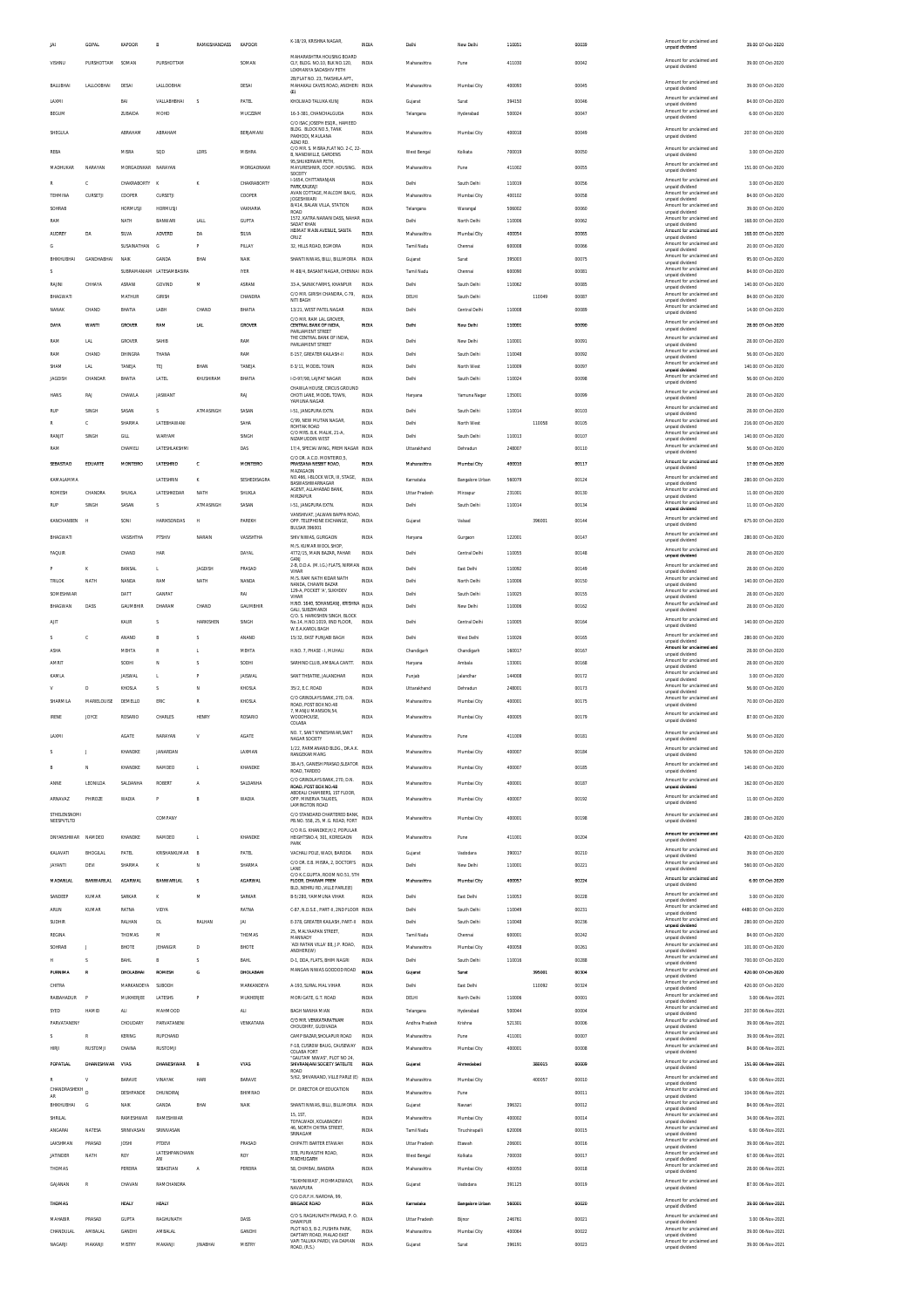|                        | <b>GOPAL</b>       | KAPOOR                   | B                            | RAMKISHANDASS KAPOOR |                          | K-18/19, KRISHNA NAGAR,                                                                                | INDIA                 | Delhi                         | New Delhi                  | 110051           |        | 00039          | Amount for unclaimed and<br>unpaid dividend                             | 39.00 07-Oct-2020                        |
|------------------------|--------------------|--------------------------|------------------------------|----------------------|--------------------------|--------------------------------------------------------------------------------------------------------|-----------------------|-------------------------------|----------------------------|------------------|--------|----------------|-------------------------------------------------------------------------|------------------------------------------|
| VISHNU                 | PURSHOTTAM         | SOMAN                    | PURSHOTTAM                   |                      | SOMAN                    | MAHARASHTRA HOUSING BOARD<br>CLY, BLDG. NO.10, BLK NO.120,<br>LOKMANYA SADASHIV PETH                   | INDIA                 | Maharashtra                   | Pune                       | 411030           |        | 00042          | Amount for unclaimed and<br>unpaid dividend                             | 39.00 07-Oct-2020                        |
| BALUBHAI               | LALLOOBHA          | DESAI                    | LALLOOBHA                    |                      | DESAI                    | 2B/FLAT NO. 23. TAKSHILA APT.<br>MAHAKALI CAVES ROAD, ANDHERI INDIA                                    |                       | Maharashtra                   | Mumbai City                | 400093           |        | 00045          | Amount for unclaimed and                                                | 39.00 07-Oct-2020                        |
| LAXMI                  |                    | BAI                      | VALLABHBHAI                  | <sub>S</sub>         | PATEL                    | (E)<br>KHOLWAD TALUKA KUNJ                                                                             | INDIA                 | Gujarat                       | Surat                      | 394150           |        | 00046          | unpaid dividend<br>Amount for unclaimed and                             | 84.00 07-Oct-2020                        |
| BEGUM                  |                    | ZUBAIDA                  | MOHD                         |                      | MUCZZAM                  | 16-3-381, CHANCHALGUDA                                                                                 | <b>INDIA</b>          | Telangana                     | Hyderabad                  | 500024           |        | 00047          | unpaid dividend<br>Amount for unclaimed and<br>unpaid dividend          | 6.00 07-Oct-2020                         |
| SHEGULA                |                    | ABRAHAM                  | ABRAHAM                      |                      | BERJAMANI                | C/O ISAC JOSEPH ESGR., HAMEED<br>BLDG. BLOCK NO.5. TANK                                                | <b>INDIA</b>          | Maharashtra                   | Mumbai City                | 400018           |        | 00049          | Amount for unclaimed and                                                | 207.00 07-Oct-2020                       |
|                        |                    |                          |                              |                      |                          | PAKHODI, MAULANA<br>AZAD RD.<br>C/O MR. S. MISRA, FLAT NO. 2-C, 22- INDIA                              |                       |                               |                            |                  |        |                | unpaid dividend<br>Amount for unclaimed and                             |                                          |
| REBA                   |                    | MISRA                    | SOD                          | LDRS                 | MISHRA                   | B, NANDWILLE, GARDENS<br>95, SHUKERWAR PETH,                                                           |                       | West Bengal                   | Kolkata                    | 700019           |        | 00050          | unpaid dividend<br>Amount for unclaimed and                             | 3.00 07-Oct-2020                         |
| MADHUKAR               | NARAYAN            | MORGAONKAR NARAYAN       |                              |                      | MORGAONKAR               | MAYURESHWR, COOP. HOUSING.<br>SOCEITY<br>I-1654. CHITTARANJAN                                          | INDIA                 | Maharashtra                   | Pune                       | 411002           |        | 00055          | unpaid dividend<br>Amount for unclaimed and                             | 151.00 07-Oct-2020                       |
| TEHMINA                | c<br>CURSETJI      | CHAKRABORTY K<br>COOPER  | CURSETJI                     | ĸ                    | CHAKRABORTY<br>COOPER    | PARK, KALKAJI<br>AVAN COTTAGE, MALCOM BAUG,                                                            | INDIA<br><b>INDIA</b> | Delhi<br>Maharashtra          | South Delhi<br>Mumbai City | 110019<br>400102 |        | 00056<br>00058 | unpaid dividend<br>Amount for unclaimed and                             | 3.00 07-Oct-2020<br>84.00 07-Oct-2020    |
| SOHRAB                 |                    | <b>HORMUSJI</b>          | <b>HORMUSJI</b>              |                      | VAKHARIA                 | <b>JOGESHWARI</b><br>8/414, BALAN VILLA, STATION<br>ROAD                                               | INDIA                 | Telangana                     | Warangal                   | 506002           |        | 00060          | unpaid dividend<br>Amount for unclaimed and<br>unpaid dividend          | 39.00 07-Oct-2020                        |
| RAM                    |                    | NATH                     | BANWARI                      | LALL                 | <b>GUPTA</b>             | 1572, KATRA NARAIN DASS, NAHAR INDIA<br>SADAT KHAN                                                     |                       | Delhi                         | North Delhi                | 110006           |        | 00062          | Amount for unclaimed and<br>unpaid dividend                             | 168.00 07-Oct-2020                       |
| AUDREY                 | DA                 | SILVA                    | ADVERD                       | DA                   | SILVA                    | HEIMAT MAIN AVENUE, SANTA<br>CRUZ                                                                      | INDIA                 | Maharashtra                   | Mumbai City                | 400054           |        | 00065          | Amount for unclaimed and<br>unpaid dividend<br>Amount for unclaimed and | 168.00.07-Oct-2020                       |
| <b>BHIKHUBHAI</b>      | <b>GANDHABHAI</b>  | SUSAINATHAN<br>NAIK      | G<br>GANDA                   | P<br>BHA             | PILLAY<br><b>NAIK</b>    | 32, HILLS ROAD, EGMORA<br>SHANTI NIWAS, BILLI, BILLIMORIA INDIA                                        | INDIA                 | Tamil Nadu<br>Gujarat         | Chennai<br>Surat           | 600008<br>395003 |        | 00066<br>00075 | unpaid dividend<br>Amount for unclaimed and                             | 20.00 07-Oct-2020<br>95.00 07-Oct-2020   |
|                        |                    |                          | SUBRAMANIAM LATESAMBASIRA    |                      | <b>IYER</b>              | M-88/4, BASANT NAGAR, CHENNAL INDIA                                                                    |                       | Tamil Nadu                    | Chennai                    | 600090           |        | 00081          | unpaid dividend<br>Amount for unclaimed and<br>unpaid dividend          | 84.00 07-Oct-2020                        |
| RAJINI                 | CHHAYA             | ASRANI                   | GOVINE                       | M                    | ASRANI                   | 33-A, SAINIK FARMS, KHANPUR                                                                            | INDIA                 | Delhi                         | South Delhi                | 110062           |        | 00085          | Amount for unclaimed and<br>unpaid dividend                             | 140.00 07-Oct-2020                       |
| BHAGWATI               |                    | MATHUR                   | GIRISH                       |                      | CHANDRA                  | C/O MR. GIRISH CHANDRA, C-79,<br>NITI BAGH                                                             | INDIA                 | DELHI                         | South Delhi                |                  | 110049 | 00087          | Amount for unclaimed and<br>unpaid dividend<br>Amount for unclaimed and | 84.00 07-Oct-2020                        |
| NANAK                  | CHAND              | BHATIA                   | LABH                         | CHAND                | BHATIA                   | 13/21, WEST PATEL NAGAR<br>C/O MR. RAM LAL GROVER,                                                     | INDIA                 | Delh                          | Central Delhi              | 110008           |        | 00089          | unpaid dividend<br>Amount for unclaimed and                             | 14.00 07-Oct-2020                        |
| DAYA                   | <b>WANTI</b>       | <b>GROVER</b>            | RAM                          | LAL                  | GROVER                   | CENTRAL BANK OF INDIA,<br>PARLIAMENT STREET<br>THE CENTRAL BANK OF INDIA,                              | <b>INDIA</b>          | Delhi                         | New Dethi                  | 110001           |        | 00090          | unpaid dividend<br>Amount for unclaimed and                             | 28.00 07-Oct-2020                        |
| RAM<br>RAM             | LAL<br>CHAND       | GROVER<br>DHINGRA        | SAHIB<br>THANA               |                      | RAM<br>RAM               | PARLIAMENT STREET<br>E-157, GREATER KAILASH-II                                                         | INDIA<br>INDIA        | Delhi<br>Delh                 | New Delhi<br>South Delhi   | 110001<br>110048 |        | 00091<br>00092 | unpaid dividend<br>Amount for unclaimed and                             | 28.00 07-Oct-2020<br>56.00 07-Oct-2020   |
| SHAM                   | LAL                | TANEJA                   | TEJ                          | BHAN                 | TANEJA                   | E-3/11. MODEL TOWN                                                                                     | INDIA                 | Delhi                         | North West                 | 110009           |        | 00097          | unpaid dividend<br>Amount for unclaimed and<br>unpaid dividend          | 140.00.07-Oct-2020                       |
| <b>JAGDISH</b>         | CHANDAR            | BHATIA                   | LATEL                        | KHUSHIRAM            | BHATIA                   | I-D-97/98, LAIPAT NAGAR<br>CHAWLA HOUSE, CIRCUS GROUND                                                 | INDIA                 | Delhi                         | South Delhi                | 110024           |        | 00098          | Amount for unclaimed and<br>unpaid dividend                             | 56.00 07-Oct-2020                        |
| <b>HANS</b>            | RAJ                | CHAWLA                   | JASWANT                      |                      | RAJ                      | CHOTI LANE, MODEL TOWN<br>YAMUNA NAGAR                                                                 | INDIA                 | Haryana                       | <b>Yamuna Nana</b>         | 135001           |        | 00099          | Amount for unclaimed and<br>unpaid dividend                             | 28.00 07-Oct-2020                        |
| RUP                    | SINGH              | SASAN                    | s                            | ATMASINGH            | SASAN                    | 1-51. JANGPURA EXTN.<br>C/99 NEW MUTAN NAGAR                                                           | INDIA                 | Delhi                         | South Delhi                | 110014           |        | 00103          | Amount for unclaimed and<br>unpaid dividend<br>Amount for unclaimed and | 28.00 07-Oct-2020                        |
| RANJIT                 | c<br>SINGH         | SHARMA<br>GILL           | LATEBHAWANI<br><b>WARYAM</b> |                      | SAHA<br>SINGH            | ROHTAK ROAD<br>C/O MRS. B.K. MALIK, 21-A                                                               | INDIA<br><b>INDIA</b> | Delhi<br>Delhi                | North West<br>South Delhi  | 110013           | 110058 | 00105<br>00107 | unpaid dividend<br>Amount for unclaimed and                             | 216.00 07-Oct-2020<br>140.00 07-Oct-2020 |
| RAM                    |                    | CHAMELI                  | LATESHLAKSHM                 |                      | DAS                      | NIZAMUDDIN WEST<br>17/4, SPECIAI WING, PREM NAGAR INDIA                                                |                       | Uttarakhand                   | Dehradun                   | 248007           |        | 00110          | unpaid dividend<br>Amount for unclaimed and<br>unpaid dividend          | 56.00 07-Oct-2020                        |
| SEBASTIAO              | EDUARTE            | MONTEIRO                 | LATESHRID                    | c                    | MONTEIRO                 | C/O DR. A.C.D. MONTEIRO,5<br>PRASSANA NESBIT ROAD.                                                     | <b>INDIA</b>          | Maharashtra                   | Mumbai City                | 400010           |        | 00117          | Amount for unclaimed and                                                | 17.00 07-Oct-2020                        |
| KAMALAMMA              |                    |                          | LATESHRIN                    | ĸ                    | SESHEDISAGRA             | MAZAGAON<br>NO.466, I-BLOCK WCR, III, STAGE,                                                           | <b>INDIA</b>          | Karnataka                     | Bangalore Urban            | 560079           |        | 00124          | unpaid dividend<br>Amount for unclaimed and                             | 280.00 07-Oct-2020                       |
| <b>ROMESH</b>          | CHANDRA            | <b>SHUKLA</b>            | LATESHKEDAR                  | NATH                 | SHUKLA                   | <b>BASWASHWARNAGAR</b><br>AGENT, ALLAHABAD BANK,<br>MIRZAPUR                                           | INDIA                 | Uttar Pradesh                 | Mirzapur                   | 231001           |        | 00130          | unpaid dividend<br>Amount for unclaimed and<br>unpaid dividend          | 11.00 07-Oct-2020                        |
| RUF                    | SINGH              | SASAN                    | s                            | ATMASINGH            | SASAN                    | 1-51, JANGPURA EXTN.                                                                                   | <b>INDIA</b>          | Delhi                         | South Delhi                | 110014           |        | 00134          | Amount for unclaimed and<br>unpaid dividend                             | 11.00 07-Oct-2020                        |
| KANCHANBEN             | <b>H</b>           | SONI                     | <b>HARIKSONDAS</b>           | н                    | PAREKH                   | VANSHIVAT, JALWAN BAPPA ROAD,<br>OPP. TELEPHONE EXCHANGE<br><b>BULSAR 396001</b>                       | INDIA                 | Gujarat                       | Valsad                     |                  | 396001 | 00144          | Amount for unclaimed and<br>unpaid dividend                             | 675.00 07-Oct-2020                       |
| BHAGWATI               |                    | VASISHTHA                | PTSHIV                       | <b>NARAIN</b>        | VASISHTHA                | SHIV NIWAS, GURGAON                                                                                    | INDIA                 | Haryana                       | Gurgson                    | 122001           |        | 00147          | Amount for unclaimed and<br>unpaid dividend                             | 280.00 07-Oct-2020                       |
| FAQUIR                 |                    | CHAND                    | HAR                          |                      | DAYAL                    | M/S. KUMAR WOOL SHOP.<br>4772/15, MAIN BAZAR, PAHAR<br>GANJ                                            | INDIA                 | Delhi                         | Central Delhi              | 110055           |        | 00148          | Amount for unclaimed and<br>unpaid dividend                             | 28.00 07-Oct-2020                        |
|                        | к                  | BANSAL                   | L.                           | JAGDISH              | PRASAD                   | 2-B, D.D.A. (M.I.G.) FLATS, NIRMAN<br>VIHAR                                                            | INDIA                 | Delhi                         | East Delhi                 | 110092           |        | 00149          | Amount for unclaimed and<br>unpaid dividend                             | 28.00 07-Oct-2020                        |
| <b>TRILOK</b>          | NATH               | NANDA                    | RAM                          | NATH                 | NANDA                    | M/S. RAM NATH KIDAR NATH<br>NANDA, CHAWRI BAZAR<br>129-A, POCKET 'A', SUKHDEV                          | INDIA                 | Delhi                         | North Delhi                | 110006           |        | 00150          | Amount for unclaimed and<br>unpaid dividend<br>Amount for unclaimed and | 140.00 07-Oct-2020                       |
| SOMESHWAP<br>BHAGWAN   | DASS               | DATT<br>GAUMBHIR         | <b>GANPA</b><br>DHARAM       | CHAND                | RAI<br><b>GAUMBHIR</b>   | VIHAR<br>H.NO. 1640, SOHANGANJ, KRISHNA<br>H.NO. 1640, SOHANGANJ, KRISHNA                              | <b>INDIA</b>          | Delh<br>Delhi                 | South Delhi<br>New Delhi   | 110025<br>110006 |        | 00155<br>00162 | unpaid dividend<br>Amount for unclaimed and                             | 28.00 07-Oct-2020<br>28.00 07-Oct-2020   |
| AIT                    |                    | KAUR                     | s                            | HARKISHEN            | SINGH                    | GALI, SUBZIMANDI<br>C/O. S. HARKISHEN SINGH. BLOCK<br>No.14, H.NO.1019, IIND FLOOR,                    | INDIA                 | Delhi                         | Central Delhi              | 110005           |        | 00164          | unpaid dividend<br>Amount for unclaimed and                             | 140.00 07-Oct-2020                       |
|                        | c                  | ANAND                    | B                            |                      | ANAND                    | W.E.A.KAROL BAGH<br>15/32. EAST PUNJABI BAGH                                                           | INDIA                 | Delhi                         | West Delhi                 | 110026           |        | 00165          | unpaid dividend<br>Amount for unclaimed and                             | 280.00 07-Oct-2020                       |
| ASHA                   |                    | MEHTA                    | $\mathbb{R}$                 | L                    | MEHTA                    | H NO. 7 PHASE - I MUHALL                                                                               | INDIA                 | Chandigarh                    | Chandigarh                 | 160017           |        | 00167          | unpaid dividend<br>Amount for unclaimed and<br>unpaid dividend          | 28.00 07-Oct-2020                        |
| AMRIT                  |                    | SODHI                    | N                            | s                    | SODHI                    | SARHIND CLUB, AMBALA CANTT                                                                             | INDIA                 | Haryana                       | Ambala                     | 133001           |        | 00168          | Amount for unclaimed and<br>unpaid dividend<br>Amount for unclaimed and | 28.00 07-Oct-2020                        |
| KAMLA<br>$\mathbf v$   |                    | <b>JAISWAL</b><br>KHOSLA | L.<br>s                      | P                    | <b>JAISWAL</b><br>KHOSLA | SANT THEATRE, JALANDHAR                                                                                | INDIA<br>INDIA        | Punjab                        | Jalandhar<br>Dehradun      | 144008<br>248001 |        | 00172<br>00173 | unpaid dividend<br>Amount for unclaimed and                             | 3.00 07-Oct-2020<br>56.00 07-Oct-2020    |
| SHARMILA               | D<br>MARIELOUISE   | DEMELLO                  | ERIC                         | Ν<br>${\mathbb R}$   | KHOSLA                   | 35/2, E.C. ROAD<br>C/O GRINDLAYS BANK, 270, D.N.                                                       | <b>INDIA</b>          | Uttarakhand<br>Maharashtra    | Mumbai City                | 400001           |        | 00175          | unpaid dividend<br>Amount for unclaimed and                             | 70.00 07-Oct-2020                        |
| <b>IRENE</b>           | <b>JOYCE</b>       | ROSARIO                  | CHARLES                      | HENRY                | ROSARIO                  | ROAD, POST BOX NO.48<br>7, MANJU MANSION, 54,<br>WOODHOUSE                                             | INDIA                 | Maharashtra                   | Mumbai City                | 400005           |        | 00179          | unpaid dividend<br>Amount for unclaimed and                             | 87.00 07-Oct-2020                        |
|                        |                    |                          |                              |                      |                          | COLABA<br>NO. 7, SANT NYNESHWAR, SANT                                                                  |                       |                               |                            |                  |        |                | unpaid dividend<br>Amount for unclaimed and                             |                                          |
| LAXM                   |                    | <b>AGATE</b>             | NARAYAN<br>JANARDAN          | v                    | AGATE                    | NAGAR SOCIETY<br>1/22, PARMANAND BLDG., DR.A.K.                                                        | <b>INDIA</b><br>INDIA | Maharashtra                   | Pune                       | 411009<br>400007 |        | 00181          | unpaid dividend<br>Amount for unclaimed and                             | 56.00 07-Oct-2020                        |
|                        |                    | KHANDKE                  |                              |                      | LAXMAN                   | RANGEKAR MARG<br>38-A/5. GANESH PRASAD SLEATOR                                                         | <b>INDIA</b>          | Maharashtra                   | Mumbai City                |                  |        | 00184          | unpaid dividend<br>Amount for unclaimed and                             | 526.00 07-Oct-2020<br>140.00.07-Oct-2020 |
|                        | N<br>LEONILDA      | KHANDKE                  | NAMDEO<br>ROBERT             | L                    | KHANDKE<br>SALDANHA      | ROAD, TARDEO<br>C/O GRINDLAYS BANK, 270, D.N.                                                          | INDIA                 | Maharashtra                   | Mumbai City                | 400007           |        | 00185          | unpaid dividend<br>Amount for unclaimed and                             | 162.00 07-Oct-2020                       |
| ANNE                   |                    | SALDANHA                 |                              | Α                    |                          | ROAD, POST BOX NO.48<br>ABDEALI CHAMBERS, 1ST FLOOR,                                                   | INDIA                 | Maharashtra                   | Mumbai City                | 400001           |        | 00187          | unpaid dividend<br>Amount for unclaimed and                             |                                          |
| ARNAVAZ<br>STHELENSNOM | PHIROZE            | <b>WADIA</b>             | P                            | B                    | <b>WADIA</b>             | OPP. MINERVA TALKIES,<br>LAMINGTON ROAD<br>C/O STANDARD CHARTERED BANK                                 |                       | Maharashtra                   | Mumbai City                | 400007           |        | 00192          | unpaid dividend<br>Amount for unclaimed and                             | 11.00 07-Oct-2020                        |
| NEESPVTLTD             |                    |                          | COMPANY                      |                      |                          | PB.NO. 558, 25, M.G. ROAD, FORT                                                                        | INDIA                 | Maharashtra                   | Mumbai City                | 400001           |        | 00198          | unpaid dividend                                                         | 280.00 07-Oct-2020                       |
| DNYANSHWAR NAMDEO      |                    | KHANDKE                  | NAMDEO                       | L                    | KHANDKE                  | C/O R.G. KHANDKE, H/2, POPULAR<br>HEIGHTSNO.4, 301, KOREGAON<br>PARK                                   | INDIA                 | Maharashtra                   | Pune                       | 411001           |        | 00204          | Amount for unclaimed and<br>unpaid dividend                             | 420.00 07-Oct-2020                       |
| KALAVATI               | <b>BHOGILAL</b>    | PATEL                    | KRISHANKUMAR                 | E                    | PATEL                    | VACHALI POLE, WADI, BARODA                                                                             | INDIA                 | Gujarat                       | Vadodara                   | 390017           |        | 00210          | Amount for unclaimed and<br>unpaid dividend                             | 39.00 07-Oct-2020                        |
| <b>JAYANTI</b>         | DEVI               | SHARMA                   | к                            | N                    | SHARMA                   | C/O DR. E.B. MISRA, 2, DOCTOR'S<br>C/O K.C.GUPTA, ROOM NO.51, 5TH                                      | INDIA                 | Delhi                         | New Delhi                  | 110001           |        | 00221          | Amount for unclaimed and<br>unpaid dividend<br>Amount for unclaimed and | 560.00 07-Oct-2020                       |
| <b>MADANLAL</b>        | <b>BANWARILAL</b>  | <b>AGARWAL</b>           | BANWARILA                    | s                    | <b>AGARWAL</b>           | FLOOR. DHARAM PREM<br>BLD., NEHRU RD., VILLE PARLE(E)                                                  | <b>INDIA</b>          | Maharashtra                   | Mumbai City                | 400057           |        | 00224          | unpaid dividend<br>Amount for unclaimed and                             | 6.00 07-Oct-2020                         |
| SANDEEP<br><b>ARUN</b> | KUMAR<br>KUMAR     | SARKAR<br>RATNA          | ĸ<br>VIDYA                   | M                    | SARKAR<br>RATNA          | B-5/280, YAMMUNA VIHAR<br>C-87, N.D.S.E., PART-II, 2ND FLOOR INDIA                                     | INDIA                 | Delhi<br>Delhi                | East Delhi<br>South Delhi  | 110053<br>110049 |        | 00228<br>00231 | unpaid dividend<br>Amount for unclaimed and                             | 3.00 07-Oct-2020<br>4480.00 07-Oct-2020  |
| SUDHIR                 |                    | RALHAN                   | DL                           | RALHAN               | JAI                      | E-378, GREATER KAILASH, PART-II                                                                        | <b>INDIA</b>          | Delhi                         | South Delhi                | 110048           |        | 00236          | unpaid dividend<br>Amount for unclaimed and<br>unpaid dividend          | 280.00 07-Oct-2020                       |
| REGINA                 |                    | THOMAS                   | M                            |                      | THOMAS                   | 25, MALYAAPAN STREET,<br>MANNADY                                                                       | INDIA                 | Tamil Nadu                    | Chennai                    | 600001           |        | 00242          | Amount for unclaimed and<br>unpaid dividend                             | 84.00 07-Oct-2020                        |
| SOHRAF                 |                    | BHOTE                    | JEHANGIR                     | D                    | BHOTE                    | 'ADI RATAN VILLA' 88, J.P. ROAD,<br>ANDHERI(W)                                                         | INDIA                 | Maharashtra                   | Mumbai City                | 400058           |        | 00261          | Amount for unclaimed and<br>unpaid dividend<br>Amount for unclaimed and | 101.00 07-Oct-2020                       |
| н<br>PURNIMA           | s<br>R             | <b>BAHL</b><br>DHOLABHAI | B<br>ROMESH                  | s<br>G               | <b>BAHL</b><br>DHOLABAH  | D-1, DDA, FLATS, BHIM NAGRI<br>MANGAN NIWAS GODDOD ROAD                                                | INDIA<br>INDIA        | Delhi<br>Gujara               | South Delhi<br>Surat       | 110016           | 395001 | 00288<br>00304 | unpaid dividend<br>Amount for unclaimed and                             | 700.00 07-Oct-2020<br>420.00 07-Oct-2020 |
| CHITRA                 |                    | MARKANDEYA               | <b>SUBODI-</b>               |                      | MARKANDEYA               | A-193, SURAL MAL VIHAR                                                                                 | INDIA                 | Delhi                         | East Delhi                 |                  | 110092 | 00324          | unpaid dividend<br>Amount for unclaimed and                             | 420.00 07-Oct-2020                       |
| RAIBAHADUR             |                    | MUKHERJEE                | LATESHS                      | P                    | MUKHERJEE                | MORI GATE, G.T. ROAD                                                                                   | INDIA                 | DELHI                         | North Delhi                | 110006           |        | 00001          | unpaid dividend<br>Amount for unclaimed and<br>unpaid dividend          | 3.00 06-Nov-2021                         |
| SYED                   | HAMID              | ALI                      | MAHMOOD                      |                      | <b>ALI</b>               | BAGH NANHA MIAN<br>C/O MR. VENKATARATNAM                                                               | INDIA                 | Telangana                     | Hyderabad                  | 500044           |        | 00004          | Amount for unclaimed and<br>unpaid dividend<br>Amount for unclaimed and | 207.00 06-Nov-2021                       |
| PARVATANENY            | R                  | CHOUDARY<br>KERING       | PARVATANENI<br>RUPCHAND      |                      | VENKATARA                | CHOUDHRY, GUDIVADA<br>CAMP BAZAR, SHOLAPUR ROAD                                                        | INDIA<br>INDIA        | Andhra Pradesh<br>Maharashtra | Krishna<br>Pune            | 521301<br>411001 |        | 00006<br>00007 | unpaid dividend<br>Amount for unclaimed and                             | 39.00 06-Nov-2021<br>39.00 06-Nov-2021   |
| <b>HIRJI</b>           | <b>RUSTOMJI</b>    | CHAINA                   | RUSTOMJ                      |                      |                          | F-18, CUSROW BAUG, CAUSEWAY<br><b>COLABA FORT</b>                                                      | INDIA                 | Maharashtra                   | Mumbai City                | 400001           |        | 00008          | unpaid dividend<br>Amount for unclaimed and<br>unpaid dividend          | 84.00 06-Nov-2021                        |
| POPATLA                | <b>DHANESHWAR</b>  | VYAS                     | DHANESHWAR                   |                      | VYAS                     | "GAUTAM NIWAS", PLOT NO 24<br>SHIVRANJANI SOCIETY SATELITE                                             | <b>INDIA</b>          | Gujarat                       | Ahmedaba                   |                  | 380015 | 00005          | Amount for unclaimed and<br>unpaid dividend                             | 151.00 06-Nov-2021                       |
|                        |                    | <b>RARAVE</b>            | VINAYAK                      | HAR                  | BARAVE                   | ROAD<br>5/62, SHIVANAND, VILLE PARLE (E)                                                               | INDIA                 | Maharashtra                   | Mumbai City                |                  | 400057 | 00010          | Amount for unclaimed and<br>unpaid dividend                             | 6.00 06-Nov-2021                         |
| CHANDRASHEKH<br>AR     |                    | DESHPANDE                | DHUNDIRAJ                    |                      | BHIMRAO                  | DY. DIRECTOR OF EDUCATION                                                                              | INDIA                 | Maharashtra                   | Pune                       |                  |        | 00011          | Amount for unclaimed and<br>unpaid dividend                             | 104.00 06-Nov-2021                       |
|                        |                    |                          | GANDA                        | BHA                  | <b>NAIK</b>              | SHANTI NIWAS, BILLI, BILLIMORIA INDIA                                                                  |                       | Gujarat                       | Navsari                    | 396321           |        | 00012          | Amount for unclaimed and<br>unpaid dividend<br>Amount for unclaimed and | 84.00 06-Nov-2021                        |
| BHIKHUBHAI             | G                  | NAIK                     |                              |                      |                          | 15.1ST.                                                                                                | INDIA                 | Maharashtra                   | Mumbai City                | 400002           |        | 00014          | unpaid dividend                                                         | 34.00 06-Nov-2021                        |
| SHRILAL<br>ANGARAI     | NATESA             | RAMESHWAR<br>SRINIVASAN  | RAMESHWAR<br>SRINIVASAN      |                      |                          | TOFALWADI. KOLABADEVI<br>46, NORTH CHITRA STREET                                                       | INDIA                 | Tamil Nadu                    | Tiruchirapalli             | 620006           |        | 00015          | Amount for unclaimed and                                                | 6.00 06-Nov-2021                         |
| LAKSHMAN               | PRASAD             | <b>JOSHI</b>             | PTDEVI                       |                      | PRASAD                   | SRINAGAM<br>CHIPATTI BARTER ETAWAH                                                                     | INDIA                 | Uttar Pradesh                 | Etawah                     | 206001           |        | 00016          | unpaid dividend<br>Amount for unclaimed and<br>unpaid dividend          | 39.00 06-Nov-2021                        |
| <b>JATINDER</b>        | NATH               | ROY                      | LATESHPANCHANN<br>AN         |                      | ROY                      | 378, PURVASITHI ROAD,<br>MADHUGARH                                                                     | INDIA                 | West Bengal                   | Kolkata                    | 700030           |        | 00017          | Amount for unclaimed and<br>unpaid dividend                             | 67.00 06-Nov-2021                        |
| THOMAS                 |                    | PEREIRA                  | SEBASTIAN                    | Α                    | PEREIRA                  | 58, CHIMBAI, BANDRA                                                                                    | INDIA                 | Maharashtra                   | Mumbai City                | 400050           |        | 00018          | Amount for unclaimed and<br>unpaid dividend                             | 28.00 06-Nov-2021                        |
| GAJANAN                | R                  | CHAVAN                   | RAMCHANDRA                   |                      |                          | "SUKHNIWAS", MOHMADWADI,<br>NAVAPURA                                                                   | INDIA                 | Gujarat                       | Vadodara                   | 391125           |        | 00019          | Amount for unclaimed and<br>unpaid dividend                             | 87.00 06-Nov-2021                        |
| THOMAS                 |                    | HEALY                    | HEALY                        |                      |                          | C/O D.R.F.H. NAROHA, 99<br><b>BRIGADE ROAD</b>                                                         | INDIA                 | Karnataka                     | <b>Bangalore Urban</b>     | 560001           |        | 00020          | Amount for unclaimed and<br>unpaid dividend                             | 39.00 06-Nov-2021                        |
| MAHABIR                | PRASAD             | <b>GUPTA</b>             | RAGHUNATH                    |                      | DASS                     | C/O S. RAGHUNATH PRASAD, P. O.<br>DHAMPUR                                                              | <b>INDIA</b>          | <b>Uttar Pradesh</b>          | Bijnor                     | 246761           |        | 00021          | Amount for unclaimed and<br>unpaid dividend                             | 3.00 06-Nov-2021                         |
| CHANDULAI<br>NAGARJI   | AMRALAI<br>MAKANJI | GANDH<br>MISTRY          | AMBALAL<br>MAKANJI           | <b>JINABHAI</b>      | GANDHI<br>MISTRY         | PLOT NO 5 B-2 PLISHPA PARK<br>DAFTARY ROAD, MALAD EAST<br>VAPI TALUKA PARDI, VIA DAMAN<br>ROAD, (R.S.) | INDIA<br>INDIA        | Maharashtra<br>Gujarat        | Mumbai City<br>Surat       | 400064<br>396191 |        | 00022<br>00023 | Amount for unclaimed and<br>unpaid dividend<br>Amount for unclaimed and | 39.00 06-Nov-2021<br>39.00 06-Nov-2021   |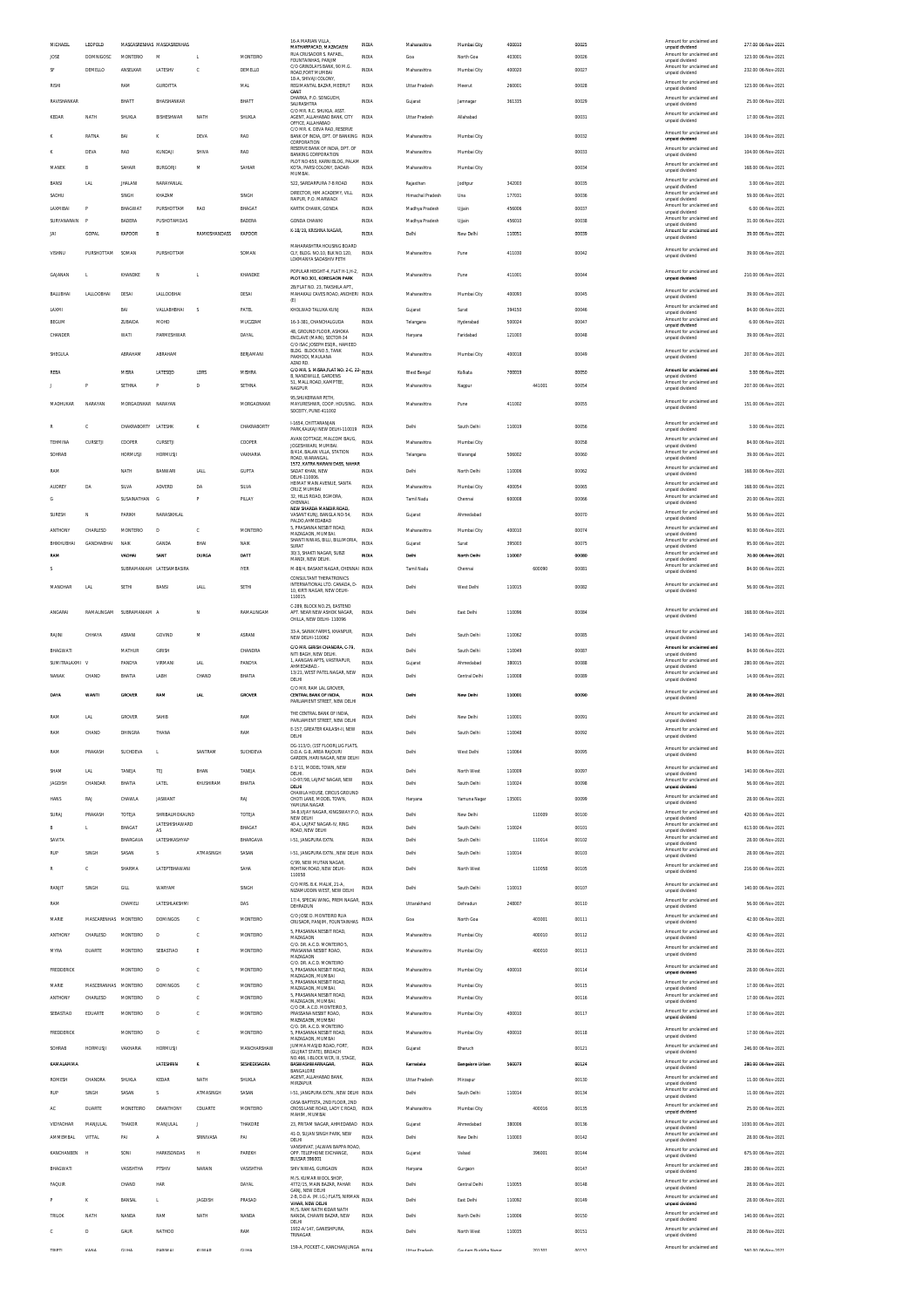| MICHAEL           | LEOPOLD              |                     | MASCASRENHAS MASCASRENHAS |                |                 | 16-A MARIAN VILLA                                                    | <b>INDIA</b>          | Maharashtra           | Mumbai City               | 400010 |        | 00025          | Amount for unclaimed and                    | 277.00 06-Nov-2021  |
|-------------------|----------------------|---------------------|---------------------------|----------------|-----------------|----------------------------------------------------------------------|-----------------------|-----------------------|---------------------------|--------|--------|----------------|---------------------------------------------|---------------------|
| JOSE              | <b>DOMNIGOSC</b>     | <b>MONTERIO</b>     | M                         | L.             | <b>MONTEIRO</b> | MATHARPACAD, MAZAGAON<br>RUA CRUSADOR S. RAFAEL,                     | <b>INDIA</b>          | Goa                   | North Goa                 | 403001 |        | 00026          | unpaid dividend<br>Amount for unclaimed and | 123.00 06-Nov-2021  |
|                   | DEMELLO              | ANSELKAR            | LATESHV                   | c              | DEMELLO         | FOUNTAINHAS, PANJIM<br>C/O GRINDLAYS BANK, 90 M.G.                   | INDIA                 | Maharashtra           | Mumbai City               | 400020 |        | 00027          | unpaid dividend<br>Amount for unclaimed and | 232.00 06-Nov-2021  |
| RISHI             |                      | RAM                 | <b>GURDITTA</b>           |                | <b>MAL</b>      | ROAD, FORT MUMBAI<br>18-A, SHIVAII COLONY                            | <b>INDIA</b>          | Uttar Pradesh         | Meerut                    | 260001 |        | 00028          | unpaid dividend<br>Amount for unclaimed and | 123.00 06-Nov-2021  |
|                   |                      |                     |                           |                |                 | REGIMANTAL BAZAR, MEERUT<br>CANT<br>DHARKA, P.O. SONGUDH,            |                       |                       |                           |        |        |                | unpaid dividend<br>Amount for unclaimed and |                     |
| RAVISHANKAR       |                      | BHATT               | BHAISHANKAR               |                | BHATT           | SAURASHTRA<br>C/O MR R.C. SHUKLA ASST                                | <b>INDIA</b>          | Gujarat               | Jamnagar                  | 361335 |        | 00029          | unpaid dividend                             | 25.00 06-Nov-2021   |
| KEDAR             | NATH                 | SHUKLA              | BISHESHWAR                | NATH           | SHUKLA          | AGENT. ALLAHABAD BANK. CITY<br>OFFICE, ALLAHABAD                     | <b>INDIA</b>          | Uttar Pradesh         | Allahabad                 |        |        | 00031          | Amount for unclaimed and<br>unpaid dividend | 17.00 06-Nov-2021   |
|                   | RATNA                | BAI                 | ĸ                         | DEVA           | RAO             | C/O MR. K. DEVA RAO, RESERVE<br>BANK OF INDIA, DPT. OF BANKING INDIA |                       | Maharashtra           | Mumbai City               |        |        | 00032          | Amount for unclaimed and                    | 104.00.06-Nov-2021  |
|                   |                      |                     |                           |                |                 | CORPORATION<br>RESERVE BANK OF INDIA, DPT. OF                        | <b>INDIA</b>          |                       |                           |        |        |                | unpaid dividend<br>Amount for unclaimed and |                     |
|                   | <b>DEVA</b>          | RAO                 | KUNDAJI                   | SHIVA          | RAO             | <b>BANKING CORPORATION</b><br>PLOT NO-650, KARNI BLOG, PALAM         |                       | Maharashtra           | Mumbai City               |        |        | 00033          | unpaid dividend                             | 104.00 06-Nov-2021  |
| MANER             |                      | SAHAIR              | <b>BURGORJI</b>           | M              | SAHIAR          | KOTA, PARSI COLONY, DADAR<br>MUMBAI.                                 | INDIA                 | Maharashtra           | Mumbai City               |        |        | 00034          | Amount for unclaimed and<br>unpaid dividend | 168.00 06-Nov-2021  |
| BANSI             | LAL                  | <b>JHALANI</b>      | NARAYANLAL                |                |                 | 522, SARDARPURA 7-B ROAD                                             | INDIA                 | Rajasthan             | Jodhpur                   | 342003 |        | 00035          | Amount for unclaimed and<br>unpaid dividend | 3.00 06-Nov-2021    |
| SADHU             |                      | SINGH               | KHAZAM                    |                | SINGH           | DIRECTOR, HIM ACADEMY, VILL<br>RAIPUR. P.O. MARWADI                  | <b>INDIA</b>          | Himachal Pradesh      | Una                       | 177031 |        | 00036          | Amount for unclaimed and<br>unpaid dividend | 59.00 06-Nov-2021   |
| LAXMIBAI<br>P     |                      | BHAGWAT             | PURSHOTTAM                | RAO            | BHAGAT          | KARTIK CHAWK, GONDA                                                  | <b>INDIA</b>          | Madhya Pradesh        | Ujjain                    | 456006 |        | 00037          | Amount for unclaimed and<br>unpaid dividend | 6.00 06-Nov-2021    |
| SURYANARAIN       |                      | BADERA              | PUSHOTAMDAS               |                | BADERA          | <b>GONDA CHAWKI</b>                                                  | <b>INDIA</b>          | Madhya Pradesh        | Ujjair                    | 456010 |        | 00038          | Amount for unclaimed and<br>unpaid dividend | 31.00 06-Nov-2021   |
| JAI               | GOPAL                | KAPOOR              | B                         | RAMKISHANDASS  | KAPOOR          | K-18/19, KRISHNA NAGAR                                               | <b>INDIA</b>          | Delhi                 | New Delhi                 | 110051 |        | 00039          | Amount for unclaimed and<br>unpaid dividend | 39.00 06-Nov-2021   |
|                   |                      |                     |                           |                |                 | MAHARASHTRA HOUSING BOARD                                            |                       |                       |                           |        |        |                | Amount for unclaimed and                    |                     |
| VISHNU            | PURSHOTTAM           | SOMAN               | PURSHOTTAM                |                | SOMAN           | CLY RUGS NO 10 BLK NO 120<br>LOKMANYA SADASHIV PETH                  | <b>INDIA</b>          | Maharashtra           | Pune                      | 411030 |        | 00042          | unpaid dividend                             | 39.00 06-Nov-2021   |
| GAJANAN           |                      | KHANDKE             | N                         | L              | KHANDKE         | POPULAR HEIGHT-4, FLAT H-1, H-2, INDIA                               |                       | Maharashtra           | Pune                      | 411001 |        | 00044          | Amount for unclaimed and                    | 210.00 06-Nov-2021  |
|                   |                      |                     |                           |                |                 | PLOT NO.301. KOREGAON PARK<br>2B/FLAT NO. 23. TAKSHILA APT.          |                       |                       |                           |        |        |                | unpaid dividend                             |                     |
| BALUBHAI          | LALLOOBHAI           | DESAI               | LALLOOBHAI                |                | DESAI           | MAHAKALI CAVES ROAD, ANDHERI INDIA                                   |                       | Maharashtra           | Mumbai City               | 400093 |        | 00045          | Amount for unclaimed and<br>unpaid dividend | 39.00 06-Nov-2021   |
| LAXMI             |                      | BAI                 | VALLABHBHAI               | s              | PATEL           | (E)<br>KHOLWAD TALUKA KUNJ                                           | <b>INDIA</b>          | Gujarat               | Surat                     | 394150 |        | 00046          | Amount for unclaimed and<br>unpaid dividend | 84.00 06-Nov-2021   |
| BEGUM             |                      | ZUBAIDA             | MOHD                      |                | MUCZZAM         | 16-3-381, CHANCHALGUDA                                               | <b>INDIA</b>          | Telangana             | Hyderabad                 | 500024 |        | 00047          | Amount for unclaimed and<br>unpaid dividend | 6.00 06-Nov-2021    |
| CHANDER           |                      | WATI                | PARMESHWAR                |                | DAYAL           | 48. GROUND FLOOR. ASHOKA                                             | <b>INDIA</b>          | Haryana               | Faridabad                 | 121003 |        | 00048          | Amount for unclaimed and                    | 39.00 06-Nov-2021   |
|                   |                      |                     |                           |                |                 | ENCLAVE (MAIN), SECTOR-34<br>C/O ISAC JOSEPH ESOR., HAMEED           |                       |                       |                           |        |        |                | unpaid dividend                             |                     |
| SHEGULA           |                      | ABRAHAM             | ABRAHAM                   |                | BERJAMANI       | BLDG. BLOCK NO.5. TANK<br>PAKHODI, MAULANA                           | <b>INDIA</b>          | Maharashtra           | Mumbai City               | 400018 |        | 00049          | Amount for unclaimed and<br>unpaid dividend | 207.00 06-Nov-2021  |
| REBA              |                      | MISRA               | LATESQD                   | LDRS           | MISHRA          | AZAD RD<br>C/O MR. S. MISRA, FLAT NO. 2-C, 22- INDIA                 |                       | West Bengal           | Kolkata                   | 700019 |        | 00050          | Amount for unclaimed and                    | 3.00 06-Nov-2021    |
|                   |                      | SETHNA              | P                         | D              | SETHNA          | <b>B. NANDWILLE, GARDENS</b><br>51. MALL ROAD, KAMPTEE               | <b>INDIA</b>          | Maharashtra           | Nagpur                    |        | 441001 | 00054          | unpaid dividend<br>Amount for unclaimed and | 207.00.06-Nov-2021  |
|                   |                      |                     |                           |                |                 | NAGPUR                                                               |                       |                       |                           |        |        |                | unpaid dividend                             |                     |
| <b>MADHLIKAR</b>  | NARAYAN              | MORGAONKAR NARAYAN  |                           |                | MORGAONKAR      | 95, SHUKERWAR PETH<br>MAYURESHWR. COOP. HOUSING.                     | <b>INDIA</b>          | Maharashtra           | Pune                      | 411002 |        | 00055          | Amount for unclaimed and<br>unpaid dividend | 151.00 06-Nov-2021  |
|                   |                      |                     |                           |                |                 | SOCEITY, PUNE-411002                                                 |                       |                       |                           |        |        |                |                                             |                     |
|                   |                      | CHAKRABORTY LATESHK |                           | K              | CHAKRABORTY     | I-1654. CHITTARANJAN<br>PARK.KALKAJI NEW DELHI-110019                | <b>INDIA</b>          | Delhi                 | South Delhi               | 110019 |        | 00056          | Amount for unclaimed and<br>unpaid dividend | 3.00 06-Nov-2021    |
| TEHMINA           | CURSETJI             | COOPER              | CURSETJI                  |                | COOPER          | AVAN COTTAGE. MALCOM BAUG.<br>JOGESHWARI, MUMBAL                     | INDIA                 | Maharashtra           | Mumbai City               |        |        | 00058          | Amount for unclaimed and<br>unpaid dividend | 84.00 06-Nov-2021   |
| SOHRAB            |                      | <b>HORMUSJI</b>     | HORMUSJI                  |                | VAKHARIA        | 8/414, BALAN VILLA, STATION<br>ROAD, WARANGAL                        | <b>INDIA</b>          | Telangana             | Warangal                  | 506002 |        | 00060          | Amount for unclaimed and                    | 39.00 06-Nov-2021   |
|                   |                      |                     |                           |                |                 | 1572. KATRA NARAIN DASS. NAHAR                                       |                       |                       |                           |        |        |                | unpaid dividend<br>Amount for unclaimed and |                     |
| RAM               |                      | NATH                | <b>BANWARI</b>            | LALL           | GUPTA           | SADAT KHAN, NEW<br>DELHI-110006                                      | <b>INDIA</b>          | Delhi                 | North Delhi               | 110006 |        | 00062          | unpaid dividend                             | 168.00 06-Nov-2021  |
| AUDREY            | DA                   | SILVA               | ADVERE                    | DA             | SILVA           | HEIMAT MAIN AVENUE, SANTA<br>CRUZ, MUMBAI                            | <b>INDIA</b>          | Maharashtra           | Mumbai City               | 400054 |        | 00065          | Amount for unclaimed and<br>unpaid dividend | 168.00 06-Nov-2021  |
| G                 |                      | SUSAINATHAN         | G                         | P              | PILLAY          | 32, HILLS ROAD, EGMORA<br>CHENNAL                                    | <b>INDIA</b>          | Tamil Nadu            | Chennai                   | 600008 |        | 00066          | Amount for unclaimed and<br>unpaid dividend | 20.00 06-Nov-2021   |
| SURESH<br>N       |                      | PARIKH              | NARASIKHLAL               |                |                 | NEW SHARDA MANDIR ROAD.<br>VASANT KUNJ, BANGLA NO-54,                | <b>INDIA</b>          | Gujarat               | Ahmedabad                 |        |        | 00070          | Amount for unclaimed and<br>unpaid dividend | 56.00 06-Nov-2021   |
|                   |                      |                     |                           |                |                 | PALDO AHMEDABAD<br>5. PRASANNA NESBIT ROAD.                          |                       |                       |                           |        |        |                | Amount for unclaimed and                    |                     |
| ANTHONY           | CHARLESD             | <b>MONTERIO</b>     | D                         | c              | MONTEIRO        | MAZAGAON, MUMBAI<br>SHANTI NIWAS, BILLI, BILLIMORIA                  | INDIA<br><b>INDIA</b> | Maharashtra           | Mumbai City               | 400010 |        | 00074          | unpaid dividend<br>Amount for unclaimed and | 90.00 06-Nov-2021   |
| <b>BHIKHUBHAI</b> | GANDHABHAI           | NAIK                | GANDA                     | BHAI<br>DURGA  | <b>NAIK</b>     | SURAT<br>30/3. SHAKTI NAGAR. SUBZI                                   |                       | Gujarat               | Surat                     | 395003 |        | 00075<br>00080 | unpaid dividend<br>Amount for unclaimed and | 95.00 06-Nov-2021   |
| RAM               |                      | VADHAI              | SANT                      |                | DATT            | MANDI, NEW DELHI.                                                    | INDIA                 | Dethi                 | North Delhi               | 110007 |        |                | unpaid dividend<br>Amount for unclaimed and | 70.00 06-Nov-2021   |
| s                 |                      |                     | SUBRAMANIAM LATESAMBASIRA |                | <b>IYER</b>     | M-88/4, BASANT NAGAR, CHENNAI INDIA<br>CONSULTANT THERATRONICS       |                       | Tamil Nadu            | Chennai                   |        | 600090 | 00081          | unpaid dividend                             | 84.00 06-Nov-2021   |
| MANOHAR           | LAL                  | SETHI               | BANSI                     | <b>LALL</b>    | SETHI           | INTERNATIONAL LTD. CANADA, D-<br>10, KIRTI NAGAR, NEW DELHI-         | <b>INDIA</b>          | Delhi                 | West Delhi                | 110015 |        | 00082          | Amount for unclaimed and<br>unpaid dividend | 56.00 06-Nov-2021   |
|                   |                      |                     |                           |                |                 | 110015                                                               |                       |                       |                           |        |        |                |                                             |                     |
| ANGARAI           | RAMALINGAM           | SUBRAMANIAM A       |                           | N              | RAMALINGAM      | C-289. BLOCK NO.25. EASTEND<br>APT. NEAR NEW ASHOK NAGAR,            | <b>INDIA</b>          | Delhi                 | East Delhi                | 110096 |        | 00084          | Amount for unclaimed and<br>unpaid dividend | 168.00 06-Nov-2021  |
|                   |                      |                     |                           |                |                 | CHILLA, NEW DELHI-110096                                             |                       |                       |                           |        |        |                |                                             |                     |
| RAJINI            | CHHAYA               | <b>ASRANI</b>       | GOVIND                    | M              | ASRANI          | 33-A, SAINIK FARMS, KHANPUR,                                         | <b>INDIA</b>          | Delhi                 | South Delhi               | 110062 |        |                | Amount for unclaimed and                    | 140.00 06-Nov-2021  |
|                   |                      |                     |                           |                |                 | NEW DELHI-110062                                                     |                       |                       |                           |        |        | 00085          | unpaid dividend                             |                     |
| BHAGWATI          |                      | MATHUR              | GIRISH                    |                | CHANDRA         | C/O MR. GIRISH CHANDRA, C-79.                                        | <b>INDIA</b>          | Delhi                 | South Delhi               | 110049 |        | 00087          | Amount for unclaimed and                    | 84.00 06-Nov-2021   |
|                   |                      | PANDYA              | VIRMANI                   |                | PANDYA          | NITI BAGH, NEW DELHI.<br>1, AANGAN APTS, VASTRAPUR,                  | <b>INDIA</b>          |                       |                           |        |        |                | unpaid dividend<br>Amount for unclaimed and |                     |
| SUMITRALAXMI V    |                      |                     |                           | LAL            |                 | AHMEDABAD.<br>13/21, WEST PATEL NAGAR, NEW                           |                       | Gujarat               | Ahmedabad                 | 380015 |        | 00088          | unpaid dividend<br>Amount for unclaimed and | 280.00 06-Nov-2021  |
| NANAK             | CHAND                | BHATIA              | LABH                      | CHAND          | BHATIA          | DELHI                                                                | <b>INDIA</b>          | Delhi                 | Central Delhi             | 110008 |        | 00089          | unpaid dividend                             | 14.00 06-Nov-2021   |
| DAYA              | <b>WANTI</b>         | GROVER              | RAM                       | <b>LAL</b>     | <b>GROVER</b>   | C/O MR. RAM LAL GROVER<br>CENTRAL BANK OF INDIA.                     | <b>INDIA</b>          | Delhi                 | New Delhi                 | 110001 |        | 00090          | Amount for unclaimed and                    | 28.00 06-Nov-2021   |
|                   |                      |                     |                           |                |                 | PARLIAMENT STREET, NEW DELHI                                         |                       |                       |                           |        |        |                | unpaid dividend                             |                     |
| RAM               | LN.                  | GROVER              | SAHIB                     |                | RAM             | THE CENTRAL BANK OF INDIA.<br>PARLIAMENT STREET, NEW DELHI           | <b>INDIA</b>          | Delhi                 | New Delhi                 | 110001 |        | 00091          | Amount for unclaimed and<br>unpaid dividend | 28.00 06-Nov-2021   |
|                   | CHAND                | <b>DHINGRA</b>      | THANA                     |                | RAM             | E-157. GREATER KAILASH-II. NEW                                       | INDIA                 | Delhi                 | South Delhi               | 110048 |        | 00092          | Amount for uncla                            | 56.00 06-Nov-2021   |
|                   |                      |                     |                           |                |                 | DELHI<br>DG-113/D, (1ST FLOOR),LIG FLATS,                            |                       |                       |                           |        |        |                | unpaid dividend                             |                     |
| RAM               | PRAKASH              | SUCHDEVA            | $\mathbf{L}$              | SANTRAM        | SUCHDEVA        | D.D.A. G-8, AREA RAJOURI<br>GARDEN, HARLNAGAR, NEW DELHI             | <b>INDIA</b>          | Delhi                 | West Delhi                | 110064 |        | 00095          | Amount for unclaimed and<br>unpaid dividend | 84.00 06-Nov-2021   |
| SHAM              | <b>LAL</b>           | TANEJA              | TEJ                       | BHAN           | TANEJA          | E-3/11. MODEL TOWN. NEW                                              | INDIA                 | Delhi                 | North West                | 110009 |        | 00097          | Amount for unclaimed and                    | 140.00 06-Nov-2021  |
| <b>JAGDISH</b>    | CHANDAR              | BHATIA              | LATEL                     | KHUSHIRAM      | BHATIA          | DELHI.<br>I-D-97/98, LAJPAT NAGAR, NEW                               | <b>INDIA</b>          | Delhi                 | South Delhi               | 110024 |        | 00098          | unpaid dividend<br>Amount for unclaimed and | 56.00 06-Nov-2021   |
|                   |                      |                     |                           |                |                 | DELHI<br>CHAWLA HOUSE, CIRCUS GROUND                                 |                       |                       |                           |        |        |                | unpaid dividend                             |                     |
| HANS              | RAJ                  | CHAWLA              | <b>JASWANT</b>            |                | RAJ             | CHOTI LANE, MODEL TOWN,<br>YAMUNA NAGAR                              | <b>INDIA</b>          | Haryana               | Yamuna Nagar              | 135001 |        | 00099          | Amount for unclaimed and<br>unpaid dividend | 28.00 06-Nov-2021   |
| <b>SURA</b>       | PRAKASH              | TOTEJA              | SHRIBALMOKAUND            |                | TOTEJA          | 34-B, VUAY NAGAR, KINGSWAY.P.O.<br>NEW DELHI                         | INDIA                 | Delhi                 | New Delhi                 |        | 110009 | 00100          | Amount for unclaimed and<br>unpaid dividend | 420.00 06-Nov-2021  |
| B                 |                      | <b>BHAGAT</b>       | LATESHISHAWARD<br>AS      |                | BHAGAT          | 40-A, LAJPAT NAGAR-IV, RING<br>ROAD, NEW DELHI                       | <b>INDIA</b>          | Delhi                 | South Delhi               | 110024 |        | 00101          | Amount for unclaimed and<br>unpaid dividend | 613.00 06-Nov-2021  |
| SAVITA            |                      | BHARGAVA            | LATESHKASHYAP             |                | BHARGAVA        | 1-51, JANGPURA EXTN.                                                 | <b>INDIA</b>          | Delhi                 | South Delhi               |        | 110014 | 00102          | Amount for unclaimed and<br>unpaid dividend | 28.00 06-Nov-2021   |
| RUF               | SINGH                | SASAN               | s                         | ATMASINGH      | SASAN           | 1-51, JANGPURA EXTN., NEW DELHI INDIA                                |                       | Delhi                 | South Delhi               | 110014 |        | 00103          | Amount for unclaimed and<br>unpaid dividend | 28.00 06-Nov-2021   |
|                   |                      | SHARMA              | LATEPTBHAWAN              |                | SAHA            | C/99, NEW MUTAN NAGAR,<br>ROHTAK ROAD, NEW DELHI-                    | INDIA                 | Delhi                 | North West                |        | 110058 | 00105          | Amount for unclaimed and                    | 216.00 06-Nov-2021  |
|                   |                      |                     |                           |                |                 | 110058                                                               |                       |                       |                           |        |        |                | unpaid dividend                             |                     |
| RANJIT            | SINGH                | GILL                | WARYAM                    |                | SINGH           | C/O MRS. B.K. MALIK, 21-A<br>NIZAMUDDIN WEST, NEW DELHI              | <b>INDIA</b>          | Delhi                 | South Delhi               | 110013 |        | 00107          | Amount for unclaimed and<br>unpaid dividend | 140.00 06-Nov-2021  |
| RAM               |                      | CHAMELI             | LATESHLAKSHMI             |                | DAS             | 17/4, SPECIAI WING, PREM NAGAR, INDIA<br>DEHRADUN                    |                       | Uttarakhand           | Dehradun                  | 248007 |        | 00110          | Amount for unclaimed and<br>unpaid dividend | 56.00 06-Nov-2021   |
| MARIE             |                      |                     | <b>DOMINGOS</b>           |                | MONTEIRO        | C/O JOSE D. MONTEIRO RUA                                             |                       |                       | North Goa                 |        |        |                | Amount for unclaimed and                    | 42.00 06-Nov-2021   |
|                   | MASCARENHAS MONTEIRO |                     |                           | c              |                 | CRUSADR, PANJIM, FOUNTAINHAS INDIA<br>5, PRASANNA NESBIT ROAD,       |                       | Goa                   |                           |        | 403001 | 00111          | unpaid dividend<br>Amount for unclaimed and |                     |
| ANTHONY           | CHARLESD             | MONTEIRO            | D                         | c              | <b>MONTEIRO</b> | MAZAGAON<br>C/O. DR. A.C.D. MONTEIRO 5.                              | <b>INDIA</b>          | Maharashtra           | Mumbai City               |        | 400010 | 00112          | unpaid dividend                             | 42.00 06-Nov-2021   |
| <b>MYRA</b>       | DUARTE               | MONTEIRO            | SEBASTIAO                 | E              | MONTEIRO        | PRASANNA NESBIT ROAD,                                                | <b>INDIA</b>          | Maharashtra           | Mumbai City               |        | 400010 | 00113          | Amount for unclaimed and<br>unpaid dividend | 28.00 06-Nov-2021   |
|                   |                      |                     | D                         | c              |                 | MAZAGAON<br>C/O. DR. A.C.D. MONTEIRO                                 |                       |                       |                           |        |        |                | Amount for unclaimed and                    |                     |
| FREDDERICK        |                      | MONTEIRO            |                           |                | MONTEIRO        | 5, PRASANNA NESBIT ROAD,<br>MAZAGAON, MUMBAI                         | <b>INDIA</b>          | Maharashtra           | Mumbai City               | 400010 |        | 00114          | unpaid dividend                             | 28.00 06-Nov-2021   |
| MARIE             | MASCERANHAS          | MONTEIRO            | <b>DOMINGOS</b>           | c              | MONTEIRO        | 5. PRASANNA NESBIT ROAD,<br>MAZAGAON, MUMBAI,                        | INDIA                 | Maharashtra           | Mumbai City               |        |        | 00115          | Amount for unclaimed and<br>unpaid dividend | 17.00 06-Nov-2021   |
| ANTHONY           | CHARLESD             | <b>MONTEIRO</b>     | D                         | c              | <b>MONTEIRO</b> | 5, PRASANNA NESBIT ROAD,<br>MAZAGAON, MUMBAI                         | <b>INDIA</b>          | Maharashtra           | Mumbai City               |        |        | 00116          | Amount for unclaimed and<br>unpaid dividend | 17.00 06-Nov-2021   |
| SEBASTIAO         | EDUARTE              | MONTEIRO            | D                         | ¢              | MONTEIRO        | C/O DR. A.C.D. MONTEIRO.5.<br>PRASSANA NESBIT ROAD,                  | <b>INDIA</b>          | Maharashtra           | Mumbai City               | 400010 |        | 00117          | Amount for unclaimed and<br>unpaid dividend | 17.00 06-Nov-2021   |
|                   |                      |                     |                           |                |                 | MAZAGAON, MUMBAI<br>C/O. DR. A.C.D. MONTEIRO                         |                       |                       |                           |        |        |                | Amount for unclaimed and                    |                     |
| FREDDERICK        |                      | <b>MONTEIRO</b>     | D                         | c              | <b>MONTEIRO</b> | 5. PRASANNA NESBIT ROAD.<br>MAZAGAON, MUMBAI                         | <b>INDIA</b>          | Maharashtra           | Mumbai City               | 400010 |        | 00118          | unpaid dividend                             | 17.00 06-Nov-2021   |
| SOHRAB            | HORMUSJI             | VAKHARIA            | HORMUSJI                  |                | MANCHARSHAW     | JUMMA MASJID ROAD, FORT.<br>(GUJRAT STATE), BROACH                   | <b>INDIA</b>          | Gujarat               | Bharuch                   |        |        | 00121          | Amount for unclaimed and<br>unpaid dividend | 246.00 06-Nov-2021  |
| <b>KAMALAMM</b>   |                      |                     | LATESHRIN                 | K              | SESHEDISAGRA    | NO.466, I-BLOCK WCR, III, STAGE,<br><b>BASWASHWARNAGAR</b>           | INDIA                 | Karnataka             | <b>Bangalore Urban</b>    | 560079 |        | 00124          | Amount for unclaimed and                    | 280.00 06-Nov-2021  |
|                   |                      |                     |                           |                |                 | BANGALORE<br>AGENT. ALLAHABAD BANK.                                  |                       |                       |                           |        |        |                | unpaid dividend<br>Amount for unclaimed and |                     |
| <b>ROMESH</b>     | CHANDRA              | SHUKLA              | KEDAR                     | NATH           | SHUKLA          | MIRZAPUR                                                             | <b>INDIA</b>          | Uttar Pradesh         | Mirzapur                  |        |        | 00130          | unpaid dividend                             | 11.00 06-Nov-2021   |
| RUF               | SINGH                | SASAN               | s                         | ATMASINGH      | SASAN           | 1-51, JANGPURA EXTN., NEW DELHI INDIA                                |                       | Delhi                 | South Delhi               | 110014 |        | 00134          | Amount for unclaimed and<br>unpaid dividend | 11.00 06-Nov-2021   |
| AC                | DUARTE               | MONETEIRO           | <b>DRANTHONY</b>          | CDUARTE        | MONTEIRO        | CASA BAPTISTA, 2ND FLOOR, 2ND<br>CROSS LANE ROAD, LADY C ROAD, INDIA |                       | Maharashtra           | Mumbai City               |        | 400016 | 00135          | Amount for unclaimed and<br>unpaid dividend | 25.00 06-Nov-2021   |
| VIDYADHAR         | MANJULAL             | THAKOR              | MANJULAL                  | T              | THAKORE         | MAHIM. MUMBAI                                                        |                       | Gujarat               | Ahmedabad                 | 380006 |        | 00136          | Amount for unclaimed and                    | 1030.00 06-Nov-2021 |
|                   | VITTAL               |                     | $\mathsf{A}$              |                |                 | 23, PRITAM NAGAR, AHMEDABAD INDIA<br>41-D, SUJAN SINGH PARK, NEW     | <b>INDIA</b>          |                       |                           |        |        |                | unpaid dividend<br>Amount for unclaimed and |                     |
| AMMEMBAL          |                      | PAI                 |                           | SRINIVASA      | PAI             | DELHI<br>VANSHIVAT, JALWAN BAPPA ROAD,                               |                       | Delhi                 | New Delhi                 | 110003 |        | 00142          | unpaid dividend<br>Amount for unclaimed and | 28.00 06-Nov-2021   |
| KANCHANBEN        |                      | SONI                | <b>HARKISONDAS</b>        | H              | PAREKH          | OPP. TELEPHONE EXCHANGE,<br>BULSAR 396001                            | INDIA                 | Gujarat               | Valsad                    |        | 396001 | 00144          | unpaid dividend                             | 675.00 06-Nov-2021  |
| BHAGWATI          |                      | VASISHTHA           | PTSHIV                    | <b>NARAIN</b>  | VASISHTHA       | SHIV NIWAS, GURGAON                                                  | <b>INDIA</b>          | Haryana               | Gurgaon                   |        |        | 00147          | Amount for unclaimed and<br>unpaid dividend | 280.00 06-Nov-2021  |
| FAQUIR            |                      | CHAND               | HAR                       |                | DAYAL           | M/S. KUMAR WOOL SHOP.<br>4772/15, MAIN BAZAR, PAHAR                  | <b>INDIA</b>          | Delhi                 | Central Delhi             | 110055 |        | 00148          | Amount for unclaimed and                    | 28.00 06-Nov-2021   |
|                   |                      |                     |                           |                |                 | GANJ, NEW DELHI                                                      |                       |                       |                           |        |        |                | unpaid dividend<br>Amount for unclaimed and |                     |
| к                 |                      | BANSAL              | L.                        | <b>JAGDISH</b> | PRASAD          | 2-B, D.D.A. (M.I.G.) FLATS, NIRMAN INDIA<br>VIHAR, NEW DELHI         |                       | Delhi                 | East Delhi                | 110092 |        | 00149          | unpaid dividend                             | 28.00 06-Nov-2021   |
| TRILOK            | NATH                 | NANDA               | RAM                       | NATH           | NANDA           | M/S. RAM NATH KIDAR NATH<br>NANDA, CHAWRI BAZAR, NEW<br>DELHI        | INDIA                 | Delhi                 | North Delhi               | 110006 |        | 00150          | Amount for unclaimed and<br>unpaid dividend | 140.00 06-Nov-2021  |
| D<br>c            |                      | GAUR                | NATHOD                    |                | RAM             | 1932-A/147, GANESHPURA                                               | <b>INDIA</b>          | Delhi                 | North West                | 110035 |        | 00151          | Amount for unclaimed and                    | 28.00 06-Nov-2021   |
| TOIDT             | <b>WANIA</b>         | CILIA               | <b>DADILEAL</b>           | <b>VIBAD</b>   | CITILIA         | TRINAGAR<br>159-A, POCKET-C, KANCHANJUNGA MINIA                      |                       | <b>Little Deadach</b> | <b>Paulon Buddha Mano</b> |        | 301201 | onsen          | unpaid dividend<br>Amount for unclaimed and | E40.00.04 Mon. 2021 |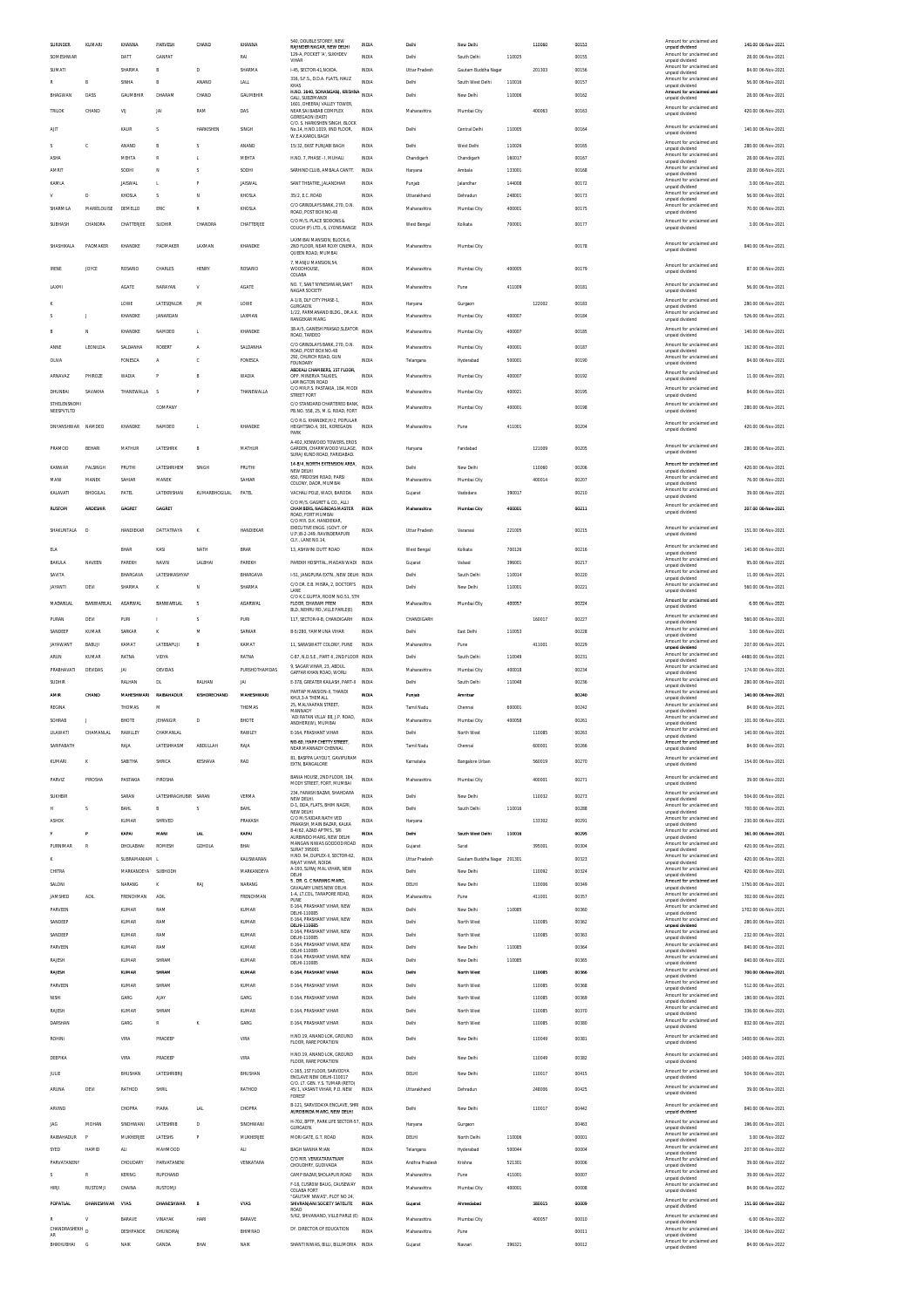| SURINDER             | KUMARI            | KHANNA             | PARVESH              | CHAND                    | KHANNA         | 540, DOUBLE STOREY, NEW                                               | INDIA        | Delhi                | New Delhi           |        | 110060 | 00153 | Amount for unclaimed and                                       | 140.00 06-Nov-2021  |
|----------------------|-------------------|--------------------|----------------------|--------------------------|----------------|-----------------------------------------------------------------------|--------------|----------------------|---------------------|--------|--------|-------|----------------------------------------------------------------|---------------------|
| SOMESHWAR            |                   | DATT               | GANPAT               |                          | RAI            | RAIINDER MAGAR, NEW DELHI<br>129-A, POCKET 'A', SUKHDEV               | INDIA        | Delhi                | South Delhi         | 110025 |        | 00155 | unpaid dividend<br>Amount for unclaimed and                    | 28.00 06-Nov-2021   |
| SUMATI               |                   | SHARMA             | $\mathbb{R}$         | D                        | SHARMA         | VIHAR<br>I-45. SECTOR-41.NOIDA.                                       | INDIA        | <b>Uttar Pradesh</b> | Gautam Buddha Nagar |        | 201303 | 00156 | unpaid dividend<br>Amount for unclaimed and                    | 84.00 06-Nov-2021   |
| R                    |                   | SINHA              |                      | ANAND                    | LALL           | 316, S.F.S., D.D.A. FLATS, HAUZ                                       | INDIA        | Delhi                | South West Delhi    | 110016 |        | 00157 | unpaid dividend<br>Amount for unclaimed and                    | 56.00 06-Nov-2021   |
| BHAGWAN              | DASS              | GAUMBHIR           | DHARAM               | CHAND                    | GAUMBHIR       | KHAS<br>H.NO. 1640, SOHANGANJ, KRISHNA INDIA                          |              | Delhi                |                     | 110006 |        |       | unpaid dividend<br>Amount for unclaimed and                    |                     |
|                      |                   |                    |                      |                          |                | GALI, SUBZIMANDI<br>1601. DHEERAJ VALLEY TOWER.                       |              |                      | New Delhi           |        |        | 00162 | unpaid dividend                                                | 28.00 06-Nov-2021   |
| TRILOK               | CHAND             | VU                 | JAI                  | RAM                      | DAS            | NEAR SAI BABAB COMPLEX<br>GOREGAON (EAST)                             | INDIA        | Maharashtra          | Mumbai City         |        | 400063 | 00163 | Amount for unclaimed and<br>unnaid dividend                    | 420.00 06-Nov-2021  |
| AIT                  |                   | KAUR               | s                    | HARKISHEN                | <b>SINGH</b>   | C/O. S. HARKISHEN SINGH. BLOCK<br>No.14. H.NO.1019. IIND FLOOR.       | INDIA        | Delhi                | Central Delhi       | 110005 |        | 00164 | Amount for unclaimed and                                       | 140.00 06-Nov-2021  |
|                      |                   |                    |                      |                          |                | W.E.A.KAROL BAGH                                                      |              |                      |                     |        |        |       | unpaid dividend<br>Amount for unclaimed and                    |                     |
|                      | ¢                 | ANAND              |                      |                          | ANAND          | 15/32. EAST PUNJABI BAGH                                              | INDIA        | Delhi                | West Delh           | 110026 |        | 00165 | unpaid dividend                                                | 280.00 06-Nov-2021  |
| <b>ASHA</b>          |                   | MEHTA              | $\mathbb{R}$         | L.                       | MEHTA          | H.NO. 7. PHASE - I. MUHALI                                            | <b>INDIA</b> | Chandigarh           | Chandigarh          | 160017 |        | 00167 | Amount for unclaimed and<br>unpaid dividend                    | 28.00 06-Nov-2021   |
| AMRIT                |                   | SODH               | N                    | $\overline{\phantom{a}}$ | SODHI          | SARHIND CLUB, AMBALA CANTT                                            | INDIA        | Haryana              | Ambala              | 133001 |        | 00168 | Amount for unclaimed and<br>unpaid dividend                    | 28.00 06-Nov-2021   |
| KAMLA                |                   | <b>JAISWAL</b>     | L.                   |                          | <b>JAISWAL</b> | SANT THEATRE, JALANDHAR                                               | INDIA        | Punjab               | Jalandhar           | 144008 |        | 00172 | Amount for unclaimed and                                       | 3.00 06-Nov-2021    |
| $\mathsf{V}$         | D                 | KHOSLA             | s                    | N                        | KHOSLA         | 35/2 F.C. ROAD                                                        | INDIA        | Uttarakhand          | Dehradun            | 248001 |        | 00173 | unpaid dividend<br>Amount for unclaimed and                    | 56.00 06-Nov-2021   |
| SHARMILA             | MARIELOUISE       | DEMELLO            | ERIC                 | $\mathbb R$              | KHOSLA         | C/O GRINDLAYS BANK, 270, D.N                                          | INDIA        | Maharashtra          | Mumbai City         | 400001 |        | 00175 | unpaid dividend<br>Amount for unclaimed and                    | 70.00 06-Nov-2021   |
|                      |                   |                    |                      |                          |                | ROAD, POST BOX NO.48                                                  |              |                      |                     |        |        |       | unpaid dividend                                                |                     |
| SUBHASH              | CHANDRA           | CHATTERJEE         | SUDHIR               | CHANDRA                  | CHATTERJEE     | C/O M/S. PLACE SIDDONS &<br>COUGH (P) LTD., 6, LYONS RANGE            | INDIA        | West Bengal          | Kolkata             | 700001 |        | 00177 | Amount for unclaimed and<br>unpaid dividend                    | 3.00 06-Nov-2021    |
|                      |                   |                    |                      |                          |                | LAXMIRALMANSION BLOCK-6                                               |              |                      |                     |        |        |       |                                                                |                     |
| SHASHIKALA           | PADMAKER          | KHANDKE            | PADMAKER             | LAXMAN                   | KHANDKE        | 2ND FLOOR. NEAR ROXY CINEMA.<br>QUEEN ROAD, MUMBA                     | INDIA        | Maharashtra          | Mumbai City         |        |        | 00178 | Amount for unclaimed and<br>unpaid dividend                    | 840.00 06-Nov-2021  |
|                      |                   |                    |                      |                          |                | 7, MANJU MANSION, 54,                                                 |              |                      |                     |        |        |       |                                                                |                     |
| <b>IRENE</b>         | JOYCE             | ROSARIO            | CHARLES              | <b>HENRY</b>             | ROSARIO        | WOODHOUSE,<br>COLABA                                                  | INDIA        | Maharashtra          | Mumbai City         | 400005 |        | 00179 | Amount for unclaimed and<br>unpaid dividend                    | 87.00 06-Nov-2021   |
|                      |                   |                    |                      |                          |                | NO. 7, SANT NYNESHWAR, SANT                                           |              |                      |                     |        |        |       | Amount for unclaimed and                                       |                     |
| LAXM                 |                   | AGATE              | NARAYAN              | V                        | AGATE          | NAGAR SOCIETY                                                         | INDIA        | Maharashtra          | Pune                | 411009 |        | 00181 | unpaid dividend                                                | 56.00 06-Nov-2021   |
|                      |                   | LOWE               | LATESQNLDR           | BA                       | LOWE           | A-1/8. DLF CITY PHASE-1.<br>GURGAON.                                  | INDIA        | Haryana              | Gurgaon             |        | 122002 | 00183 | Amount for unclaimed and<br>unpaid dividend                    | 280.00 06-Nov-2021  |
| s                    | J                 | KHANDKE            | JANARDAN             |                          | LAXMAN         | 1/22, PARMANAND BLDG., DR.A.K.<br><b>RANGEKAR MARG</b>                | INDIA        | Maharashtra          | Mumbai City         | 400007 |        | 00184 | Amount for unclaimed and<br>unpaid dividend                    | 526.00 06-Nov-2021  |
|                      |                   |                    |                      |                          |                | 38-A/5, GANESH PRASAD, SLEATOR                                        | INDIA        |                      |                     |        |        |       | Amount for unclaimed and                                       |                     |
|                      |                   | KHANDKE            | NAMDEO               | t,                       | KHANDKE        | ROAD, TARDEO                                                          |              | Maharashtra          | Mumbai City         | 400007 |        | 00185 | unpaid dividend                                                | 140.00 06-Nov-2021  |
| ANNE                 | LEONILDA          | SALDANHA           | ROBERT               | A                        | SALDANHA       | C/O GRINDLAYS BANK, 270, D.N.<br>ROAD, POST BOX NO.48                 | INDIA        | Maharashtra          | Mumbai City         | 400001 |        | 00187 | Amount for unclaimed and<br>unpaid dividend                    | 162.00 06-Nov-2021  |
| <b>OLIVA</b>         |                   | FONESCA            | A                    | c                        | FONESCA        | 292, CHURCH ROAD, GUN<br><b>FOUNDARY</b>                              | INDIA        | Telangana            | Hyderabad           | 500001 |        | 00190 | Amount for unclaimed and<br>unpaid dividend                    | 84.00 06-Nov-2021   |
| ARNAVAZ              | PHIROZE           | WADIA              |                      | B                        | <b>WADIA</b>   | ABDEALI CHAMBERS, 1ST FLOOR,<br>OPP. MINERVA TALKIES,                 | INDIA        | Maharashtra          | Mumbai City         | 400007 |        | 00192 | Amount for unclaimed and                                       | 11.00 06-Nov-2021   |
|                      |                   |                    |                      |                          |                | LAMINGTON ROAD                                                        |              |                      |                     |        |        |       | unpaid dividend                                                |                     |
| DHUNBAI              | SAVAKHA           | THANEWALLA         | -S                   | P                        | THANEWALLA     | C/O MR.P.S. PASTAKIA, 184, MODI<br>STREET FORT                        | INDIA        | Maharashtra          | Mumbai City         | 400021 |        | 00195 | Amount for unclaimed and<br>unpaid dividend                    | 84.00 06-Nov-2021   |
| STHELENSNOMI         |                   |                    | COMPANY              |                          |                | C/O STANDARD CHARTERED BANK,                                          | INDIA        | Maharashtra          | Mumbai City         | 400001 |        | 00198 | Amount for unclaimed and                                       | 280.00 06-Nov-2021  |
| NEESPVTLTD           |                   |                    |                      |                          |                | PB.NO. 558, 25, M.G. ROAD, FORT<br>C/O R.G. KHANDKE, H/2, POPULAR     |              |                      |                     |        |        |       | unpaid dividend                                                |                     |
| DNYANSHWAR NAMDEO    |                   | KHANDKE            | NAMDEO               | t.                       | KHANDKE        | HEIGHTSNO.4, 301, KOREGAON                                            | <b>INDIA</b> | Maharashtra          | Pune                | 411001 |        | 00204 | Amount for unclaimed and<br>unpaid dividend                    | 420.00 06-Nov-2021  |
|                      |                   |                    |                      |                          |                | PARK<br>A-402. KENWOOD TOWERS. EROS                                   |              |                      |                     |        |        |       |                                                                |                     |
| PRAMOD               | BEHAR             | MATHUR             | LATESHRIK            | B                        | MATHUR         | GARDEN, CHARMWOOD VILLAGE, INDIA                                      |              | Haryana              | Faridabad           |        | 121009 | 00205 | Amount for unclaimed and<br>unpaid dividend                    | 280.00 06-Nov-2021  |
|                      |                   |                    |                      |                          |                | SURAJ KUND ROAD, FARIDABAD                                            |              |                      |                     |        |        |       |                                                                |                     |
| KANWAR               | PALSINGH          | PRUTHI             | LATESHRIHEM          | SINGH                    | PRUTHI         | 14-B/4, NORTH EXTENSION AREA,<br>NEW DELHI                            | <b>INDIA</b> | Delhi                | New Delhi           |        | 110060 | 00206 | Amount for unclaimed and<br>unpaid dividend                    | 420.00 06-Nov-2021  |
| MANI                 | MANEK             | SAHIAR             | MANEK                |                          | SAHIAR         | 650, FIRDOSHI ROAD, PARSI<br>COLONY, DADR, MUMBAI                     | INDIA        | Maharashtra          | Mumbai City         |        | 400014 | 00207 | Amount for unclaimed and<br>unpaid dividend                    | 76.00 06-Nov-2021   |
| KALAVATI             | BHOGILAL          | PATEL              | LATEKRISHAN          | KUMARBHOGILAL            | PATEL          | VACHALI POLE, WADI, BARODA                                            | INDIA        | Gujarat              | Vadodara            | 390017 |        | 00210 | Amount for unclaimed and                                       | 39.00 06-Nov-2021   |
|                      |                   |                    |                      |                          |                | C/O M/S. GAGRET & CO., ALLI                                           |              |                      |                     |        |        |       | unpaid dividend<br>Amount for unclaimed and                    |                     |
| <b>RUSTOM</b>        | <b>ARDESHIR</b>   | GAGRET             | <b>GAGRET</b>        |                          |                | CHAMBERS, NAGINDAS MASTER<br>ROAD, FORT MUMBAI                        | <b>INDIA</b> | Maharashtra          | Mumbai City         | 400001 |        | 00211 | unpaid dividend                                                | 207.00 06-Nov-2021  |
|                      |                   |                    |                      |                          |                | C/O MR. D.K. HANDIEKAR<br>EXECUTIVE ENGG. (GOVT. OF                   |              |                      |                     |        |        |       | Amount for unclaimed and                                       |                     |
| SHAKUNTALA           | D                 | HANDIEKAR          | DATTATRAYA           | K                        | HANDIEKAR      | U.P.)B-2-249. RAVINDERAPURI                                           | INDIA        | <b>Uttar Pradesh</b> | Varanasi            | 221005 |        | 00215 | unpaid dividend                                                | 151.00 06-Nov-2021  |
| <b>ELA</b>           |                   | BHAR               | KASI                 | NATH                     | <b>BRAR</b>    | CLY., LANE NO.14<br>13. ASHWINI DUTT ROAD                             | INDIA        | West Bengal          | Kolkata             | 700126 |        | 00216 | Amount for unclaimed and                                       | 140.00 06-Nov-2021  |
|                      |                   |                    |                      |                          |                |                                                                       |              |                      |                     |        |        |       | unpaid dividend<br>Amount for unclaimed and                    |                     |
| BAKULA               | NAVEEN            | PAREKH             | NAVI!                | LALBHAI                  | PAREKH         | PAREKH HOSPITAL, MADAN WADI                                           | INDIA        | Gujarat              | Valsad              | 396001 |        | 00217 | unpaid dividend<br>Amount for unclaimed and                    | 95.00 06-Nov-2021   |
| SAVITA               |                   | <b>BHARGAVA</b>    | LATESHKASHYAF        |                          | BHARGAVA       | 1-51, JANGPURA EXTN., NEW DELHI INDIA                                 |              | Delhi                | South Delhi         | 110014 |        | 00220 | unpaid dividend                                                | 11.00 06-Nov-2021   |
| <b>JAYANTI</b>       | DEVI              | SHARMA             | ĸ                    | N                        | SHARMA         | C/O DR. E.B. MISRA, 2, DOCTOR'S<br>LANE                               | INDIA        | Delhi                | New Delhi           | 110001 |        | 00221 | Amount for unclaimed and<br>unpaid dividend                    | 560.00 06-Nov-2021  |
| <b>MADANLAL</b>      | <b>BANWARILAL</b> | <b>AGARWAI</b>     | BANWARILAL           | $\overline{\phantom{a}}$ | <b>AGARWAI</b> | C/O K.C.GUPTA, ROOM NO.51, 5TH<br>FLOOR, DHARAM PREM                  | <b>INDIA</b> | Maharashtra          | Mumbal City         | 400057 |        | 00224 | Amount for unclaimed and                                       | 6.00 06-Nov-2021    |
|                      |                   |                    |                      |                          |                | BLD., NEHRU RD., VILLE PARLE(E)                                       |              |                      |                     |        |        |       | unpaid dividend                                                |                     |
| PURAN                | DEVI              | PURI               |                      | s                        | PURI           | 117, SECTOR-9-B, CHANDIGARH                                           | INDIA        | CHANDIGARH           |                     |        | 160017 | 00227 | Amount for unclaimed and<br>unpaid dividend                    | 560.00 06-Nov-2021  |
| SANDEEP              | KUMAR             | SARKAR             |                      | M                        | SARKAR         | B-5/280, YAMMUNA VIHAR                                                | INDIA        | Delhi                | East Delhi          | 110053 |        | 00228 | Amount for unclaimed and                                       | 3.00 06-Nov-2021    |
|                      |                   |                    |                      |                          |                |                                                                       |              |                      |                     |        |        |       |                                                                |                     |
| JAYAWANT             | BABUJI            | KAMAT              |                      | B                        | KAMAT          | 11, SARASWATT COLONY, PUNE                                            | INDIA        | Maharashtra          | Pune                |        |        | 00229 | unpaid dividend<br>Amount for unclaimed and                    | 207.00 06-Nov-2021  |
|                      |                   |                    | LATEBAPUJI           |                          |                |                                                                       |              |                      |                     |        | 411001 |       | unpaid dividend<br>Amount for unclaimed and                    |                     |
| <b>ARUN</b>          | KUMAR             | RATNA              | VIDYA                |                          | RATNA          | C-87, N.D.S.E., PART-II, 2ND FLOOR INDIA<br>9. SAGAR VIHAR. 23. ABDUL |              | Delhi                | South Delhi         | 110049 |        | 00231 | unpaid dividend<br>Amount for unclaimed and                    | 4480.00 06-Nov-2021 |
| PRABHAVATI           | DEVIDAS           | JAI                | <b>DEVIDAS</b>       |                          | PURSHOTHAMDAS  | GAFFAR KHAN ROAD. WORLL                                               | INDIA        | Maharashtra          | Mumbai City         | 400018 |        | 00234 | unpaid dividend                                                | 174.00 06-Nov-2021  |
| SUDHIR               |                   | RALHAN             | <b>DL</b>            | RALHAN                   | <b>JAI</b>     | <b>F-378 GREATER KAILASH PART-IL</b>                                  | INDIA        | Delhi                | South Delhi         | 110048 |        | 00236 | Amount for unclaimed and<br>unpaid dividend                    | 280.00 06-Nov-2021  |
| AMR                  | CHAND             | <b>MAHESHWARI</b>  | RAIBAHADUR           | KISHORECHAND             | MAHESHWAR      | PARTAP MANSION-II. THANDI<br>KHUI,3-A THEMALL                         | INDIA        | Punjab               | Amritsar            |        |        | 00240 | Amount for unclaimed and<br>unpaid dividend                    | 140.00 06-Nov-2021  |
| REGINA               |                   | THOMAS             | M                    |                          | THOMAS         | 25, MALYAAPAN STREET<br>MANNADY                                       | INDIA        | Tamil Nadu           | Chennai             | 600001 |        | 00242 | Amount for unclaimed and                                       | 84.00 06-Nov-2021   |
| SOHRAB               | J.                | RHOTE              | <b>IFHANGIR</b>      | D                        | <b>RHOTE</b>   | ADI RATAN VILLA' 88, J.P. ROAD,                                       | INDIA        | Maharashtra          | Mumbai City         | 400058 |        | 00261 | unpaid dividend<br>Amount for unclaimed and                    | 101.00 06-Nov-2021  |
|                      |                   |                    |                      |                          |                | ANDHERI(W), MUMBAI                                                    |              |                      |                     |        |        |       | unpaid dividend<br>nt for un                                   |                     |
| LILAWATI             | CHAMANLAL         | RAWLLEY            | CHAMANLAL            |                          | RAWLEY         | E-164, PRASHANT VIHAR                                                 | INDIA        | Delhi                | North West          |        | 110085 | 00263 | unpaid dividend                                                | 140.00 06-Nov-2021  |
| SARIFABATH           |                   | RAJA               | LATESHHASIM          | ABDULLAH                 | RAJA           | NO-60, IYAPP CHETTY STREET,<br>NEAR MANNADY CHENNA                    | <b>INDIA</b> | Tamil Nadu           | Chennai             |        | 600001 | 00266 | Amount for unclaimed and<br>unpaid dividend                    | 84.00 06-Nov-2021   |
| KUMARI               | K                 | SABITHA            | SHRICA               | KESHAVA                  | RAO            | 81, BASPPA LAYOUT, GAVIPURAM                                          | INDIA        | Karnataka            | Bangalore Urban     |        | 560019 | 00270 | Amount for unclaimed and                                       | 154.00 06-Nov-2021  |
|                      |                   |                    |                      |                          |                | EXTN, BANGALORE                                                       |              |                      |                     |        |        |       | unpaid dividend                                                |                     |
| PARVIZ               | PIROSHA           | PASTAKIA           | PIROSHA              |                          |                | BANIA HOUSE, 2ND FLOOR, 184<br>MODY STREET, FORT, MUMBAI              | INDIA        | Maharashtra          | Mumbai City         |        | 400001 | 00271 | Amount for unclaimed and<br>unpaid dividend                    | 39.00 06-Nov-2021   |
|                      |                   |                    |                      |                          | VERMA          | 234, FARASH BAZAR, SHAHDARA                                           | <b>INDIA</b> | Delhi                |                     |        |        |       | Amount for unclaimed and                                       |                     |
| SUKHBIR              |                   | SARAN              | LATESHRAGHUBIR SARAN |                          |                | NEW DELHI.<br>D-1, DDA, FLATS, BHIM NAGRI,                            |              |                      | New Delhi           |        | 110032 | 00273 | unpaid dividend<br>Amount for unclaimed and                    | 504.00 06-Nov-2021  |
| н                    | S.                | BAHL               | B                    |                          | <b>BAHL</b>    | NEW DELHI                                                             | INDIA        | Delhi                | South Delhi         | 110016 |        | 00288 | unpaid dividend                                                | 700.00 06-Nov-2021  |
| ASHO)                |                   | KUMAR              | SHRIVED              |                          | <b>PRAKASH</b> | C/O M/S KIDAR NATH VED<br>PRAKASH. MAIN BAZAR. KALKA                  | INDIA        | Haryana              |                     |        | 133302 | 00291 | Amount for unclaimed and<br>unpaid dividend                    | 230.00 06-Nov-2021  |
|                      | p                 | KAPAI              | MAN                  | <b>LAL</b>               | KAPAI          | B-4/62, AZAD APTMS., SRI<br>AURBINDO MARG, NEW DELHI                  | INDIA        | Dethi                | South West Delhi    | 110016 |        | 00295 | Amount for unclaimed and<br>unpaid dividend                    | 361.00 06-Nov-2021  |
| PURNIMAR             | R                 | DHOLABHAI          | <b>ROMES</b>         | GDHOLA                   | BHAI           | MANGAN NIWAS GODDOD ROAD<br><b>SURAT 395001</b>                       | <b>INDIA</b> | Gujarat              | Surat               |        | 395001 | 00304 | Amount for unclaimed and<br>unpaid dividend                    | 420.00 06-Nov-2021  |
| к                    |                   | SUBRAMANIAM L      |                      |                          | KALISWARAN     | H.NO. 94, DUPLEX-II, SECTOR-62,<br>RAIAT VIHAR NOIDA                  | INDIA        | <b>Uttar Pradesh</b> | Gautam Buddha Nagar | 201301 |        | 00323 | Amount for unclaimed and                                       | 420.00.06-Nov-2021  |
| CHITRA               |                   | MARKANDEYA SUBHODH |                      |                          | MARKANDEYA     | A-193, SURAJ MAL VIHAR, NEW                                           | INDIA        | Delhi                | New Delhi           |        | 110092 | 00324 | unpaid dividend<br>Amount for unclaimed and                    | 420.00 06-Nov-2021  |
| SALONI               |                   | NARANG             |                      | RAJ                      | NARANG         | DELHI<br>5, DR. G. C NARANG MARG,                                     | INDIA        | DELHI                | New Delhi           |        | 110006 | 00349 | unpaid dividend<br>Amount for unclaimed and                    | 1750.00 06-Nov-2021 |
|                      |                   |                    |                      |                          |                | CAVALARY LINES NEW DELHI.<br>1-A, LT.COL, TARAPORE ROAD,              | INDIA        |                      |                     |        |        |       | unpaid dividend<br>Amount for unclaimed and                    |                     |
| JAMSHED              | <b>ADIL</b>       | FRENCHMAN          | ADIL                 |                          | FRENCHMAN      | PUNE<br>E-164, PRASHANT VIHAR, NEW                                    |              | Maharashtra          | Pune                |        | 411001 | 00357 | unpaid dividend<br>Amount for unclaimed and                    | 302.00 06-Nov-2021  |
| PARVEEN              |                   | KUMAR              | RAM                  |                          | KUMAR          | DELHI-110085                                                          | INDIA        | Delhi                | New Delhi           | 110085 |        | 00360 | unpaid dividend                                                | 1702.00 06-Nov-2021 |
| SANDEEP              |                   | <b>KUMAR</b>       | RAM                  |                          | <b>KUMAR</b>   | E-164, PRASHANT VIHAR, NEW<br>DELHI-110085                            | INDIA        | Delhi                | North West          |        | 110085 | 00362 | Amount for unclaimed and<br>unpaid dividend                    | 280.00.06-Nov-2021  |
| SANDEEP              |                   | KUMAR              | RAM                  |                          | KUMAR          | E-164, PRASHANT VIHAR, NEW<br>DELHI-110085                            | INDIA        | Delh                 | North West          |        | 110085 | 00363 | Amount for unclaimed and<br>unpaid dividend                    | 232.00 06-Nov-2021  |
| PARVEEN              |                   | KUMAR              | RAM                  |                          | KUMAR          | E-164, PRASHANT VIHAR, NEW                                            | INDIA        | Delhi                | New Delhi           | 110085 |        | 00364 | Amount for unclaimed and                                       | 840.00 06-Nov-2021  |
| RAJESH               |                   | KUMAR              | SHRAM                |                          | KUMAR          | DELHI-110085<br>E-164, PRASHANT VIHAR, NEW                            | INDIA        | Delhi                | New Delhi           | 110085 |        | 00365 | unpaid dividend<br>Amount for unclaimed and                    | 840.00 06-Nov-2021  |
|                      |                   |                    |                      |                          |                | DELHI-110085                                                          |              |                      |                     |        |        |       | unpaid dividend<br>Amount for unclaimed and                    |                     |
| RAJESH               |                   | KUMAR              | SHRAM                |                          | KUMAR          | E-164, PRASHANT VIHAR                                                 | INDIA        | Delhi                | North West          |        | 110085 | 00366 | unpaid dividend<br>Amount for unclaimed and                    | 700.00 06-Nov-2021  |
| PARVEEN              |                   | <b>KUMAR</b>       | SHRAM                |                          | <b>KUMAR</b>   | E-164. PRASHANT VIHAR                                                 | INDIA        | Delhi                | North West          |        | 110085 | 00368 | unpaid dividend                                                | 512.00 06-Nov-2021  |
| NISHI                |                   | GARG               | AJAY                 |                          | GARG           | E-164, PRASHANT VIHAR                                                 | INDIA        | Delhi                | North West          |        | 110085 | 00369 | Amount for unclaimed and<br>unpaid dividend                    | 190.00 06-Nov-2021  |
| RAJESH               |                   | <b>KUMAR</b>       | SHRAM                |                          | <b>KUMAR</b>   | E-164. PRASHANT VIHAR                                                 | INDIA        | Delhi                | North West          |        | 110085 | 00370 | Amount for unclaimed and<br>unpaid dividend                    | 336.00 06-Nov-2021  |
| DARSHAN              |                   | GARG               | $\mathbb{R}$         | ĸ                        | GARG           | E-164, PRASHANT VIHAR                                                 | INDIA        | Delhi                | North West          |        | 110085 | 00380 | Amount for unclaimed and<br>unpaid dividend                    | 832.00 06-Nov-2021  |
| ROHINI               |                   | VIRA               | PRADEEP              |                          | VIRA           | H.NO.19, ANAND LOK, GROUND                                            | INDIA        | Delhi                | New Delhi           |        | 110049 | 00381 | Amount for unclaimed and                                       | 1400.00 06-Nov-2021 |
|                      |                   |                    |                      |                          |                | FLOOR, RARE PORATION                                                  |              |                      |                     |        |        |       | unpaid dividend                                                |                     |
| DEEPIKA              |                   | VIRA               | PRADEEP              |                          | VIRA           | H.NO.19, ANAND LOK, GROUND                                            | INDIA        | Delhi                | New Delhi           |        | 110049 | 00382 | Amount for unclaimed and                                       | 1400.00 06-Nov-2021 |
|                      |                   |                    |                      |                          |                | FLOOR, RARE PORATION<br>C-165, 1ST FLOOR, SARVODYA                    |              |                      |                     |        |        |       | unpaid dividend<br>Amount for unclaimed and                    |                     |
| <b>JULIE</b>         |                   | BHUSHAN            | LATESHRIBRU          |                          | BHUSHAN        | ENCLAVE NEW DELHI-110017                                              | INDIA        | DELHI                | New Delhi           |        | 110017 | 00415 | unpaid dividend                                                | 504.00 06-Nov-2021  |
| ARUNA                | DEVI              | RATHOD             | SHRIL                |                          | RATHOD         | C/O. LT. GEN. Y.S. TUMAR (RETD)<br>45/1, VASANT VIHAR, P.O. NEW       | INDIA        | Uttarakhand          | Dehradun            |        | 248006 | 00425 | Amount for unclaimed and<br>unpaid dividend                    | 39.00 06-Nov-2021   |
|                      |                   |                    |                      |                          |                |                                                                       |              |                      |                     |        |        |       |                                                                |                     |
| ARVIND               |                   | CHOPRA             | PIARA                | <b>LAL</b>               | CHOPRA         | B-121, SARVODAYA ENCLAVE, SHRI<br>AUROBINDA MARG, NEW DELHI           |              | Delhi                | New Delhi           |        | 110017 | 00442 | Amount for unclaimed and<br>unpaid dividend                    | 840.00 06-Nov-2021  |
| <b>JAG</b>           | MOHAN             | SINDHWANI          | LATESHRIB            | D                        | SINDHWANI      | H-702, BPTP, PARK LIFE SECTOR-57, INDIA                               |              | Haryana              | Gurgson             |        |        | 00463 | Amount for unclaimed and                                       | 196.00 06-Nov-2021  |
|                      | p                 |                    |                      | P                        |                | GURGAON.                                                              | INDIA        |                      |                     |        |        |       | unpaid dividend<br>Amount for unclaimed and                    |                     |
| RAIBAHADUR           |                   | MUKHERJEE          | LATESHS              |                          | MUKHERJEE      | MORI GATE, G.T. ROAD                                                  |              | DELHI                | North Delhi         | 110006 |        | 00001 | unpaid dividend<br>Amount for unclaimed and                    | 3.00 06-Nov-2022    |
| SYED                 | HAMID             | <b>ALI</b>         | MAHMOOD              |                          | ALI            | BAGH NANHA MIAN                                                       | INDIA        | Telangana            | Hyderabad           | 500044 |        | 00004 | unpaid dividend                                                | 207.00 06-Nov-2022  |
| PARVATANENY          |                   | CHOUDARY           | PARVATANENI          |                          | VENKATARA      | C/O MR. VENKATARATNAM<br>CHOUDHRY, GUDIVADA                           | INDIA        | Andhra Pradesh       | Krishna             | 521301 |        | 00006 | Amount for unclaimed and<br>unpaid dividend                    | 39.00 06-Nov-2022   |
|                      | R                 | KERING             | RUPCHAND             |                          |                | CAMP BAZAR, SHOLAPUR ROAD                                             | INDIA        | Maharashtra          | Pune                | 411001 |        | 00007 | Amount for unclaimed and<br>unpaid dividend                    | 39.00 06-Nov-2022   |
| <b>HIRJI</b>         | RUSTOMJI          | CHAINA             | RUSTOMJ              |                          |                | F-18, CUSROW BAUG, CAUSEWAY                                           | INDIA        | Maharashtra          | Mumbai City         | 400001 |        | 00008 | Amount for unclaimed and                                       | 84.00 06-Nov-2022   |
|                      |                   |                    |                      |                          |                | COLABA FORT<br>"GAUTAM NIWAS". PLOT NO 24                             |              |                      |                     |        |        |       | unpaid dividend<br>Amount for unclaimed and                    |                     |
| POPATLAL             | <b>DHANESHWAR</b> | <b>VYAS</b>        | DHANESHWAR           |                          | <b>VYAS</b>    | SHIVRANJANI SOCIETY SATELITE<br>ROAD                                  | INDIA        | Gujaral              | Ahmedabac           |        | 380015 | 00009 | unpaid dividend                                                | 151.00 06-Nov-2022  |
| R                    | V                 | <b>BARAVE</b>      | VINAYAK              | <b>HAR</b>               | BARAVE         | 5/62, SHIVANAND, VILLE PARLE (E)                                      | INDIA        | Maharashtra          | Mumbai City         |        | 400057 | 00010 | Amount for unclaimed and<br>unpaid dividend                    | 6.00 06-Nov-2022    |
| CHANDRASHEKH D<br>AR |                   | DESHPANDE          | DHUNDIRAJ            |                          | BHIMRAO        | DY. DIRECTOR OF EDUCATION                                             | <b>INDIA</b> | Maharashtra          | Pune                |        |        | 00011 | Amount for unclaimed and                                       | 104.00 06-Nov-2022  |
| BHIKHUBHAI G         |                   | NAIK               | GANDA                | BHAI                     | <b>NAIK</b>    | SHANTI NIWAS, BILLI, BILLIMORIA INDIA                                 |              | Gujarat              | Navsari             | 396321 |        | 00012 | unpaid dividend<br>Amount for unclaimed and<br>unpaid dividend | 84.00 06-Nov-2022   |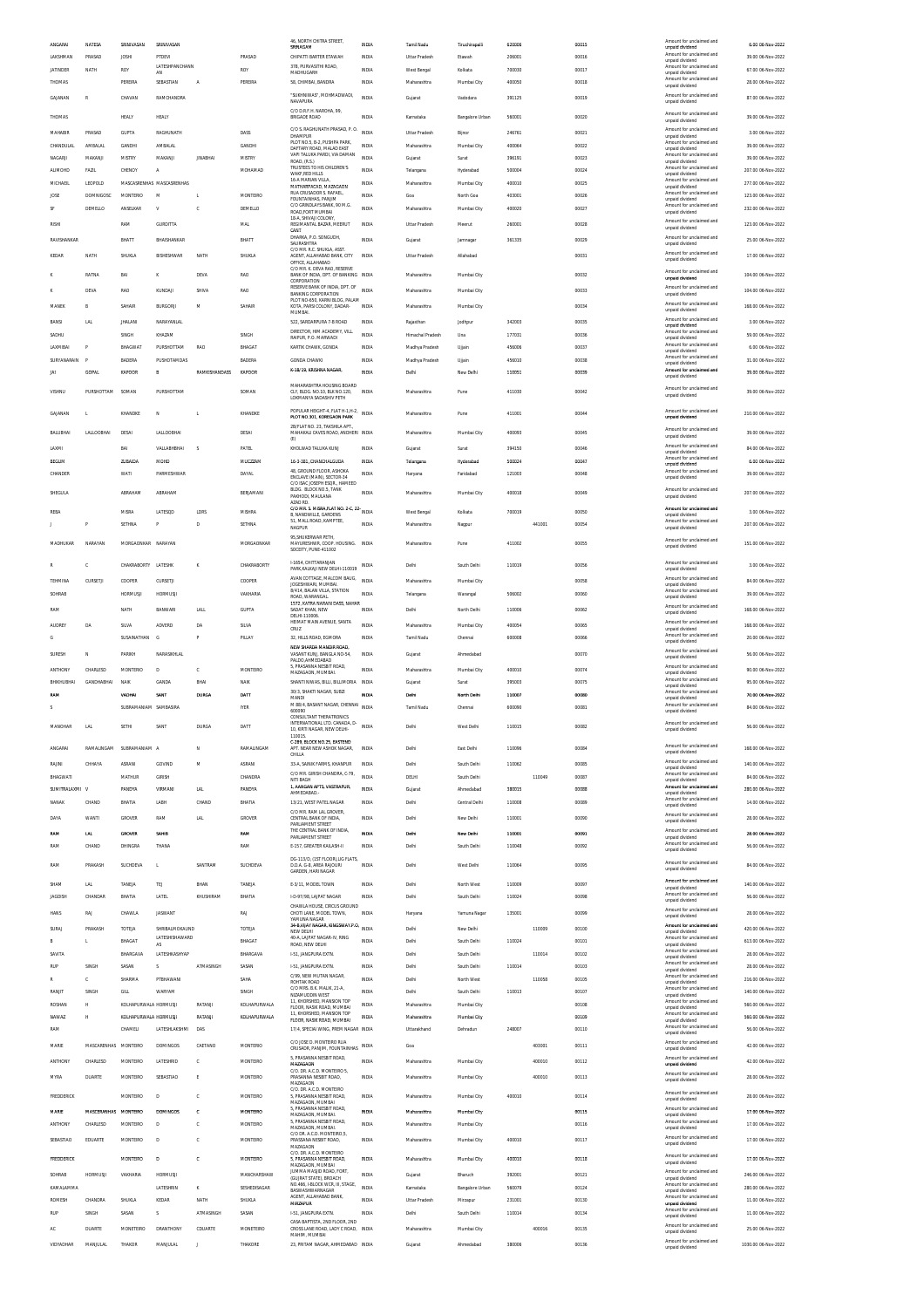| ANGARAI                   | NATESA               | SRINIVASAN                       | SRINIVASAN                       |                     |                             | 46, NORTH CHITRA STREET,<br>SRINAGAM                                                  | <b>INDIA</b>                 | Tamil Nadu                 | Tiruchirapalli             | 620006           |        | 00015          | Amount for unclaimed and<br>unpaid dividend                             | 6.00 06-Nov-2022                         |
|---------------------------|----------------------|----------------------------------|----------------------------------|---------------------|-----------------------------|---------------------------------------------------------------------------------------|------------------------------|----------------------------|----------------------------|------------------|--------|----------------|-------------------------------------------------------------------------|------------------------------------------|
| LAKSHMAN                  | PRASAD               | JOSHI                            | PTDEVI                           |                     | PRASAD                      | CHIPATTI BARTER ETAWAH                                                                | INDIA                        | <b>Uttar Pradesh</b>       | Etawał                     | 206001           |        | 00016          | Amount for unclaimed and<br>unnaid dividend                             | 39.00 06-Nov-2022                        |
| <b>JATINDER</b>           | NATH                 | <b>ROY</b>                       | LATESHPANCHANN<br>AN             |                     | ROY                         | 378, PURVASITHI ROAD,<br>MADHUGARH                                                    | <b>INDIA</b>                 | West Bengal                | Kolkata                    | 700030           |        | 00017          | Amount for unclaimed and<br>unpaid dividend<br>Amount for unclaimed and | 67.00 06-Nov-2022                        |
| THOMAS                    |                      | PEREIRA                          | SEBASTIAN                        | A                   | PEREIRA                     | 58, CHIMBAI, BANDRA<br>"SUKHNIWAS", MOHMADWADI,                                       | INDIA                        | Maharashtra                | Mumbai City                | 400050           |        | 00018          | unpaid dividend<br>Amount for unclaimed and                             | 28.00 06-Nov-2022                        |
| <b>GAIANAN</b>            | R                    | CHAVAN                           | RAMCHANDRA                       |                     |                             | NAVAPURA<br>C/O D.R.F.H. NAROHA, 99,                                                  | INDIA                        | Gujarat                    | Vadodara                   | 391125           |        | 00019          | unpaid dividend                                                         | 87.00 06-Nov-2022                        |
| THOMAS                    |                      | HEALY                            | HEALY                            |                     |                             | <b>BRIGADE ROAD</b>                                                                   | <b>INDIA</b>                 | Karnataka                  | Bangalore Urban            | 560001           |        | 00020          | Amount for unclaimed and<br>unpaid dividend                             | 39.00 06-Nov-2022                        |
| MAHABIR                   | PRASAD               | GUPTA                            | RAGHUNATH                        |                     | DASS                        | C/O S. RAGHUNATH PRASAD, P. O.<br>DHAMPUR<br>PLOT NO 5 B-2 PLISHPA PARK               | <b>INDIA</b>                 | <b>Uttar Pradesh</b>       | Biinor                     | 246761           |        | 00021          | Amount for unclaimed and<br>unpaid dividend<br>Amount for unclaimed and | 3.00 06-Nov-2022                         |
| CHANDULAL                 | AMBALAL              | <b>GANDHI</b>                    | AMBALA                           |                     | GANDHI                      | DAFTARY ROAD, MALAD EAST<br>VAPI TALUKA PARDI, VIA DAMAN                              | <b>INDIA</b>                 | Maharashtra                | Mumbai City                | 400064           |        | 00022          | unpaid dividend<br>Amount for unclaimed and                             | 39.00 06-Nov-2022                        |
| NAGARJI<br><b>ALIMOHD</b> | MAKANJI<br>FAZIL     | MISTRY<br>CHENOY                 | MAKANJI<br>A                     | <b>JINABHAI</b>     | MISTRY<br>MOHAMAD           | ROAD, (R.S.)<br>TRUSTEES TO HIS CHILDREN'S                                            | <b>INDIA</b><br>INDIA        | Gujarat<br>Telangana       | Surat<br>Hyderabad         | 396191<br>500004 |        | 00023<br>00024 | unpaid dividend<br>Amount for unclaimed and                             | 39.00 06-Nov-2022<br>207.00 06-Nov-2022  |
| MICHAEIL                  | LEOPOLD              |                                  | MASCASRENHAS MASCASRENHAS        |                     |                             | WAKF,RED HILLS<br>16-A MARIAN VILLA<br>MATHARPACAD MAZAGAON                           | <b>INDIA</b>                 | Maharashtra                | Mumbai City                | 400010           |        | 00025          | unpaid dividend<br>Amount for unclaimed and<br>unpaid dividend          | 277.00 06-Nov-2022                       |
| JOSE                      | <b>DOMNIGOSC</b>     | <b>MONTERIO</b>                  | M                                | T.                  | MONTEIRO                    | RUA CRUSADOR S. RAFAEL,<br>FOUNTAINHAS, PANJIM                                        | <b>INDIA</b>                 | Goa                        | North Goa                  | 403001           |        | 00026          | Amount for unclaimed and<br>unpaid dividend                             | 123.00 06-Nov-2022                       |
| SF                        | DEMELLO              | ANSELKAR                         | V                                | c                   | DEMELLO                     | C/O GRINDLAYS BANK, 90 M.G.<br>ROAD.FORT MUMBAI                                       | INDIA                        | Maharashtra                | Mumbai City                | 400020           |        | 00027          | Amount for unclaimed and<br>unnaid dividend                             | 232.00 06-Nov-2022                       |
| RISHI                     |                      | RAM                              | <b>GURDITTA</b>                  |                     | MAL                         | 18-A. SHIVAII COLONY<br>REGIMANTAL BAZAR, MEERUT                                      | INDIA                        | <b>Uttar Pradesh</b>       | Meerut                     | 260001           |        | 00028          | Amount for unclaimed and<br>unpaid dividend                             | 123.00 06-Nov-2022                       |
| RAVISHANKAR               |                      | BHATT                            | BHAISHANKAR                      |                     | RHATT                       | CANT<br>DHARKA, P.O. SONGUDH,<br>SAURASHTRA                                           | INDIA                        | Gujarat                    | Jamnagar                   | 361335           |        | 00029          | Amount for unclaimed and<br>unpaid dividend                             | 25.00 06-Nov-2022                        |
| KEDAR                     | NATH                 | SHUKLA                           | BISHESHWAR                       | NATH                | SHUKLA                      | C/O MR. R.C. SHUKLA, ASST<br>AGENT, ALLAHARAD RANK, CITY                              | <b>INDIA</b>                 | Uttar Pradesh              | Allahabad                  |                  |        | 00031          | Amount for unclaimed and<br>unpaid dividend                             | 17.00 06-Nov-2022                        |
|                           |                      |                                  |                                  |                     |                             | OFFICE, ALLAHABAD<br>C/O MR. K. DEVA RAO, RESERVE                                     |                              |                            |                            |                  |        |                | Amount for unclaimed and                                                |                                          |
|                           | RATNA                | BAI                              | ĸ                                | DEVA                | RAO                         | BANK OF INDIA, DPT. OF BANKING INDIA<br>CORPORATION<br>RESERVE BANK OF INDIA, DPT. OF |                              | Maharashtra                | Mumbai City                |                  |        | 00032          | unpaid dividend<br>Amount for unclaimed and                             | 104.00 06-Nov-2022                       |
|                           | <b>DEVA</b>          | RAO                              | KUNDAJ                           | SHIVA               | RAO                         | <b>BANKING CORPORATION</b><br>PLOT NO-650, KARNI BLOG, PALAM                          | <b>INDIA</b>                 | Maharashtra                | Mumbai City                |                  |        | 00033          | unpaid dividend<br>Amount for unclaimed and                             | 104.00 06-Nov-2022                       |
| MANEK                     | B                    | SAHAIR                           | <b>BURGORJI</b>                  | M                   | SAHAIR                      | KOTA, PARSI COLONY, DADAR-<br>MUMBAL                                                  | <b>INDIA</b>                 | Maharashtra                | Mumbai City                |                  |        | 00034          | unpaid dividend                                                         | 168.00 06-Nov-2022                       |
| BANSI                     | LAL                  | JHALANI                          | NARAYANLAL                       |                     |                             | 522, SARDARPURA 7-B ROAD<br>DIRECTOR, HIM ACADEMY, VILL                               | INDIA                        | Rajasthar                  | Jodhpu                     | 342003           |        | 00035          | Amount for unclaimed and<br>unpaid dividend                             | 3.00 06-Nov-2022                         |
| SADHU                     |                      | SINGH                            | KHAZAM                           |                     | SINGH                       | RAIPUR, P.O. MARWADI                                                                  | <b>INDIA</b>                 | Himachal Pradesh           | Una                        | 177031           |        | 00036          | Amount for unclaimed and<br>unpaid dividend<br>Amount for unclaimed and | 59.00 06-Nov-2022                        |
| <b>LAXMIRAL</b>           |                      | <b>BHAGWAT</b>                   | <b>DI IDCUNTTAM</b>              | RAO                 | <b>BHAGAT</b>               | KARTIK CHAWK GONDA                                                                    | INDIA                        | Madhya Pradesh             | Ujjain                     | 456006           |        | 00037          | unpaid dividend<br>Amount for unclaimed and                             | 6.00.06-Nov-2022                         |
| SURYANARAIN<br>JAI        | F<br>GOPAL           | BADERA<br>KAPOOR                 | PUSHOTAMDAS<br>B                 | RAMKISHANDASS       | BADERA<br>KAPOOR            | <b>GONDA CHAWKI</b><br>K-18/19, KRISHNA NAGAR                                         | <b>INDIA</b><br><b>INDIA</b> | Madhya Pradesh<br>Delhi    | Ujjain<br>New Delhi        | 456010<br>110051 |        | 00038<br>00039 | unpaid dividend<br>Amount for unclaimed and                             | 31.00 06-Nov-2022<br>39.00 06-Nov-2022   |
|                           |                      |                                  |                                  |                     |                             | MAHARASHTRA HOUSING BOARD                                                             |                              |                            |                            |                  |        |                | unpaid dividend                                                         |                                          |
| <b>VISHNII</b>            | PURSHOTTAM           | SOMAN                            | PURSHOTTAM                       |                     | SOMAN                       | CIV BLDG. NO.10, BLK NO.120,<br>LOKMANYA SADASHIV PETH                                | <b>INDIA</b>                 | Maharashtra                | Pune                       | 411030           |        | 00042          | Amount for unclaimed and<br>unpaid dividend                             | 39.00 06-Nov-2022                        |
| GAJANAN                   | L.                   | KHANDKE                          | N                                | L                   | KHANDKE                     | POPULAR HEIGHT-4, FLAT H-1, H-2,<br>PLOT NO.301. KOREGAON PARK                        | INDIA                        | Maharashtra                | Pune                       | 411001           |        | 00044          | Amount for unclaimed and<br>unnaid dividend                             | 210.00 06-Nov-2022                       |
|                           |                      |                                  |                                  |                     |                             | 2B/FLAT NO. 23. TAKSHILA APT.                                                         |                              |                            |                            |                  |        |                | Amount for unclaimed and                                                |                                          |
| <b>BALUBHAI</b>           | LALLOOBHAI           | DESAI                            | <b>LALLOOBHAI</b>                |                     | DESAI                       | MAHAKALI CAVES ROAD, ANDHERI INDIA<br>(E)                                             |                              | Maharashtra                | Mumbai City                | 400093           |        | 00045          | unpaid dividend                                                         | 39.00 06-Nov-2022                        |
| LAXMI                     |                      | BAI                              | <b>VALLABHBHAI</b>               | s                   | PATEL                       | KHOLWAD TALUKA KUNJ                                                                   | INDIA                        | Gujarat                    | Surat                      | 394150           |        | 00046          | Amount for unclaimed and<br>unnaid dividend<br>Amount for unclaimed and | 84.00 06-Nov-2022                        |
| BEGUM<br>CHANDER          |                      | ZUBAIDA<br>WATI                  | MOHD<br><b>PARMESHWAF</b>        |                     | MUCZZAM<br>DAYAL            | 16-3-381, CHANCHALGUDA<br>49 CROUND FLOOR, ASIANA                                     | <b>INDIA</b><br>INDIA        | Telangana<br>Haryana       | Hyderabad<br>Faridabac     | 500024<br>121003 |        | 00047<br>00048 | unpaid dividend<br>Amount for unclaimed and                             | 6.00.06-Nov-2022<br>39.00 06-Nov-2022    |
|                           |                      |                                  |                                  |                     |                             | ENCLAVE (MAIN), SECTOR-34<br>C/O ISAC JOSEPH ESOR., HAMEED                            |                              |                            |                            |                  |        |                | unpaid dividend                                                         |                                          |
| SHEGULA                   |                      | ABRAHAM                          | ABRAHAM                          |                     | BERJAMANI                   | BLDG. BLOCK NO.5, TANK<br>PAKHODI, MAULANA<br>AZAD RD.                                | <b>INDIA</b>                 | Maharashtra                | Mumbai City                | 400018           |        | 00049          | Amount for unclaimed and<br>unpaid dividend                             | 207.00 06-Nov-2022                       |
| REBA                      |                      | MISRA                            | LATESOD                          | LDRS                | MISHRA                      | C/O MR. S. MISRA, FLAT NO. 2-C, 22- INDIA<br><b>B. NANDWILLE, GARDENS</b>             |                              | West Bengal                | Kolkata                    | 700019           |        | 00050          | Amount for unclaimed and<br>unpaid dividend                             | 3.00 06-Nov-2022                         |
|                           |                      | SETHNA                           | p                                | D                   | SETHNA                      | 51, MALL ROAD, KAMPTEE,<br>NAGPUR                                                     | INDIA                        | Maharashtra                | Nagpu                      |                  | 441001 | 00054          | Amount for unclaimed and<br>unpaid dividend                             | 207.00 06-Nov-2022                       |
| <b>MADHLIKAR</b>          | NARAYAN              | MORGAONKAR NARAYAN               |                                  |                     | MORGAONKAR                  | 95, SHUKERWAR PETH,<br>MAYURESHWR, COOP. HOUSING. INDIA                               |                              | Maharashtra                | Pune                       | 411002           |        | 00055          | Amount for unclaimed and                                                | 151.00 06-Nov-2022                       |
|                           |                      |                                  |                                  |                     |                             | SOCEITY, PUNE-411002                                                                  |                              |                            |                            |                  |        |                | unpaid dividend                                                         |                                          |
|                           | c                    | CHAKRABORTY LATESHK              |                                  | K                   | CHAKRABORTY                 | I-1654, CHITTARANJAN<br>PARK, KALKAJI NEW DELHI-110019                                | INDIA                        | Delhi                      | South Delhi                | 110019           |        | 00056          | Amount for unclaimed and<br>unpaid dividend                             | 3.00 06-Nov-2022                         |
| TEHMINA                   | CURSETJI             | COOPER                           | CURSETJI                         |                     | COOPER                      | AVAN COTTAGE. MALCOM BAUG,<br>JOGESHWARI, MUMBAI,                                     | <b>INDIA</b>                 | Maharashtra                | Mumbai City                |                  |        | 00058          | Amount for unclaimed and<br>unpaid dividend                             | 84.00 06-Nov-2022                        |
| SOHRAB                    |                      | <b>HORMUSJI</b>                  | <b>HORMUSJI</b>                  |                     | VAKHARIA                    | 8/414, BALAN VILLA, STATION<br>ROAD, WARANGAL                                         | INDIA                        | Telangana                  | Warangal                   | 506002           |        | 00060          | Amount for unclaimed and<br>unpaid dividend                             | 39.00 06-Nov-2022                        |
| RAM                       |                      | NATH                             | BANWARI                          | LALI                | GUPTA                       | 1572, KATRA NARAIN DASS, NAHAR<br>SADAT KHAN, NEW<br>DELHI-110006                     | <b>INDIA</b>                 | Delhi                      | North Delhi                | 110006           |        | 00062          | Amount for unclaimed and<br>unpaid dividend                             | 168.00 06-Nov-2022                       |
| AUDREY                    | DA                   | SILVA                            | ADVERD                           | DA                  | SILVA                       | HEIMAT MAIN AVENUE, SANTA<br>CRUZ                                                     | INDIA                        | Maharashtra                | Mumbai City                | 400054           |        | 00065          | Amount for unclaimed and<br>unpaid dividend                             | 168.00 06-Nov-2022                       |
| G                         |                      | SUSAINATHAN                      | G                                | P                   | PILLAY                      | 32. HILLS ROAD, EGMORA                                                                | <b>INDIA</b>                 | Tamil Nadu                 | Chennai                    | 600008           |        | 00066          | Amount for unclaimed and<br>unpaid dividend                             | 20.00 06-Nov-2022                        |
| SURESH                    | N                    | PARIKH                           | NARASIKHLAL                      |                     |                             | NEW SHARDA MANDIR ROAD<br>VASANT KUNJ, BANGLA NO-54,<br>PALDO, AHMEDABAD              | <b>INDIA</b>                 | Gujarat                    | Ahmedabad                  |                  |        | 00070          | Amount for unclaimed and<br>unpaid dividend                             | 56.00 06-Nov-2022                        |
| ANTHONY                   | CHARLESD             | <b>MONTERIO</b>                  | D                                | c                   | MONTEIRO                    | 5. PRASANNA NESBIT ROAD.<br>MAZAGAON, MUMBAI,                                         | <b>INDIA</b>                 | Maharashtra                | Mumbai City                | 400010           |        | 00074          | Amount for unclaimed and<br>unpaid dividend                             | 90.00 06-Nov-2022                        |
| BHIKHUBHAI                | <b>GANDHARHAI</b>    | NAIK                             | GANDA                            | BHAI                | <b>NAIK</b>                 | SHANTI NIWAS, BILLI, BILLIMORIA                                                       | <b>INDIA</b>                 | Gujarat                    | Surat                      | 395003           |        | 00075          | Amount for unclaimed and<br>unpaid dividend                             | 95.00 06-Nov-2022                        |
| RMA                       |                      | VADHA!                           | SANT                             | <b>DURG/</b>        | DATT                        | 30/3. SHAKTI NAGAR. SUBZI<br><b>MANDI</b>                                             | <b>INDM</b>                  | Delhi                      | North Delh                 | 110007           |        | coced          | Amount for unclaimed and<br>unpaid dividend                             | 70.00 06-Nov-2022                        |
| s                         |                      | SUBRAMANIAM SAMBASIRA            |                                  |                     | <b>IYER</b>                 | M 88/4, BASANT NAGAR, CHENNAI<br>600090<br>CONSULTANT THERATRONICS                    | <b>INDIA</b>                 | Tamil Nadu                 | Chennai                    | 600090           |        | 00081          | Amount for unclaimed and<br>unpaid dividend                             | 84.00 06-Nov-2022                        |
| MANOHAR                   | <b>LAL</b>           | SETHI                            | SANT                             | <b>DURGA</b>        | DATT                        | INTERNATIONAL LTD. CANADA, D-<br>O KIPTI NACAP NEW DELHI                              | INDIA                        | Delhi                      | West Delhi                 | 110015           |        | 00082          | Amount for unclaimed and                                                | 56.00.06-Nov-2022                        |
|                           |                      |                                  |                                  |                     |                             | 110015.<br>C-289, BLOCK NO.25, EASTEND                                                |                              |                            |                            |                  |        |                | Amount for unclaimed and                                                |                                          |
| ANGARAI                   | RAMALINGAM           | SUBRAMANIAM A                    |                                  | N                   | RAMALINGAM                  | APT. NEAR NEW ASHOK NAGAR,<br>CHILLA                                                  | INDIA                        | Delhi                      | East Delhi                 | 110096           |        | 00084          | unpaid dividend                                                         | 168.00 06-Nov-2022                       |
| RAJINI                    | CHHAYA               | ASRANI                           | GOVIND                           | M                   | ASRANI                      | 33-A, SAINIK FARMS, KHANPUR<br>C/O MR. GIRISH CHANDRA, C-79                           | <b>INDIA</b>                 | Delhi                      | South Delhi                | 110062           |        | 00085          | Amount for unclaimed and<br>unpaid dividend<br>Amount for unclaimed and | 140.00 06-Nov-2022                       |
| BHAGWATI                  |                      | MATHUR                           | <b>GIRISH</b>                    |                     | CHANDRA                     | NITI BAGH<br>1, AANGAN APTS, VASTRAPUR                                                | <b>INDIA</b>                 | DELHI                      | South Delhi                |                  | 110049 | 00087          | unnaid dividend<br>Amount for unclaimed and                             | 84.00 06-Nov-2022                        |
| SUMITRALAXMI V<br>NANAK   | CHAND                | PANDYA<br>BHATIA                 | VIRMANI<br>LABH                  | <b>LAL</b><br>CHAND | PANDYA<br>BHATIA            | AHMEDABAD<br>13/21. WEST PATEL NAGAR                                                  | <b>INDIA</b><br>INDIA        | Gujarat<br>Delhi           | Ahmedabad<br>Central Delhi | 380015<br>110008 |        | 00088<br>00089 | unpaid dividend<br>Amount for unclaimed and                             | 280.00 06-Nov-2022<br>14.00 06-Nov-2022  |
|                           |                      |                                  |                                  |                     |                             | C/O MR. RAM LAL GROVER,                                                               |                              |                            |                            |                  |        |                | unpaid dividend<br>Amount for unclaimed and                             |                                          |
| DAYA                      | WANTI                | GROVER                           | RAM                              | <b>LAL</b>          | GROVER                      | CENTRAL BANK OF INDIA,<br>PARLIAMENT STREET<br>THE CENTRAL BANK OF INDIA.             | <b>INDIA</b>                 | Delhi                      | New Delhi                  | 110001           |        | 00090          | unpaid dividend<br>Amount for unclaimed and                             | 28.00 06-Nov-2022                        |
| RAM                       | <b>LAL</b>           | <b>GROVER</b>                    | SAHIB                            |                     | RAM                         | PARLIAMENT STREET                                                                     | <b>INDIA</b>                 | Dethi                      | New Dethi                  | 110001           |        | 00091          | unpaid dividend<br>Amount for unclaimed and                             | 28.00 06-Nov-2022                        |
| RAM                       | CHAND                | DHINGRA                          | THANA                            |                     | RAM                         | E-157, GREATER KAILASH-II<br>DG-113/D. (1ST FLOOR) LIG FLATS                          | INDIA                        | Delhi                      | South Delh                 | 110048           |        | 00092          | unpaid dividend                                                         | 56.00 06-Nov-2022                        |
| RAM                       | PRAKASH              | SUCHDEVA                         | $\mathbf{L}$                     | SANTRAM             | SUCHDEVA                    | D.D.A. G-8, AREA RAJOURI<br>GARDEN, HARI NAGAR                                        | INDIA                        | Delhi                      | West Delhi                 | 110064           |        | 00095          | Amount for unclaimed and<br>unpaid dividend                             | 84.00 06-Nov-2022                        |
| SHAM                      | LAL                  | TANEJA                           | TEJ                              | BHAN                | TANEIA                      | E-3/11, MODEL TOWN                                                                    | INDIA                        | Delhi                      | North West                 | 110009           |        | 00097          | Amount for unclaimed and<br>unpaid dividend                             | 140.00 06-Nov-2022                       |
| JAGDISH                   | CHANDAR              | BHATIA                           | LATEL                            | KHUSHIRAM           | BHATIA                      | I-D-97/98, LAJPAT NAGAR                                                               | INDIA                        | Delhi                      | South Delhi                | 110024           |        | 00098          | Amount for unclaimed and<br>unpaid dividend                             | 56.00 06-Nov-2022                        |
| <b>HANS</b>               | RAJ                  | CHAWLA                           | JASWANT                          |                     | RAJ                         | CHAWLA HOUSE, CIRCUS GROUND<br>CHOTI LANE. MODEL TOWN.                                | <b>INDIA</b>                 | Harvana                    | Yamuna Nagar               | 135001           |        | 00099          | Amount for unclaimed and<br>unpaid dividend                             | 28.00 06-Nov-2022                        |
| SURAJ                     |                      |                                  |                                  |                     | TOTEJA                      | YAMUNA NAGAR<br>34-B.VUAY NAGAR, KINGSWAY.P.O.                                        | <b>INDIA</b>                 | Delhi                      | New Delhi                  |                  | 110009 | 00100          | Amount for unclaimed and                                                | 420.00 06-Nov-2022                       |
| B                         |                      |                                  |                                  |                     |                             | NEW DELHI                                                                             |                              |                            |                            |                  |        |                | unpaid dividend                                                         |                                          |
| SAVITA                    | PRAKASH<br>L.        | TOTEJA<br>BHAGAT                 | SHRIBALMOKAUND<br>LATESHISHAWARD |                     | BHAGAT                      | 40-A, LAJPAT NAGAR-IV, RING                                                           | <b>INDIA</b>                 | Delhi                      | South Delhi                | 110024           |        | 00101          | Amount for unclaimed and                                                | 613.00 06-Nov-2022                       |
|                           |                      | BHARGAVA                         | AS<br>LATESHKASHYAP              |                     | BHARGAVA                    | ROAD, NEW DELHI<br>1-51, JANGPURA EXTN.                                               | INDIA                        | Delhi                      | South Delhi                |                  | 110014 | 00102          | unpaid dividend<br>Amount for unclaimed and                             | 28.00 06-Nov-2022                        |
| RUP                       | SINGH                | SASAN                            | s                                | ATMASINGH           | SASAN                       | 1-51, JANGPURA EXTN.                                                                  | INDIA                        | Delhi                      | South Delhi                | 110014           |        | 00103          | unpaid dividend<br>Amount for unclaimed and<br>unpaid dividend          | 28.00 06-Nov-2022                        |
|                           | c                    | SHARMA                           | PTBHAWANI                        |                     | SAHA                        | C/99. NEW MUTAN NAGAR<br>ROHTAK ROAD                                                  | INDIA                        | Delhi                      | North West                 |                  | 110058 | 00105          | Amount for unclaimed and<br>unpaid dividend                             | 216.00 06-Nov-2022                       |
| RANJIT                    | SINGH                | GILL                             | WARYAM                           |                     | SINGH                       | C/O MRS. B.K. MALIK, 21-A.<br>NIZAMUDDIN WEST                                         | <b>INDIA</b>                 | Delhi                      | South Delhi                | 110013           |        | 00107          | Amount for unclaimed and<br>unpaid dividend                             | 140.00 06-Nov-2022                       |
| ROSHAN                    | н                    | KOLHAPURWALA HORMUSJI            |                                  | RATANJI             | KOLHAPURWALA                | 11. KHORSHED, MANSION TOP<br>FLOOR, NASIK ROAD, MUMBAI<br>11. KHORSHED. MANSION TOP   | <b>INDIA</b>                 | Maharashtra                | Mumbai City                |                  |        | 00108          | Amount for unclaimed and<br>unpaid dividend<br>Amount for unclaimed and | 560.00 06-Nov-2022                       |
| <b>NAWAZ</b><br>RAM       | и                    | KOLHAPURWALA HORMUSJI<br>CHAMELI | LATESHLAKSHMI                    | RATANJI<br>DAS      | KOLHAPURWALA                | FLOOR, NASIK ROAD, MUMBAI<br>17/4. SPECIAI WING, PREM NAGAR INDIA                     | <b>INDIA</b>                 | Maharashtra<br>Uttarakhand | Mumbai City<br>Dehradun    | 248007           |        | 00109<br>00110 | unpaid dividend<br>Amount for unclaimed and                             | 560.00 06-Nov-2022<br>56.00 06-Nov-2022  |
|                           |                      |                                  |                                  |                     |                             | C/O JOSE D. MONTEIRO RUA                                                              |                              |                            |                            |                  |        |                | unpaid dividend<br>Amount for unclaimed and                             |                                          |
| MARIE                     | MASCARENHAS MONTEIRO |                                  | <b>DOMINGOS</b>                  | CAETANO             | MONTERIO                    | CRUSADR, PANJIM, FOUNTAINHAS                                                          | <b>INDIA</b>                 | Goa                        |                            |                  | 403001 | 00111          | unpaid dividend                                                         | 42.00 06-Nov-2022                        |
| ANTHONY                   | CHARLESD             | MONTEIRO                         | LATESHRID                        | c                   | MONTEIRO                    | 5, PRASANNA NESBIT ROAD,<br>MAZAGAON<br>C/O. DR. A.C.D. MONTEIRO 5,                   | <b>INDIA</b>                 | Maharashtra                | Mumbai City                |                  | 400010 | 00112          | Amount for unclaimed and<br>unpaid dividend                             | 42.00 06-Nov-2022                        |
| MYRA                      | DUARTE               | MONTEIRO                         | SEBASTIAO                        | Ė                   | MONTEIRO                    | PRASANNA NESBIT ROAD,<br>MAZAGAON                                                     | INDIA                        | Maharashtra                | Mumbai City                |                  | 400010 | 00113          | Amount for unclaimed and<br>unpaid dividend                             | 28.00 06-Nov-2022                        |
| FREDDERICK                |                      | MONTEIRO                         | D                                | c                   | MONTEIRO                    | C/O. DR. A.C.D. MONTEIRO<br>5, PRASANNA NESBIT ROAD,                                  | INDIA                        | Maharashtra                | Mumbai City                | 400010           |        | 00114          | Amount for unclaimed and<br>unpaid dividend                             | 28.00 06-Nov-2022                        |
| MARIE                     | MASCERANHAS          | <b>MONTEIRC</b>                  | <b>DOMINGOS</b>                  | ¢                   | MONTEIRO                    | MAZAGAON, MUMBAI<br>5. PRASANNA NESBIT ROAD.<br>MAZAGAON, MUMBAI.                     | INDIA                        | Maharashtra                | Mumbai City                |                  |        | 00115          | Amount for unclaimed and<br>unpaid dividend                             | 17.00 06-Nov-2022                        |
| ANTHONY                   | CHARLESD             | MONTEIRO                         | D                                | c                   | MONTEIRO                    | , PRASANNA NESBIT ROAD,<br>MAZAGAON, MUMBAI,                                          | <b>INDIA</b>                 | Maharashtra                | Mumbai City                |                  |        | 00116          | Amount for unclaimed and<br>unpaid dividend                             | 17.00 06-Nov-2022                        |
| SEBASTIAO                 | EDUARTE              | MONTEIRO                         | D                                | c                   | MONTEIRO                    | C/O DR. A.C.D. MONTEIRO,5<br>PRASSANA NESBIT ROAD,                                    | INDIA                        | Maharashtra                | Mumbai City                | 400010           |        | 00117          | Amount for unclaimed and<br>unpaid dividend                             | 17.00 06-Nov-2022                        |
|                           |                      |                                  | D                                | $\mathbf{c}$        | MONTEIRO                    | MAZAGAON<br>C/O. DR. A.C.D. MONTEIRO                                                  | <b>INDIA</b>                 |                            |                            |                  |        |                | Amount for unclaimed and                                                |                                          |
| FREDDERICK                |                      | MONTEIRO                         |                                  |                     |                             | 5, PRASANNA NESBIT ROAD,<br>MAZAGAON, MUMBAI<br>JUMMA MASJID ROAD, FORT               |                              | Maharashtra                | Mumbai City                | 400010           |        | 00118          | unpaid dividend<br>Amount for unclaimed and                             | 17.00 06-Nov-2022                        |
| SOHRAB<br>KAMALAMMA       | HORMUSJI             | VAKHARIA                         | <b>HORMUSJ</b><br>LATESHRIN      | K                   | MANCHARSHAW<br>SESHEDISAGAR | (GUJRAT STATE), BROACH<br>NO.466, I-BLOCK WCR, III, STAGE,                            | INDIA<br><b>INDIA</b>        | Gujarat<br>Karnataka       | Bharuch<br>Bangalore Urban | 392001<br>560079 |        | 00121<br>00124 | unpaid dividend<br>Amount for unclaimed and                             | 246.00 06-Nov-2022<br>280.00 06-Nov-2022 |
| <b>ROMESH</b>             | CHANDRA              | SHUKLA                           | KEDAR                            | NATH                | SHUKLA                      | BASWASHWARNAGAR<br>AGENT. ALLAHABAD BANK                                              | INDIA                        | Uttar Pradesh              | Mirzapur                   | 231001           |        | 00130          | unpaid dividend<br>Amount for unclaimed and                             | 11.00 06-Nov-2022                        |
| RUF                       | SINGH                | SASAN                            | s                                | ATMASINGH           | SASAN                       | MIRZAPUR<br>1-51, JANGPURA EXTN.                                                      | <b>INDIA</b>                 | Delhi                      | South Delhi                | 110014           |        | 00134          | unpaid dividend<br>Amount for unclaimed and<br>unpaid dividend          | 11.00 06-Nov-2022                        |
| AC                        | <b>DUARTE</b>        | MONETEIRO                        | DRANTHONY                        | CDUARTE             | MONETEIRO                   | CASA BAPTISTA, 2ND FLOOR, 2ND<br>CROSS LANE ROAD, LADY C ROAD, INDIA<br>MAHIM, MUMBAI |                              | Maharashtra                | Mumbai City                |                  | 400016 | 00135          | Amount for unclaimed and<br>unpaid dividend                             | 25.00 06-Nov-2022                        |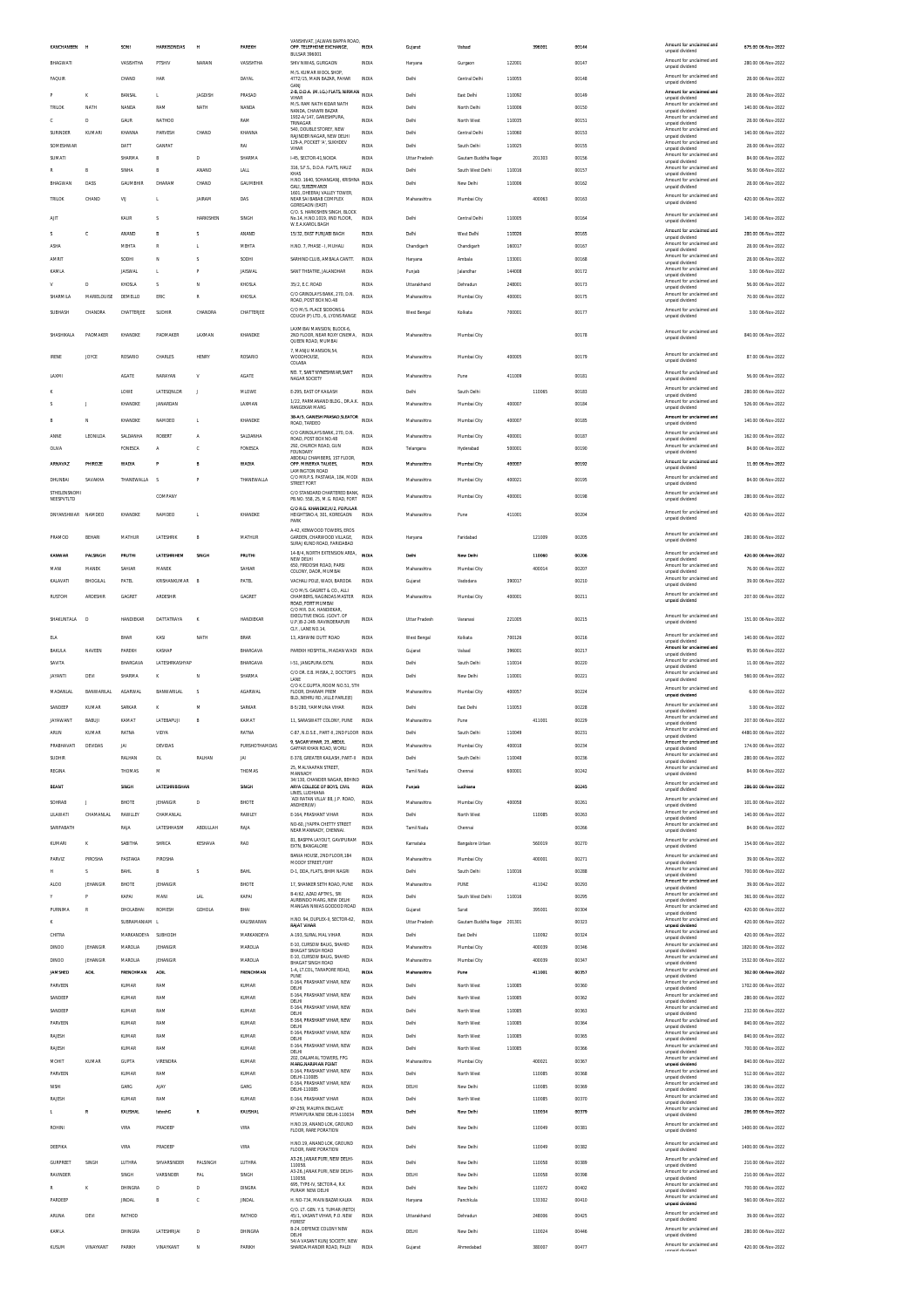| KANCHANBEN                 | и                       | SONI                          | <b>HARKISONDAS</b>      | и                | PAREKH                | OPP. TELEPHONE EXCHANGE,<br><b>BULSAR 396001</b>                                      | <b>INDIA</b>          | Gujarat                    | Valsad                        |                  | 396001           | 00144          | Amount for unclaimed and<br>unpaid dividend                             | 675.00 06-Nov-2022                        |
|----------------------------|-------------------------|-------------------------------|-------------------------|------------------|-----------------------|---------------------------------------------------------------------------------------|-----------------------|----------------------------|-------------------------------|------------------|------------------|----------------|-------------------------------------------------------------------------|-------------------------------------------|
| BHAGWATI                   |                         | VASISHTHA                     | PTSHIV                  | NARAIN           | VASISHTHA             | SHIV NIWAS, GURGAON                                                                   | <b>INDIA</b>          | Haryana                    | Gurgaon                       | 122001           |                  | 00147          | Amount for unclaimed and<br>unpaid dividend                             | 280.00 06-Nov-2022                        |
| FAQUIR                     |                         | CHAND                         | HAR                     |                  | DAYAL                 | M/S. KUMAR WOOL SHOP,<br>4772/15, MAIN BAZAR, PAHAR<br>GANJ                           | INDIA                 | Delhi                      | Central Delhi                 | 110055           |                  | 00148          | Amount for unclaimed and<br>unpaid dividend                             | 28.00 06-Nov-2022                         |
|                            | ĸ                       | BANSAL                        | L.                      | <b>JAGDISH</b>   | PRASAD                | 2-B, D.D.A. (M.I.G.) FLATS, NIRMAN<br>VIHAR                                           | <b>INDIA</b>          | Delhi                      | East Delhi                    | 110092           |                  | 00149          | Amount for unclaimed and<br>unpaid dividend                             | 28.00 06-Nov-2022                         |
| TRILOK                     | NATH                    | NANDA                         | RAM                     | NATH             | NANDA                 | M/S. RAM NATH KIDAR NATH<br>NANDA, CHAWRI BAZAR                                       | <b>INDIA</b>          | Delhi                      | North Delh                    | 110006           |                  | 00150          | Amount for unclaimed and<br>unpaid dividend                             | 140.00 06-Nov-2022                        |
|                            | D                       | GAUR                          | NATHOO                  |                  | RAM                   | 1932-A/147, GANESHPURA<br>TRINAGAR                                                    | INDIA                 | Delhi                      | North West                    | 110035           |                  | 00151          | Amount for unclaimed and<br>unpaid dividend                             | 28.00 06-Nov-2022                         |
| <b>SURINDER</b>            | KUMARI                  | KHANNA                        | PARVESH                 | CHAND            | KHANNA                | 540 DOUBLE STOREY NEW<br>RAJINDER NAGAR, NEW DELHI                                    | INDIA                 | Delhi                      | Central Delhi                 | 110060           |                  | 00153          | Amount for unclaimed and<br>unpaid dividend                             | 140.00 06-Nov-2022                        |
| SOMESHWAR                  |                         | DATT                          | <b>GANPAT</b>           |                  | RAI                   | 129-A, POCKET 'A', SUKHDEV<br>VIHAR                                                   | INDIA                 | Delhi                      | South Delhi                   | 110025           |                  | 00155          | Amount for unclaimed and<br>unpaid dividend<br>Amount for unclaimed and | 28.00 06-Nov-2022                         |
| SUMATI                     |                         | SHARMA                        | R                       | D                | SHARMA                | I-45, SECTOR-41, NOIDA<br>316, S.F.S., D.D.A. FLATS, HAUZ                             | <b>INDIA</b>          | <b>Uttar Pradesh</b>       | Gautam Buddha Nagar           |                  | 201303           | 00156          | unpaid dividend<br>Amount for unclaimed and                             | 84.00 06-Nov-2022                         |
| BHAGWAN                    | B<br>DASS               | SINHA<br>GAUMBHIR             | B<br>DHARAM             | ANAND<br>CHAND   | LALL<br>GAUMBHIR      | KHAS<br>H.NO. 1640, SOHANGANJ, KRISHNA                                                | <b>INDIA</b><br>INDIA | Delhi<br>Delhi             | South West Delhi<br>New Delhi | 110016<br>110006 |                  | 00157<br>00162 | unpaid dividend<br>Amount for unclaimed and                             | 56.00 06-Nov-2022<br>28.00 06-Nov-2022    |
|                            |                         |                               |                         |                  |                       | GALI, SUBZIMANDI<br>1601. DHEERAJ VALLEY TOWER                                        |                       |                            |                               |                  |                  |                | unpaid dividend<br>Amount for unclaimed and                             |                                           |
| TRILOK                     | CHAND                   | VIJ                           | L                       | JAIRAM           | DAS                   | NEAR SAI BABAB COMPLEX<br>GOREGAON (EAST)<br>C/O. S. HARKISHEN SINGH, BLOCK           | INDIA                 | Maharashtra                | Mumbai City                   |                  | 400063           | 00163          | unpaid dividend                                                         | 420.00 06-Nov-2022                        |
| AIT                        |                         | KAUR                          | s                       | <b>HARKISHEN</b> | SINGH                 | No.14. H.NO.1019. IIND FLOOR.<br><b>W.E.A.KAROL BAGH</b>                              | INDIA                 | Delhi                      | Central Delhi                 | 110005           |                  | 00164          | Amount for unclaimed and<br>unpaid dividend                             | 140.00.06-Nov-2022                        |
| s                          | c                       | ANAND                         | B                       | s                | ANAND                 | 15/32. EAST PUNJABI BAGH                                                              | INDIA                 | Delhi                      | West Delhi                    | 110026           |                  | 00165          | Amount for unciaimed and<br>unpaid dividend                             | 280.00 06-Nov-2022                        |
| <b>ASHA</b>                |                         | MEHTA                         | R                       | I.               | MEHTA                 | H.NO. 7, PHASE - I, MUHALI                                                            | INDIA                 | Chandigarh                 | Chandigarh                    | 160017           |                  | 00167          | Amount for unclaimed and<br>unpaid dividend                             | 28.00 06-Nov-2022                         |
| <b>AMRI</b>                |                         | SODHI                         | N                       | S                | SODHI                 | SARHIND CLUB, AMBALA CANTT.                                                           | <b>INDIA</b>          | Haryana                    | Ambala                        | 133001           |                  | 00168          | Amount for unclaimed and<br>unpaid dividend<br>Amount for unclaimed and | 28.00 06-Nov-2022                         |
| KAMLA                      |                         | <b>JAISWAL</b>                | L.                      | p                | <b>JAISWAL</b>        | SANT THEATRE, JALANDHAR                                                               | <b>INDIA</b>          | Punjab                     | Jalandhar                     | 144008           |                  | 00172          | unpaid dividend<br>Amount for unclaimed and                             | 3.00 06-Nov-2022                          |
| SHARMILA                   | D<br>MARIELOUISE        | KHOSLA<br>DEMELLO             | Ś<br>ERIC               | N<br>R           | KHOSLA<br>KHOSLA      | 35/2, E.C. ROAD<br>C/O GRINDLAYS BANK, 270, D.N.                                      | <b>INDIA</b><br>INDIA | Uttarakhand<br>Maharashtra | Dehradun<br>Mumbai City       | 248001<br>400001 |                  | 00173<br>00175 | unpaid dividend<br>Amount for unclaimed and                             | 56.00 06-Nov-2022<br>70.00 06-Nov-2022    |
| SUBHASH                    | CHANDRA                 | CHATTERJEE                    | SUDHIR                  | CHANDRA          | CHATTERJEE            | ROAD, POST BOX NO.48<br>C/O M/S. PLACE SIDDONS &                                      | <b>INDIA</b>          | West Bengal                | Kolkata                       | 700001           |                  | 00177          | unpaid dividend<br>Amount for unclaimed and                             | 3.00 06-Nov-2022                          |
|                            |                         |                               |                         |                  |                       | COUGH (P) LTD., 6, LYONS RANGE<br>LAXMIBAI MANSION, BLOCK-6                           |                       |                            |                               |                  |                  |                | unpaid dividend                                                         |                                           |
| SHASHIKALA                 | PADMAKER                | KHANDKE                       | PADMAKER                | LAXMAN           | KHANDKE               | 2ND FLOOR, NEAR ROXY CINEMA, INDIA<br>QUEEN ROAD, MUMBAI                              |                       | Maharashtra                | Mumbai City                   |                  |                  | 00178          | Amount for unclaimed and<br>unpaid dividend                             | 840.00 06-Nov-2022                        |
| <b>IRENE</b>               | JOYCE                   | ROSARIO                       | CHARLES                 | <b>HENRY</b>     | ROSARIO               | 7. MANJU MANSION.54.<br>WOODHOUSE,                                                    | <b>INDIA</b>          | Maharashtra                | Mumbai City                   | 400005           |                  | 00179          | Amount for unclaimed and                                                | 87.00 06-Nov-2022                         |
|                            |                         |                               |                         |                  |                       | COLABA<br>NO. 7 SANT NYNESHWAR SANT                                                   |                       |                            |                               |                  |                  |                | unpaid dividend<br>Amount for unclaimed and                             |                                           |
| LAXM                       |                         | <b>AGATE</b>                  | NARAYAN                 | v                | AGATE                 | NAGAR SOCIETY                                                                         | INDIA                 | Maharashtra                | Pune                          | 411009           |                  | 00181          | unpaid dividend                                                         | 56.00 06-Nov-2022                         |
|                            |                         | LOWE                          | <b>LATESONLDR</b>       | J                | MLOWE                 | E-295, EAST OF KAILASH                                                                | INDIA                 | Delhi                      | South Delh                    |                  | 110065           | 00183          | Amount for unclaimed and<br>unpaid dividend                             | 280.00 06-Nov-2022                        |
|                            |                         | KHANDKE                       | JANARDAN                |                  | LAXMAN                | 1/22, PARMANAND BLDG., DR.A.K.<br><b>RANGEKAR MARG</b>                                | <b>INDIA</b>          | Maharashtra                | Mumbai City                   | 400007           |                  | 00184          | Amount for unclaimed and<br>unpaid dividend                             | 526.00 06-Nov-2022                        |
|                            | N                       | KHANDKE                       | NAMDEO                  | L                | KHANDKE               | 38-A/5, GANESH PRASAD, SLEATOR<br>ROAD, TARDEO                                        | <b>INDIA</b>          | Maharashtra                | Mumbai City                   | 400007           |                  | 00185          | Amount for unclaimed and<br>unnaid dividend                             | 140.00 06-Nov-2022                        |
| ANNE                       | <b>LEONILDA</b>         | SALDANHA                      | <b>ROBER</b>            | I                | SALDANHA              | C/O GRINDLAYS BANK, 270, D.N.<br>ROAD, POST BOX NO.48                                 | <b>INDIA</b>          | Maharashtra                | Mumbai City                   | 400001           |                  | 00187          | Amount for unclaimed and<br>unpaid dividend                             | 162.00 06-Nov-2022                        |
| OLIVA                      |                         | <b>FONESCA</b>                | A                       | c                | FONESCA               | 292. CHURCH ROAD, GUN<br><b>FOUNDARY</b>                                              | INDIA                 | Telangana                  | Hyderabad                     | 500001           |                  | 00190          | Amount for unclaimed and<br>unpaid dividend                             | 84.00 06-Nov-2022                         |
| ARNAVAZ                    | PHIROZE                 | <b>WADIA</b>                  |                         | B                | <b>WADIA</b>          | ABDEALI CHAMBERS, 1ST FLOOR<br>OPP. MINERVA TALKIES,<br>LAMINGTON ROAD                | INDIA                 | Maharashtra                | Mumbai City                   | 400007           |                  | 00192          | Amount for unclaimed and<br>unpaid dividend                             | 11.00 06-Nov-2022                         |
| DHUNBAI                    | SAVAKHA                 | THANEWALLA                    | s                       | P                | THANEWALLA            | C/O MR.P.S. PASTAKIA, 184, MODI<br>STREET FORT                                        | <b>INDU</b>           | Maharashtra                | Mumbai City                   | 400021           |                  | 00195          | Amount for unclaimed and<br>unpaid dividend                             | 84.00 06-Nov-2022                         |
| STHELENSNOMI<br>NEESPVTLTD |                         |                               | COMPANY                 |                  |                       | C/O STANDARD CHARTERED BANK. INDIA<br>PB.NO. 558, 25, M.G. ROAD, FORT                 |                       | Maharashtra                | Mumbai City                   | 400001           |                  | 00198          | Amount for unclaimed and<br>unpaid dividend                             | 280.00 06-Nov-2022                        |
|                            |                         |                               |                         |                  |                       | C/O R.G. KHANDKE, H/2, POPULAR                                                        |                       |                            |                               |                  |                  |                | Amount for unclaimed and                                                |                                           |
| DNYANSHWAR                 | NAMDEO                  | KHANDKE                       | NAMDEC                  | L                | KHANDKE               | HEIGHTSNO.4, 301, KOREGAON<br>PARK                                                    | INDV                  | Maharashtra                | Pune                          | 411001           |                  | 00204          | unpaid dividend                                                         | 420.00 06-Nov-2022                        |
| PRAMOD                     | BEHARI                  | MATHUR                        | LATESHRIK               | B                | MATHUR                | A-42, KENWOOD TOWERS, EROS<br>GARDEN, CHARWOOD VILLAGE,<br>SURAJ KUND ROAD, FARIDABAD | INDIA                 | Haryana                    | Faridabad                     |                  | 121009           | 00205          | Amount for unclaimed and<br>unpaid dividend                             | 280.00 06-Nov-2022                        |
| KANWAR                     | PALSINGH                | PRUTH!                        | LATESHRIHEM             | SINGH            | PRUTH!                | 14-B/4, NORTH EXTENSION AREA,                                                         | <b>INDIA</b>          | Dethi                      | New Delhi                     |                  | 110060           | 00206          | Amount for unclaimed and                                                | 420.00 06-Nov-2022                        |
| MANI                       | MANEK                   | SAHIAR                        | MANEK                   |                  | SAHIAR                | NEW DELHI<br>650. FIRDOSHI ROAD, PARSI<br>COLONY, DADR, MUMBAI                        | INDIA                 | Maharashtra                | Mumbai City                   |                  | 400014           | 00207          | unpaid dividend<br>Amount for unclaimed and<br>unpaid dividend          | 76.00 06-Nov-2022                         |
| KALAVATI                   | BHOGILAL                | PATEL                         | KRISHANKUMAR            | E                | PATEL                 | VACHALI POLE, WADI, BARODA                                                            | INDIA                 | Gujarat                    | Vadodara                      | 390017           |                  | 00210          | Amount for unclaimed and<br>unpaid dividend                             | 39.00 06-Nov-2022                         |
| RUSTOM                     | ARDESHIP                | GAGRET                        | ARDESHIR                |                  | GAGRET                | C/O M/S. GAGRET & CO., ALLI<br>CHAMBERS, NAGINDAS MASTER                              | INDIA                 | Maharashtra                | Mumbai City                   | 400001           |                  | 00211          | Amount for unclaimed and<br>unpaid dividend                             | 207.00 06-Nov-2022                        |
|                            |                         |                               |                         |                  |                       | ROAD, FORT MUMBAI                                                                     |                       |                            |                               |                  |                  |                |                                                                         |                                           |
|                            |                         |                               |                         |                  |                       | C/O MR. D.K. HANDIEKAR                                                                |                       |                            |                               |                  |                  |                |                                                                         |                                           |
| SHAKUNTALA                 | D                       | HANDIEKAR                     | DATTATRAYA              | K                | HANDIEKAR             | EXECUTIVE ENGG. (GOVT. OF<br>U.P.)B-2-249. RAVINDERAPUR                               | <b>INDIA</b>          | <b>Uttar Pradesh</b>       | Varanasi                      | 221005           |                  | 00215          | Amount for unclaimed and<br>unpaid dividend                             | 151.00 06-Nov-2022                        |
| ELA                        |                         | RHAR                          | KASI                    | NATH             | <b>BRAR</b>           | CLY., LANE NO.14,<br>13, ASHWINI DUTT ROAD                                            | INDIA                 | West Bengal                | Kolkata                       | 700126           |                  | 00216          | Amount for unclaimed and<br>unpaid dividend                             | 140.00 06-Nov-2022                        |
| BAKULA                     | NAVEEN                  | PAREKH                        | KASHAF                  |                  | BHARGAVA              | PAREKH HOSPITAL, MADAN WADI INDIA                                                     |                       | Gujarat                    | Valsad                        | 396001           |                  | 00217          | Amount for unciaimed and<br>unpaid dividend                             | 95.00 06-Nov-2022                         |
| SAVITA                     |                         | BHARGAVA                      | <b>LATESHRKASHVAP</b>   |                  | BHARGAVA              | 1-51. JANGPURA EXTN.                                                                  | <b>INDIA</b>          | Delhi                      | South Delhi                   | 110014           |                  | 00220          | Amount for unclaimed and<br>unpaid dividend                             | 11.00 06-Nov-2022                         |
| <b>JAYANTI</b>             | DEVI                    | SHARMA                        | κ                       | N                | SHARMA                | C/O DR. E.B. MISRA, 2, DOCTOR'S<br>LANE<br>C/O K.C.GUPTA, ROOM NO.51, 5TH             | <b>INDIA</b>          | Delhi                      | New Delhi                     | 110001           |                  | 00221          | Amount for unclaimed and<br>unpaid dividend                             | 560.00 06-Nov-2022                        |
| MADANLAI                   | <b>BANWARILAL</b>       | <b>AGARWAL</b>                | BANWARILAL              | S                | <b>AGARWAL</b>        | FLOOR, DHARAM PREM<br>BLD NEHRLIRD VILLE PARLE(E)                                     | <b>INDIA</b>          | Maharashtra                | Mumbai City                   | 400057           |                  | 00224          | Amount for unclaimed and<br>unpaid dividend                             | 6.00 06-Nov-2022                          |
| SANDEEP                    | KUMAR                   | SARKAR                        | ĸ                       | M                | SARKAR                | B-5/280. YAMMUNA VIHAR                                                                | INDIA                 | Delhi                      | East Delhi                    | 110053           |                  | 00228          | Amount for unclaimed and<br>unpaid dividend                             | 3.00.06-Nov-2022                          |
| <b>JAYAWANT</b>            | BABUJ                   | KAMAT                         | LATEBAPUJI              | B                | KAMAT                 | 11. SARASWATT COLONY. PUNE                                                            | <b>INDIA</b>          | Maharashtra                | Pune                          |                  | 411001           | 00229          | Amount for unclaimed and<br>unpaid dividend<br>Amount for unclaimed and | 207.00 06-Nov-2022                        |
| ARUN                       | KUMAR                   | RATNA                         | VIDYA                   |                  | RATNA                 | C-87, N.D.S.E., PART-II, 2ND FLOOR INDIA<br>9. SAGAR VIHAR. 23. ABDUI                 |                       | Delhi                      | South Delhi                   | 110049           |                  | 00231          | unpaid dividend<br>Amount for unclaimed and                             | 4480.00 06-Nov-2022                       |
| PRABHAVATI<br>SUDHIR       | DEVIDAS                 | <b>JAI</b><br>RALHAN          | DEVIDAS<br>DL.          | RALHAN           | PURSHOTHAMDAS<br>JAI  | GAFFAR KHAN ROAD, WORLL<br>E-378, GREATER KAILASH, PART-II INDIA                      | INDIA                 | Maharashtra<br>Delhi       | Mumbai City<br>South Delhi    | 400018<br>110048 |                  | 00234<br>00236 | unpaid dividend<br>Amount for unclaimed and                             | 174.00 06-Nov-2022<br>280.00 06-Nov-2022  |
| REGINA                     |                         | THOMAS                        | M                       |                  | THOMAS                | 25, MALYAAPAN STREET,                                                                 | INDIA                 | Tamil Nadu                 | Chennai                       | 600001           |                  | 00242          | unpaid dividend<br>Amount for unclaimed and                             | 84.00 06-Nov-2022                         |
| <b>BEANT</b>               |                         | <b>SINGH</b>                  | <b>LATESHRIBISHAN</b>   |                  | SINGH                 | MANNADY<br>34/130, CHANDER NAGAR, BEHIND<br>ARYA COLLEGE OF BOYS, CIVIL               | <b>INDIA</b>          | Puniab                     | Ludhiana                      |                  |                  | 00245          | unpaid dividend<br>Amount for unclaimed and                             | 286.00.06-Nov-2022                        |
|                            |                         |                               |                         |                  |                       | LINES, LUDHIANA<br>ADI RATAN VILLA' 88, J.P. ROAD,                                    |                       |                            |                               |                  |                  |                | unpaid dividend<br>Amount for unclaimed and                             |                                           |
| SOHRAB<br>LILAWATI         | CHAMANLAL               | BHOTE<br>RAWLLEY              | JEHANGIR<br>CHAMANLAL   | D                | BHOTE<br>RAWLEY       | <b>ANDHERIOVO</b><br>E-164, PRASHANT VIHAR                                            | INDIA<br><b>INDIA</b> | Maharashtra<br>Delhi       | Mumbai City<br>North West     | 400058           | 110085           | 00261<br>00263 | unnaid dividend<br>Amount for unclaimed and                             | 101.00 06-Nov-2022<br>140.00 06-Nov-2022  |
| SARIFABATH                 |                         | RAJA                          | LATESHHASIM             | <b>ABDULLAH</b>  | RAJA                  | NO-60. JYAPPA CHETTY STREET                                                           | <b>INDIA</b>          | Tamil Nadu                 | Chenna                        |                  |                  | 00266          | unpaid dividend<br>Amount for unclaimed and                             | 84.00 06-Nov-2022                         |
| KUMARI                     | ĸ                       | SABITHA                       | SHRICA                  | KESHAVA          | <b>RAO</b>            | NEAR MANNADY, CHENNAL<br>81. BASPPA LAYOUT, GAVIPURAM                                 | INDIA                 | Karnataka                  | Bangalore Urban               |                  | 560019           | 00270          | unpaid dividend<br>Amount for unclaimed and                             | 154.00 06-Nov-2022                        |
| PARVIZ                     | PIROSHA                 | PASTAKIA                      | PIROSHA                 |                  |                       | EXTN, BANGALORE<br>BANIA HOUSE, 2ND FLOOR, 184                                        | <b>INDIA</b>          | Maharashtra                |                               |                  | 400001           | 00271          | unpaid dividend<br>Amount for unclaimed and                             | 39.00 06-Nov-2022                         |
|                            | Ś                       | <b>BAHL</b>                   | B                       | S                | <b>BAHL</b>           | MOODY STREET.FORT<br>D-1, DDA, FLATS, BHIM NAGRI                                      | <b>INDIA</b>          | Delhi                      | Mumbai City<br>South Delh     | 110016           |                  | 00288          | unpaid dividend<br>Amount for unclaimed and                             | 700.00 06-Nov-2022                        |
| ALCO                       | JEHANGIR                | BHOTE                         | <b>JEHANGIR</b>         |                  | BHOTE                 | 17 SHANKER SETH ROAD, PUNE                                                            | INDIA                 | Maharashtra                | PUNE                          |                  | 411042           | 00293          | unpaid dividend<br>Amount for unclaimed and<br>unpaid dividend          | 39.00 06-Nov-2022                         |
|                            |                         | KAPAI                         | MANI                    | <b>LAL</b>       | KAPAI                 | B-4/62, AZAD APTMS SRI<br>AURBINDO MARG. NEW DELHI                                    | <b>INDIA</b>          | Delhi                      | South West Delhi              | 110016           |                  | 00295          | Amount for unclaimed and<br>unpaid dividend                             | 361.00 06-Nov-2022                        |
| PURNIMA                    | R                       | DHOLABHAI                     | ROMESH                  | GDHOLA           | BHAI                  | MANGAN NIWAS GODDOD ROAD                                                              | INDIA                 | Gujarat                    | Surat                         |                  | 395001           | 00304          | Amount for unclaimed and<br>unpaid dividend                             | 420.00 06-Nov-2022                        |
|                            |                         | SUBRAMANIAM L                 |                         |                  | KALISWARAN            | H.NO. 94, DUPLEX-II, SECTOR-62,<br><b>RAJAT VIHAR</b>                                 | INDIA                 | <b>Uttar Pradesh</b>       | Gautam Buddha Nagar 201301    |                  |                  | 00323          | Amount for unclaimed and<br>unpaid dividend<br>Amount for unclaimed and | 420.00 06-Nov-2022                        |
| CHITRA<br><b>DINOO</b>     | <b>JEHANGIR</b>         | MARKANDEYA SUBHODH<br>MAROLIA | <b>JEHANGIR</b>         |                  | MARKANDEYA<br>MAROLIA | A-193, SURAL MAL VIHAR<br>E-10, CURSOW BAUG, SHAHID                                   | INDIA<br><b>INDIA</b> | Delhi<br>Maharashtra       | East Delhi                    |                  | 110092<br>400039 | 00324<br>00346 | unpaid dividend<br>Amount for unclaimed and                             | 420.00 06-Nov-2022<br>1820.00 06-Nov-2022 |
|                            |                         |                               |                         |                  |                       | BHAGAT SINGH ROAD<br>E-10. CURSOW BAUG, SHAHID                                        |                       |                            | Mumbai City                   |                  |                  |                | unpaid dividend<br>Amount for unclaimed and                             |                                           |
| DINOO<br>JAMSHED           | JEHANGIE<br><b>ADIL</b> | MAROLIA<br><b>FRENCHMAN</b>   | JEHANGIR<br><b>ADIL</b> |                  | MAROLIA<br>FRENCHMAN  | BHAGAT SINGH ROAD<br>1-A, LT.COL, TARAPORE ROAD,                                      | INDIA<br>INDIA        | Maharashtra<br>Maharashtra | Mumbai City<br>Pune           |                  | 400039<br>411001 | 00347<br>00357 | unpaid dividend<br>Amount for unclaimed and                             | 1532.00 06-Nov-2022<br>302.00 06-Nov-2022 |
| PARVEEN                    |                         | KUMAR                         | RAM                     |                  | KUMAR                 | <b>PUNE</b><br>E-164, PRASHANT VIHAR, NEW                                             | INDIA                 | Delhi                      | North West                    | 110085           |                  | 00360          | unpaid dividend<br>Amount for unclaimed and                             | 1702.00 06-Nov-2022                       |
| SANDEEP                    |                         | KUMAR                         | RAM                     |                  | KUMAR                 | DELHI<br>E-164, PRASHANT VIHAR, NEW<br>DELHI                                          | INDIA                 | Delhi                      | North West                    | 110085           |                  | 00362          | unpaid dividend<br>Amount for unclaimed and                             | 280.00 06-Nov-2022                        |
| SANDEEP                    |                         | KUMAR                         | RAM                     |                  | KUMAR                 | E-164, PRASHANT VIHAR, NEW<br>DELHI                                                   | INDIA                 | Delhi                      | North West                    | 110085           |                  | 00363          | unpaid dividend<br>Amount for unclaimed and<br>unpaid dividend          | 232.00 06-Nov-2022                        |
| PARVEEN                    |                         | KUMAR                         | RAM                     |                  | KUMAR                 | E-164, PRASHANT VIHAR, NEW<br>DELHI                                                   | INDIA                 | Delhi                      | North West                    | 110085           |                  | 00364          | Amount for unclaimed and<br>unpaid dividend                             | 840.00 06-Nov-2022                        |
| RAJESH                     |                         | <b>KUMAR</b>                  | RAM                     |                  | <b>KUMAR</b>          | E-164, PRASHANT VIHAR, NEW<br>DELHI<br>E-164. PRASHANT VIHAR. NEW                     | <b>INDIA</b>          | Delhi                      | North West                    | 110085           |                  | 00365          | Amount for unclaimed and<br>unpaid dividend<br>Amount for unclaimed and | 840.00 06-Nov-2022                        |
| RAJESH<br>MOHIT            | KUMAR                   | KUMAR<br><b>GUPTA</b>         | RAM<br>VIRENDRA         |                  | KUMAR<br><b>KUMAR</b> | DELHI<br>202, DALAMAL TOWERS, FPG                                                     | <b>INDIA</b><br>INDIA | Delhi<br>Maharashtra       | North West<br>Mumbai City     | 110085           | 400021           | 00366<br>00367 | unpaid dividend<br>Amount for unclaimed and                             | 700.00 06-Nov-2022<br>840.00 06-Nov-2022  |
| PARVEEN                    |                         | KUMAR                         | RAM                     |                  | KUMAR                 | <b>MARG, NARIMAN POINT</b><br>E-164, PRASHANT VIHAR, NEW                              | INDIA                 | Delhi                      | North West                    |                  | 110085           | 00368          | unpaid dividend<br>Amount for unclaimed and                             | 512.00 06-Nov-2022                        |
| NISHI                      |                         | GARG                          | AJAY                    |                  | GARG                  | DELHI-110085<br>E-164, PRASHANT VIHAR, NEW<br>DELHI-110085                            | INDIA                 | DELHI                      | New Delhi                     |                  | 110085           | 00369          | unpaid dividend<br>Amount for unclaimed and<br>unpaid dividend          | 190.00 06-Nov-2022                        |
| RAJESH                     |                         | KUMAR                         | RAM                     |                  | KUMAR                 | E-164, PRASHANT VIHAR                                                                 | <b>INDIA</b>          | Delhi                      | North West                    |                  | 110085           | 00370          | Amount for unclaimed and<br>unpaid dividend                             | 336.00 06-Nov-2022                        |
|                            |                         | KAUSHA                        | tateshG                 | g                | KAUSHAL               | KP-259. MAURYA ENCLAVE<br>PITAMPURA NEW DELHI-110034                                  | mou                   | Dethi                      | New Delh                      |                  | 110034           | 00379          | Amount for unclaimed and<br>unpaid dividend                             | 286.00 06-Nov-2022                        |
| ROHIN                      |                         | VIRA                          | PRADEEF                 |                  | VIRA                  | H.NO.19. ANAND LOK. GROUND<br>FLOOR, RARE PORATION                                    | INDIA                 | Delhi                      | New Delhi                     |                  | 110049           | 00381          | Amount for unclaimed and<br>unpaid dividend                             | 1400.00 06-Nov-2022                       |
| DEEPIKA                    |                         | VIRA                          | PRADEEP                 |                  | VIRA                  | H.NO.19, ANAND LOK, GROUND                                                            | <b>INDIA</b>          | Delhi                      | New Delhi                     |                  | 110049           | 00382          | Amount for unclaimed and                                                | 1400.00 06-Nov-2022                       |
| <b>GURPREET</b>            | SINGH                   | LUTHRA                        | SHVARSINDER             | PALSINGH         | LUTHRA                | FLOOR, RARE PORATION<br>A3-26, JANAK PURI, NEW DELHI-                                 | INDIA                 | Delhi                      | New Delhi                     |                  | 110058           | 00389          | unpaid dividend<br>Amount for unclaimed and                             | 210.00 06-Nov-2022                        |
| RAVINDER                   |                         | SINGH                         | VARSINDER               | PAL              | SINGH                 | 110058<br>A3-26, JANAK PURI, NEW DELHI-                                               | INDIA                 | DELHI                      | New Delhi                     |                  | 110058           | 00398          | unpaid dividend<br>Amount for unclaimed and                             | 210.00 06-Nov-2022                        |
| R                          | ĸ                       | DHINGRA                       | D                       | D                | DINGRA                | 110058<br>695, TYPE-IV, SECTOR-4, R.K.<br>PURAM NEW DELHI                             | INDIA                 | Delhi                      | New Delhi                     |                  | 110072           | 00402          | unpaid dividend<br>Amount for unclaimed and<br>unpaid dividend          | 700.00 06-Nov-2022                        |
| PARDEEP                    |                         | <b>JINDAL</b>                 | B                       | c                | <b>JINDAL</b>         | H. NO-734, MAIN BAZAR KALKA                                                           | INDIA                 | Haryana                    | Panchkula                     |                  | 133302           | 00410          | Amount for unclaimed and<br>unpaid dividend                             | 560.00 06-Nov-2022                        |
| ARUNA                      | DEVI                    | RATHOD                        |                         |                  | RATHOD                | C/O. LT. GEN. Y.S. TUMAR (RETD)<br>45/1, VASANT VIHAR, P.O. NEW                       | INDIA                 | Uttarakhand                | Dehradun                      |                  | 248006           | 00425          | Amount for unclaimed and<br>unpaid dividend                             | 39.00 06-Nov-2022                         |
| KAMLA                      |                         | DHINGRA                       | LATESHRUAI              | D                | DHINGRA               | FOREST<br>B-24, DEFENCE COLONY NEW<br>DELHI<br>54/A VASANT KUNJ SOCIETY, NEW          | <b>INDIA</b>          | DELHI                      | New Delhi                     |                  | 110024           | 00446          | Amount for unclaimed and<br>unpaid dividend                             | 280.00 06-Nov-2022                        |

VANSHIVAT, JALWAN BAPPA ROAD,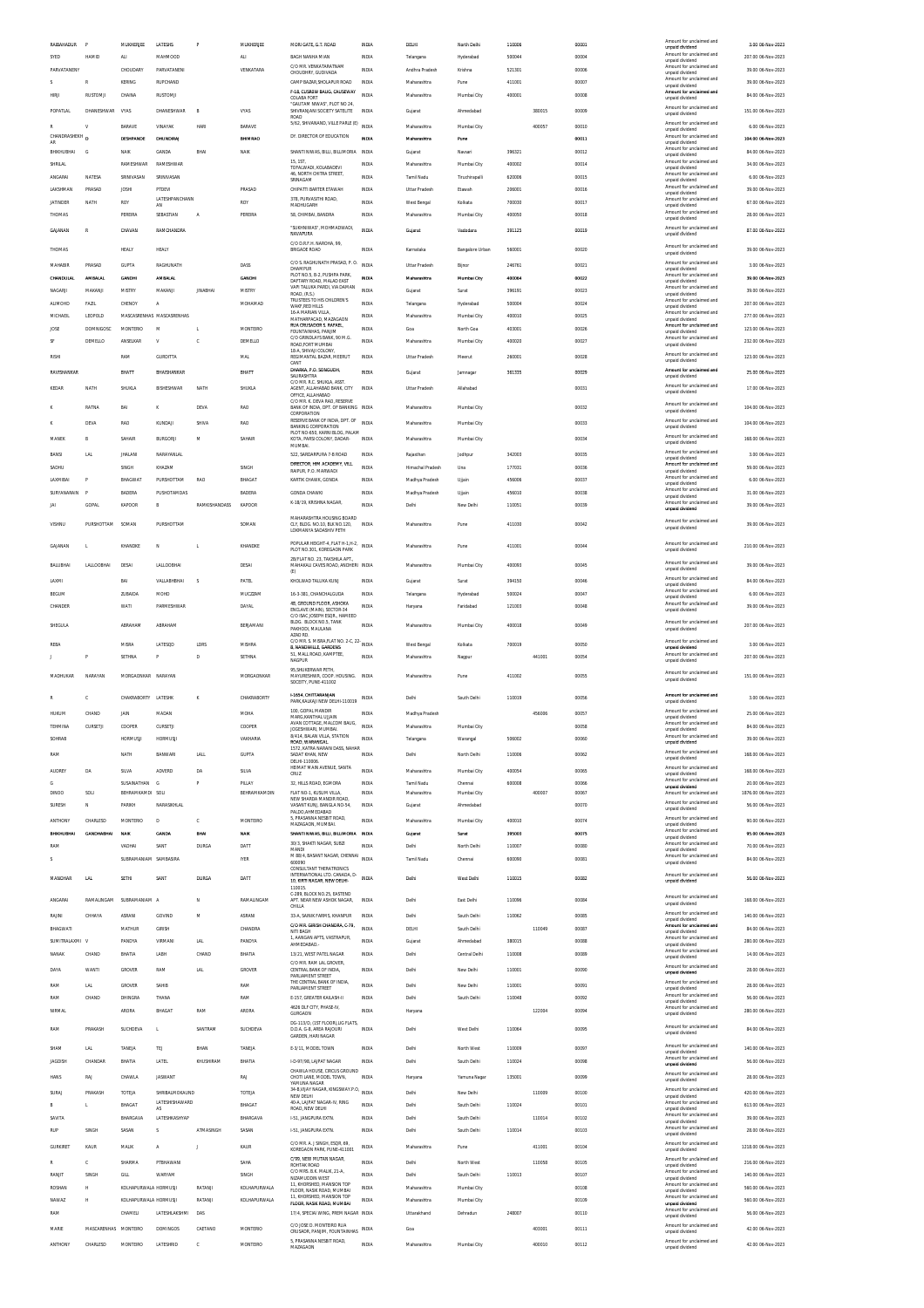| RAIBAHADUR                |                      | MUKHERJEE             | LATESHS                   | P               | MUKHERJEE       | MORI GATE, G.T. ROAD                                                 | INDIA        | DELHI                | North Delhi     | 110006 |        | 00001 | Amount for unals<br>unpaid dividend         | 3.00 06-Nov-2023    |
|---------------------------|----------------------|-----------------------|---------------------------|-----------------|-----------------|----------------------------------------------------------------------|--------------|----------------------|-----------------|--------|--------|-------|---------------------------------------------|---------------------|
| SYED                      | HAMID                | ALI                   | MAHMOOD                   |                 | <b>ALI</b>      | BAGH NANHA MIAN                                                      | <b>INDIA</b> | Telangana            | Hyderabad       | 500044 |        | 00004 | Amount for unclaimed and<br>unpaid dividend | 207.00 06-Nov-2023  |
| PARVATANENY               |                      | CHOUDARY              | PARVATANENI               |                 | VENKATARA       | C/O MR VENKATARATNAM<br>CHOUDHRY, GUDIVADA                           | <b>INDIA</b> | Andhra Pradesh       | Krishna         | 521301 |        | 00006 | Amount for unclaimed and<br>unpaid dividend | 39.00 06-Nov-2023   |
| s                         |                      | <b>KERING</b>         | RUPCHAND                  |                 |                 | CAMP BAZAR SHOLAPUR ROAD                                             | <b>INDIA</b> | Maharashtra          | Pune            | 411001 |        | 00007 | Amount for unclaimed and                    | 39.00 06-Nov-2023   |
| HIRIL                     | <b>RUSTOMJI</b>      | CHAINA                | <b>RUSTOMJI</b>           |                 |                 | F-18, CUSROW BAUG, CAUSEWAY                                          | INDIA        | Maharashtra          | Mumbai City     | 400001 |        | 00008 | unpaid dividend<br>Amount for unclaimed and | 84.00 06-Nov-2023   |
|                           |                      |                       |                           |                 |                 | COLABA FORT<br>"GAUTAM NIWAS", PLOT NO 24                            |              |                      |                 |        |        |       | unpaid dividend                             |                     |
| POPATLAL                  | DHANESHWAR           | VYAS                  | DHANESHWAR                | B               | <b>VYAS</b>     | SHIVRANJANI SOCIETY SATELITE<br>ROAD                                 | <b>INDIA</b> | Guiarat              | Ahmedabad       |        | 380015 | 00009 | Amount for unclaimed and<br>unpaid dividend | 151.00 06-Nov-2023  |
| R                         | v                    | <b>BARAVE</b>         | VINAYAK                   | <b>HARI</b>     | <b>BARAVE</b>   | 5/62, SHIVANAND, VILLE PARLE (E)                                     | INDIA        | Maharashtra          | Mumbai City     |        | 400057 | 00010 | Amount for unclaimed and                    | 6.00.06-Nov-2023    |
| CHANDRASHEKH <sub>D</sub> |                      |                       | <b>DHI INDIRA</b>         |                 | <b>RHIMRAO</b>  | DY DIRECTOR OF EDUCATION                                             | INDIA        |                      |                 |        |        |       | unpaid dividend<br>Amount for unclaimed and |                     |
| AR                        |                      | DESHPANDE             |                           |                 |                 |                                                                      |              | Maharashtra          | Pune            |        |        | 00011 | unpaid dividend<br>Amount for unclaimed and | 104.00 06-Nov-2023  |
| <b>BHIKHUBHAI</b>         | G                    | NAIK                  | GANDA                     | BHAI            | NAIK            | SHANTI NIWAS, BILLI, BILLIMORIA                                      | INDIA        | Gujarat              | Navsari         | 396321 |        | 00012 | unpaid dividend                             | 84.00 06-Nov-2023   |
| SHRILAL                   |                      | <b>RAMESHWAR</b>      | RAMESHWAR                 |                 |                 | 15.1ST<br>TOFALWADI, KOLABADEVI                                      | INDIA        | Maharashtra          | Mumbai City     | 400002 |        | 00014 | Amount for unclaimed and<br>unpaid dividend | 34.00 06-Nov-2023   |
| ANGARAI                   | NATESA               | SRINIVASAN            | SRINIVASAN                |                 |                 | 46. NORTH CHITRA STREET.<br>SRINAGAM                                 | INDIA        | Tamil Nadu           | Tiruchirapall   | 620006 |        | 00015 | Amount for unclaimed and<br>unpaid dividend | 6.00 06-Nov-2023    |
| LAKSHMAN                  | PRASAD               | <b>JOSHI</b>          | PTDEVI                    |                 | PRASAD          | CHIPATTI BARTER ETAWAH                                               | <b>INDIA</b> | <b>Uttar Pradesh</b> | Etawah          | 206001 |        | 00016 | Amount for unclaimed and                    | 39.00 06-Nov-2023   |
|                           |                      |                       | LATESHPANCHANN            |                 |                 | 378. PURVASITHI ROAD.                                                |              |                      |                 |        |        |       | unpaid dividend<br>Amount for unclaimed and |                     |
| JATINDER                  | NATH                 | ROY                   | AN                        |                 | ROY             | MADHUGARH                                                            | INDIA        | West Bengal          | Kolkata         | 700030 |        | 00017 | unpaid dividend<br>Amount for unclaimed and | 67.00 06-Nov-2023   |
| THOMAS                    |                      | PEREIRA               | SEBASTIAN                 | А               | PEREIRA         | 58, CHIMBAI, BANDRA                                                  | INDIA        | Maharashtra          | Mumbai City     | 400050 |        | 00018 | unpaid dividend                             | 28.00 06-Nov-2023   |
| GAJANAN                   | R                    | CHAVAN                | RAMCHANDRA                |                 |                 | "SUKHNIWAS". MOHMADWADI.                                             | <b>INDIA</b> | Gujarai              | Vadodara        | 391125 |        | 00019 | Amount for unclaimed and                    | 87.00 06-Nov-2023   |
|                           |                      |                       |                           |                 |                 | NAVAPURA<br>C/O D.R.F.H. NAROHA, 99.                                 |              |                      |                 |        |        |       | unpaid dividend                             |                     |
| THOMAS                    |                      | HEALY                 | HEALY                     |                 |                 | <b>BRIGADE ROAD</b>                                                  | INDIA        | Karnataka            | Bangalore Urban | 560001 |        | 00020 | Amount for unclaimed and<br>unpaid dividend | 39.00 06-Nov-2023   |
| MAHABIR                   | PRASAD               | GUPTA                 | RAGHUNATH                 |                 | DASS            | C/O S. RAGHUNATH PRASAD, P. O.                                       | <b>INDIA</b> | <b>Uttar Pradesh</b> | Bijnor          | 246761 |        | 00021 | Amount for unclaimed and                    | 3.00 06-Nov-2023    |
|                           |                      |                       |                           |                 |                 | <b>DHAMPUR</b><br>PLOT NO.5, B-2, PUSHPA PARK,                       |              |                      |                 |        |        |       | unpaid dividend<br>Amount for unclaimed and |                     |
| CHANDULAL                 | <b>AMBALAL</b>       | <b>GANDHI</b>         | <b>AMBALAL</b>            |                 | <b>GANDHI</b>   | DAFTARY ROAD, MALAD EAST<br>VAPI TALUKA PARDI. VIA DAMAN             | <b>INDIA</b> | Maharashtra          | Mumbai City     | 400064 |        | 00022 | unpaid dividend<br>Amount for unclaimed and | 39.00 06-Nov-2023   |
| NAGARJI                   | MAKANII              | MISTRY                | MAKANJI                   | <b>JINABHAI</b> | <b>MISTRY</b>   | ROAD, (R.S.)                                                         | INDIA        | Gujarat              | Surat           | 396191 |        | 00023 | unpaid dividend                             | 39.00 06-Nov-2023   |
| <b>ALIMOHD</b>            | FAZIL                | CHENOY                | A                         |                 | MOHAMAD         | TRUSTEES TO HIS CHILDREN'S<br>WAKE RED HILLS                         | INDIA        | Telangana            | Hyderabad       | 500004 |        | 00024 | Amount for unclaimed and<br>unpaid dividend | 207.00 06-Nov-2023  |
| MICHAEIL                  | LEOPOLD              |                       | MASCASRENHAS MASCASRENHAS |                 |                 | 16-A MARIAN VILLA                                                    | <b>INDIA</b> | Maharashtra          | Mumbai City     | 400010 |        | 00025 | Amount for unclaimed and                    | 277.00 06-Nov-2023  |
|                           | <b>DOMNIGOSC</b>     | <b>MONTERIO</b>       | M                         | L               | MONTEIRO        | MATHARPACAD, MAZAGAON<br>RUA CRUSADOR S. RAFAEL.                     | <b>INDIA</b> | Goa                  | North Goa       | 403001 |        |       | unpaid dividend<br>Amount for unclaimed and | 123.00 06-Nov-2023  |
| JOSE                      |                      |                       |                           |                 |                 | FOUNTAINHAS, PANJIM<br>C/O GRINDLAYS BANK, 90 M.G.                   |              |                      |                 |        |        | 00026 | unpaid dividend<br>Amount for unclaimed and |                     |
| SF                        | DEMELLO              | ANSELKAR              | V                         | ¢               | DEMELLO         | ROAD, FORT MUMBAI                                                    | <b>INDIA</b> | Maharashtra          | Mumbai City     | 400020 |        | 00027 | unpaid dividend                             | 232.00 06-Nov-2023  |
| RISHI                     |                      | RAM                   | <b>GURDITTA</b>           |                 | MAL             | 19-A. SHIVALLOOLOMY<br>REGIMANTAL BAZAR, MEERUT                      | <b>INDIA</b> | <b>Uttar Pradesh</b> | Meerut          | 260001 |        | 00028 | Amount for unclaimed and                    | 123.00 06-Nov-2023  |
|                           |                      |                       |                           |                 |                 | CANT                                                                 |              |                      |                 |        |        |       | unpaid dividend                             |                     |
| RAVISHANKAR               |                      | BHATT                 | BHAISHANKAR               |                 | BHATT           | DHARKA, P.O. SONGUDH<br>SAURASHTRA                                   | INDIA        | Gujarat              | Jamnaga         | 361335 |        | 00029 | Amount for unclaimed and<br>unpaid dividend | 25.00 06-Nov-2023   |
| KEDAR                     | NATH                 | SHUKLA                | BISHESHWAR                | NATH            | SHUKLA          | C/O MR. R.C. SHUKLA, ASST.<br>AGENT, ALLAHABAD BANK, CITY            | INDIA        | Uttar Pradesh        | Allahabad       |        |        | 00031 | Amount for unclaimed and                    | 17.00 06-Nov-2023   |
|                           |                      |                       |                           |                 |                 | OFFICE, ALLAHABAD                                                    |              |                      |                 |        |        |       | unpaid dividend                             |                     |
|                           | RATNA                | BA                    | ĸ                         | DEVA            | RAO             | C/O MR. K. DEVA RAO, RESERVE<br>BANK OF INDIA, DPT. OF BANKING INDIA |              | Maharashtra          | Mumbai City     |        |        | 00032 | Amount for unclaimed and                    | 104.00 06-Nov-2023  |
|                           |                      |                       |                           |                 |                 | CORPORATION<br>RESERVE BANK OF INDIA, DPT. OF                        |              |                      |                 |        |        |       | unnaid dividend<br>Amount for unclaimed and |                     |
|                           | DEVA                 | <b>RAO</b>            | KUNDAI                    | SHIVA           | RAO             | <b>BANKING CORPORATION</b>                                           | <b>INDIA</b> | Maharashtra          | Mumbai City     |        |        | 00033 | unpaid dividend                             | 104.00 06-Nov-2023  |
| MANEK                     | $\mathbb{R}$         | SAHAIR                | <b>BURGORJI</b>           | M               | SAHAIR          | PLOT NO-650, KARNI BLOG, PALAM<br>KOTA, PARSI COLONY, DADAR-         | INDIA        | Maharashtra          | Mumbai City     |        |        | 00034 | Amount for unclaimed and                    | 168.00.06-Nov-2023  |
|                           |                      |                       |                           |                 |                 | MUMBAI.                                                              |              |                      |                 |        |        |       | unpaid dividend                             |                     |
| BANSI                     | LAL                  | <b>JHALANI</b>        | NARAYANLAL                |                 |                 | 522, SARDARPURA 7-B ROAD                                             | <b>INDIA</b> | Rajasthan            | Jodhpur         | 342003 |        | 00035 | Amount for unclaimed and<br>unpaid dividend | 3.00 06-Nov-2023    |
| SADHLI                    |                      | SINGH                 | KHAZAM                    |                 | SINGH           | DIRECTOR, HIM ACADEMY, VILL                                          | INDIA        | Himachal Pradesh     | Una             | 177031 |        | 00036 | Amount for unclaimed and                    | 59.00 06-Nov-2023   |
|                           |                      |                       |                           |                 |                 | RAIPUR, P.O. MARWADI                                                 |              |                      |                 |        |        |       | unpaid dividend<br>Amount for unclaimed and |                     |
| LAXMIBAI                  |                      | BHAGWAT               | PURSHOTTAM                | <b>RAO</b>      | BHAGAT          | KARTIK CHAWK, GONDA                                                  | INDIA        | Madhya Pradesh       | Ujjain          | 456006 |        | 00037 | unpaid dividend                             | 6.00 06-Nov-2023    |
| SURYANARAIN               | P                    | <b>BADERA</b>         | PUSHOTAMDAS               |                 | <b>BADERA</b>   | <b>GONDA CHAWKI</b>                                                  | INDIA        | Madhya Pradesh       | Ujjain          | 456010 |        | 00038 | Amount for unclaimed and<br>unpaid dividend | 31.00 06-Nov-2023   |
| JAI                       | GOPAL                | KAPOOR                | B                         | RAMKISHANDASS   | KAPOOR          | K-18/19, KRISHNA NAGAR                                               | <b>INDIA</b> | Delhi                | New Delh        | 110051 |        | 00039 | Amount for unclaimed and                    | 39.00 06-Nov-2023   |
|                           |                      |                       |                           |                 |                 | MAHARASHTRA HOUSING BOARD                                            |              |                      |                 |        |        |       | unpaid dividend                             |                     |
| VISHNU                    | PURSHOTTAM           | SOMAN                 | PURSHOTTAM                |                 | SOMAN           | CLY, BLDG. NO.10, BLK NO.120,                                        | <b>INDIA</b> | Maharashtra          | Pune            | 411030 |        | 00042 | Amount for unclaimed and<br>unpaid dividend | 39.00 06-Nov-2023   |
|                           |                      |                       |                           |                 |                 | LOKMANYA SADASHIV PETH                                               |              |                      |                 |        |        |       |                                             |                     |
| <b>GAIANAN</b>            | L.                   | KHANDKE               | N                         | T.              | KHANDKE         | POPULAR HEIGHT-4, FLAT H-1, H-2, INDIA                               |              | Maharashtra          | Pune            | 411001 |        | 00044 | Amount for unclaimed and                    | 210.00 06-Nov-2023  |
|                           |                      |                       |                           |                 |                 | PLOT NO.301, KOREGAON PARK<br>2B/FLAT NO. 23, TAKSHILA APT.          |              |                      |                 |        |        |       | unpaid dividend                             |                     |
| BALUBHAI                  | LALLOOBHAI           | DESAI                 | LALLOOBHAI                |                 | DESAI           | MAHAKALI CAVES ROAD, ANDHERI INDIA                                   |              | Maharashtra          | Mumbai City     | 400093 |        | 00045 | Amount for unclaimed and<br>unpaid dividend | 39.00 06-Nov-2023   |
|                           |                      |                       |                           |                 |                 | (E)                                                                  |              |                      |                 |        |        |       | Amount for unclaimed and                    |                     |
| LAXMI                     |                      | BAI                   | VALLABHBHAI               | s               | PATEL           | KHOLWAD TALUKA KUNJ                                                  | <b>INDIA</b> | Guiarat              | Surat           | 394150 |        | 00046 | unpaid dividend                             | 84.00 06-Nov-2023   |
| BEGUM                     |                      | ZUBAIDA               | MOHD                      |                 | MUCZZAM         | 16-3-381, CHANCHALGUDA                                               | INDIA        | Telangana            | Hyderabad       | 500024 |        | 00047 | Amount for unclaimed and<br>unpaid dividend | 6.00 06-Nov-2023    |
| CHANDER                   |                      | WATI                  | PARMESHWAR                |                 | DAYAL           | 48, GROUND FLOOR, ASHOKA<br>ENCLAVE (MAIN). SECTOR-34                | <b>INDIA</b> | Harvana              | Faridabad       | 121003 |        | 00048 | Amount for unclaimed and<br>unpaid dividend | 39.00 06-Nov-2023   |
|                           |                      |                       |                           |                 |                 | C/O ISAC JOSEPH ESOR HAMEED                                          |              |                      |                 |        |        |       |                                             |                     |
| SHEGULA                   |                      | ABRAHAM               | ABRAHAM                   |                 | BERJAMANI       | BLDG. BLOCK NO.5, TANK<br>PAKHODI, MAULANA                           | <b>INDIA</b> | Maharashtra          | Mumbai City     | 400018 |        | 00049 | Amount for unclaimed and<br>unpaid dividend | 207.00 06-Nov-2023  |
|                           |                      |                       |                           |                 |                 |                                                                      |              |                      |                 |        |        |       |                                             |                     |
|                           |                      |                       |                           |                 |                 | AZAD RD.                                                             |              |                      |                 |        |        |       |                                             |                     |
| REBA                      |                      | MISRA                 | LATESOD                   | LDRS            | MISHRA          | C/O MR. S. MISRA, FLAT NO. 2-C, 22-<br><b>B. NANDWILLE, GARDENS</b>  | INDIA        | West Bengal          | Kolkata         | 700019 |        | 00050 | Amount for unclaimed and<br>unpaid dividend | 3.00 06-Nov-2023    |
|                           |                      | SETHNA                | p                         | D               | SETHNA          | 51, MALL ROAD, KAMPTEE                                               | <b>INDIA</b> | Maharashtra          |                 |        | 441001 | 00054 | Amount for unclaimed and                    | 207.00 06-Nov-2023  |
|                           |                      |                       |                           |                 |                 | NAGPUR                                                               |              |                      | Nagpur          |        |        |       | unpaid dividend                             |                     |
| MADHUKAR                  | NARAYAN              | MORGAONKAR NARAYAN    |                           |                 | MORGAONKAR      | 95.SHUKERWAR PETH.<br>MAYURESHWR, COOP. HOUSING. INDIA               |              | Maharashtra          | Pune            | 411002 |        | 00055 | Amount for unclaimed and                    | 151.00 06-Nov-2023  |
|                           |                      |                       |                           |                 |                 | SOCEITY, PUNE-411002                                                 |              |                      |                 |        |        |       | unpaid dividend                             |                     |
|                           | c                    | CHAKRABORTY LATESHK   |                           |                 | CHAKRABORTY     | <b>L1654 CHITTARANIAN</b>                                            |              | Delhi                |                 | 110019 |        |       | Amount for unclaimed and                    |                     |
|                           |                      |                       |                           | κ               |                 | PARK, KALKAJI NEW DELHI-110019                                       | <b>INDIA</b> |                      | South Delhi     |        |        | 00056 | unpaid dividend                             | 3.00 06-Nov-2023    |
| HUKUM                     | CHAND                | JAIN                  | MADAN                     |                 | <b>MOHA</b>     | 100, GOPAL MANDIR<br>MARG, KANTHAL UJJAIN                            | INDIA        | Madhya Pradesh       |                 |        | 456006 | 00057 | Amount for unclaimed and<br>unpaid dividend | 25.00 06-Nov-2023   |
| TEHMINA                   | CURSETJ              | COOPER                | CURSETJI                  |                 | COOPER          | AVAN COTTAGE, MALCOM BAUG,                                           | INDIA        | Maharashtra          | Mumbai City     |        |        | 00058 | Amount for unclaimed and                    | 84.00 06-Nov-2023   |
|                           |                      |                       |                           |                 |                 | JOGESHWARI, MUMBAI.<br>8/414, BALAN VILLA, STATION                   |              |                      |                 |        |        |       | unpaid dividend<br>Amount for unclai        |                     |
|                           |                      | HORMUSJ               |                           |                 | VAKHARIA        | ROAD, WARANGAI<br>1572 KATRA NARAIN DASS NAHAR                       | INDIA        | Telangana            | Warangal        | 506002 |        | 00060 | unpaid dividend                             | 39.00 06-Nov-2023   |
| RAM                       |                      | NATH                  | BANWARI                   | LALL            | GUPTA           | SADAT KHAN, NEW                                                      | <b>INDIA</b> | Delhi                | North Delhi     | 110006 |        | 00062 | Amount for unclaimed and<br>unpaid dividend | 168.00 06-Nov-2023  |
|                           |                      |                       |                           |                 |                 | DELHI-110006.<br>HEIMAT MAIN AVENUE. SANTA                           |              |                      |                 |        |        |       | Amount for unclaimed and                    |                     |
| AUDREY                    | DA                   | SILVA                 | ADVERD                    | DA              | SILVA           | CRUZ                                                                 | INDIA        | Maharashtra          | Mumbai City     | 400054 |        | 00065 | unpaid dividend                             | 168.00 06-Nov-2023  |
| G                         |                      | SUSAINATHAN           | G                         | P               | PILLAY          | 32, HILLS ROAD, EGMORA                                               | INDIA        | Tamil Nadu           | Chennai         | 600008 |        | 00066 | Amount for unclaimed and<br>unpaid dividend | 20.00 06-Nov-2023   |
| <b>DINOO</b>              | SOLI                 | BEHRAMKAMDI SOLI      |                           |                 | BEHRAMKAMDIN    | FLAT NO-1 KUSUM VILLA                                                | <b>INDIA</b> | Maharashtra          | Mumbai City     |        | 400007 | 00067 | Amount for unclaimed and                    | 1876.00 06-Nov-2023 |
| SURESH                    | $\mathbb N$          | PARIKH                | NARASIKHLAL               |                 |                 | NEW SHARDA MANDIR ROAD,<br>VASANT KUNJ, BANGLA NO-54,                | <b>INDIA</b> | Gujarat              | Ahmedabad       |        |        | 00070 | Amount for unclaimed and<br>unpaid dividend | 56.00 06-Nov-2023   |
|                           |                      |                       |                           |                 |                 | PALDO AHMEDABAD<br>5, PRASANNA NESBIT ROAD,                          |              |                      |                 |        |        |       | Amount for unclaimed and                    |                     |
| ANTHONY                   | CHARLESD             | <b>MONTERIO</b>       | D                         | c               | <b>MONTEIRO</b> | MAZAGAON, MUMBAI                                                     | <b>INDIA</b> | Maharashtra          | Mumbai City     | 400010 |        | 00074 | unpaid dividend                             | 90.00 06-Nov-2023   |
| <b>BHIKHUBHAI</b>         | <b>GANDHABHAI</b>    | NAIK                  | <b>GAND</b>               | BHAI            | <b>NAIS</b>     | SHANTI NIWAS, BILLI, BILLIMORIA                                      | INDM         | Gujarat              | Surat           | 395003 |        | 00075 | Amount for unclaimed and<br>unnaid dividend | 95.00 06-Nov-2023   |
| RAM                       |                      | VADHAI                | SANT                      | <b>DURGA</b>    | DATT            | 30/3, SHAKTI NAGAR, SUBZI<br>MANDI                                   | <b>INDIA</b> | Delhi                | North Delhi     | 110007 |        | 00080 | Amount for unclaimed and                    | 70.00 06-Nov-2023   |
| s                         |                      | SUBRAMANIAM SAMBASIRA |                           |                 | <b>IYER</b>     | M 88/4 BASANT NAGAR CHENNAL                                          | INDIA        | Tamil Nadu           | Chennai         | 600090 |        | 00081 | unpaid dividend<br>Amount for unclaimed and | 84.00 06-Nov-2023   |
|                           |                      |                       |                           |                 |                 | 600090<br>CONSULTANT THERATRONICS                                    |              |                      |                 |        |        |       | unpaid dividend                             |                     |
| MANOHAR                   | LAL                  | SETHI                 | SANT                      | DURGA           | DATT            | INTERNATIONAL LTD. CANADA, D-<br>10. KIRTI NAGAR. NEW DELHI-         | INDIA        | Delhi                | West Delhi      | 110015 |        | 00082 | Amount for unclaimed and<br>unnaid dividend | 56.00 06-Nov-2023   |
|                           |                      |                       |                           |                 |                 | 110015                                                               |              |                      |                 |        |        |       |                                             |                     |
| ANGARAI                   | RAMALINGAM           | SURRAMANIAM A         |                           | N               | RAMALINGAM      | C-289. BLOCK NO.25. EASTEND<br>APT. NEAR NEW ASHOK NAGAR             | <b>INDIA</b> | Delhi                | East Delhi      | 110096 |        | 00084 | Amount for unclaimed and                    | 168.00 06-Nov-2023  |
|                           |                      |                       |                           |                 |                 | CHILLA                                                               |              |                      |                 |        |        |       | unpaid dividend                             |                     |
| RAINI                     | CHHAYA               | ASRANI                | GOVIND                    | M               | ASRANI          | 33-A, SAINIK FARMS, KHANPUR                                          | <b>INDIA</b> | Delhi                | South Delhi     | 110062 |        | 00085 | Amount for unclaimed and<br>unpaid dividend | 140.00 06-Nov-2023  |
| BHAGWATI                  |                      | MATHUR                | <b>GIRISH</b>             |                 | CHANDRA         | C/O MR. GIRISH CHANDRA, C-79,<br>NITI BAGH                           | INDIA        | DELHI                | South Delhi     |        | 110049 | 00087 | Amount for unclaimed and<br>unpaid dividend | 84.00 06-Nov-2023   |
| SUMITRALAXMI V            |                      | PANDYA                | VIRMANI                   | <b>LAL</b>      | PANDYA          | 1, AANGAN APTS, VASTRAPUR,                                           | INDIA        | Gujarat              | Ahmedabad       | 380015 |        | 00088 | Amount for unclaimed and                    | 280.00 06-Nov-2023  |
|                           |                      |                       |                           |                 |                 | AHMEDABAD.                                                           |              |                      |                 |        |        |       | unpaid dividend<br>Amount for unclaimed and |                     |
| NANAK                     | CHAND                | BHATIA                | LABH                      | CHAND           | BHATIA          | 13/21. WEST PATEL NAGAR<br>C/O MR. RAM LAL GROVER.                   | <b>INDIA</b> | Delhi                | Central Delhi   | 110008 |        | 00089 | unpaid dividend                             | 14.00 06-Nov-2023   |
| DAYA                      | WANTI                | GROVER                | RAM                       | <b>LAL</b>      | GROVER          | CENTRAL BANK OF INDIA,                                               | INDIA        | Delhi                | New Delhi       | 110001 |        | 00090 | Amount for unclaimed and                    | 28.00 06-Nov-2023   |
|                           |                      |                       |                           |                 |                 | PARLIAMENT STREET<br>THE CENTRAL BANK OF INDIA                       |              |                      |                 |        |        |       | unpaid dividend<br>Amount for unclaimed and |                     |
| RAM                       | <b>LAL</b>           | GROVER                | SAHIB                     |                 | RAM             | PARLIAMENT STREET                                                    | INDIA        | Delhi                | New Delhi       | 110001 |        | 00091 | unpaid dividend                             | 28.00 06-Nov-2023   |
| RAM                       | CHAND                | DHINGRA               | THANA                     |                 | RAM             | E-157. GREATER KAILASH-II                                            | <b>INDIA</b> | Delhi                | South Delhi     | 110048 |        | 00092 | Amount for unclaimed and<br>unpaid dividend | 56.00 06-Nov-2023   |
| NIRMAL                    |                      | ARORA                 | BHAGAT                    | RAM             | ARORA           | 4626 DLF CITY, PHASE-IV,<br>GURGAON                                  | <b>INDIA</b> | Haryana              |                 |        | 122004 | 00094 | Amount for unclaimed and<br>unpaid dividend | 280.00 06-Nov-2023  |
|                           |                      |                       |                           |                 |                 |                                                                      |              |                      |                 |        |        |       |                                             |                     |
| RAM                       | PRAKASH              | SUCHDEVA              | $\mathbf{L}$              | SANTRAM         | SUCHDEVA        | DG-113/D, (1ST FLOOR),LIG FLATS,<br>D.D.A. G-8, AREA RAJOURI         | <b>INDIA</b> | Delhi                | West Delhi      | 110064 |        | 00095 | Amount for unclaimed and<br>unpaid dividend | 84.00 06-Nov-2023   |
|                           |                      |                       |                           |                 |                 | GARDEN, HARI NAGAR                                                   |              |                      |                 |        |        |       |                                             |                     |
| SHAM                      | LAL                  | TANEJA                | TEJ                       | BHAN            | TANEJA          | E-3/11, MODEL TOWN                                                   | <b>INDIA</b> | Delhi                | North West      | 110009 |        | 00097 | Amount for unclaimed and<br>unpaid dividend | 140.00 06-Nov-2023  |
| JAGDISH                   | CHANDAR              | BHATIA                | LATEL                     | KHUSHIRAM       | BHATIA          | I-D-97/98, LAIPAT NAGAR                                              | <b>INDIA</b> | Delhi                | South Delhi     | 110024 |        | 00098 | Amount for unclaimed and                    | 56.00 06-Nov-2023   |
|                           |                      |                       |                           |                 |                 | CHAWLA HOUSE, CIRCUS GROUND                                          |              |                      |                 |        |        |       | unpaid dividend                             |                     |
| <b>HANS</b>               | RAJ                  | CHAWLA                | JASWANT                   |                 | RAJ             | CHOTI LANE, MODEL TOWN,                                              | <b>INDIA</b> | Haryana              | Yamuna Nagar    | 135001 |        | 00099 | Amount for unclaimed and<br>unpaid dividend | 28.00 06-Nov-2023   |
| SURAJ                     | PRAKASH              | TOTEJA                | SHRIBALMOKAUND            |                 | TOTEJA          | YAMUNA NAGAR<br>34-B, VIJAY NAGAR, KINGSWAY.P.O.                     | <b>INDIA</b> | Delhi                | New Delhi       |        | 110009 | 00100 | Amount for unclaimed and                    | 420.00 06-Nov-2023  |
|                           |                      |                       | LATESHISHAWARD            |                 |                 | NEW DELHI                                                            |              |                      |                 |        |        |       | unpaid dividend<br>Amount for unclaimed and |                     |
| R                         | л.                   | BHAGAT                | AS                        |                 | BHAGAT          | 40-A, LAJPAT NAGAR-IV, RING<br>ROAD, NEW DELH                        | <b>INDIA</b> | Delhi                | South Delhi     | 110024 |        | 00101 | unpaid dividend                             | 613.00 06-Nov-2023  |
| SAVITA                    |                      | BHARGAVA              | LATESHKASHYAP             |                 | BHARGAVA        | 1-51, JANGPURA EXTN                                                  | INDIA        | Delhi                | South Delh      |        | 110014 | 00102 | Amount for unclaimed and<br>unpaid dividend | 39.00 06-Nov-2023   |
| RUP                       | SINGH                | SASAN                 | s                         | ATMASINGH       | SASAN           | 1-51. JANGPURA EXTN.                                                 | <b>INDIA</b> | Delhi                | South Delhi     | 110014 |        | 00103 | Amount for unclaimed and                    | 28.00 06-Nov-2023   |
|                           |                      |                       |                           |                 |                 |                                                                      |              |                      |                 |        |        |       | unpaid dividend                             |                     |
| <b>GURKIRET</b>           | KAUR                 | MALIK                 | A                         | J               | KAUR            | C/O MR. A. J SINGH, ESQR, 69,<br>KOREGAON PARK, PUNE-411001          | <b>INDIA</b> | Maharashtra          | Pune            |        | 411001 | 00104 | Amount for unclaimed and<br>unpaid dividend | 1218.00 06-Nov-2023 |
|                           |                      | SHARMA                | PTBHAWANI                 |                 | SAHA            | C/99. NEW MUTAN NAGAR                                                | INDIA        | Delhi                | North West      |        | 110058 | 00105 | Amount for unclaimed and                    | 216.00 06-Nov-2023  |
|                           |                      |                       |                           |                 |                 | ROHTAK ROAD<br>C/O MRS. B.K. MALIK, 21-A,                            |              |                      |                 |        |        |       | unpaid dividend<br>Amount for unclaimed and |                     |
| RANJIT                    | SINGH                | GILL                  | WARYAM                    |                 | SINGH           | NIZAMUDDIN WEST                                                      | <b>INDIA</b> | Delhi                | South Delhi     | 110013 |        | 00107 | unpaid dividend                             | 140.00 06-Nov-2023  |
| ROSHAN                    | н                    | KOLHAPURWALA HORMUSJI |                           | RATANJI         | KOLHAPURWALA    | 11. KHORSHED, MANSION TOP<br>FLOOR, NASIK ROAD, MUMBAI               | <b>INDIA</b> | Maharashtra          | Mumbai City     |        |        | 00108 | Amount for unclaimed and<br>unpaid dividend | 560.00 06-Nov-2023  |
| NAWAZ                     | н                    | KOLHAPURWALA HORMUSJI |                           | RATANJI         | KOLHAPURWALA    | 11, KHORSHED, MANSION TOP                                            | <b>INDIA</b> | Maharashtra          | Mumbai City     |        |        | 00109 | Amount for unclaimed and                    | 560.00 06-Nov-2023  |
| RAM                       |                      | CHAMELI               | LATESHLAKSHMI             | DAS             |                 | FLOOR, NASIK ROAD, MUMBAI                                            |              | Uttarakhand          |                 | 248007 |        |       | unpaid dividend<br>Amount for unclaimed and |                     |
|                           |                      |                       |                           |                 |                 | 17/4, SPECIAI WING, PREM NAGAR INDIA                                 |              |                      | Dehradun        |        |        | 00110 | unpaid dividend                             | 56.00 06-Nov-2023   |
| MARIE                     | MASCARENHAS MONTEIRO |                       | <b>DOMINGOS</b>           | CAETANO         | <b>MONTERIO</b> | C/O JOSE D. MONTEIRO RUA<br>CRUSADR, PANJIM, FOUNTAINHAS             | <b>INDIA</b> | Goa                  |                 |        | 403001 | 00111 | Amount for unclaimed and<br>unpaid dividend | 42.00 06-Nov-2023   |
| ANTHONY                   | CHARLESD             | MONTEIRO              | LATESHRID                 | ¢               | MONTEIRO        | 5, PRASANNA NESBIT ROAD,<br>MAZAGAON                                 | INDIA        | Maharashtra          | Mumbai City     |        | 400010 | 00112 | Amount for unclaimed and<br>unpaid dividend | 42.00 06-Nov-2023   |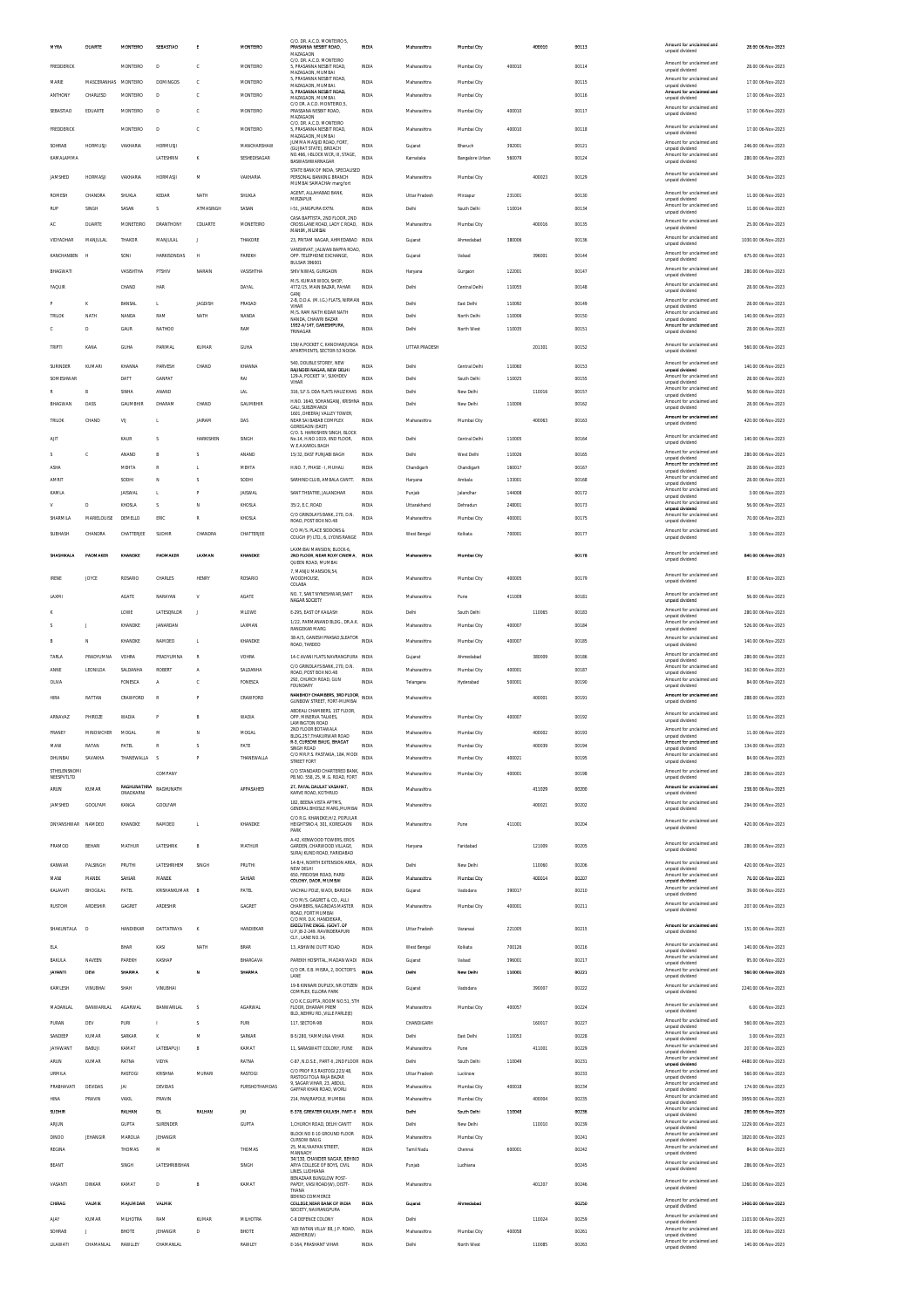| <b>MYRA</b>                        | DUARTE            | MONTEIRO                     | SEBASTIAO                      | E                           | MONTEIRO                        | C/O. DR. A.C.D. MONTEIRO 5,<br>PRASANNA NESBIT ROAD,                                          | INDIA                 | Maharashtra                         | Mumbal City              |                  | 400010 | 00113          | Amount for unclaimed and<br>unpaid dividend                             | 28.00 06-Nov-2023                         |
|------------------------------------|-------------------|------------------------------|--------------------------------|-----------------------------|---------------------------------|-----------------------------------------------------------------------------------------------|-----------------------|-------------------------------------|--------------------------|------------------|--------|----------------|-------------------------------------------------------------------------|-------------------------------------------|
| FREDDERICK                         |                   | MONTEIRO                     | D                              | c                           | MONTEIRO                        | MAZAGAON<br>C/O. DR. A.C.D. MONTEIRO<br>5, PRASANNA NESBIT ROAD,                              | <b>INDIA</b>          | Maharashtra                         | Mumbai City              | 400010           |        | 00114          | Amount for unclaimed and<br>unpaid dividend                             | 28.00 06-Nov-2023                         |
| MARIE                              | MASCERANHAS       | MONTEIRO                     | DOMINGOS                       | c                           | MONTEIRO                        | MAZAGAON MUMRAL<br>5 PRASANNA NESRIT ROAD<br>MAZAGAON, MUMBAL                                 | INDIA                 | Maharashtra                         | Mumbai City              |                  |        | 00115          | Amount for unclaimed and<br>unpaid dividend                             | 17.00 06-Nov-2023                         |
| ANTHONY                            | CHARLESD          | MONTEIRO                     | D                              | c                           | MONTEIRO                        | 5, PRASANNA NESBIT ROAD,<br>MAZAGAON, MUMBAL                                                  | INDIA                 | Maharashtra                         | Mumbai City              |                  |        | 00116          | Amount for unclaimed and<br>unpaid dividend                             | 17.00 06-Nov-2023                         |
| SEBASTIAO                          | EDUARTE           | MONTEIRO                     | D                              | c                           | MONTEIRO                        | C/O DR. A.C.D. MONTEIRO.5.<br>PRASSANA NESBIT ROAD,<br>MAZAGAON                               | INDIA                 | Maharashtra                         | Mumbai City              | 400010           |        | 00117          | Amount for unclaimed and<br>unpaid dividend                             | 17.00 06-Nov-2023                         |
| FREDDERICK                         |                   | MONTEIRO                     | D                              | $\mathbb{C}$                | MONTEIRO                        | C/O. DR. A.C.D. MONTEIRO<br>5, PRASANNA NESBIT ROAD,<br>MAZAGAON, MUMBAI                      | INDIA                 | Maharashtra                         | Mumbai City              | 400010           |        | 00118          | Amount for unclaimed and<br>unpaid dividend                             | 17.00 06-Nov-2023                         |
| SOHRAB                             | <b>HORMUSJ</b>    | VAKHARIA                     | <b>HORMUSJ</b>                 |                             | MANCHARSHAW                     | JUMMA MASJID ROAD, FORT<br>(GUJRAT STATE), BROACH<br>NO.466, I-BLOCK WCR, III, STAGE,         | <b>INDIA</b>          | Gujarat                             | Bharuch                  | 392001           |        | 00121          | Amount for unclaimed and<br>unpaid dividend<br>Amount for unclaimed and | 246.00 06-Nov-2023                        |
| KAMALAMMA                          |                   |                              | LATESHRIN                      | к                           | SESHEDISAGAR                    | RASWASHWARNAGAR<br>STATE BANK OF INDIA, SPECIALISED                                           | <b>INDIA</b>          | Karnataka                           | Bangalore Urban          | 560079           |        | 00124          | unpaid dividend                                                         | 280.00 06-Nov-2023                        |
| <b>JAMSHED</b>                     | <b>HORMASJ</b>    | VAKHARIA                     | <b>HORMASJI</b>                | M                           | VAKHARIA                        | PERSONAL BANKING BRANCH<br>MUMBAI SAMACHAr marg fort                                          | <b>INDIA</b>          | Maharashtra                         | Mumbai City              |                  | 400023 | 00129          | Amount for unclaimed and<br>unpaid dividend                             | 34.00 06-Nov-2023                         |
| ROMESH                             | CHANDRA           | SHUKLA                       | KEDAR                          | NATH                        | SHUKLA                          | AGENT, ALLAHABAD BANK,<br>MIRZAPUR                                                            | <b>INDIA</b>          | <b>Uttar Pradesh</b>                | Mirzapur                 | 231001           |        | 00130          | Amount for unclaimed and<br>unpaid dividend<br>Amount for unclaimed and | 11.00 06-Nov-2023                         |
| RUF                                | SINGH             | SASAN                        | Ś                              | ATMASINGH                   | SASAN                           | 1-51. JANGPURA EXTN.<br>CASA BAPTISTA, 2ND FLOOR, 2ND                                         | <b>INDIA</b>          | Delhi                               | South Delh               | 110014           |        | 00134          | unpaid dividend<br>Amount for unclaimed and                             | 11.00 06-Nov-2023                         |
| AC                                 | <b>DUARTE</b>     | MONETEIRO                    | <b>DRANTHONY</b>               | CDUARTE                     | MONETEIRO                       | CROSS LANE ROAD, LADY C ROAD, INDIA<br>MAHIM, MUMBAI                                          |                       | Maharashtra                         | Mumbai City              |                  | 400016 | 00135          | unpaid dividend<br>Amount for unclaimed and                             | 25.00 06-Nov-2023                         |
| VIDYADHAR<br>KANCHANBEN            | MANJULA<br>. H    | THAKOR<br>SONI               | MANJULAL<br><b>HARKISONDAS</b> | J<br>н                      | THAKORE<br>PAREKH               | 23, PRITAM NAGAR, AHMEDABAD INDIA<br>VANSHIVAT, JALWAN BAPPA ROAD<br>OPP. TELEPHONE EXCHANGE. | <b>INDIA</b>          | Gujarat<br>Gujarat                  | Ahmedabad<br>Valsad      | 380006           | 396001 | 00136<br>00144 | unpaid dividend<br>Amount for unclaimed and                             | 1030.00 06-Nov-2023<br>675.00 06-Nov-2023 |
| BHAGWATI                           |                   | VASISHTHA                    | PTSHIV                         | NARAIN                      | VASISHTHA                       | <b>BULSAR 396001</b><br>SHIV NIWAS, GURGAON                                                   | <b>INDIA</b>          | Haryana                             | Gurgson                  | 122001           |        | 00147          | unpaid dividend<br>Amount for unclaimed and                             | 280.00 06-Nov-2023                        |
| FAQUIR                             |                   | CHAND                        | HAR                            |                             | DAYAL                           | M/S. KUMAR WOOL SHOP<br>4772/15, MAIN BAZAR, PAHAR                                            | INDIA                 | Delhi                               | Central Delhi            | 110055           |        | 00148          | unpaid dividend<br>Amnunt for unclaimed and                             | 28.00 06-Nov-2023                         |
|                                    | ĸ                 | <b>BANSAL</b>                | L.                             | <b>JAGDISH</b>              | PRASAD                          | GANI<br>2-B, D.D.A. (M.I.G.) FLATS, NIRMAN<br>VIHAR                                           | <b>INDIA</b>          | Delhi                               | East Delhi               | 110092           |        | 00149          | unpaid dividend<br>Amount for unclaimed and<br>unpaid dividend          | 28.00 06-Nov-2023                         |
| TRILOK                             | NATH              | NANDA                        | RAM                            | NATH                        | NANDA                           | M/S. RAM NATH KIDAR NATH<br>NANDA. CHAWRI BAZAR                                               | <b>INDIA</b>          | Delhi                               | North Delhi              | 110006           |        | 00150          | Amount for unclaimed and<br>unpaid dividend                             | 140.00 06-Nov-2023                        |
|                                    | D                 | GAUR                         | NATHOO                         |                             | RAM                             | 1932-A/147, GANESHPURA,<br>TRINAGAR                                                           | INDIA                 | Delhi                               | North West               | 110035           |        | 00151          | Amount for unclaimed and<br>unpaid dividend                             | 28.00 06-Nov-2023                         |
| TRIPTI                             | KANA              | <b>GUHA</b>                  | PARIMAL                        | KUMAR                       | GUHA                            | 159/A, POCKET C, KANCHANJUNGA<br>APARTMENTS, SECTOR-53 NOIDA                                  | INDIA                 | UTTAR PRADESH                       |                          |                  | 201301 | 00152          | Amount for unclaimed and<br>unpaid dividend                             | 560.00 06-Nov-2023                        |
| SURINDER                           | KUMARI            | KHANNA                       | PARVESH                        | CHAND                       | KHANNA                          | 540. DOUBLE STOREY. NEW<br><b>RAINDER NAGAR, NEW DELHI</b>                                    | <b>INDIA</b>          | Delhi                               | Central Delh             | 110060           |        | 00153          | Amount for unclaimed and<br>unpaid dividend                             | 140.00 06-Nov-2023                        |
| SOMESHWAR<br>R                     | R                 | DATT<br>SINHA                | GANPAT<br>ANAND                |                             | RAI<br><b>LAL</b>               | 129-A, POCKET 'A', SUKHDEV<br>VIHAR<br>316, S.F.S. DDA FLATS HAUZ KHAS INDIA                  | INDIA                 | Delhi<br>Delhi                      | South Delhi<br>New Delhi | 110025           | 110016 | 00155<br>00157 | Amount for unclaimed and<br>unpaid dividend<br>Amount for unclaimed and | 28.00 06-Nov-2023<br>56.00 06-Nov-2023    |
| BHAGWAN                            | DASS              | GAUMBHIR                     | DHARAM                         | CHAND                       | GAUMBHIR                        | H.NO. 1640, SCHANGANJ, KRISHNA<br>GALL SURZIMANDL                                             | INDIA                 | Delhi                               | New Delhi                | 110006           |        | 00162          | unpaid dividend<br>Amount for unclaimed and<br>unpaid dividend          | 28.00 06-Nov-2023                         |
| TRILOK                             | CHAND             | VU                           | L                              | <b>JAIRAM</b>               | DAS                             | 1601, DHEERAJ VALLEY TOWER,<br>NEAR SAI BABAB COMPLEX                                         | <b>INDIA</b>          | Maharashtra                         | Mumbai City              |                  | 400063 | 00163          | Amount for unclaimed and<br>unpaid dividend                             | 420.00 06-Nov-2023                        |
| AIIT                               |                   | KAUR                         | Ś                              | HARKISHEM                   | SINGH                           | GOREGAON (EAST)<br>C/O. S. HARKISHEN SINGH. BLOCK<br>No.14, H.NO.1019, IIND FLOOR,            | INDIA                 | Delhi                               | Central Delh             | 110005           |        | 00164          | Amount for unclaimed and<br>unpaid dividend                             | 140.00 06-Nov-2023                        |
| Š.                                 | c                 | ANAND                        | B                              | s                           | ANAND                           | <b>W.E.A.KAROL BAGH</b><br>15/32. EAST PUNJABI BAGH                                           | <b>INDIA</b>          | Delhi                               | West Delhi               | 110026           |        | 00165          | Amount for unclaimed and<br>unpaid dividend                             | 280.00 06-Nov-2023                        |
| ASHA                               |                   | MEHTA                        | R                              | L                           | MEHTA                           | H.NO. 7, PHASE - I, MUHALI                                                                    | INDIA                 | Chandigarh                          | Chandigarh               | 160017           |        | 00167          | Amount for unclaimed and<br>unpaid dividend                             | 28.00 06-Nov-2023                         |
| AMRIT                              |                   | SODHI                        | N                              | s<br>P                      | SODHI                           | SARHIND CLUB, AMBALA CANTT.                                                                   | INDIA                 | Haryana                             | Ambala                   | 133001           |        | 00168          | Amount for unclaimed and<br>unpaid dividend<br>Amount for unclaimed and | 28.00 06-Nov-2023                         |
| KAMLA                              | D                 | <b>JAISWAL</b><br>KHOSLA     | L<br>s                         | N                           | <b>JAISWAL</b><br>KHOSLA        | SANT THEATRE, JALANDHAR<br>35/2, E.C. ROAD                                                    | <b>INDIA</b><br>INDIA | Punjab<br>Uttarakhand               | Jalandhar<br>Dehradun    | 144008<br>248001 |        | 00172<br>00173 | unpaid dividend<br>Amount for unclaimed and<br>unpaid dividend          | 3.00 06-Nov-2023<br>56.00 06-Nov-2023     |
| SHARMILA                           | MARIELOUISE       | DEMELLO                      | ERIC                           | ${\mathbb R}$               | KHOSLA                          | C/O GRINDLAYS BANK, 270, D.N.<br>ROAD, POST BOX NO.48                                         | <b>INDIA</b>          | Maharashtra                         | Mumbai City              | 400001           |        | 00175          | Amount for unclaimed and<br>unpaid dividend                             | 70.00 06-Nov-2023                         |
| SUBHASH                            | CHANDRA           | CHATTERJEE                   | SUDHIR                         | CHANDRA                     | CHATTERJEE                      | C/O M/S. PLACE SIDDONS &<br>COUGH (P) LTD., 6, LYONS RANGE                                    | <b>INDIA</b>          | West Bengal                         | Kolkata                  | 700001           |        | 00177          | Amount for unclaimed and<br>unpaid dividend                             | 3.00 06-Nov-2023                          |
| SHASHIKALA                         | PADMAKER          | KHANDKE                      | PADMAKER                       | LAXMAN                      | KHANDKE                         | LAXMIBAI MANSION. BLOCK-6<br>2ND FLOOR, NEAR ROXY CINEMA, INDIA<br>QUEEN ROAD, MUMBAI         |                       | Maharashtra                         | Mumbai City              |                  |        | 00178          | Amount for unclaimed and<br>unpaid dividend                             | 840.00 06-Nov-2023                        |
| <b>IRENE</b>                       | JOYCE             | ROSARIO                      | CHARLES                        | <b>HENRY</b>                | ROSARIO                         | 7, MANJU MANSION, 54<br>WOODHOUSE,                                                            | <b>INDIA</b>          | Maharashtra                         | Mumbai City              | 400005           |        | 00179          | Amount for unclaimed and<br>unpaid dividend                             | 87.00 06-Nov-2023                         |
| LAXMI                              |                   | <b>AGATE</b>                 | NARAYAN                        | $\mathbf v$                 | <b>AGATE</b>                    | COLABA<br>NO. 7. SANT NYNESHWAR.SANT                                                          | <b>INDIA</b>          | Maharashtra                         | Pune                     | 411009           |        | 00181          | Amount for unclaimed and                                                | 56.00 06-Nov-2023                         |
|                                    |                   | LOWE                         | LATESONLDR                     | J.                          | MLOWE                           | NAGAR SOCIETY<br>E-295. EAST OF KAILASH                                                       | INDIA                 | Delhi                               | South Delhi              |                  | 110065 | 00183          | unpaid dividend<br>Amount for unclaimed and<br>unpaid dividend          | 280.00 06-Nov-2023                        |
|                                    |                   | KHANDKE                      | JANARDAN                       |                             | LAXMAN                          | 1/22, PARMANAND BLDG., DR.A.K. INDIA<br><b>RANGEKAR MARG</b>                                  |                       | Maharashtra                         | Mumbai City              | 400007           |        | 00184          | Amount for unclaimed and<br>unpaid dividend                             | 526.00 06-Nov-2023                        |
|                                    | N                 | KHANDKE                      | NAMDEO                         | t,                          | KHANDKE                         | 38-A/S, GANESH PRASAD, SLEATOR INDIA<br>ROAD, TARDEO                                          |                       | Maharashtra                         | Mumbai City              | 400007           |        | 00185          | Amount for unclaimed and<br>unpaid dividend                             | 140.00 06-Nov-2023                        |
| TARLA                              | PRADYUMNA         | VOHRA                        | PRADYUMNA                      | $\mathbb{R}$                | VOHRA                           | 14-C AVANI FLATS NAVRANGPURA INDIA<br>C/O GRINDLAYS BANK, 270, D.N.                           |                       | Guiarat                             | Ahmedabad                |                  | 380009 | 00186          | Amount for unclaimed and<br>unpaid dividend<br>Amount for unclaimed and | 280.00 06-Nov-2023                        |
| ANNE<br>OLIVA                      | LEONILDA          | SALDANHA<br><b>FONESCA</b>   | <b>ROBER</b><br>A              | $\boldsymbol{\Lambda}$<br>c | SALDANHA<br>FONESCA             | ROAD, POST BOX NO.48<br>292, CHURCH ROAD, GUN<br><b>FOUNDARY</b>                              | <b>INDIA</b><br>INDIA | Maharashtra<br>Telangana            | Mumbai City<br>Hyderabad | 400001<br>500001 |        | 00187<br>00190 | unpaid dividend<br>Amount for unclaimed and<br>unpaid dividend          | 162.00 06-Nov-2023<br>84.00.06-Nov-2023   |
| <b>HIRA</b>                        | RATTAN            | CRAWFORD                     | $\mathbb{R}$                   | P                           | CRAWFORD                        | NANBHOY CHAMBERS, 3RD FLOOR,<br>GUNBOW STREET. FORT-MUMBAI                                    | INDIA                 | Maharashtra                         |                          |                  | 400001 | 00191          | Amount for unclaimed and<br>unpaid dividend                             | 288.00 06-Nov-2023                        |
| ARNAVAZ                            | PHIROZE           | <b>WADIA</b>                 | P                              | B                           | WADIA                           | ABDEALI CHAMBERS, 1ST FLOOR,<br>OPP. MINERVA TALKIES.                                         | <b>INDIA</b>          | Maharashtra                         | Mumbai City              | 400007           |        | 00192          | Amount for unclaimed and                                                | 11.00 06-Nov-2023                         |
| <b>FRANEY</b>                      | MINOWCHER         | <b>MOGAL</b>                 | м                              | N                           | MOGAL                           | <b>LAMINGTON ROAD</b><br>MD ELOOP BOTAW                                                       | INDIA                 | Maharashtra                         | Mumbai City              |                  | 400002 | 00193          | unpaid dividend<br>nt for ur                                            | 11.00 06-Nov-2023                         |
| MANI                               | RATAN             | PATEL                        | $\mathbb{R}$                   | s                           | PATE                            | BLDG.257.THAKURWAR ROAD<br>R-3, CURSOW BAUG, BHAGAT<br>SINGH ROAD                             | <b>INDIA</b>          | Maharashtra                         | Mumbai City              |                  | 400039 | 00194          | unpaid dividend<br>Amount for unclaimed and<br>unpaid dividend          | 134.00 06-Nov-2023                        |
| DHUNBAI                            | SAVAKHA           | THANEWALLA                   |                                | P                           | THANEWALLA                      | C/O MR.P.S. PASTAKIA, 184, MODI<br>STREET FORT                                                | <b>INDIA</b>          | Maharashtra                         | Mumbai City              | 400021           |        | 00195          | Amount for unclaimed and<br>unpaid dividend                             | 84.00 06-Nov-2023                         |
| STHELENSNOM<br>NEESPVTLTD          |                   |                              | COMPANY                        |                             |                                 | C/O STANDARD CHARTERED BANK, INDIA<br>PB.NO. 558, 25, M.G. ROAD, FORT                         |                       | Maharashtra                         | Mumbai City              | 400001           |        | 00198          | Amount for unclaimed and<br>unpaid dividend                             | 280.00 06-Nov-2023                        |
| <b>ARUN</b>                        | KUMAR             | RAGHUNATHRA<br>ONADKARN      | RAGHUNATH                      |                             | APPASAHED                       | 27, PAYAL DAULAT VASAHAT<br>KARVE ROAD, KOTHRUD                                               | <b>INDIA</b>          | Maharashtra                         |                          |                  | 411029 | 00200          | Amount for unclaimed and<br>unpaid dividend                             | 238.00 06-Nov-2023                        |
| JAMSHED                            | GOOLFAM           | KANGA                        | GOOLFAM                        |                             |                                 | 182, BEENA VISTA APTMS<br>GENERAL BHOSLE MARG, MUMBAI<br>C/O R.G. KHANDKE, H/2, POPULAR       | <b>INDIA</b>          | Maharashtra                         |                          |                  | 400021 | 00202          | Amount for unclaimed and<br>unpaid dividend                             | 294.00 06-Nov-2023                        |
| <b>DNYANSHWAR</b>                  | NAMDEO            | KHANDKE                      | NAMDEO                         | L.                          | KHANDKE                         | HEIGHTSNO.4, 301, KOREGAON<br>PARK                                                            | <b>INDIA</b>          | Maharashtra                         | Pune                     | 411001           |        | 00204          | Amount for unclaimed and<br>unpaid dividend                             | 420.00 06-Nov-2023                        |
| PRAMOD                             | BEHARI            | MATHUR                       | LATESHRIK                      | B                           | MATHUR                          | A-42, KENWOOD TOWERS, EROS<br>GARDEN, CHARWOOD VILLAGE,                                       | INDIA                 | Haryana                             | Faridabad                |                  | 121009 | 00205          | Amount for unclaimed and<br>unpaid dividend                             | 280.00 06-Nov-2023                        |
| KANWAR                             | PALSINGH          | PRUTHI                       | LATESHRIHEM                    | SINGH                       | PRUTHI                          | SURAJ KUND ROAD, FARIDABAD<br>14-B/4, NORTH EXTENSION AREA,<br>NEW DELHI                      | <b>INDIA</b>          | Delhi                               | New Delh                 |                  | 110060 | 00206          | Amount for unclaimed and<br>unpaid dividend                             | 420.00 06-Nov-2023                        |
| MANI                               | MANEK             | SAHIAR                       | MANEK                          |                             | SAHIAR                          | 650, FIRDOSHI ROAD, PARSI<br>COLONY, DADR, MUMBAI                                             | INDIA                 | Maharashtra                         | Mumbai City              |                  | 400014 | 00207          | Amount for unclaimed and<br>unpaid dividend                             | 76.00 06-Nov-2023                         |
| KALAVATI                           | BHOGILAL          | PATEL                        | KRISHANKUMAR                   | B                           | PATEL                           | VACHALI POLE, WADI, BARODA<br>C/O M/S. GAGRET & CO., ALLI                                     | <b>INDIA</b>          | Gujarat                             | Vadodara                 | 390017           |        | 00210          | Amount for unclaimed and<br>unpaid dividend<br>Amount for unclaimed and | 39.00 06-Nov-2023                         |
| RUSTOM                             | ARDESHIR          | GAGRET                       | ARDESHIR                       |                             | GAGRET                          | CHAMBERS, NAGINDAS MASTER<br>ROAD, FORT MUMBAI<br>C/O MR. D.K. HANDIEKAR                      | INDIA                 | Maharashtra                         | Mumbai City              | 400001           |        | 00211          | unpaid dividend                                                         | 207.00 06-Nov-2023                        |
| SHAKUNTALA                         | Ð                 | HANDIEKAR                    | DATTATRAYA                     | K                           | HANDIEKAR                       | <b>EXECUTIVE ENGG. (GOVT. OF</b><br>U.P.\B-2-249. RAVINDERAPURI                               | <b>INDIA</b>          | <b>Uttar Pradesh</b>                | Varanasi                 | 221005           |        | 00215          | Amount for unclaimed and<br>unpaid dividend                             | 151.00 06-Nov-2023                        |
| ELA                                |                   | BHAR                         | KASI                           | NATH                        | BRAR                            | CLY., LANE NO.14,<br>13, ASHWINI DUTT ROAD                                                    | <b>INDIA</b>          | West Bengal                         | Kolkata                  | 700126           |        | 00216          | Amount for unclaimed and<br>unpaid dividend                             | 140.00 06-Nov-2023                        |
| BAKULA                             | NAVEEN            | PAREKH                       | KASHAP                         |                             | BHARGAVA                        | PAREKH HOSPITAL, MADAN WADI INDIA<br>C/O DR. E.B. MISRA, 2, DOCTOR'S                          |                       | Gujarat                             | Valsad                   | 396001           |        | 00217          | Amount for unclaimed and<br>unpaid dividend<br>Amount for unclaimed and | 95.00 06-Nov-2023                         |
| <b>JAYANTI</b>                     | <b>DEVI</b>       | SHARMA                       | ĸ                              | м                           | SHARMA                          | LANE<br>19-B KINNARI DUPLEX, NR CITIZEN INDIA                                                 | INDIA                 | Delhi                               | New Delhi                | 110001           |        | 00221          | unpaid dividend<br>Amount for unclaimed and                             | 560.00 06-Nov-2023                        |
| KAMLESH                            | VINUBHAI          | SHAH                         | VINUBHAI                       |                             |                                 | COMPLEX, ELLORA PARK<br>C/O K.C.GUPTA, ROOM NO.51, 5TH                                        |                       | Gujarat                             | Vadodara                 |                  | 390007 | 00222          | unpaid dividend                                                         | 2240.00 06-Nov-2023                       |
| MADANLA                            | <b>BANWARILAI</b> | <b>AGARWAL</b>               | BANWARILAL                     | s                           | <b>AGARWAL</b>                  | FLOOR, DHARAM PREM<br>BLD., NEHRU RD., VILLE PARLE(E)                                         | INDIA                 | Maharashtra                         | Mumbai City              | 400057           |        | 00224          | Amount for unclaimed and<br>unpaid dividend<br>Amount for unclaimed and | 6.00 06-Nov-2023                          |
| PURAN<br>SANDEEP                   | DEV<br>KUMAR      | PURI<br>SARKAR               | ĸ                              | s<br>M                      | <b>PURI</b><br>SARKAR           | 117. SECTOR-9B<br>B-5/280, YAMMUNA VIHAR                                                      | <b>INDIA</b><br>INDIA | CHANDIGARH<br>Delhi                 | East Delhi               | 110053           | 160017 | 00227<br>00228 | unpaid dividend<br>Amount for unclaimed and                             | 560.00 06-Nov-2023<br>3.00 06-Nov-2023    |
| <b>JAYAWANT</b>                    | RARIJI            | KAMAT                        | LATEBAPUJI                     | B                           | KAMAT                           | 11, SARASWATT COLONY, PUNE                                                                    | INDIA                 | Maharashtra                         | Pune                     |                  | 411001 | 00229          | unpaid dividend<br>Amount for unclaimed and<br>unpaid dividend          | 207.00 06-Nov-2023                        |
| ARUN                               | KUMAR             | RATNA                        | VIDYA                          |                             | RATNA                           | C-87, N.D.S.E., PART-II, 2ND FLOOR INDIA                                                      |                       | Delhi                               | South Delhi              | 110049           |        | 00231          | Amount for unclaimed and<br>unpaid dividend                             | 4480.00 06-Nov-2023                       |
| <b>URMILA</b><br><b>PRABHAVATI</b> | DEVIDAS           | <b>RASTOGI</b><br><b>JAI</b> | KRISHNA<br>DEVIDAS             | MURARI                      | <b>RASTOGI</b><br>PURSHOTHAMDAS | C/O PROF R.S RASTOGI, 223/48,<br>RASTOGI TOLA RAJA BAZAR<br>9. SAGAR VIHAR, 23. ABDUL         | <b>INDIA</b><br>INDIA | <b>Uttar Pradesh</b><br>Maharashtra | Lucknow<br>Mumbai City   | 400018           |        | 00233<br>00234 | Amount for unclaimed and<br>unpaid dividend<br>Amount for unclaimed and | 560.00 06-Nov-2023<br>174.00 06-Nov-2023  |
| HINA                               | PRAVIN            | <b>VAKIL</b>                 | PRAVIN                         |                             |                                 | GAFFAR KHAN ROAD, WORLL<br>214. PANJRAPOLE, MUMBAI                                            | <b>INDIA</b>          | Maharashtra                         | Mumbai City              |                  | 400004 | 00235          | unpaid dividend<br>Amount for unclaimed and<br>unpaid dividend          | 3959.00 06-Nov-2023                       |
| SUDHIR                             |                   | RALHAN                       | DL                             | RALHAN                      | <b>JAI</b>                      | E-378, GREATER KAILASH, PART-II                                                               | <b>INDM</b>           | Dethi                               | South Delhi              | 110048           |        | 00236          | Amount for unclaimed and<br>unpaid dividend                             | 280.00 06-Nov-2023                        |
| ARJUN<br>DINOO                     | JEHANGIR          | GUPTA<br>MAROLIA             | SURENDER<br><b>JEHANGIR</b>    |                             | GUPTA                           | 1, CHURCH ROAD, DELHI CANTT<br>BLOCK NO E-10 GROUND FLOOR                                     | INDIA<br><b>INDIA</b> | Delhi                               | New Delhi                |                  | 110010 | 00239<br>00241 | Amount for unclaimed and<br>unpaid dividend<br>Amount for unclaimed and | 1229.00 06-Nov-2023                       |
| REGINA                             |                   | THOMAS                       | M                              |                             | THOMAS                          | <b>CURSOW BAUG</b><br>25, MALYAAPAN STREET,<br>MANNADY                                        | INDIA                 | Maharashtra<br>Tamil Nadu           | Mumbai City<br>Chenna    | 600001           |        | 00242          | unpaid dividend<br>Amount for unclaimed and<br>unpaid dividend          | 1820.00 06-Nov-2023<br>84.00 06-Nov-2023  |
| BEANT                              |                   | SINGH                        | LATESHRIBISHAN                 |                             | SINGH                           | 34/130, CHANDER NAGAR, BEHIND<br>ARYA COLLEGE OF BOYS, CIVIL                                  | INDIA                 | Punjab                              | Ludhiana                 |                  |        | 00245          | Amount for unclaimed and<br>unpaid dividend                             | 286.00 06-Nov-2023                        |
| VASANTI                            | DINKAR            | KAMAT                        | D                              | B                           | KAMAT                           | LINES. LUDHIANA<br>BENAZAAR BUNGLOW POST-<br>PAPDY, VASI ROAD(W), DISTT-                      | INDIA                 | Maharashtra                         |                          |                  | 401207 | 00246          | Amount for unclaimed and                                                | 1260.00 06-Nov-2023                       |
| CHIRAG                             | <b>VALMIK</b>     | MAJUMDAR                     | VALMI                          |                             |                                 | THANA<br>BEHIND COMMERCE<br>COLLEGE NEAR BANK OF INDIA                                        | INDIA                 | Gujarat                             | Ahmedabad                |                  |        | 00250          | unpaid dividend<br>Amount for unclaimed and                             | 1400.00 06-Nov-2023                       |
| AIAY                               | KUMAR             | MILHOTRA                     | RAM                            | KUMAF                       | <b>MILHOTRA</b>                 | SOCIETY, NAVRANGPURA<br>C-8 DEFENCE COLONY                                                    | INDIA                 | Delhi                               |                          |                  | 110024 | 00259          | unpaid dividend<br>Amount for unclaimed and                             | 1103.00 06-Nov-2023                       |
| SOHRAB                             | J                 | BHOTE                        | <b>JEHANGIR</b>                | D                           | BHOTE                           | 'ADI RATAN VILLA' 88, J.P. ROAD,<br>ANDHERI(W)                                                | INDIA                 | Maharashtra                         | Mumbai City              | 400058           |        | 00261          | unpaid dividend<br>Amount for unclaimed and<br>unpaid dividend          | 101.00 06-Nov-2023                        |
| LILAWATI                           | CHAMANLAL         | RAWLLEY                      | CHAMANLAL                      |                             | RAWLEY                          | E-164, PRASHANT VIHAR                                                                         | <b>INDIA</b>          | Delhi                               | North West               |                  | 110085 | 00263          | Amount for unclaimed and<br>unpaid dividend                             | 140.00 06-Nov-2023                        |